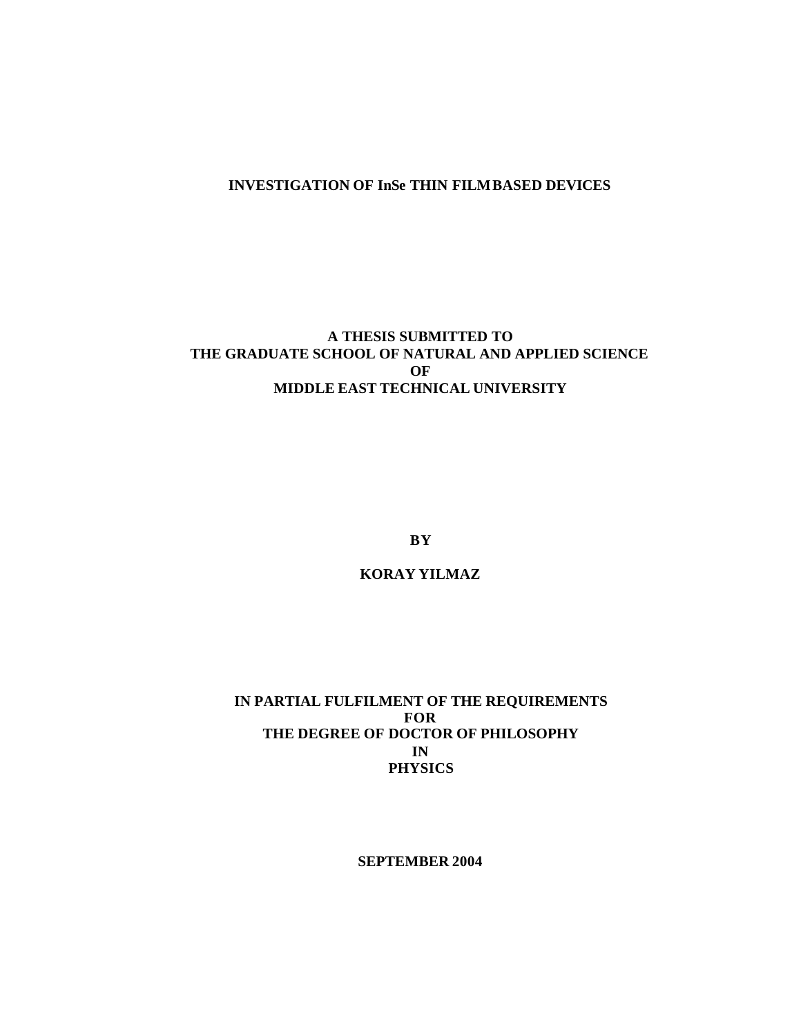#### **INVESTIGATION OF InSe THIN FILM BASED DEVICES**

## **A THESIS SUBMITTED TO THE GRADUATE SCHOOL OF NATURAL AND APPLIED SCIENCE OF MIDDLE EAST TECHNICAL UNIVERSITY**

**BY**

**KORAY YILMAZ**

## **IN PARTIAL FULFILMENT OF THE REQUIREMENTS FOR THE DEGREE OF DOCTOR OF PHILOSOPHY IN PHYSICS**

**SEPTEMBER 2004**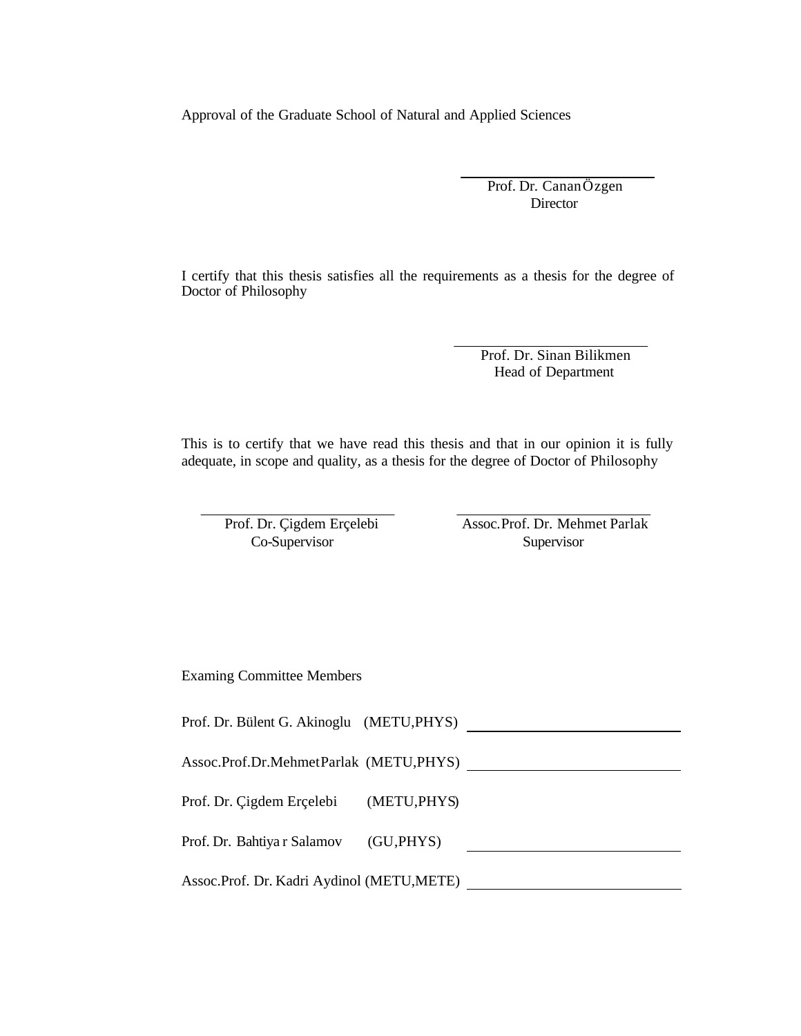Approval of the Graduate School of Natural and Applied Sciences

Prof. Dr. Canan Özgen Director

I certify that this thesis satisfies all the requirements as a thesis for the degree of Doctor of Philosophy

> Prof. Dr. Sinan Bilikmen Head of Department

This is to certify that we have read this thesis and that in our opinion it is fully adequate, in scope and quality, as a thesis for the degree of Doctor of Philosophy

Prof. Dr. Çigdem Erçelebi Co-Supervisor

Assoc.Prof. Dr. Mehmet Parlak **Supervisor** 

Examing Committee Members

Prof. Dr. Bülent G. Akinoglu (METU, PHYS)

Assoc.Prof.Dr.MehmetParlak (METU,PHYS)

Prof. Dr. Çigdem Erçelebi (METU,PHYS)

Prof. Dr. Bahtiya r Salamov (GU,PHYS) 

Assoc.Prof. Dr. Kadri Aydinol (METU,METE)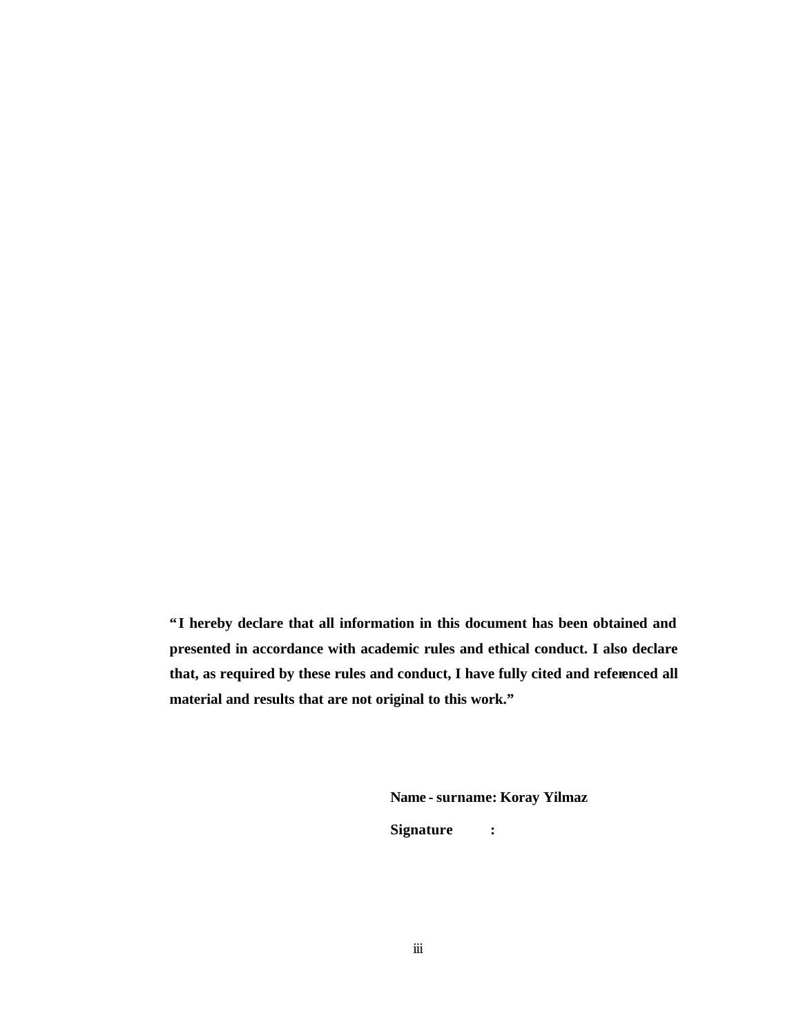**"I hereby declare that all information in this document has been obtained and presented in accordance with academic rules and ethical conduct. I also declare that, as required by these rules and conduct, I have fully cited and referenced all material and results that are not original to this work."**

**Name - surname: Koray Yilmaz**

**Signature :**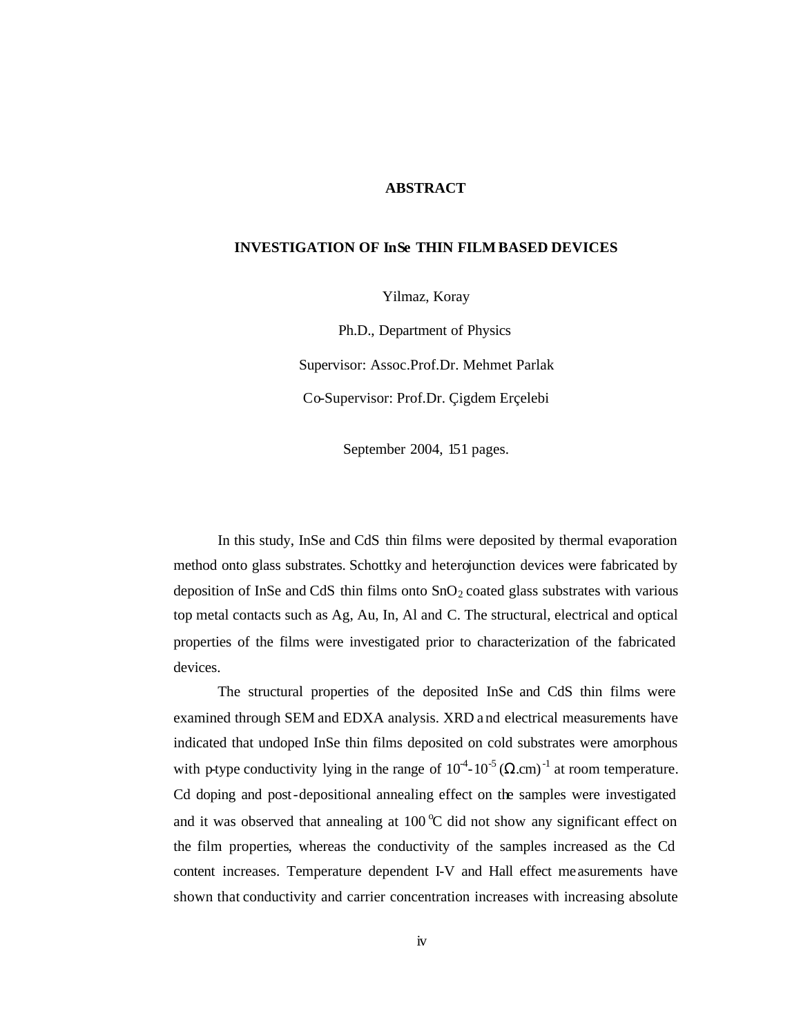#### **ABSTRACT**

#### **INVESTIGATION OF InSe THIN FILM BASED DEVICES**

Yilmaz, Koray

Ph.D., Department of Physics

Supervisor: Assoc.Prof.Dr. Mehmet Parlak

Co-Supervisor: Prof.Dr. Çigdem Erçelebi

September 2004, 151 pages.

In this study, InSe and CdS thin films were deposited by thermal evaporation method onto glass substrates. Schottky and heterojunction devices were fabricated by deposition of InSe and CdS thin films onto  $SnO<sub>2</sub>$  coated glass substrates with various top metal contacts such as Ag, Au, In, Al and C. The structural, electrical and optical properties of the films were investigated prior to characterization of the fabricated devices.

The structural properties of the deposited InSe and CdS thin films were examined through SEM and EDXA analysis. XRD a nd electrical measurements have indicated that undoped InSe thin films deposited on cold substrates were amorphous with p-type conductivity lying in the range of  $10^{4}$ - $10^{-5}$  ( $\Omega$ .cm)<sup>-1</sup> at room temperature. Cd doping and post-depositional annealing effect on the samples were investigated and it was observed that annealing at 100  $\degree$ C did not show any significant effect on the film properties, whereas the conductivity of the samples increased as the Cd content increases. Temperature dependent I-V and Hall effect me asurements have shown that conductivity and carrier concentration increases with increasing absolute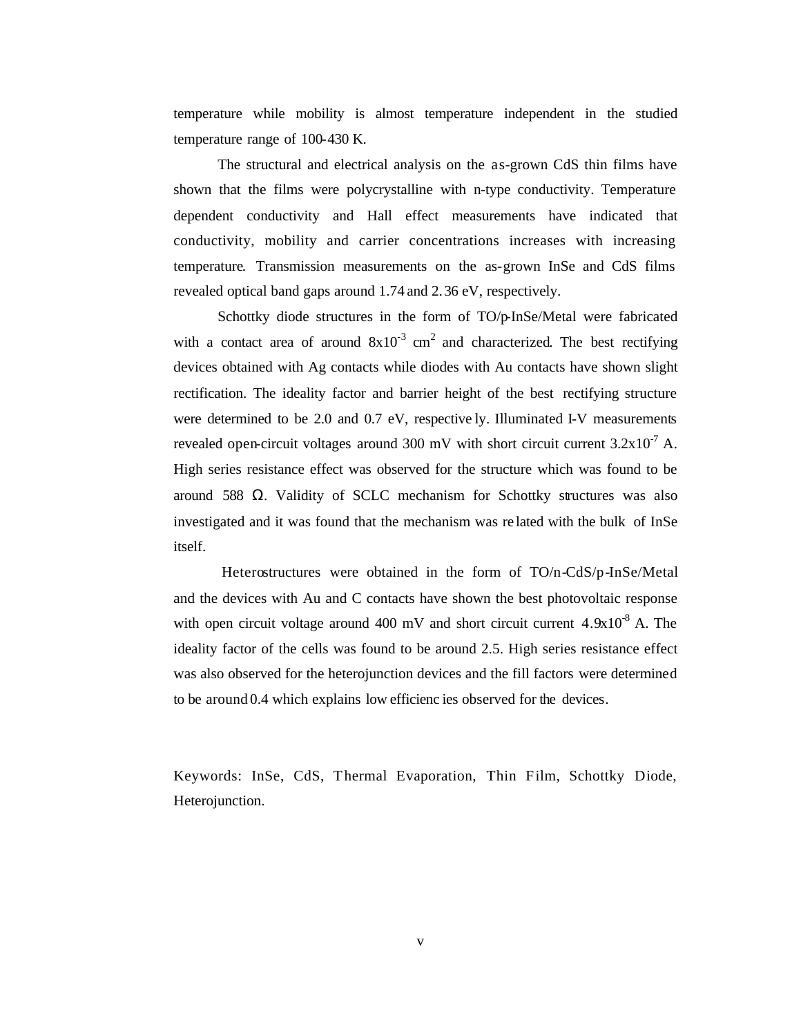temperature while mobility is almost temperature independent in the studied temperature range of 100-430 K.

The structural and electrical analysis on the as-grown CdS thin films have shown that the films were polycrystalline with n-type conductivity. Temperature dependent conductivity and Hall effect measurements have indicated that conductivity, mobility and carrier concentrations increases with increasing temperature. Transmission measurements on the as-grown InSe and CdS films revealed optical band gaps around 1.74 and 2.36 eV, respectively.

Schottky diode structures in the form of TO/p-InSe/Metal were fabricated with a contact area of around  $8x10^{-3}$  cm<sup>2</sup> and characterized. The best rectifying devices obtained with Ag contacts while diodes with Au contacts have shown slight rectification. The ideality factor and barrier height of the best rectifying structure were determined to be 2.0 and 0.7 eV, respective ly. Illuminated I-V measurements revealed open-circuit voltages around 300 mV with short circuit current  $3.2x10^{-7}$  A. High series resistance effect was observed for the structure which was found to be around 588 Ω. Validity of SCLC mechanism for Schottky structures was also investigated and it was found that the mechanism was re lated with the bulk of InSe itself.

Heterostructures were obtained in the form of TO/n-CdS/p-InSe/Metal and the devices with Au and C contacts have shown the best photovoltaic response with open circuit voltage around 400 mV and short circuit current  $4.9x10^{-8}$  A. The ideality factor of the cells was found to be around 2.5. High series resistance effect was also observed for the heterojunction devices and the fill factors were determined to be around 0.4 which explains low efficienc ies observed for the devices.

Keywords: InSe, CdS, Thermal Evaporation, Thin Film, Schottky Diode, Heterojunction.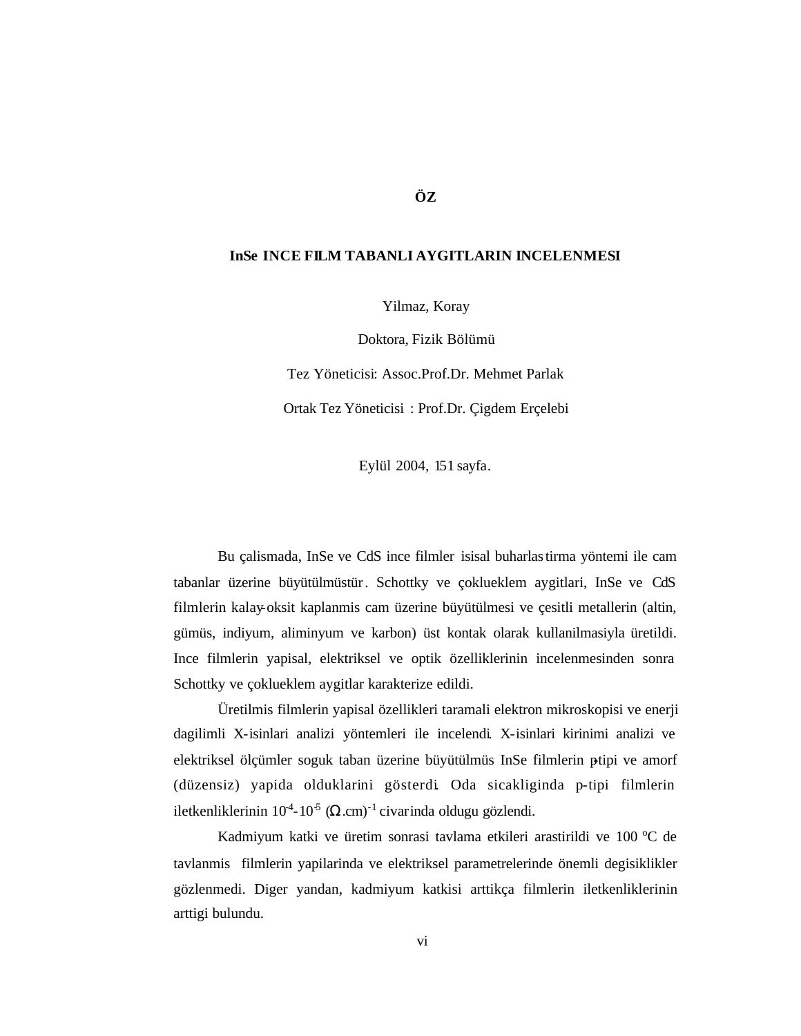#### **InSe INCE FILM TABANLI AYGITLARIN INCELENMESI**

Yilmaz, Koray

Doktora, Fizik Bölümü

Tez Yöneticisi: Assoc.Prof.Dr. Mehmet Parlak

Ortak Tez Yöneticisi : Prof.Dr. Çigdem Erçelebi

Eylül 2004, 151 sayfa.

Bu çalismada, InSe ve CdS ince filmler isisal buharlastirma yöntemi ile cam tabanlar üzerine büyütülmüstür. Schottky ve çoklueklem aygitlari, InSe ve CdS filmlerin kalay-oksit kaplanmis cam üzerine büyütülmesi ve çesitli metallerin (altin, gümüs, indiyum, aliminyum ve karbon) üst kontak olarak kullanilmasiyla üretildi. Ince filmlerin yapisal, elektriksel ve optik özelliklerinin incelenmesinden sonra Schottky ve çoklueklem aygitlar karakterize edildi.

Üretilmis filmlerin yapisal özellikleri taramali elektron mikroskopisi ve enerji dagilimli X-isinlari analizi yöntemleri ile incelendi. X-isinlari kirinimi analizi ve elektriksel ölçümler soguk taban üzerine büyütülmüs InSe filmlerin ptipi ve amorf (düzensiz) yapida olduklarini gösterdi. Oda sicakliginda p-tipi filmlerin iletkenliklerinin  $10^{4}$ - $10^{5}$  ( $\Omega$ .cm)<sup>-1</sup> civarinda oldugu gözlendi.

Kadmiyum katki ve üretim sonrasi tavlama etkileri arastirildi ve 100 °C de tavlanmis filmlerin yapilarinda ve elektriksel parametrelerinde önemli degisiklikler gözlenmedi. Diger yandan, kadmiyum katkisi arttikça filmlerin iletkenliklerinin arttigi bulundu.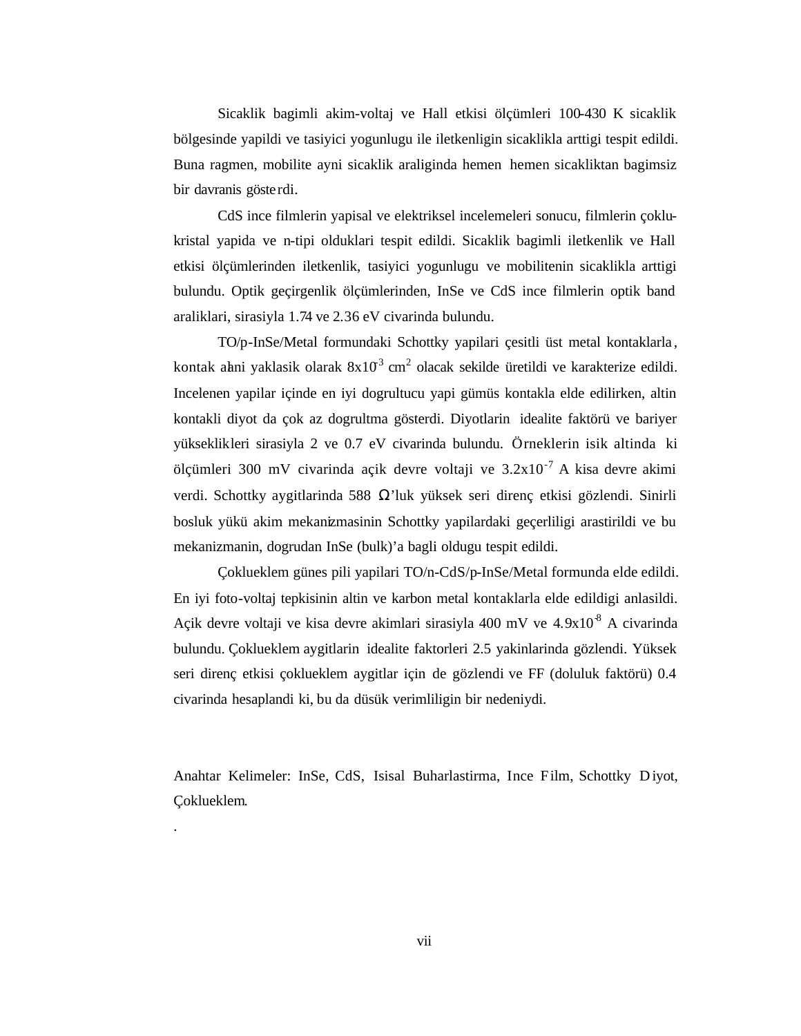Sicaklik bagimli akim-voltaj ve Hall etkisi ölçümleri 100-430 K sicaklik bölgesinde yapildi ve tasiyici yogunlugu ile iletkenligin sicaklikla arttigi tespit edildi. Buna ragmen, mobilite ayni sicaklik araliginda hemen hemen sicakliktan bagimsiz bir davranis gösterdi.

CdS ince filmlerin yapisal ve elektriksel incelemeleri sonucu, filmlerin çoklukristal yapida ve n-tipi olduklari tespit edildi. Sicaklik bagimli iletkenlik ve Hall etkisi ölçümlerinden iletkenlik, tasiyici yogunlugu ve mobilitenin sicaklikla arttigi bulundu. Optik geçirgenlik ölçümlerinden, InSe ve CdS ince filmlerin optik band araliklari, sirasiyla 1.74 ve 2.36 eV civarinda bulundu.

TO/p-InSe/Metal formundaki Schottky yapilari çesitli üst metal kontaklarla , kontak ahni yaklasik olarak  $8x10^3$  cm<sup>2</sup> olacak sekilde üretildi ve karakterize edildi. Incelenen yapilar içinde en iyi dogrultucu yapi gümüs kontakla elde edilirken, altin kontakli diyot da çok az dogrultma gösterdi. Diyotlarin idealite faktörü ve bariyer yükseklikleri sirasiyla 2 ve 0.7 eV civarinda bulundu. Örneklerin isik altinda ki ölçümleri 300 mV civarinda açik devre voltaji ve  $3.2 \times 10^{-7}$  A kisa devre akimi verdi. Schottky aygitlarinda 588 Ω'luk yüksek seri direnç etkisi gözlendi. Sinirli bosluk yükü akim mekanizmasinin Schottky yapilardaki geçerliligi arastirildi ve bu mekanizmanin, dogrudan InSe (bulk)'a bagli oldugu tespit edildi.

Çoklueklem günes pili yapilari TO/n-CdS/p-InSe/Metal formunda elde edildi. En iyi foto-voltaj tepkisinin altin ve karbon metal kontaklarla elde edildigi anlasildi. Açik devre voltaji ve kisa devre akimlari sirasiyla 400 mV ve 4.9x10<sup>-8</sup> A civarinda bulundu. Çoklueklem aygitlarin idealite faktorleri 2.5 yakinlarinda gözlendi. Yüksek seri direnç etkisi çoklueklem aygitlar için de gözlendi ve FF (doluluk faktörü) 0.4 civarinda hesaplandi ki, bu da düsük verimliligin bir nedeniydi.

Anahtar Kelimeler: InSe, CdS, Isisal Buharlastirma, Ince Film, Schottky D iyot, Çoklueklem.

.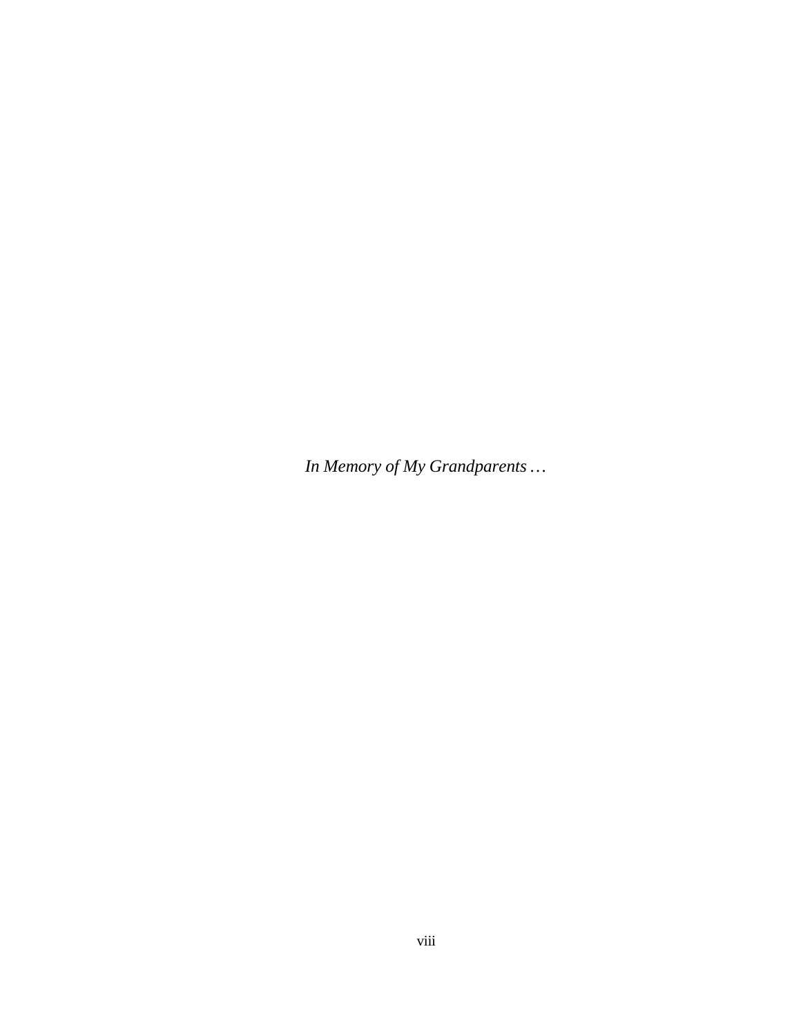*In Memory of My Grandparents …*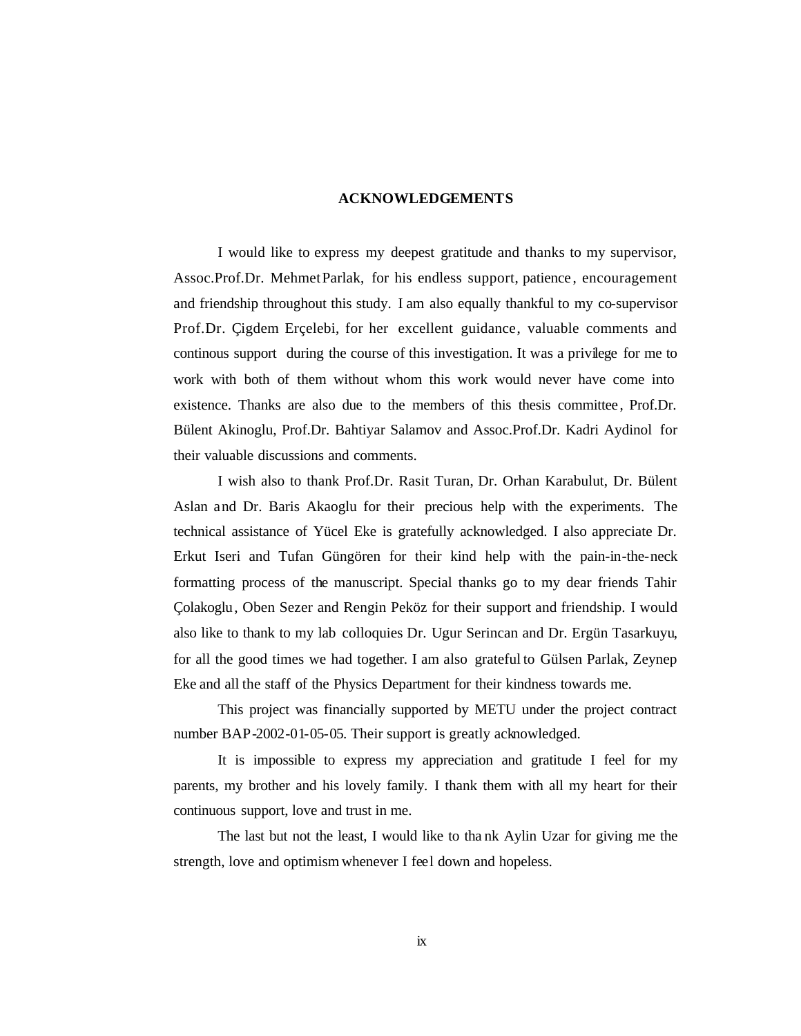#### **ACKNOWLEDGEMENTS**

I would like to express my deepest gratitude and thanks to my supervisor, Assoc.Prof.Dr. Mehmet Parlak, for his endless support, patience , encouragement and friendship throughout this study. I am also equally thankful to my co-supervisor Prof.Dr. Çigdem Erçelebi, for her excellent guidance, valuable comments and continous support during the course of this investigation. It was a privilege for me to work with both of them without whom this work would never have come into existence. Thanks are also due to the members of this thesis committee , Prof.Dr. Bülent Akinoglu, Prof.Dr. Bahtiyar Salamov and Assoc.Prof.Dr. Kadri Aydinol for their valuable discussions and comments.

I wish also to thank Prof.Dr. Rasit Turan, Dr. Orhan Karabulut, Dr. Bülent Aslan and Dr. Baris Akaoglu for their precious help with the experiments. The technical assistance of Yücel Eke is gratefully acknowledged. I also appreciate Dr. Erkut Iseri and Tufan Güngören for their kind help with the pain-in-the-neck formatting process of the manuscript. Special thanks go to my dear friends Tahir Çolakoglu, Oben Sezer and Rengin Peköz for their support and friendship. I would also like to thank to my lab colloquies Dr. Ugur Serincan and Dr. Ergün Tasarkuyu, for all the good times we had together. I am also grateful to Gülsen Parlak, Zeynep Eke and all the staff of the Physics Department for their kindness towards me.

This project was financially supported by METU under the project contract number BAP-2002-01-05-05. Their support is greatly acknowledged.

It is impossible to express my appreciation and gratitude I feel for my parents, my brother and his lovely family. I thank them with all my heart for their continuous support, love and trust in me.

The last but not the least, I would like to tha nk Aylin Uzar for giving me the strength, love and optimism whenever I feel down and hopeless.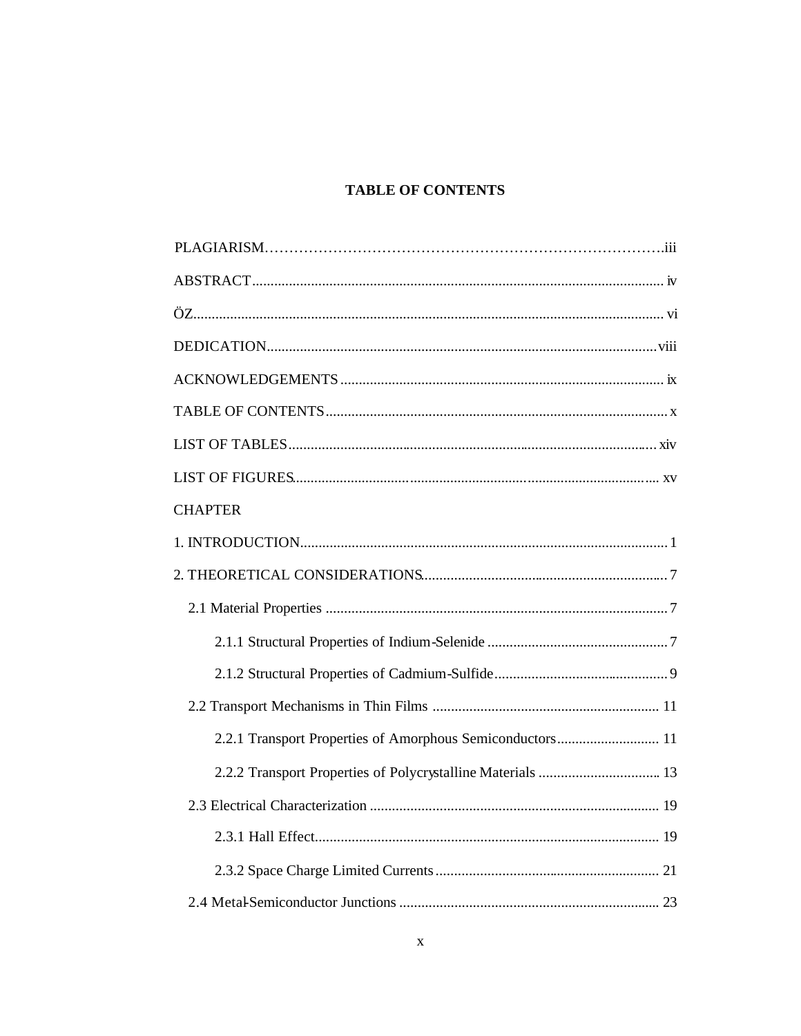# **TABLE OF CONTENTS**

| <b>CHAPTER</b>                                            |
|-----------------------------------------------------------|
|                                                           |
|                                                           |
|                                                           |
|                                                           |
|                                                           |
|                                                           |
| 2.2.1 Transport Properties of Amorphous Semiconductors 11 |
|                                                           |
|                                                           |
|                                                           |
|                                                           |
|                                                           |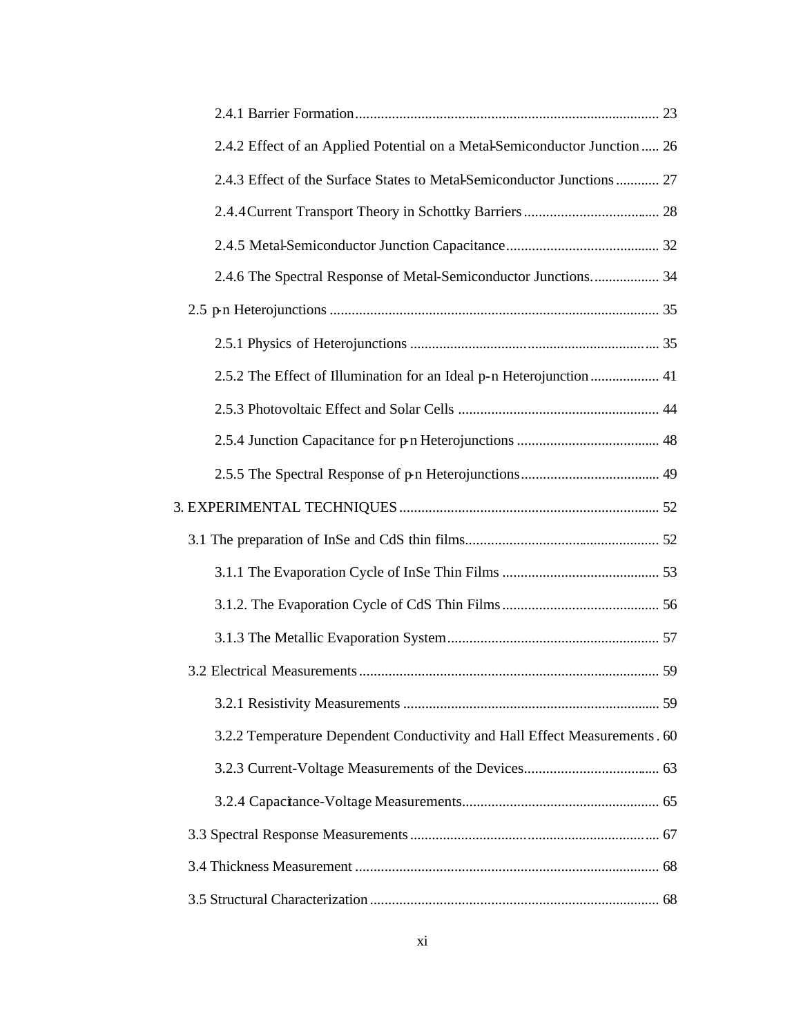| 2.4.2 Effect of an Applied Potential on a Metal-Semiconductor Junction  26 |  |
|----------------------------------------------------------------------------|--|
| 2.4.3 Effect of the Surface States to Metal-Semiconductor Junctions 27     |  |
|                                                                            |  |
|                                                                            |  |
| 2.4.6 The Spectral Response of Metal-Semiconductor Junctions 34            |  |
|                                                                            |  |
|                                                                            |  |
| 2.5.2 The Effect of Illumination for an Ideal p-n Heterojunction  41       |  |
|                                                                            |  |
|                                                                            |  |
|                                                                            |  |
|                                                                            |  |
|                                                                            |  |
|                                                                            |  |
|                                                                            |  |
|                                                                            |  |
|                                                                            |  |
|                                                                            |  |
| 3.2.2 Temperature Dependent Conductivity and Hall Effect Measurements . 60 |  |
|                                                                            |  |
|                                                                            |  |
|                                                                            |  |
|                                                                            |  |
|                                                                            |  |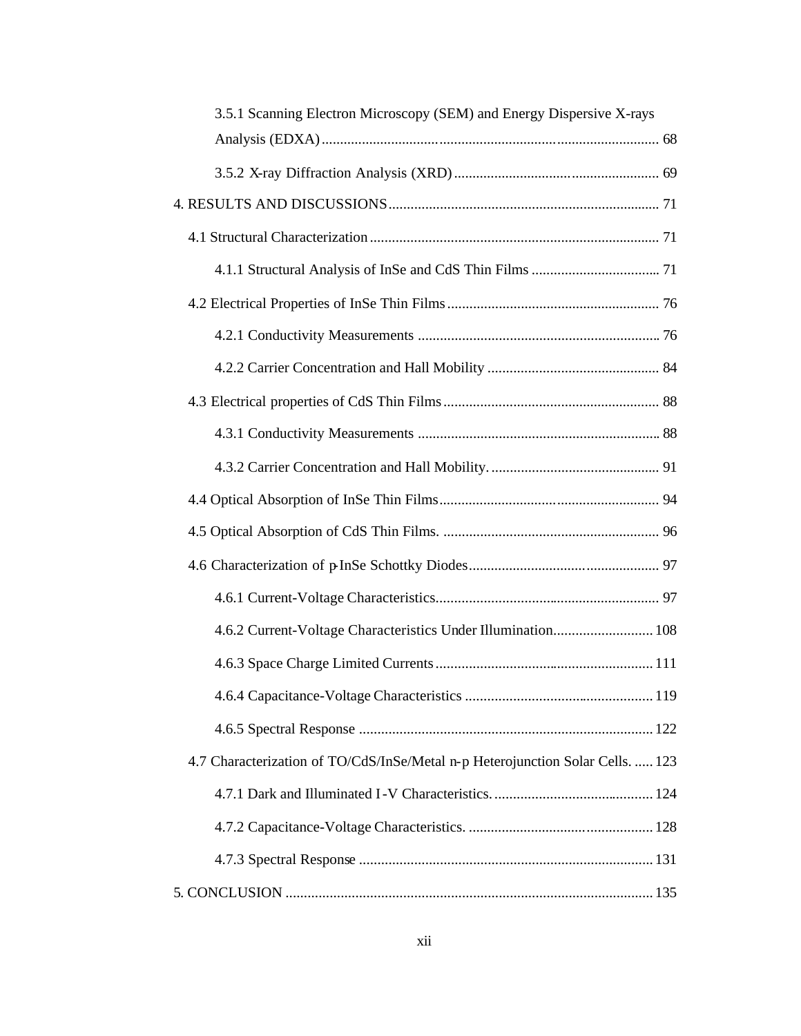| 3.5.1 Scanning Electron Microscopy (SEM) and Energy Dispersive X-rays          |  |
|--------------------------------------------------------------------------------|--|
|                                                                                |  |
|                                                                                |  |
|                                                                                |  |
|                                                                                |  |
|                                                                                |  |
|                                                                                |  |
|                                                                                |  |
|                                                                                |  |
|                                                                                |  |
|                                                                                |  |
|                                                                                |  |
|                                                                                |  |
|                                                                                |  |
|                                                                                |  |
|                                                                                |  |
| 4.6.2 Current-Voltage Characteristics Under Illumination 108                   |  |
|                                                                                |  |
|                                                                                |  |
|                                                                                |  |
| 4.7 Characterization of TO/CdS/InSe/Metal n-p Heterojunction Solar Cells.  123 |  |
|                                                                                |  |
|                                                                                |  |
|                                                                                |  |
|                                                                                |  |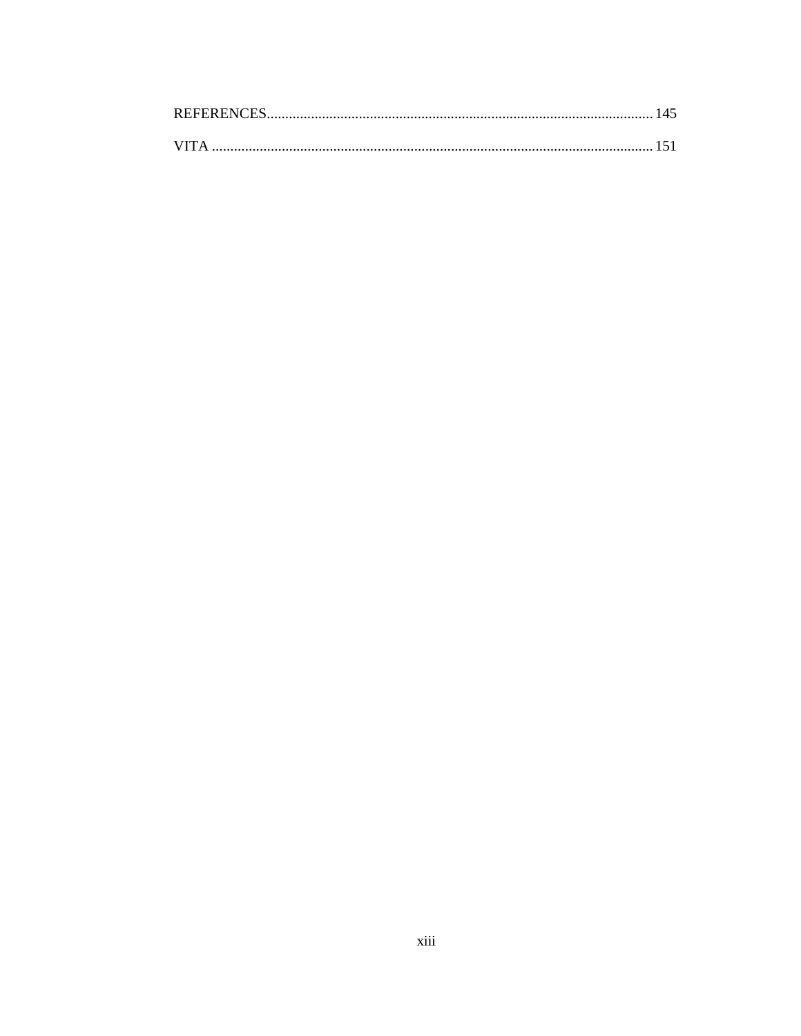| <b>REFERENCES</b> |  |
|-------------------|--|
|                   |  |
| <b>VITA</b>       |  |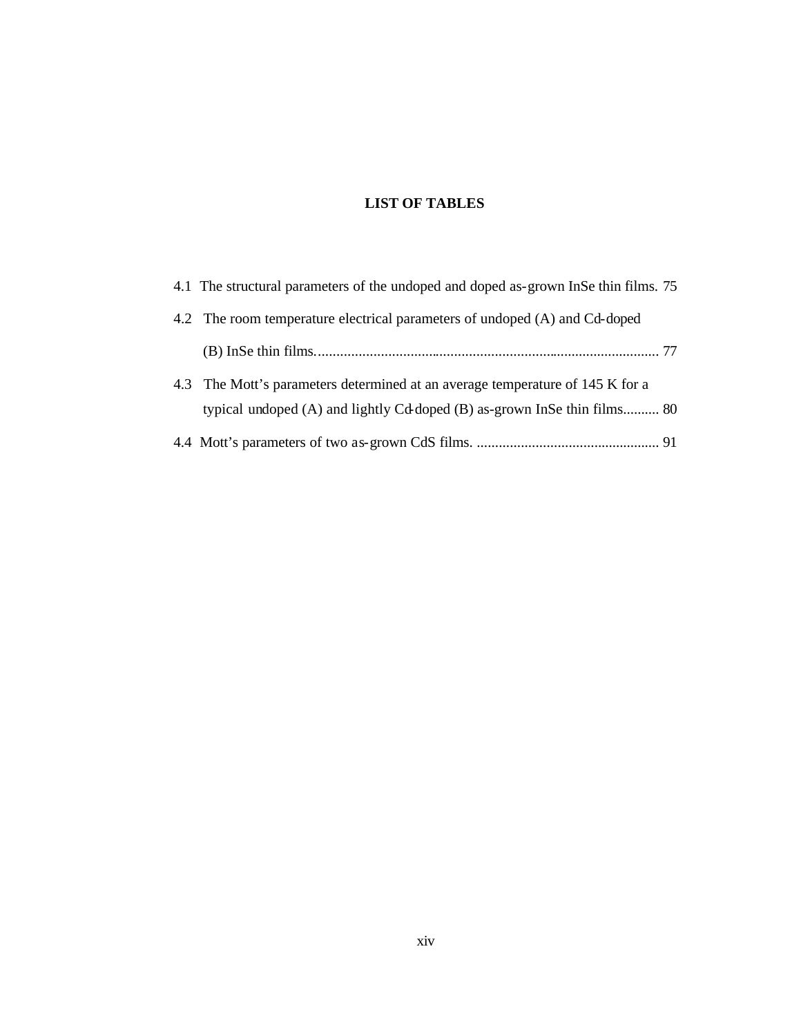# **LIST OF TABLES**

| 4.1 The structural parameters of the undoped and doped as-grown InSe thin films. 75                                                                       |  |
|-----------------------------------------------------------------------------------------------------------------------------------------------------------|--|
| 4.2 The room temperature electrical parameters of undoped (A) and Cd-doped                                                                                |  |
|                                                                                                                                                           |  |
| 4.3 The Mott's parameters determined at an average temperature of 145 K for a<br>typical undoped (A) and lightly Cd doped (B) as-grown InSe thin films 80 |  |
|                                                                                                                                                           |  |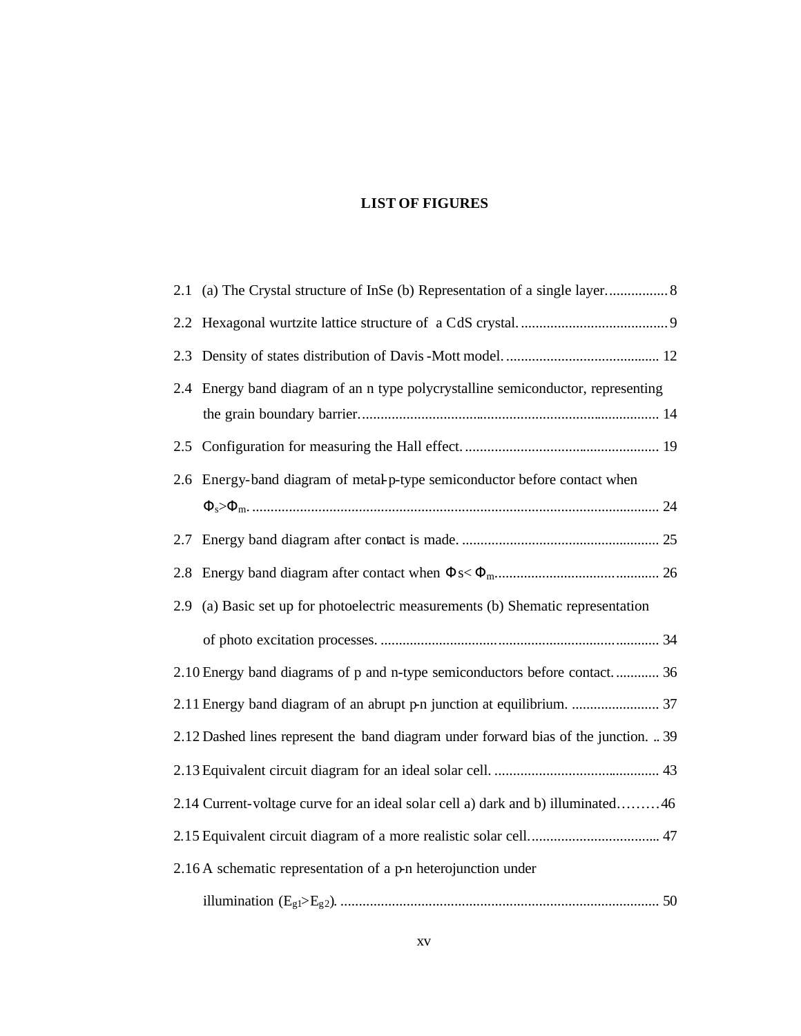# **LIST OF FIGURES**

| 2.2 |                                                                                     |
|-----|-------------------------------------------------------------------------------------|
| 2.3 |                                                                                     |
|     | 2.4 Energy band diagram of an n type polycrystalline semiconductor, representing    |
|     |                                                                                     |
|     |                                                                                     |
| 2.6 | Energy-band diagram of metal-p-type semiconductor before contact when               |
|     |                                                                                     |
| 2.7 |                                                                                     |
| 2.8 |                                                                                     |
| 2.9 | (a) Basic set up for photoelectric measurements (b) Shematic representation         |
|     |                                                                                     |
|     | 2.10 Energy band diagrams of p and n-type semiconductors before contact 36          |
|     |                                                                                     |
|     | 2.12 Dashed lines represent the band diagram under forward bias of the junction. 39 |
|     |                                                                                     |
|     | 2.14 Current-voltage curve for an ideal solar cell a) dark and b) illuminated46     |
|     |                                                                                     |
|     | 2.16 A schematic representation of a p-n heterojunction under                       |
|     |                                                                                     |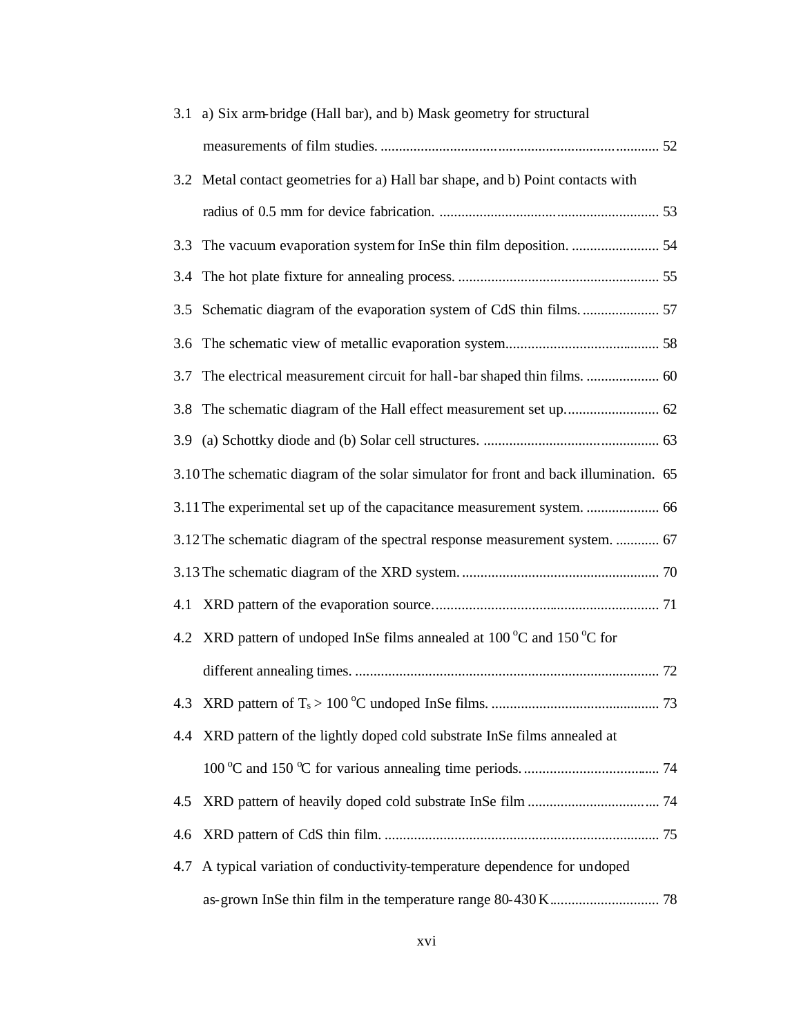|     | 3.1 a) Six arm-bridge (Hall bar), and b) Mask geometry for structural                   |  |
|-----|-----------------------------------------------------------------------------------------|--|
|     |                                                                                         |  |
|     | 3.2 Metal contact geometries for a) Hall bar shape, and b) Point contacts with          |  |
|     |                                                                                         |  |
| 3.3 |                                                                                         |  |
|     |                                                                                         |  |
|     |                                                                                         |  |
|     |                                                                                         |  |
|     |                                                                                         |  |
|     |                                                                                         |  |
|     |                                                                                         |  |
|     | 3.10 The schematic diagram of the solar simulator for front and back illumination. 65   |  |
|     | 3.11 The experimental set up of the capacitance measurement system.  66                 |  |
|     | 3.12 The schematic diagram of the spectral response measurement system.  67             |  |
|     |                                                                                         |  |
|     |                                                                                         |  |
|     | 4.2 XRD pattern of undoped InSe films annealed at $100\degree$ C and $150\degree$ C for |  |
|     |                                                                                         |  |
| 4.3 |                                                                                         |  |
| 4.4 | XRD pattern of the lightly doped cold substrate InSe films annealed at                  |  |
|     |                                                                                         |  |
| 4.5 |                                                                                         |  |
| 4.6 |                                                                                         |  |
| 4.7 | A typical variation of conductivity-temperature dependence for undoped                  |  |
|     |                                                                                         |  |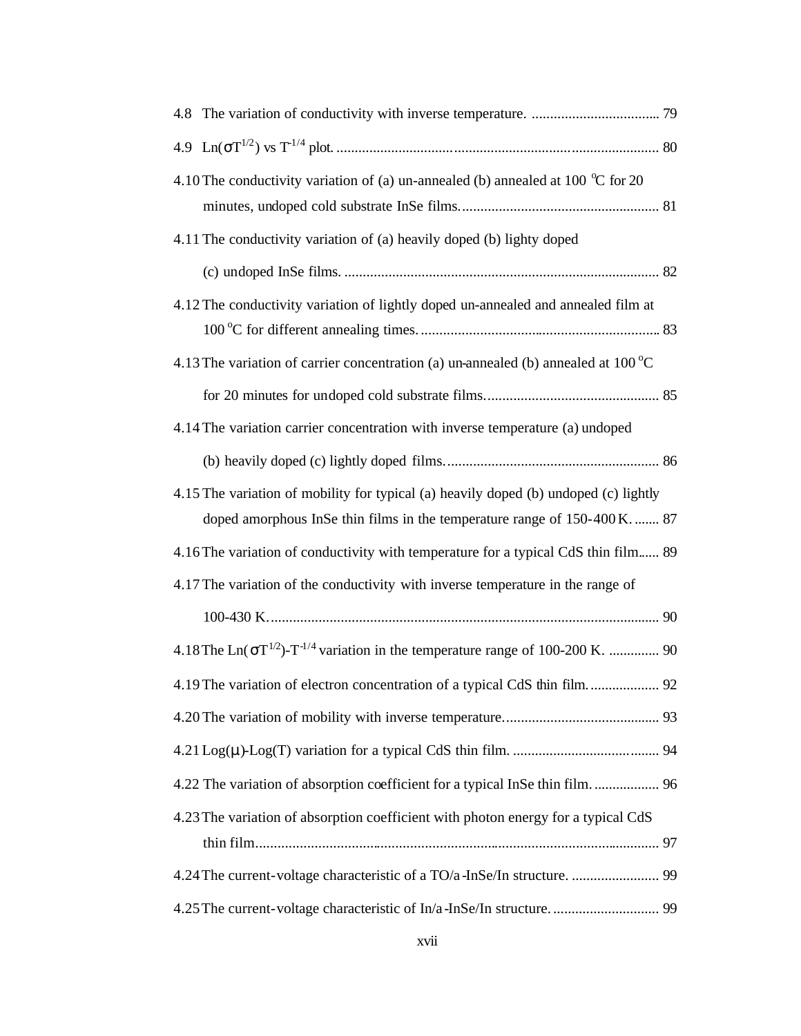| 4.10 The conductivity variation of (a) un-annealed (b) annealed at 100 $^{\circ}$ C for 20                                                                       |  |
|------------------------------------------------------------------------------------------------------------------------------------------------------------------|--|
| 4.11 The conductivity variation of (a) heavily doped (b) lighty doped                                                                                            |  |
|                                                                                                                                                                  |  |
| 4.12 The conductivity variation of lightly doped un-annealed and annealed film at                                                                                |  |
| 4.13 The variation of carrier concentration (a) un-annealed (b) annealed at 100 $^{\circ}$ C                                                                     |  |
|                                                                                                                                                                  |  |
| 4.14 The variation carrier concentration with inverse temperature (a) undoped                                                                                    |  |
|                                                                                                                                                                  |  |
| 4.15 The variation of mobility for typical (a) heavily doped (b) undoped (c) lightly<br>doped amorphous InSe thin films in the temperature range of 150-400 K 87 |  |
| 4.16 The variation of conductivity with temperature for a typical CdS thin film 89                                                                               |  |
| 4.17 The variation of the conductivity with inverse temperature in the range of                                                                                  |  |
|                                                                                                                                                                  |  |
| 4.18 The Ln( $\sigma T^{1/2}$ )-T <sup>-1/4</sup> variation in the temperature range of 100-200 K.  90                                                           |  |
| 4.19 The variation of electron concentration of a typical CdS thin film 92                                                                                       |  |
|                                                                                                                                                                  |  |
|                                                                                                                                                                  |  |
| 4.22 The variation of absorption coefficient for a typical InSe thin film 96                                                                                     |  |
| 4.23 The variation of absorption coefficient with photon energy for a typical CdS                                                                                |  |
|                                                                                                                                                                  |  |
| 4.24 The current-voltage characteristic of a TO/a-InSe/In structure.  99                                                                                         |  |
|                                                                                                                                                                  |  |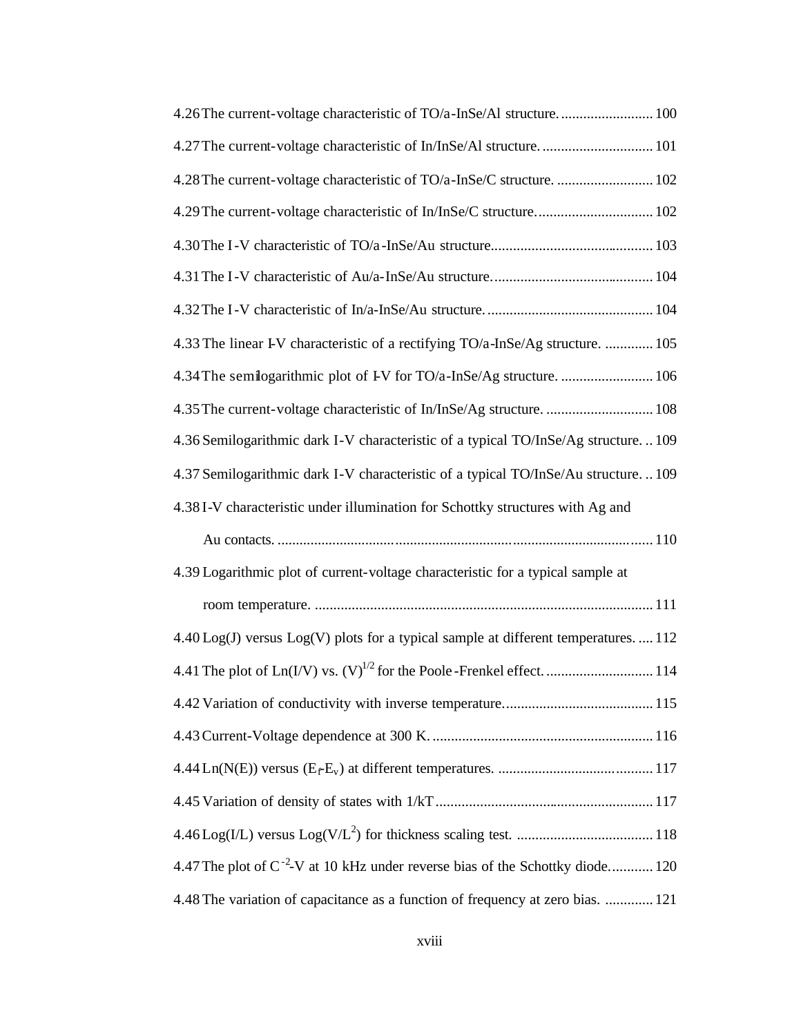| 4.26 The current-voltage characteristic of TO/a-InSe/Al structure 100                      |
|--------------------------------------------------------------------------------------------|
| 4.27 The current-voltage characteristic of In/InSe/Al structure 101                        |
| 4.28 The current-voltage characteristic of TO/a-InSe/C structure.  102                     |
| 4.29 The current-voltage characteristic of In/InSe/C structure 102                         |
|                                                                                            |
|                                                                                            |
|                                                                                            |
| 4.33 The linear I-V characteristic of a rectifying TO/a-InSe/Ag structure.  105            |
|                                                                                            |
|                                                                                            |
| 4.36 Semilogarithmic dark I-V characteristic of a typical TO/InSe/Ag structure109          |
| 4.37 Semilogarithmic dark I-V characteristic of a typical TO/InSe/Au structure109          |
| 4.38 I-V characteristic under illumination for Schottky structures with Ag and             |
|                                                                                            |
| 4.39 Logarithmic plot of current-voltage characteristic for a typical sample at            |
|                                                                                            |
| 4.40 Log(J) versus Log(V) plots for a typical sample at different temperatures.  112       |
|                                                                                            |
|                                                                                            |
|                                                                                            |
|                                                                                            |
|                                                                                            |
|                                                                                            |
| 4.47 The plot of C <sup>-2</sup> -V at 10 kHz under reverse bias of the Schottky diode 120 |
| 4.48 The variation of capacitance as a function of frequency at zero bias.  121            |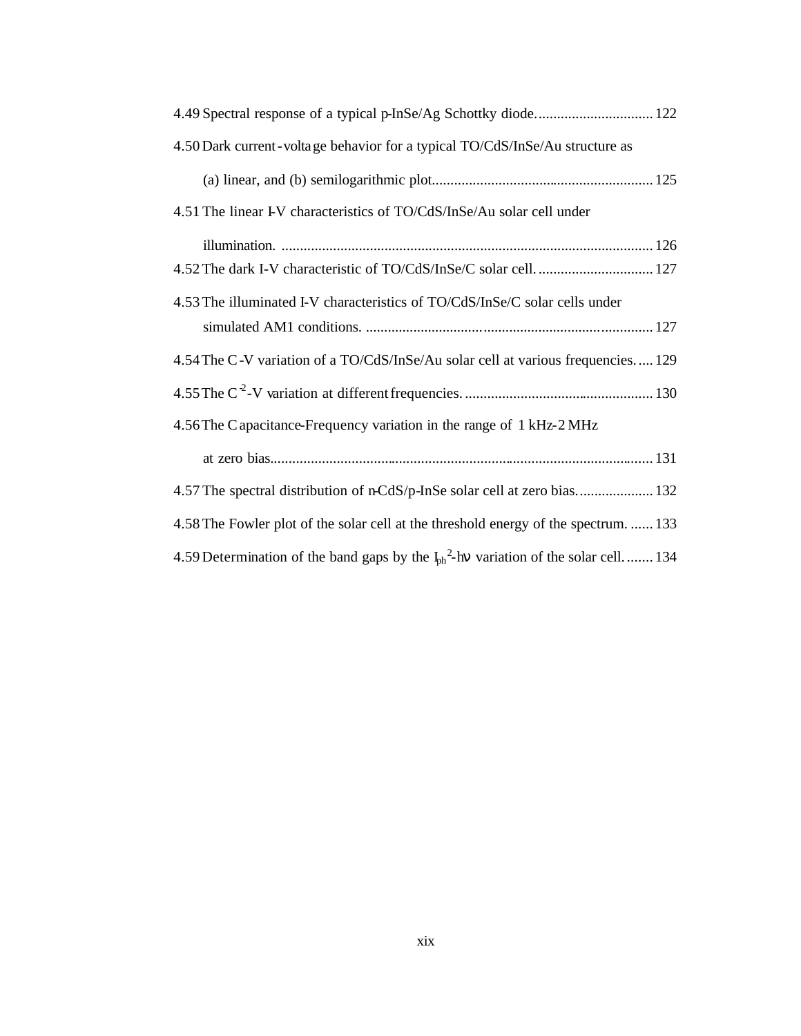| 4.49 Spectral response of a typical p-InSe/Ag Schottky diode 122                                   |
|----------------------------------------------------------------------------------------------------|
| 4.50 Dark current-voltage behavior for a typical TO/CdS/InSe/Au structure as                       |
|                                                                                                    |
| 4.51 The linear I-V characteristics of TO/CdS/InSe/Au solar cell under                             |
|                                                                                                    |
|                                                                                                    |
| 4.53 The illuminated I-V characteristics of TO/CdS/InSe/C solar cells under                        |
|                                                                                                    |
| 4.54 The C-V variation of a TO/CdS/InSe/Au solar cell at various frequencies 129                   |
|                                                                                                    |
| 4.56 The C apacitance-Frequency variation in the range of 1 kHz-2 MHz                              |
|                                                                                                    |
| 4.57 The spectral distribution of n-CdS/p-InSe solar cell at zero bias 132                         |
| 4.58 The Fowler plot of the solar cell at the threshold energy of the spectrum.  133               |
| 4.59 Determination of the band gaps by the $I_{\text{ph}}^2$ -hv variation of the solar cell.  134 |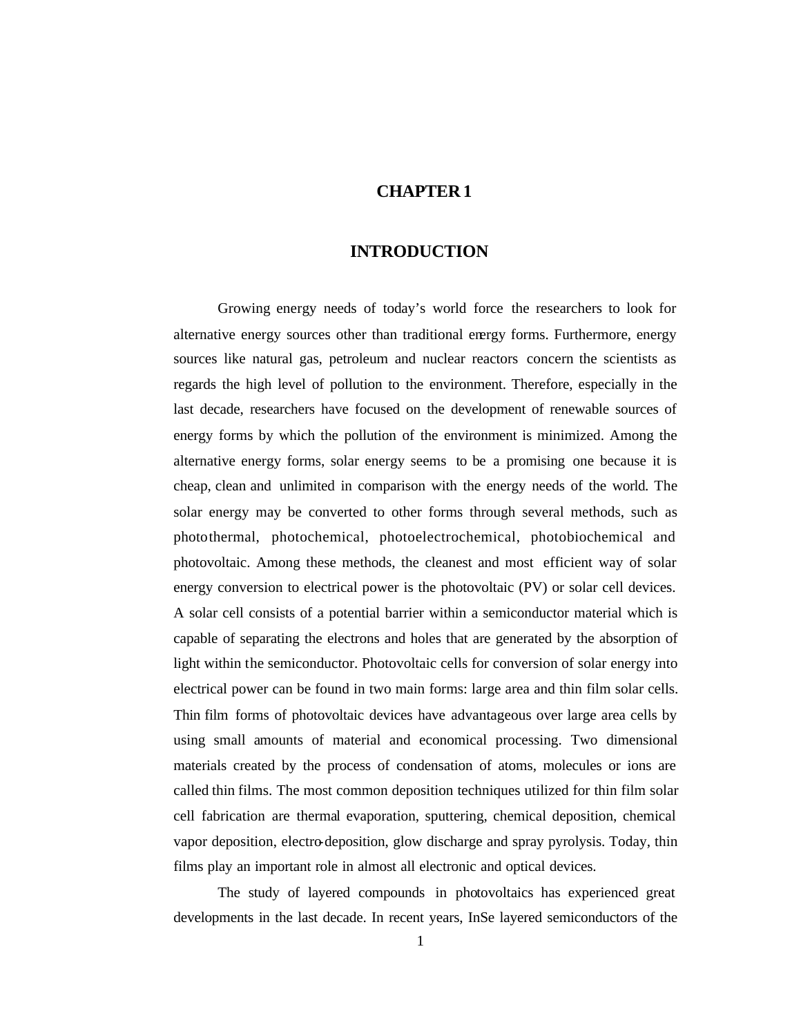## **CHAPTER 1**

#### **INTRODUCTION**

Growing energy needs of today's world force the researchers to look for alternative energy sources other than traditional energy forms. Furthermore, energy sources like natural gas, petroleum and nuclear reactors concern the scientists as regards the high level of pollution to the environment. Therefore, especially in the last decade, researchers have focused on the development of renewable sources of energy forms by which the pollution of the environment is minimized. Among the alternative energy forms, solar energy seems to be a promising one because it is cheap, clean and unlimited in comparison with the energy needs of the world. The solar energy may be converted to other forms through several methods, such as photothermal, photochemical, photoelectrochemical, photobiochemical and photovoltaic. Among these methods, the cleanest and most efficient way of solar energy conversion to electrical power is the photovoltaic (PV) or solar cell devices. A solar cell consists of a potential barrier within a semiconductor material which is capable of separating the electrons and holes that are generated by the absorption of light within the semiconductor. Photovoltaic cells for conversion of solar energy into electrical power can be found in two main forms: large area and thin film solar cells. Thin film forms of photovoltaic devices have advantageous over large area cells by using small amounts of material and economical processing. Two dimensional materials created by the process of condensation of atoms, molecules or ions are called thin films. The most common deposition techniques utilized for thin film solar cell fabrication are thermal evaporation, sputtering, chemical deposition, chemical vapor deposition, electro-deposition, glow discharge and spray pyrolysis. Today, thin films play an important role in almost all electronic and optical devices.

The study of layered compounds in photovoltaics has experienced great developments in the last decade. In recent years, InSe layered semiconductors of the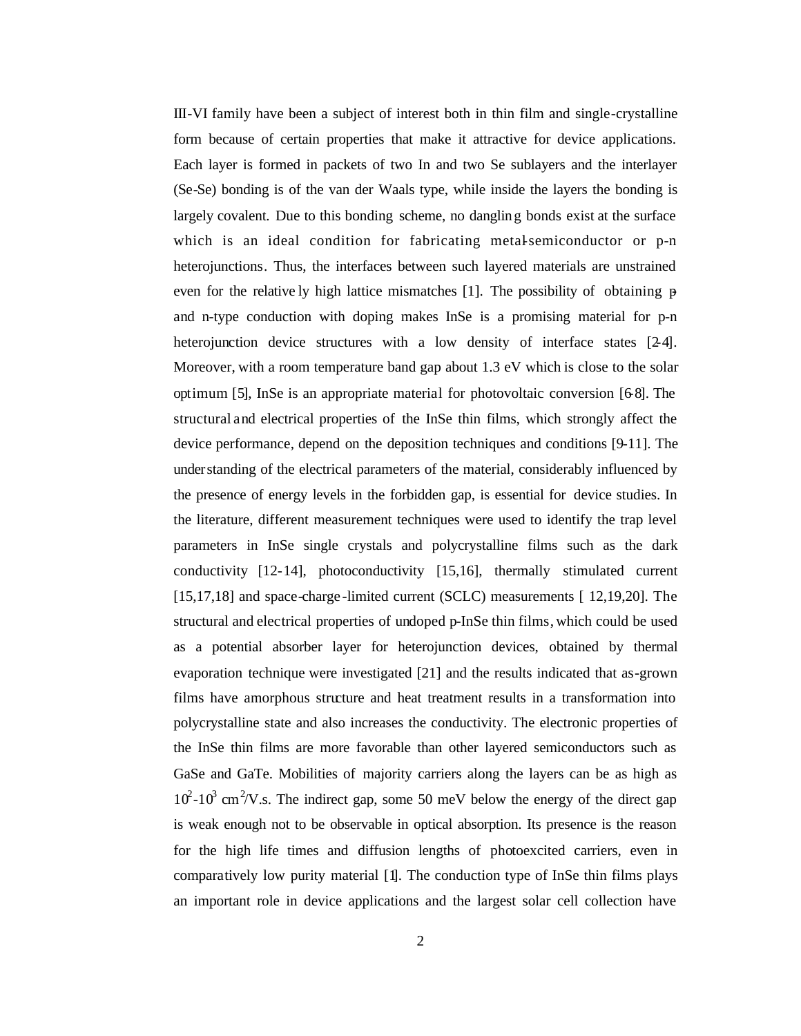III-VI family have been a subject of interest both in thin film and single-crystalline form because of certain properties that make it attractive for device applications. Each layer is formed in packets of two In and two Se sublayers and the interlayer (Se-Se) bonding is of the van der Waals type, while inside the layers the bonding is largely covalent. Due to this bonding scheme, no dangling bonds exist at the surface which is an ideal condition for fabricating metal-semiconductor or p-n heterojunctions. Thus, the interfaces between such layered materials are unstrained even for the relative ly high lattice mismatches [1]. The possibility of obtaining pand n-type conduction with doping makes InSe is a promising material for p-n heterojunction device structures with a low density of interface states [24]. Moreover, with a room temperature band gap about 1.3 eV which is close to the solar optimum [5], InSe is an appropriate material for photovoltaic conversion [6-8]. The structural and electrical properties of the InSe thin films, which strongly affect the device performance, depend on the deposition techniques and conditions [9-11]. The under standing of the electrical parameters of the material, considerably influenced by the presence of energy levels in the forbidden gap, is essential for device studies. In the literature, different measurement techniques were used to identify the trap level parameters in InSe single crystals and polycrystalline films such as the dark conductivity [12-14], photoconductivity [15,16], thermally stimulated current [15,17,18] and space-charge-limited current (SCLC) measurements [12,19,20]. The structural and electrical properties of undoped p-InSe thin films, which could be used as a potential absorber layer for heterojunction devices, obtained by thermal evaporation technique were investigated [21] and the results indicated that as-grown films have amorphous structure and heat treatment results in a transformation into polycrystalline state and also increases the conductivity. The electronic properties of the InSe thin films are more favorable than other layered semiconductors such as GaSe and GaTe. Mobilities of majority carriers along the layers can be as high as  $10^2$ -10<sup>3</sup> cm<sup>2</sup>/V.s. The indirect gap, some 50 meV below the energy of the direct gap is weak enough not to be observable in optical absorption. Its presence is the reason for the high life times and diffusion lengths of photoexcited carriers, even in comparatively low purity material [1]. The conduction type of InSe thin films plays an important role in device applications and the largest solar cell collection have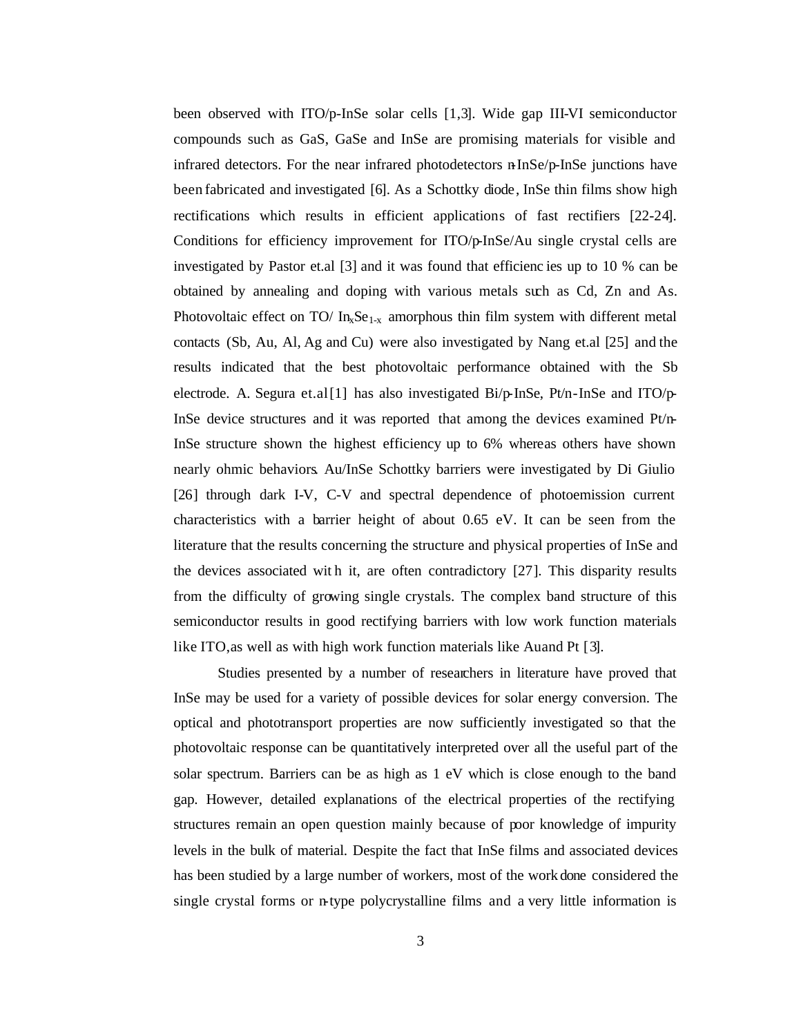been observed with ITO/p-InSe solar cells [1,3]. Wide gap III-VI semiconductor compounds such as GaS, GaSe and InSe are promising materials for visible and infrared detectors. For the near infrared photodetectors n-InSe/p-InSe junctions have been fabricated and investigated [6]. As a Schottky diode, InSe thin films show high rectifications which results in efficient applications of fast rectifiers [22-24]. Conditions for efficiency improvement for ITO/p-InSe/Au single crystal cells are investigated by Pastor et.al [3] and it was found that efficienc ies up to 10 % can be obtained by annealing and doping with various metals such as Cd, Zn and As. Photovoltaic effect on TO/  $In_xSe_{1-x}$  amorphous thin film system with different metal contacts (Sb, Au, Al, Ag and Cu) were also investigated by Nang et.al [25] and the results indicated that the best photovoltaic performance obtained with the Sb electrode. A. Segura et.al [1] has also investigated  $Bi/p$ -InSe,  $Pt/n$ -InSe and ITO/ $p$ -InSe device structures and it was reported that among the devices examined Pt/n-InSe structure shown the highest efficiency up to 6% whereas others have shown nearly ohmic behaviors. Au/InSe Schottky barriers were investigated by Di Giulio [26] through dark I-V, C-V and spectral dependence of photoemission current characteristics with a barrier height of about 0.65 eV. It can be seen from the literature that the results concerning the structure and physical properties of InSe and the devices associated wit h it, are often contradictory [27]. This disparity results from the difficulty of growing single crystals. The complex band structure of this semiconductor results in good rectifying barriers with low work function materials like ITO, as well as with high work function materials like Au and Pt [3].

Studies presented by a number of researchers in literature have proved that InSe may be used for a variety of possible devices for solar energy conversion. The optical and phototransport properties are now sufficiently investigated so that the photovoltaic response can be quantitatively interpreted over all the useful part of the solar spectrum. Barriers can be as high as 1 eV which is close enough to the band gap. However, detailed explanations of the electrical properties of the rectifying structures remain an open question mainly because of poor knowledge of impurity levels in the bulk of material. Despite the fact that InSe films and associated devices has been studied by a large number of workers, most of the work done considered the single crystal forms or n-type polycrystalline films and a very little information is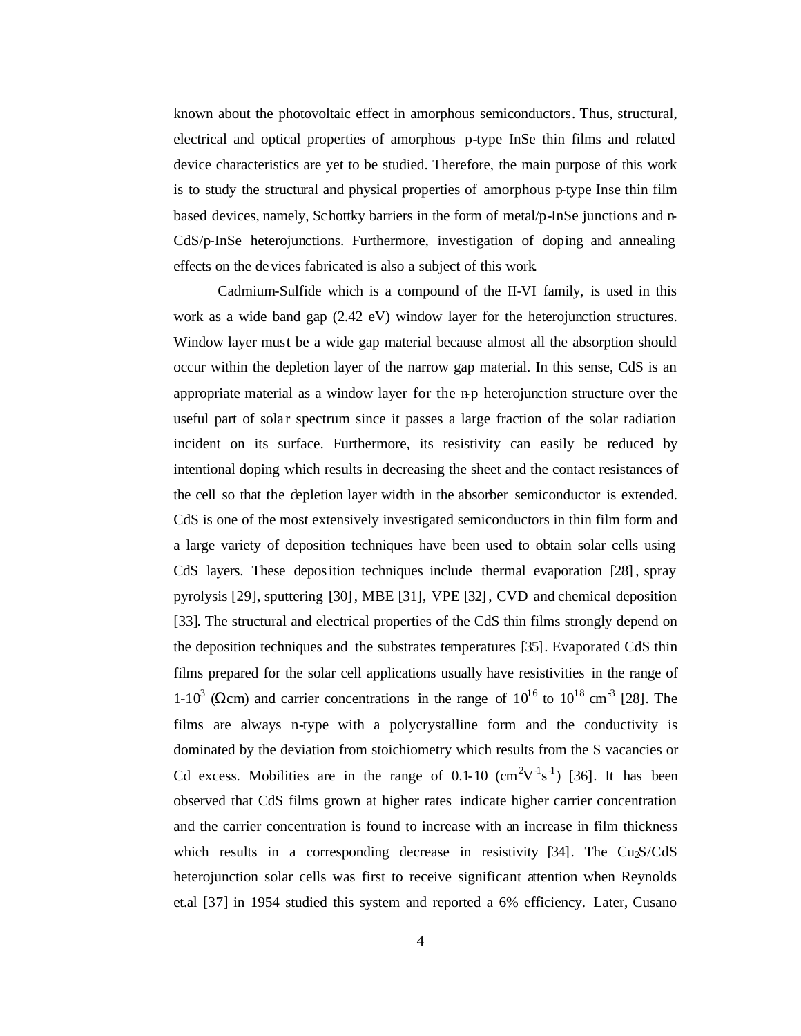known about the photovoltaic effect in amorphous semiconductors. Thus, structural, electrical and optical properties of amorphous p-type InSe thin films and related device characteristics are yet to be studied. Therefore, the main purpose of this work is to study the structural and physical properties of amorphous p-type Inse thin film based devices, namely, Schottky barriers in the form of metal/p-InSe junctions and n-CdS/p-InSe heterojunctions. Furthermore, investigation of doping and annealing effects on the devices fabricated is also a subject of this work.

Cadmium-Sulfide which is a compound of the II-VI family, is used in this work as a wide band gap (2.42 eV) window layer for the heterojunction structures. Window layer must be a wide gap material because almost all the absorption should occur within the depletion layer of the narrow gap material. In this sense, CdS is an appropriate material as a window layer for the n-p heterojunction structure over the useful part of solar spectrum since it passes a large fraction of the solar radiation incident on its surface. Furthermore, its resistivity can easily be reduced by intentional doping which results in decreasing the sheet and the contact resistances of the cell so that the depletion layer width in the absorber semiconductor is extended. CdS is one of the most extensively investigated semiconductors in thin film form and a large variety of deposition techniques have been used to obtain solar cells using CdS layers. These deposition techniques include thermal evaporation [28] , spray pyrolysis [29], sputtering [30], MBE [31], VPE [32], CVD and chemical deposition [33]. The structural and electrical properties of the CdS thin films strongly depend on the deposition techniques and the substrates temperatures [35]. Evaporated CdS thin films prepared for the solar cell applications usually have resistivities in the range of 1-10<sup>3</sup> (Ωcm) and carrier concentrations in the range of  $10^{16}$  to  $10^{18}$  cm<sup>-3</sup> [28]. The films are always n-type with a polycrystalline form and the conductivity is dominated by the deviation from stoichiometry which results from the S vacancies or Cd excess. Mobilities are in the range of 0.1-10  $(\text{cm}^2\text{V}^1\text{s}^{-1})$  [36]. It has been observed that CdS films grown at higher rates indicate higher carrier concentration and the carrier concentration is found to increase with an increase in film thickness which results in a corresponding decrease in resistivity  $[34]$ . The Cu<sub>2</sub>S/CdS heterojunction solar cells was first to receive significant attention when Reynolds et.al [37] in 1954 studied this system and reported a 6% efficiency. Later, Cusano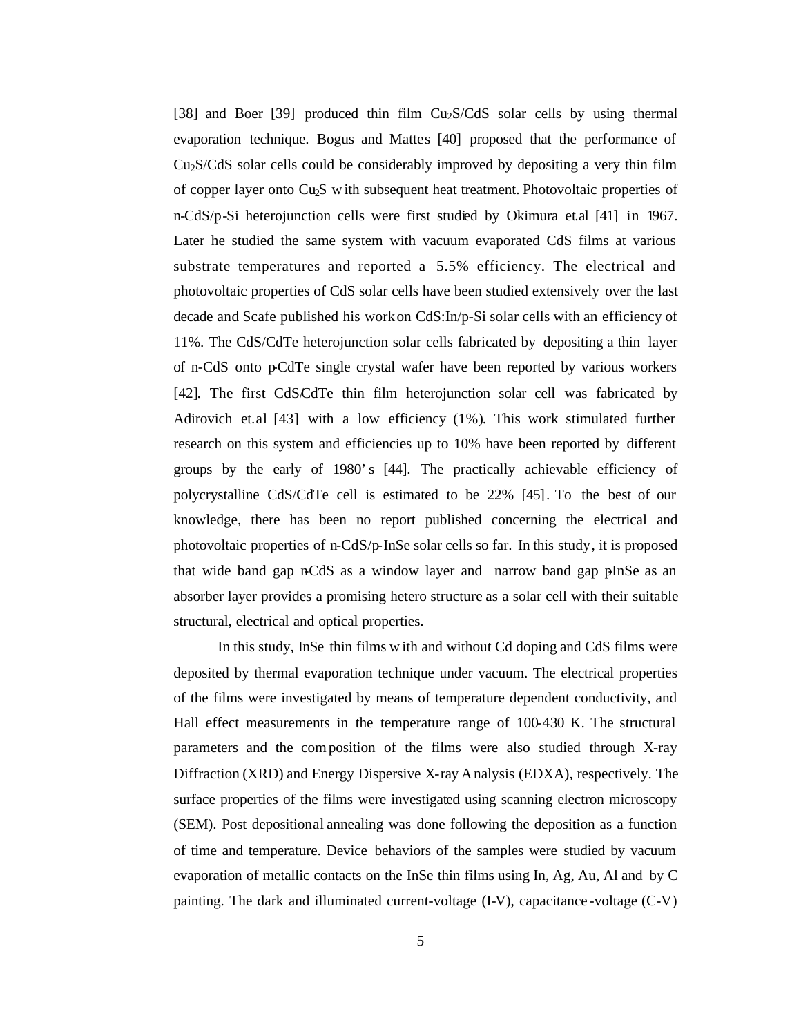[38] and Boer [39] produced thin film Cu2S/CdS solar cells by using thermal evaporation technique. Bogus and Mattes [40] proposed that the performance of Cu2S/CdS solar cells could be considerably improved by depositing a very thin film of copper layer onto Cu2S with subsequent heat treatment. Photovoltaic properties of n-CdS/p-Si heterojunction cells were first studied by Okimura et.al [41] in 1967. Later he studied the same system with vacuum evaporated CdS films at various substrate temperatures and reported a 5.5% efficiency. The electrical and photovoltaic properties of CdS solar cells have been studied extensively over the last decade and Scafe published his work on CdS:In/p-Si solar cells with an efficiency of 11%. The CdS/CdTe heterojunction solar cells fabricated by depositing a thin layer of n-CdS onto p-CdTe single crystal wafer have been reported by various workers [42]. The first CdS/CdTe thin film heterojunction solar cell was fabricated by Adirovich et.al [43] with a low efficiency (1%). This work stimulated further research on this system and efficiencies up to 10% have been reported by different groups by the early of 1980's [44]. The practically achievable efficiency of polycrystalline CdS/CdTe cell is estimated to be 22% [45]. To the best of our knowledge, there has been no report published concerning the electrical and photovoltaic properties of n-CdS/p-InSe solar cells so far. In this study, it is proposed that wide band gap n-CdS as a window layer and narrow band gap pInSe as an absorber layer provides a promising hetero structure as a solar cell with their suitable structural, electrical and optical properties.

In this study, InSe thin films w ith and without Cd doping and CdS films were deposited by thermal evaporation technique under vacuum. The electrical properties of the films were investigated by means of temperature dependent conductivity, and Hall effect measurements in the temperature range of 100-430 K. The structural parameters and the composition of the films were also studied through X-ray Diffraction (XRD) and Energy Dispersive X-ray Analysis (EDXA), respectively. The surface properties of the films were investigated using scanning electron microscopy (SEM). Post depositional annealing was done following the deposition as a function of time and temperature. Device behaviors of the samples were studied by vacuum evaporation of metallic contacts on the InSe thin films using In, Ag, Au, Al and by C painting. The dark and illuminated current-voltage (I-V), capacitance -voltage (C-V)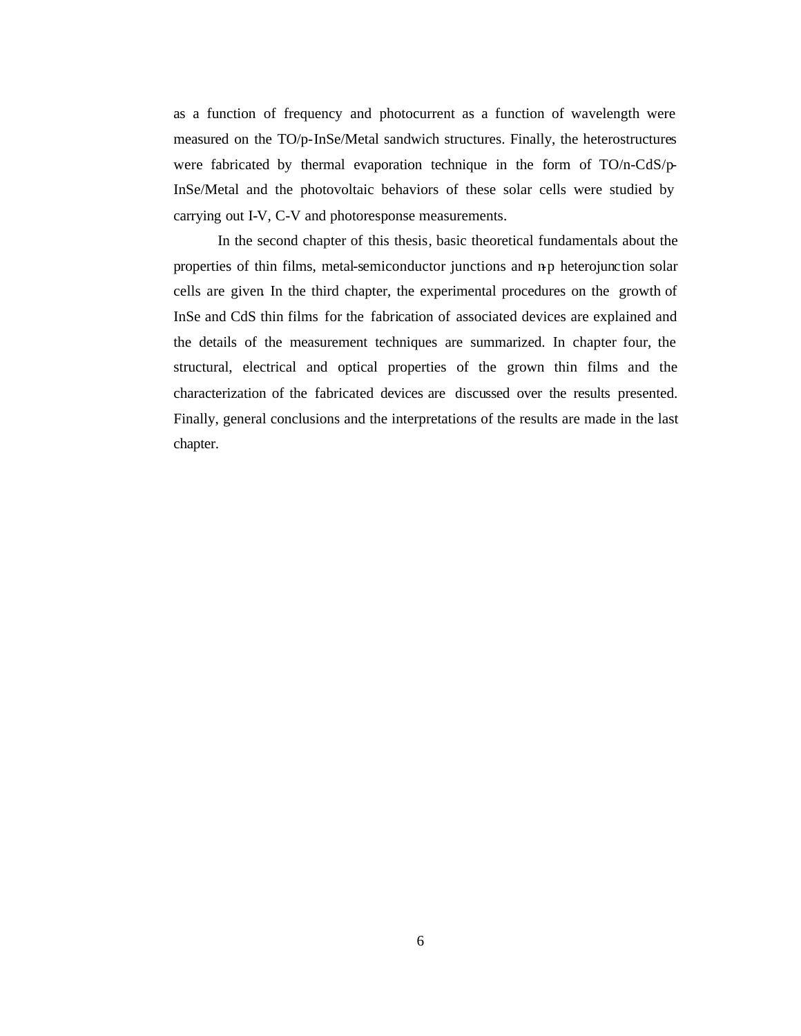as a function of frequency and photocurrent as a function of wavelength were measured on the TO/p-InSe/Metal sandwich structures. Finally, the heterostructures were fabricated by thermal evaporation technique in the form of TO/n-CdS/p-InSe/Metal and the photovoltaic behaviors of these solar cells were studied by carrying out I-V, C-V and photoresponse measurements.

In the second chapter of this thesis, basic theoretical fundamentals about the properties of thin films, metal-semiconductor junctions and n-p heterojunction solar cells are given. In the third chapter, the experimental procedures on the growth of InSe and CdS thin films for the fabrication of associated devices are explained and the details of the measurement techniques are summarized. In chapter four, the structural, electrical and optical properties of the grown thin films and the characterization of the fabricated devices are discussed over the results presented. Finally, general conclusions and the interpretations of the results are made in the last chapter.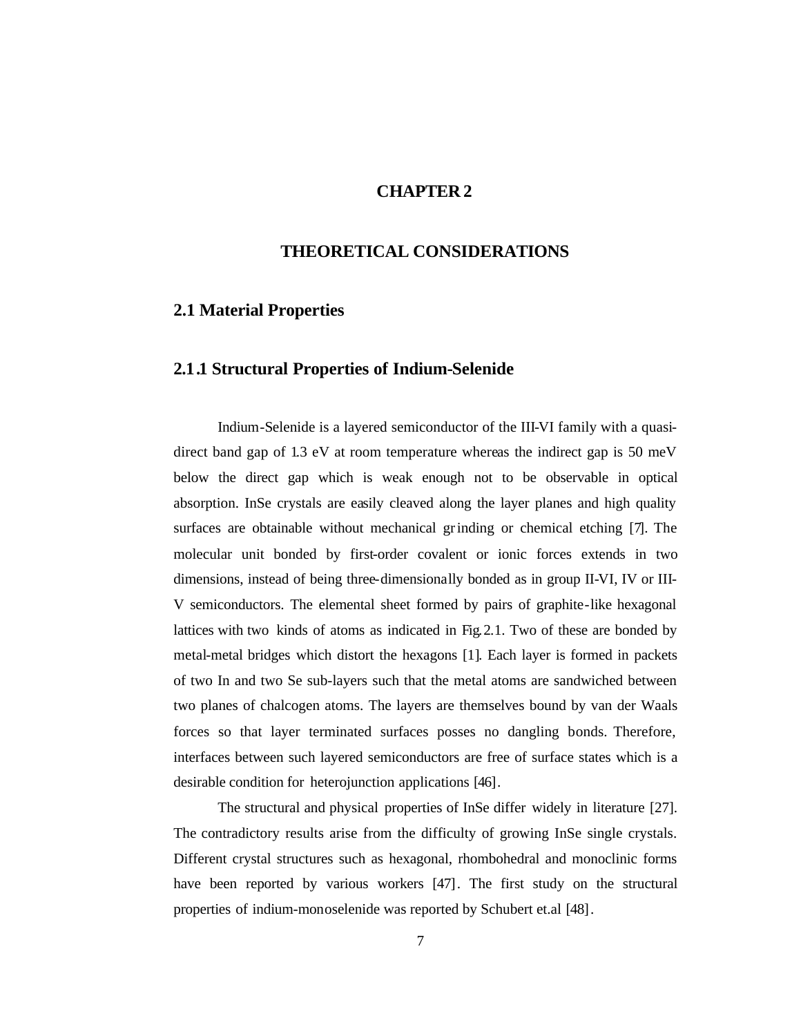## **CHAPTER 2**

## **THEORETICAL CONSIDERATIONS**

#### **2.1 Material Properties**

# **2.1.1 Structural Properties of Indium-Selenide**

Indium-Selenide is a layered semiconductor of the III-VI family with a quasidirect band gap of 1.3 eV at room temperature whereas the indirect gap is 50 meV below the direct gap which is weak enough not to be observable in optical absorption. InSe crystals are easily cleaved along the layer planes and high quality surfaces are obtainable without mechanical grinding or chemical etching [7]. The molecular unit bonded by first-order covalent or ionic forces extends in two dimensions, instead of being three-dimensionally bonded as in group II-VI, IV or III-V semiconductors. The elemental sheet formed by pairs of graphite-like hexagonal lattices with two kinds of atoms as indicated in Fig.2.1. Two of these are bonded by metal-metal bridges which distort the hexagons [1]. Each layer is formed in packets of two In and two Se sub-layers such that the metal atoms are sandwiched between two planes of chalcogen atoms. The layers are themselves bound by van der Waals forces so that layer terminated surfaces posses no dangling bonds. Therefore, interfaces between such layered semiconductors are free of surface states which is a desirable condition for heterojunction applications [46].

The structural and physical properties of InSe differ widely in literature [27]. The contradictory results arise from the difficulty of growing InSe single crystals. Different crystal structures such as hexagonal, rhombohedral and monoclinic forms have been reported by various workers [47]. The first study on the structural properties of indium-monoselenide was reported by Schubert et.al [48].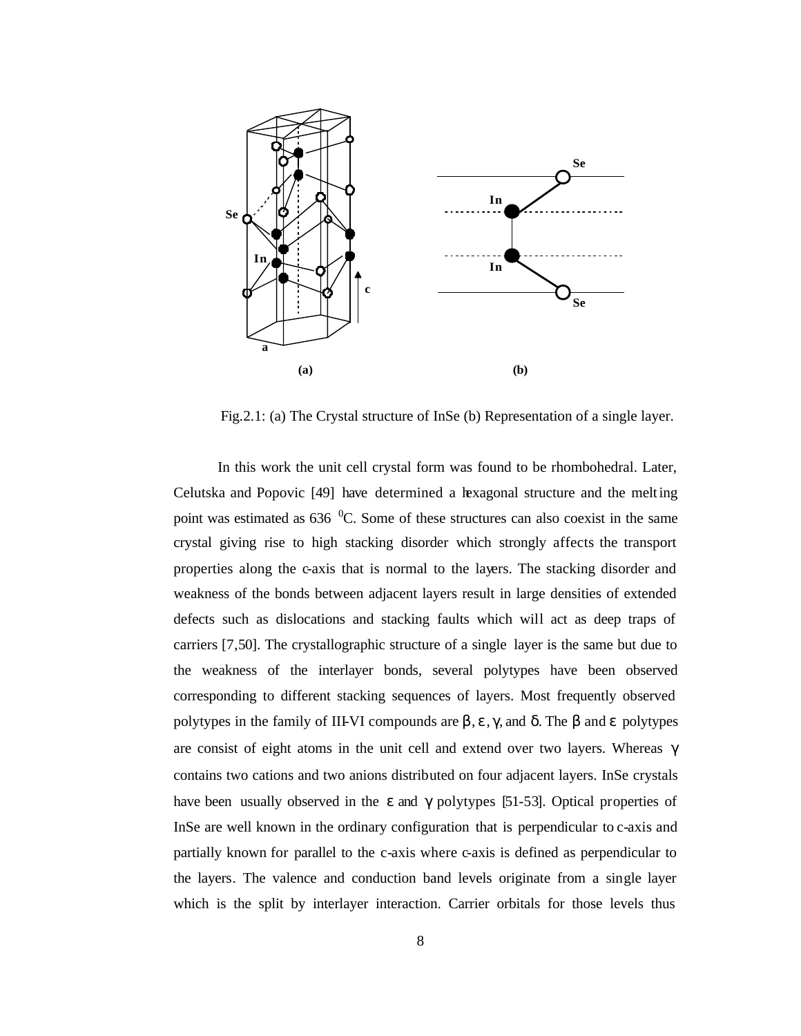

Fig.2.1: (a) The Crystal structure of InSe (b) Representation of a single layer.

In this work the unit cell crystal form was found to be rhombohedral. Later, Celutska and Popovic [49] have determined a hexagonal structure and the melting point was estimated as  $636<sup>0</sup>C$ . Some of these structures can also coexist in the same crystal giving rise to high stacking disorder which strongly affects the transport properties along the c-axis that is normal to the layers. The stacking disorder and weakness of the bonds between adjacent layers result in large densities of extended defects such as dislocations and stacking faults which will act as deep traps of carriers [7,50]. The crystallographic structure of a single layer is the same but due to the weakness of the interlayer bonds, several polytypes have been observed corresponding to different stacking sequences of layers. Most frequently observed polytypes in the family of III-VI compounds are  $\beta$ , ε, γ, and δ. The  $\beta$  and ε polytypes are consist of eight atoms in the unit cell and extend over two layers. Whereas γ contains two cations and two anions distributed on four adjacent layers. InSe crystals have been usually observed in the  $\varepsilon$  and  $\gamma$  polytypes [51-53]. Optical properties of InSe are well known in the ordinary configuration that is perpendicular to c-axis and partially known for parallel to the c-axis where c-axis is defined as perpendicular to the layers. The valence and conduction band levels originate from a single layer which is the split by interlayer interaction. Carrier orbitals for those levels thus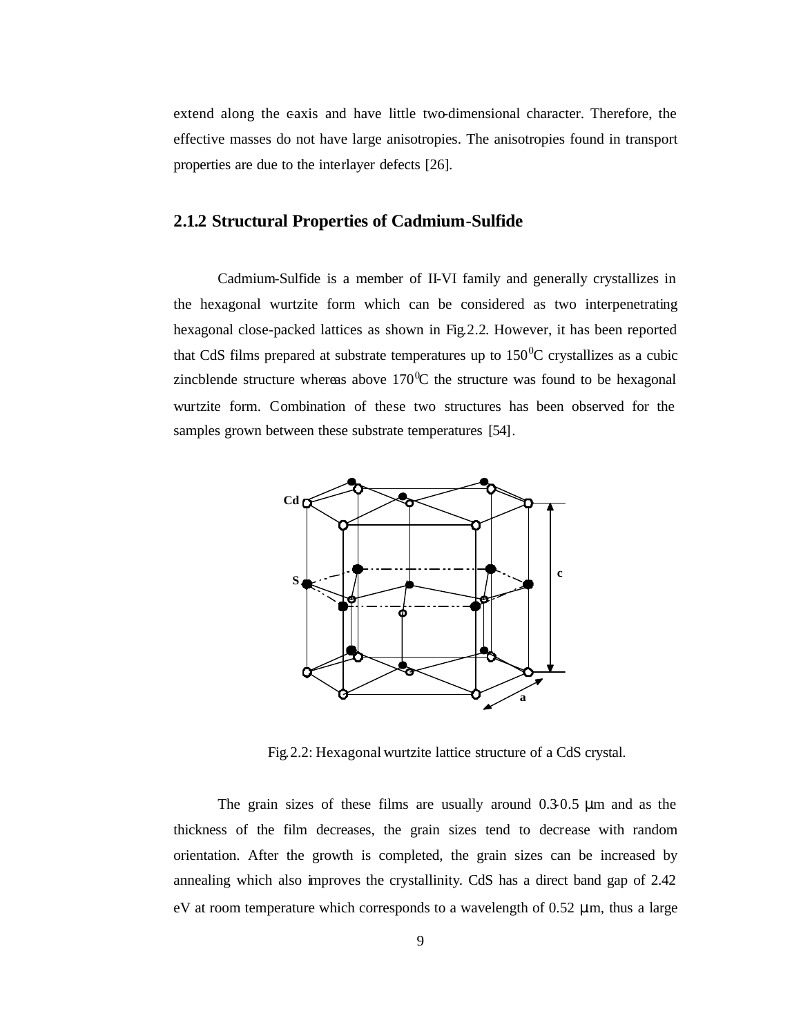extend along the eaxis and have little two-dimensional character. Therefore, the effective masses do not have large anisotropies. The anisotropies found in transport properties are due to the interlayer defects [26].

#### **2.1.2 Structural Properties of Cadmium-Sulfide**

Cadmium-Sulfide is a member of II-VI family and generally crystallizes in the hexagonal wurtzite form which can be considered as two interpenetrating hexagonal close-packed lattices as shown in Fig.2.2. However, it has been reported that CdS films prepared at substrate temperatures up to  $150^{\circ}$ C crystallizes as a cubic zincblende structure whereas above  $170^{\circ}$ C the structure was found to be hexagonal wurtzite form. Combination of these two structures has been observed for the samples grown between these substrate temperatures [54].



Fig.2.2: Hexagonal wurtzite lattice structure of a CdS crystal.

The grain sizes of these films are usually around 0.3-0.5 μm and as the thickness of the film decreases, the grain sizes tend to decrease with random orientation. After the growth is completed, the grain sizes can be increased by annealing which also improves the crystallinity. CdS has a direct band gap of 2.42 eV at room temperature which corresponds to a wavelength of  $0.52 \mu m$ , thus a large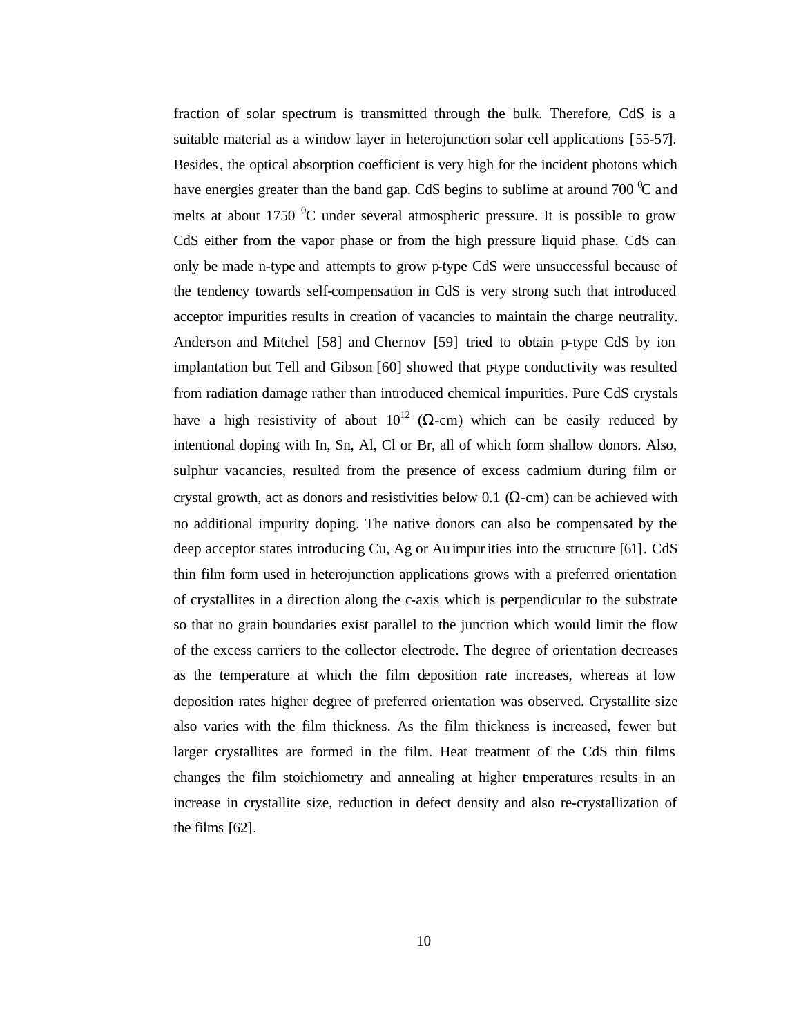fraction of solar spectrum is transmitted through the bulk. Therefore, CdS is a suitable material as a window layer in heterojunction solar cell applications [55-57]. Besides, the optical absorption coefficient is very high for the incident photons which have energies greater than the band gap. CdS begins to sublime at around 700  $\degree$ C and melts at about 1750  $\mathrm{^{0}C}$  under several atmospheric pressure. It is possible to grow CdS either from the vapor phase or from the high pressure liquid phase. CdS can only be made n-type and attempts to grow p-type CdS were unsuccessful because of the tendency towards self-compensation in CdS is very strong such that introduced acceptor impurities results in creation of vacancies to maintain the charge neutrality. Anderson and Mitchel [58] and Chernov [59] tried to obtain p-type CdS by ion implantation but Tell and Gibson [60] showed that ptype conductivity was resulted from radiation damage rather than introduced chemical impurities. Pure CdS crystals have a high resistivity of about  $10^{12}$  ( $\Omega$ -cm) which can be easily reduced by intentional doping with In, Sn, Al, Cl or Br, all of which form shallow donors. Also, sulphur vacancies, resulted from the presence of excess cadmium during film or crystal growth, act as donors and resistivities below 0.1 ( $\Omega$ -cm) can be achieved with no additional impurity doping. The native donors can also be compensated by the deep acceptor states introducing Cu, Ag or Au impurities into the structure [61]. CdS thin film form used in heterojunction applications grows with a preferred orientation of crystallites in a direction along the c-axis which is perpendicular to the substrate so that no grain boundaries exist parallel to the junction which would limit the flow of the excess carriers to the collector electrode. The degree of orientation decreases as the temperature at which the film deposition rate increases, whereas at low deposition rates higher degree of preferred orientation was observed. Crystallite size also varies with the film thickness. As the film thickness is increased, fewer but larger crystallites are formed in the film. Heat treatment of the CdS thin films changes the film stoichiometry and annealing at higher temperatures results in an increase in crystallite size, reduction in defect density and also re-crystallization of the films [62].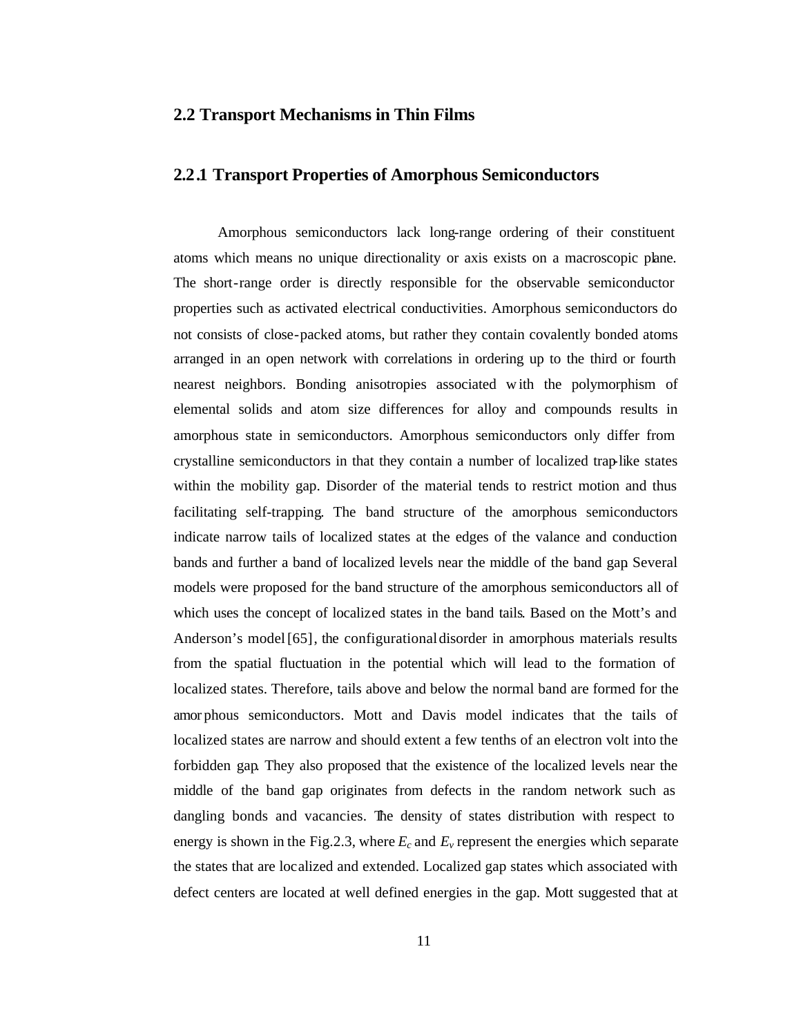## **2.2 Transport Mechanisms in Thin Films**

### **2.2.1 Transport Properties of Amorphous Semiconductors**

Amorphous semiconductors lack long-range ordering of their constituent atoms which means no unique directionality or axis exists on a macroscopic plane. The short-range order is directly responsible for the observable semiconductor properties such as activated electrical conductivities. Amorphous semiconductors do not consists of close-packed atoms, but rather they contain covalently bonded atoms arranged in an open network with correlations in ordering up to the third or fourth nearest neighbors. Bonding anisotropies associated w ith the polymorphism of elemental solids and atom size differences for alloy and compounds results in amorphous state in semiconductors. Amorphous semiconductors only differ from crystalline semiconductors in that they contain a number of localized trap-like states within the mobility gap. Disorder of the material tends to restrict motion and thus facilitating self-trapping. The band structure of the amorphous semiconductors indicate narrow tails of localized states at the edges of the valance and conduction bands and further a band of localized levels near the middle of the band gap. Several models were proposed for the band structure of the amorphous semiconductors all of which uses the concept of localized states in the band tails. Based on the Mott's and Anderson's model [65], the configurational disorder in amorphous materials results from the spatial fluctuation in the potential which will lead to the formation of localized states. Therefore, tails above and below the normal band are formed for the amor phous semiconductors. Mott and Davis model indicates that the tails of localized states are narrow and should extent a few tenths of an electron volt into the forbidden gap. They also proposed that the existence of the localized levels near the middle of the band gap originates from defects in the random network such as dangling bonds and vacancies. The density of states distribution with respect to energy is shown in the Fig.2.3, where  $E_c$  and  $E_v$  represent the energies which separate the states that are localized and extended. Localized gap states which associated with defect centers are located at well defined energies in the gap. Mott suggested that at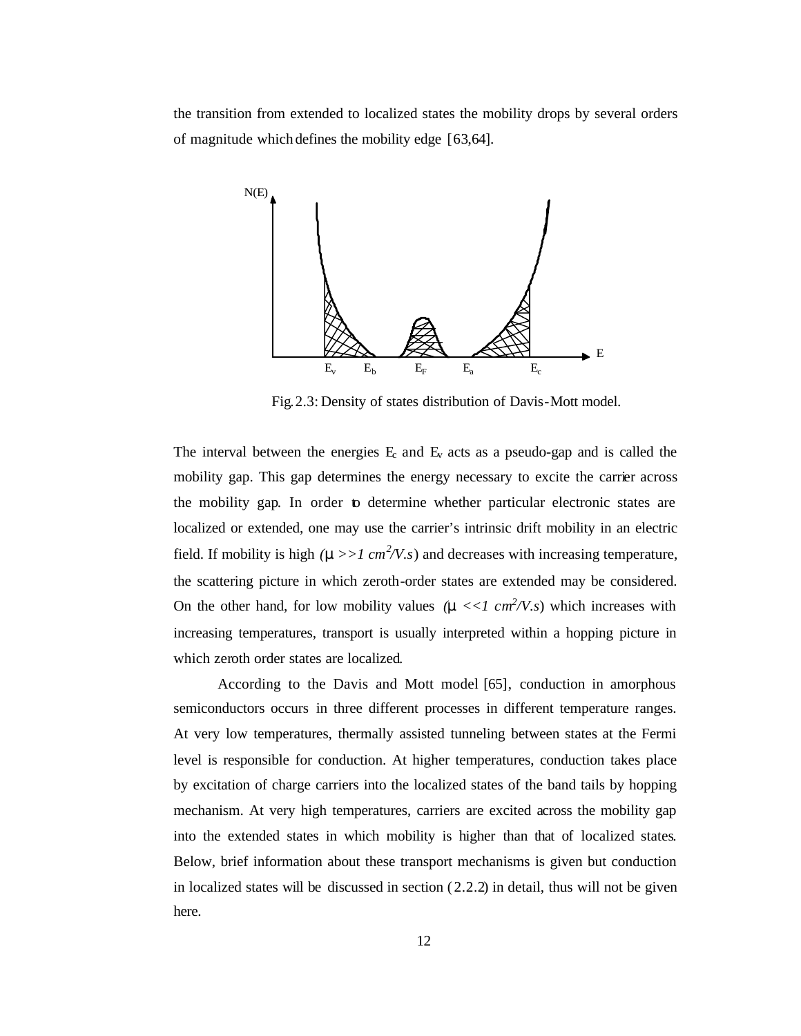the transition from extended to localized states the mobility drops by several orders of magnitude which defines the mobility edge [63,64].



Fig.2.3: Density of states distribution of Davis-Mott model.

The interval between the energies  $E_c$  and  $E_v$  acts as a pseudo-gap and is called the mobility gap. This gap determines the energy necessary to excite the carrier across the mobility gap. In order to determine whether particular electronic states are localized or extended, one may use the carrier's intrinsic drift mobility in an electric field. If mobility is high  $(m \gg 1 \text{ cm}^2/V.s)$  and decreases with increasing temperature, the scattering picture in which zeroth-order states are extended may be considered. On the other hand, for low mobility values  $(m \ll 1 \text{ cm}^2/\text{V}.s)$  which increases with increasing temperatures, transport is usually interpreted within a hopping picture in which zeroth order states are localized.

According to the Davis and Mott model [65], conduction in amorphous semiconductors occurs in three different processes in different temperature ranges. At very low temperatures, thermally assisted tunneling between states at the Fermi level is responsible for conduction. At higher temperatures, conduction takes place by excitation of charge carriers into the localized states of the band tails by hopping mechanism. At very high temperatures, carriers are excited across the mobility gap into the extended states in which mobility is higher than that of localized states. Below, brief information about these transport mechanisms is given but conduction in localized states will be discussed in section  $(2.2.2)$  in detail, thus will not be given here.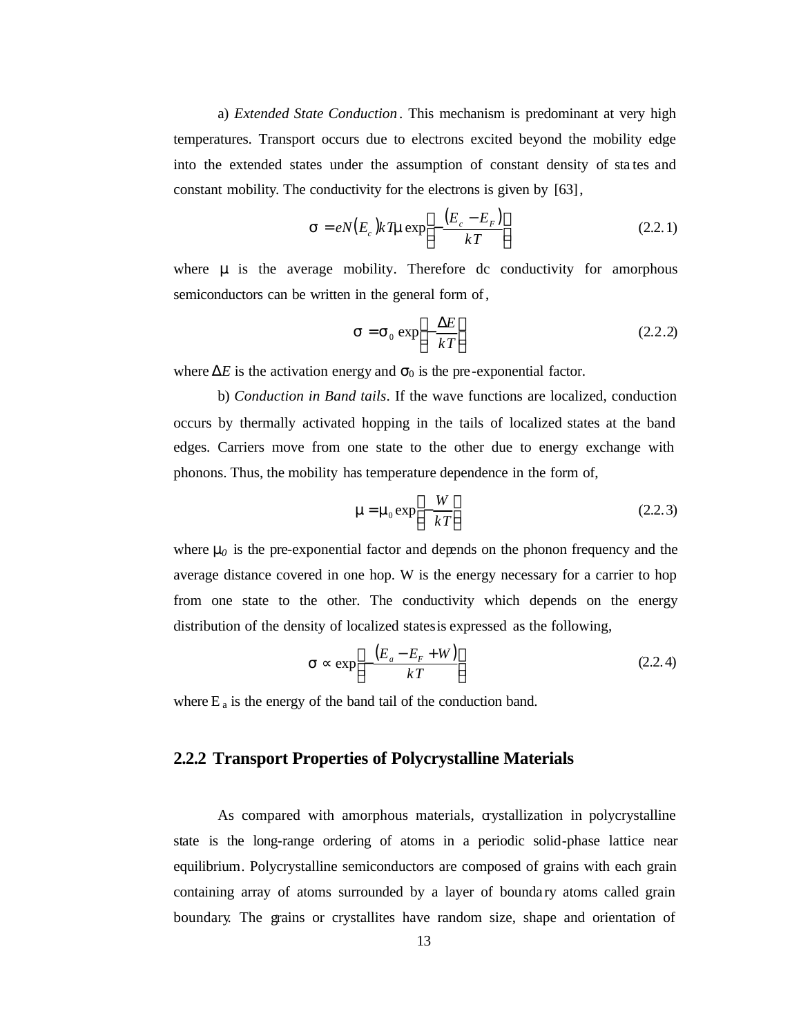a) *Extended State Conduction* . This mechanism is predominant at very high temperatures. Transport occurs due to electrons excited beyond the mobility edge into the extended states under the assumption of constant density of sta tes and constant mobility. The conductivity for the electrons is given by [63],

$$
\mathbf{s} = eN(E_c)kTm\exp\left[-\frac{(E_c - E_F)}{kT}\right]
$$
 (2.2.1)

where **m** is the average mobility. Therefore dc conductivity for amorphous semiconductors can be written in the general form of,

$$
\mathbf{s} = \mathbf{s}_0 \exp\left[-\frac{\Delta E}{kT}\right] \tag{2.2.2}
$$

where  $\Delta E$  is the activation energy and  $\sigma_0$  is the pre-exponential factor.

b) *Conduction in Band tails*. If the wave functions are localized, conduction occurs by thermally activated hopping in the tails of localized states at the band edges. Carriers move from one state to the other due to energy exchange with phonons. Thus, the mobility has temperature dependence in the form of,

$$
\mathbf{m} = \mathbf{m}_0 \exp\left[-\frac{W}{kT}\right] \tag{2.2.3}
$$

where **m**<sub>0</sub> is the pre-exponential factor and depends on the phonon frequency and the average distance covered in one hop. W is the energy necessary for a carrier to hop from one state to the other. The conductivity which depends on the energy distribution of the density of localized states is expressed as the following,

$$
\mathbf{s} \propto \exp\left[-\frac{\left(E_a - E_F + W\right)}{kT}\right] \tag{2.2.4}
$$

where  $E_a$  is the energy of the band tail of the conduction band.

## **2.2.2 Transport Properties of Polycrystalline Materials**

As compared with amorphous materials, crystallization in polycrystalline state is the long-range ordering of atoms in a periodic solid-phase lattice near equilibrium. Polycrystalline semiconductors are composed of grains with each grain containing array of atoms surrounded by a layer of bounda ry atoms called grain boundary. The grains or crystallites have random size, shape and orientation of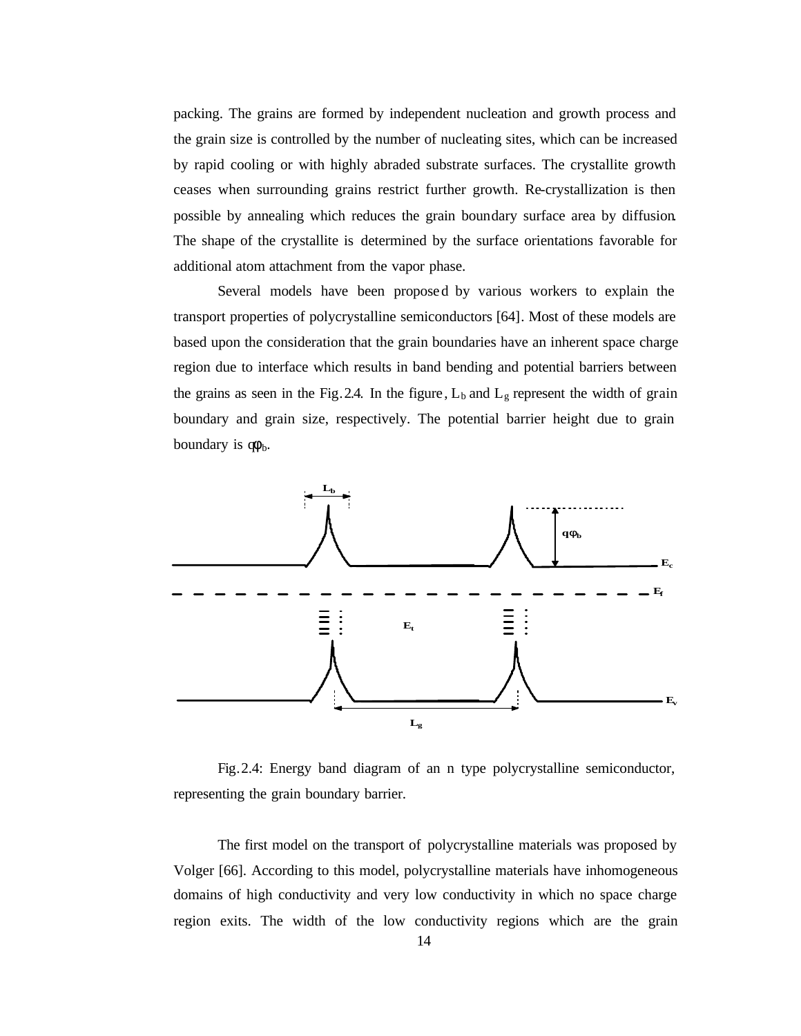packing. The grains are formed by independent nucleation and growth process and the grain size is controlled by the number of nucleating sites, which can be increased by rapid cooling or with highly abraded substrate surfaces. The crystallite growth ceases when surrounding grains restrict further growth. Re-crystallization is then possible by annealing which reduces the grain boundary surface area by diffusion. The shape of the crystallite is determined by the surface orientations favorable for additional atom attachment from the vapor phase.

Several models have been proposed by various workers to explain the transport properties of polycrystalline semiconductors [64]. Most of these models are based upon the consideration that the grain boundaries have an inherent space charge region due to interface which results in band bending and potential barriers between the grains as seen in the Fig. 2.4. In the figure,  $L_b$  and  $L_g$  represent the width of grain boundary and grain size, respectively. The potential barrier height due to grain boundary is  $\varphi_b$ .



Fig.2.4: Energy band diagram of an n type polycrystalline semiconductor, representing the grain boundary barrier.

The first model on the transport of polycrystalline materials was proposed by Volger [66]. According to this model, polycrystalline materials have inhomogeneous domains of high conductivity and very low conductivity in which no space charge region exits. The width of the low conductivity regions which are the grain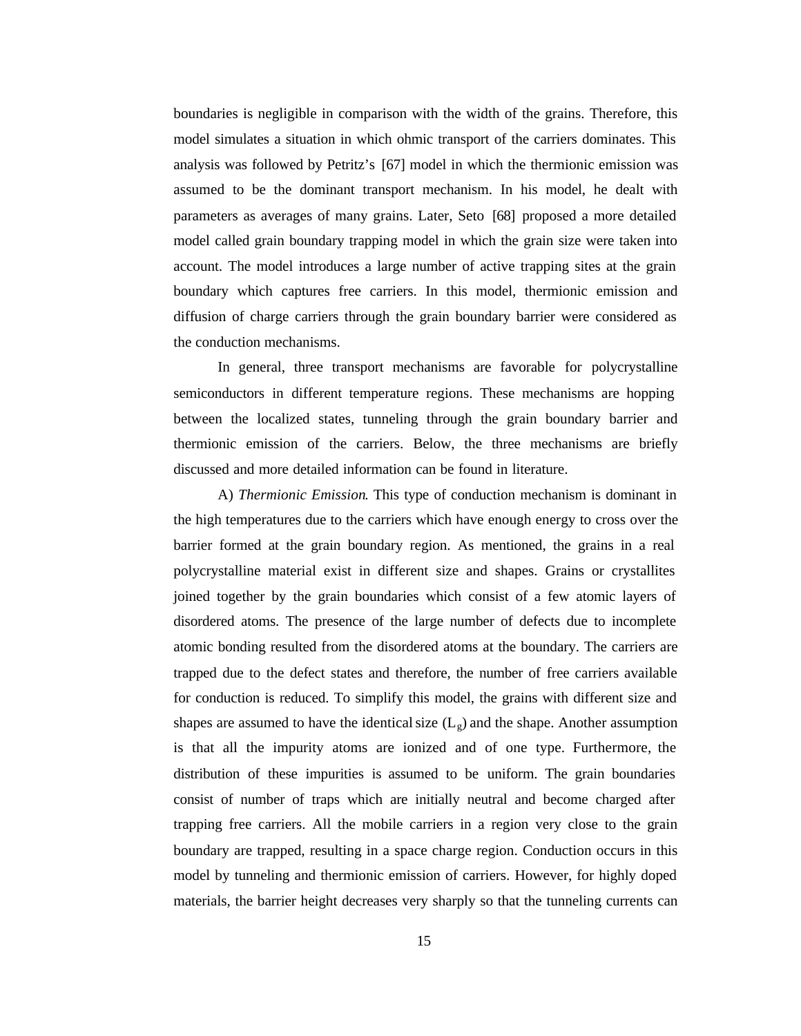boundaries is negligible in comparison with the width of the grains. Therefore, this model simulates a situation in which ohmic transport of the carriers dominates. This analysis was followed by Petritz's [67] model in which the thermionic emission was assumed to be the dominant transport mechanism. In his model, he dealt with parameters as averages of many grains. Later, Seto [68] proposed a more detailed model called grain boundary trapping model in which the grain size were taken into account. The model introduces a large number of active trapping sites at the grain boundary which captures free carriers. In this model, thermionic emission and diffusion of charge carriers through the grain boundary barrier were considered as the conduction mechanisms.

In general, three transport mechanisms are favorable for polycrystalline semiconductors in different temperature regions. These mechanisms are hopping between the localized states, tunneling through the grain boundary barrier and thermionic emission of the carriers. Below, the three mechanisms are briefly discussed and more detailed information can be found in literature.

A) *Thermionic Emission*. This type of conduction mechanism is dominant in the high temperatures due to the carriers which have enough energy to cross over the barrier formed at the grain boundary region. As mentioned, the grains in a real polycrystalline material exist in different size and shapes. Grains or crystallites joined together by the grain boundaries which consist of a few atomic layers of disordered atoms. The presence of the large number of defects due to incomplete atomic bonding resulted from the disordered atoms at the boundary. The carriers are trapped due to the defect states and therefore, the number of free carriers available for conduction is reduced. To simplify this model, the grains with different size and shapes are assumed to have the identical size  $(L_g)$  and the shape. Another assumption is that all the impurity atoms are ionized and of one type. Furthermore, the distribution of these impurities is assumed to be uniform. The grain boundaries consist of number of traps which are initially neutral and become charged after trapping free carriers. All the mobile carriers in a region very close to the grain boundary are trapped, resulting in a space charge region. Conduction occurs in this model by tunneling and thermionic emission of carriers. However, for highly doped materials, the barrier height decreases very sharply so that the tunneling currents can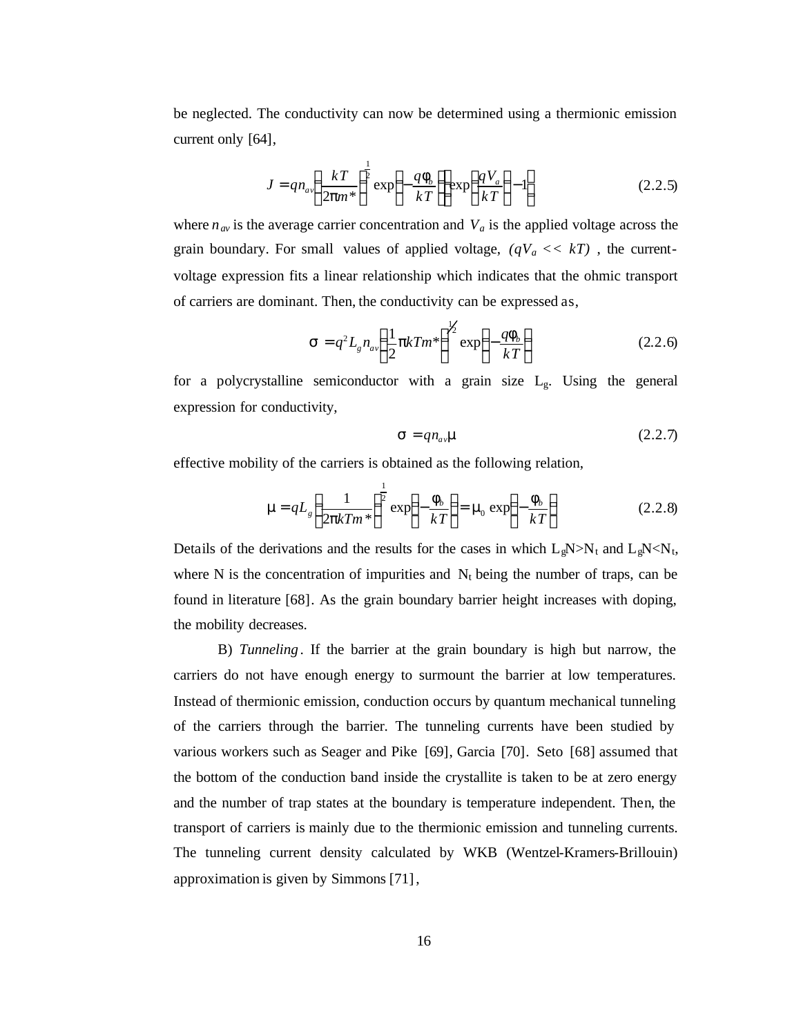be neglected. The conductivity can now be determined using a thermionic emission current only [64],

$$
J = qn_a \left(\frac{kT}{2pm^*}\right)^{\frac{1}{2}} \exp\left(-\frac{qI_b}{kT}\right) \exp\left(\frac{qV_a}{kT}\right) - 1\right]
$$
 (2.2.5)

where  $n_{av}$  is the average carrier concentration and  $V_a$  is the applied voltage across the grain boundary. For small values of applied voltage, *(qVa << kT)* , the currentvoltage expression fits a linear relationship which indicates that the ohmic transport of carriers are dominant. Then, the conductivity can be expressed as,

$$
\mathbf{s} = q^2 L_g n_{av} \left(\frac{1}{2} \mathbf{p} k T m^* \right)^{\frac{1}{2}} \exp\left(-\frac{q \mathbf{f}_b}{k T}\right) \tag{2.2.6}
$$

for a polycrystalline semiconductor with a grain size  $L_g$ . Using the general expression for conductivity,

$$
\mathbf{s} = q n_{av} \mathbf{m} \tag{2.2.7}
$$

effective mobility of the carriers is obtained as the following relation,

$$
\mathbf{m} = qL_s \left(\frac{1}{2\mathbf{p}kTm^*}\right)^{\frac{1}{2}} \exp\left(-\frac{\mathbf{f}_b}{kT}\right) = \mathbf{m}_0 \exp\left(-\frac{\mathbf{f}_b}{kT}\right) \tag{2.2.8}
$$

Details of the derivations and the results for the cases in which  $L_gN>N_t$  and  $L_gN,$ where N is the concentration of impurities and  $N_t$  being the number of traps, can be found in literature [68]. As the grain boundary barrier height increases with doping, the mobility decreases.

B) *Tunneling* . If the barrier at the grain boundary is high but narrow, the carriers do not have enough energy to surmount the barrier at low temperatures. Instead of thermionic emission, conduction occurs by quantum mechanical tunneling of the carriers through the barrier. The tunneling currents have been studied by various workers such as Seager and Pike [69], Garcia [70]. Seto [68] assumed that the bottom of the conduction band inside the crystallite is taken to be at zero energy and the number of trap states at the boundary is temperature independent. Then, the transport of carriers is mainly due to the thermionic emission and tunneling currents. The tunneling current density calculated by WKB (Wentzel-Kramers-Brillouin) approximation is given by Simmons [71],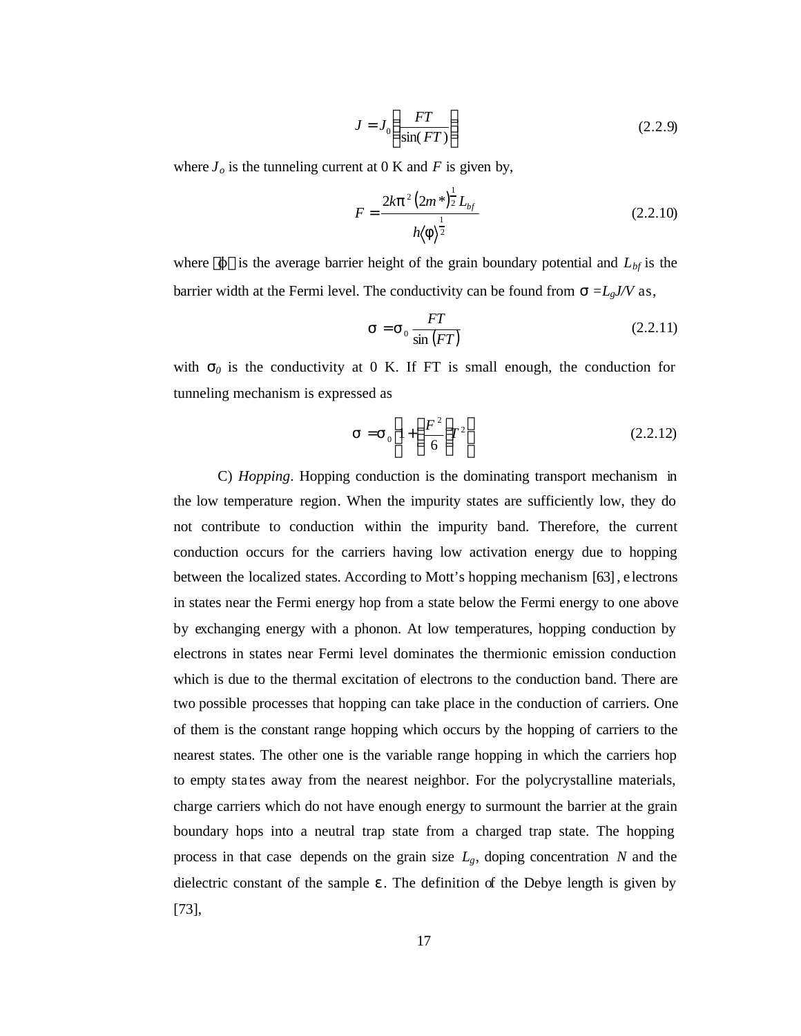$$
J = J_0 \left( \frac{FT}{\sin(FT)} \right) \tag{2.2.9}
$$

where  $J<sub>o</sub>$  is the tunneling current at 0 K and *F* is given by,

$$
F = \frac{2k\mathbf{p}^2 (2m^*)^{\frac{1}{2}} L_{bf}}{h(\mathbf{f})^{\frac{1}{2}}}
$$
 (2.2.10)

where  $\langle \phi \tilde{n} \rangle$  is the average barrier height of the grain boundary potential and  $L_{bf}$  is the barrier width at the Fermi level. The conductivity can be found from  $\mathbf{s} = L_g J/V$  as,

$$
\mathbf{s} = \mathbf{s}_0 \frac{FT}{\sin\left(FT\right)}\tag{2.2.11}
$$

with  $s_0$  is the conductivity at 0 K. If FT is small enough, the conduction for tunneling mechanism is expressed as

$$
\mathbf{s} = \mathbf{s}_0 \left[ 1 + \left( \frac{F^2}{6} \right) \mathbf{r}^2 \right] \tag{2.2.12}
$$

C) *Hopping*. Hopping conduction is the dominating transport mechanism in the low temperature region. When the impurity states are sufficiently low, they do not contribute to conduction within the impurity band. Therefore, the current conduction occurs for the carriers having low activation energy due to hopping between the localized states. According to Mott's hopping mechanism [63], e lectrons in states near the Fermi energy hop from a state below the Fermi energy to one above by exchanging energy with a phonon. At low temperatures, hopping conduction by electrons in states near Fermi level dominates the thermionic emission conduction which is due to the thermal excitation of electrons to the conduction band. There are two possible processes that hopping can take place in the conduction of carriers. One of them is the constant range hopping which occurs by the hopping of carriers to the nearest states. The other one is the variable range hopping in which the carriers hop to empty sta tes away from the nearest neighbor. For the polycrystalline materials, charge carriers which do not have enough energy to surmount the barrier at the grain boundary hops into a neutral trap state from a charged trap state. The hopping process in that case depends on the grain size  $L_g$ , doping concentration *N* and the dielectric constant of the sample *e* . The definition of the Debye length is given by [73],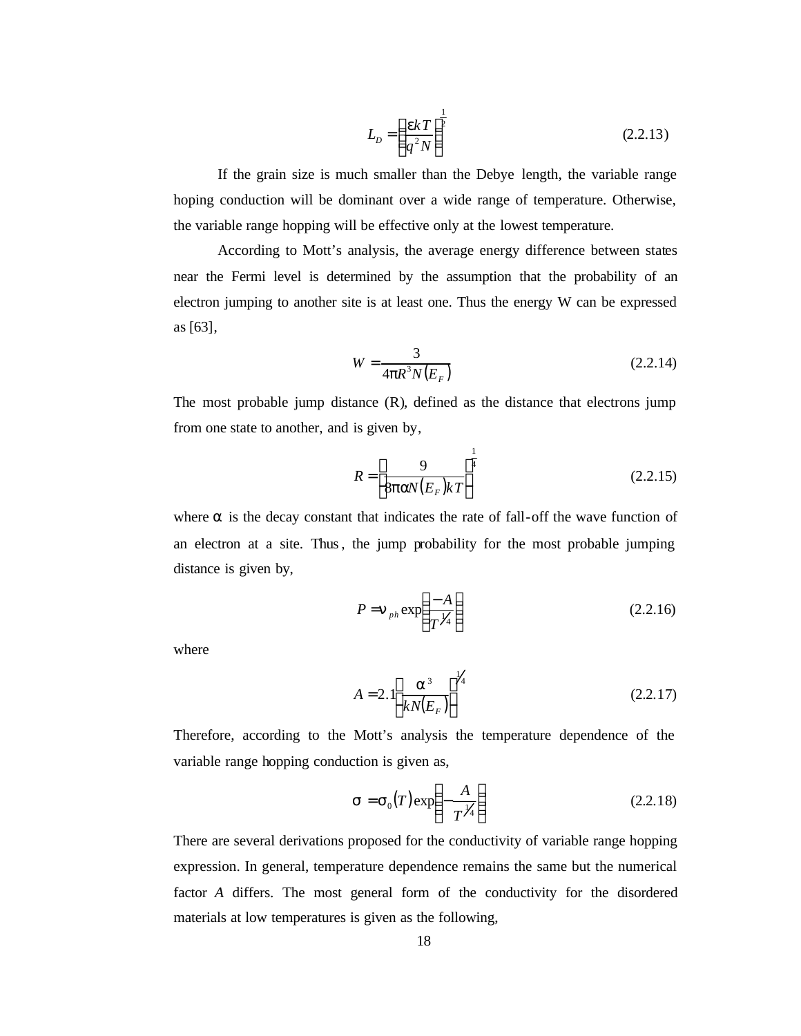$$
L_D = \left(\frac{ekT}{q^2N}\right)^{\frac{1}{2}}
$$
 (2.2.13)

If the grain size is much smaller than the Debye length, the variable range hoping conduction will be dominant over a wide range of temperature. Otherwise, the variable range hopping will be effective only at the lowest temperature.

According to Mott's analysis, the average energy difference between states near the Fermi level is determined by the assumption that the probability of an electron jumping to another site is at least one. Thus the energy W can be expressed as [63],

$$
W = \frac{3}{4pR^3 N(E_F)}
$$
 (2.2.14)

The most probable jump distance (R), defined as the distance that electrons jump from one state to another, and is given by,

$$
R = \left[\frac{9}{8\text{pav}(E_F)kT}\right]^{\frac{1}{4}}
$$
 (2.2.15)

where  $\alpha$  is the decay constant that indicates the rate of fall-off the wave function of an electron at a site. Thus, the jump probability for the most probable jumping distance is given by,

$$
P = \mathbf{n}_{ph} \exp\left(\frac{-A}{T^{1/4}}\right) \tag{2.2.16}
$$

where

$$
A = 2.\left[\frac{a^3}{kN(E_F)}\right]^{1/4} \tag{2.2.17}
$$

Therefore, according to the Mott's analysis the temperature dependence of the variable range hopping conduction is given as,

$$
\mathbf{s} = \mathbf{s}_0(T) \exp\left(-\frac{A}{T^{1/4}}\right) \tag{2.2.18}
$$

There are several derivations proposed for the conductivity of variable range hopping expression. In general, temperature dependence remains the same but the numerical factor *A* differs. The most general form of the conductivity for the disordered materials at low temperatures is given as the following,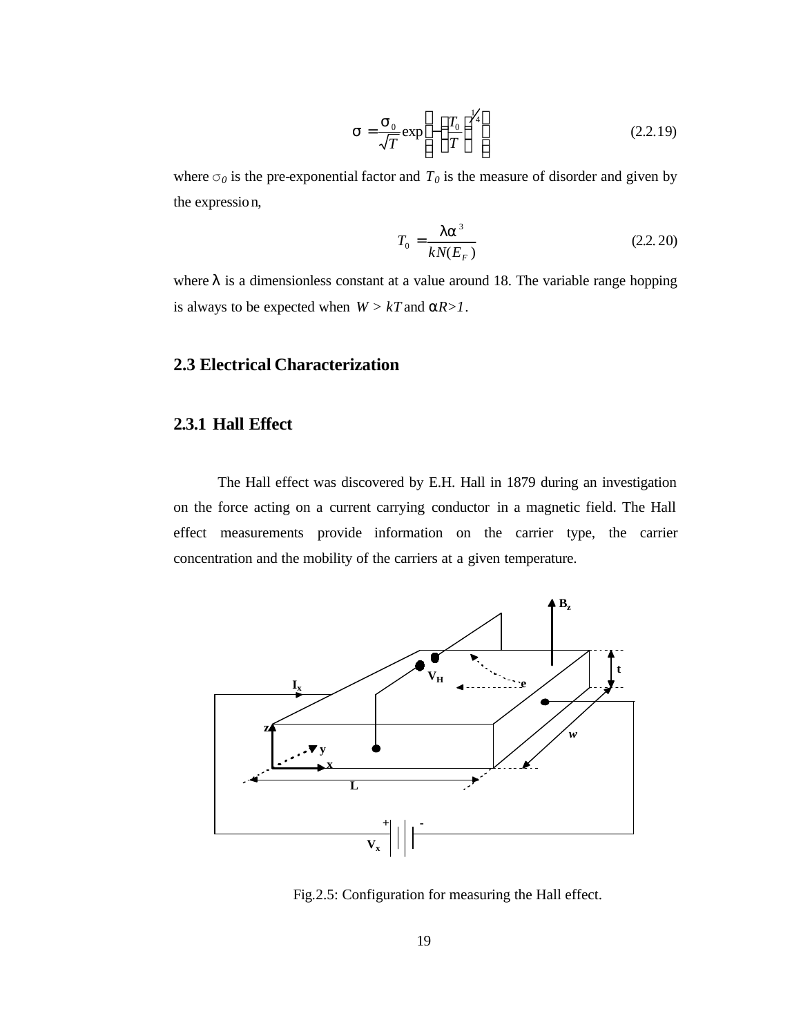$$
\mathbf{s} = \frac{\mathbf{s}_0}{\sqrt{T}} \exp\left[-\left(\frac{T_0}{T}\right)^{\frac{1}{4}}\right] \tag{2.2.19}
$$

where  $\sigma_0$  is the pre-exponential factor and  $T_0$  is the measure of disorder and given by the expression,

$$
T_0 = \frac{\mathbf{I} \mathbf{a}^3}{k N (E_F)}\tag{2.2.20}
$$

where *l* is a dimensionless constant at a value around 18. The variable range hopping is always to be expected when  $W > kT$  and  $aR > 1$ .

## **2.3 Electrical Characterization**

#### **2.3.1 Hall Effect**

The Hall effect was discovered by E.H. Hall in 1879 during an investigation on the force acting on a current carrying conductor in a magnetic field. The Hall effect measurements provide information on the carrier type, the carrier concentration and the mobility of the carriers at a given temperature.



Fig.2.5: Configuration for measuring the Hall effect.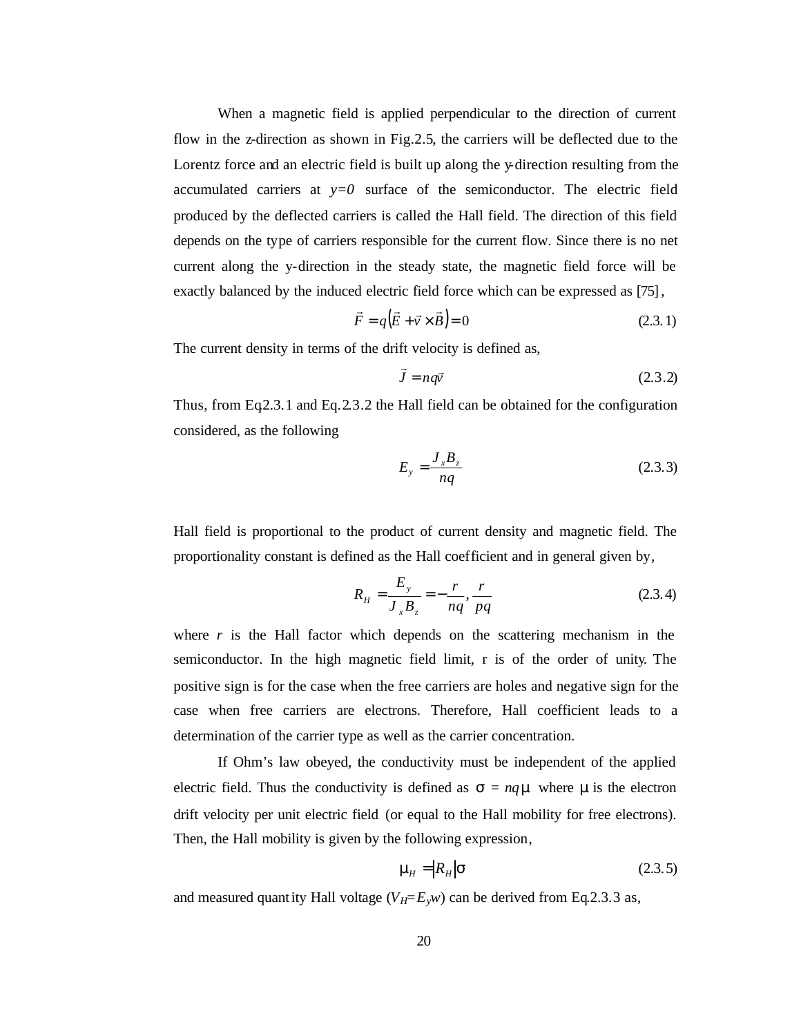When a magnetic field is applied perpendicular to the direction of current flow in the z-direction as shown in Fig.2.5, the carriers will be deflected due to the Lorentz force and an electric field is built up along the y-direction resulting from the accumulated carriers at  $y=0$  surface of the semiconductor. The electric field produced by the deflected carriers is called the Hall field. The direction of this field depends on the type of carriers responsible for the current flow. Since there is no net current along the y-direction in the steady state, the magnetic field force will be exactly balanced by the induced electric field force which can be expressed as [75],

$$
\vec{F} = q(\vec{E} + \vec{v} \times \vec{B}) = 0
$$
\n(2.3.1)

The current density in terms of the drift velocity is defined as,

$$
\vec{J} = nq\vec{v} \tag{2.3.2}
$$

Thus, from Eq2.3.1 and Eq.2.3.2 the Hall field can be obtained for the configuration considered, as the following

$$
E_y = \frac{J_x B_z}{nq} \tag{2.3.3}
$$

Hall field is proportional to the product of current density and magnetic field. The proportionality constant is defined as the Hall coefficient and in general given by,

$$
R_{H} = \frac{E_{y}}{J_{x}B_{z}} = -\frac{r}{nq}, \frac{r}{pq}
$$
 (2.3.4)

where  $r$  is the Hall factor which depends on the scattering mechanism in the semiconductor. In the high magnetic field limit, r is of the order of unity. The positive sign is for the case when the free carriers are holes and negative sign for the case when free carriers are electrons. Therefore, Hall coefficient leads to a determination of the carrier type as well as the carrier concentration.

If Ohm's law obeyed, the conductivity must be independent of the applied electric field. Thus the conductivity is defined as  $\mathbf{s} = nq\mathbf{m}$  where  $\mathbf{m}$  is the electron drift velocity per unit electric field (or equal to the Hall mobility for free electrons). Then, the Hall mobility is given by the following expression,

$$
\mathbf{m}_{H} = |R_{H}|\mathbf{S} \tag{2.3.5}
$$

and measured quantity Hall voltage  $(V_H = E_y w)$  can be derived from Eq.2.3.3 as,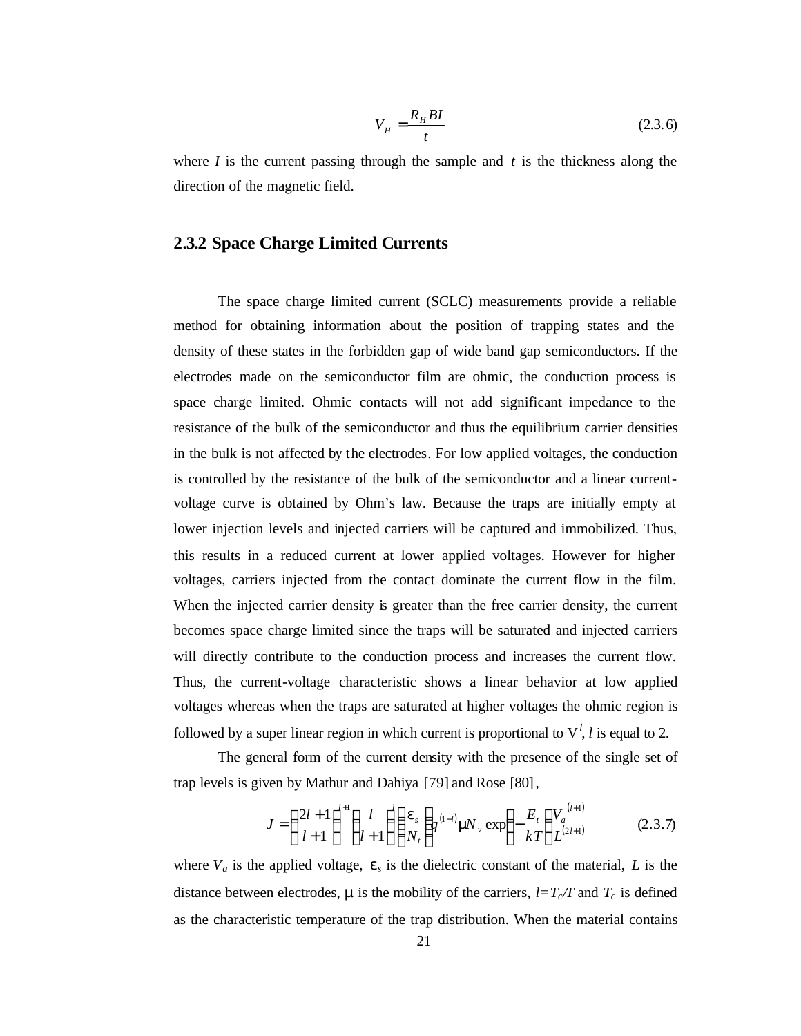$$
V_H = \frac{R_H B I}{t} \tag{2.3.6}
$$

where  $I$  is the current passing through the sample and  $t$  is the thickness along the direction of the magnetic field.

## **2.3.2 Space Charge Limited Currents**

The space charge limited current (SCLC) measurements provide a reliable method for obtaining information about the position of trapping states and the density of these states in the forbidden gap of wide band gap semiconductors. If the electrodes made on the semiconductor film are ohmic, the conduction process is space charge limited. Ohmic contacts will not add significant impedance to the resistance of the bulk of the semiconductor and thus the equilibrium carrier densities in the bulk is not affected by the electrodes. For low applied voltages, the conduction is controlled by the resistance of the bulk of the semiconductor and a linear currentvoltage curve is obtained by Ohm's law. Because the traps are initially empty at lower injection levels and injected carriers will be captured and immobilized. Thus, this results in a reduced current at lower applied voltages. However for higher voltages, carriers injected from the contact dominate the current flow in the film. When the injected carrier density is greater than the free carrier density, the current becomes space charge limited since the traps will be saturated and injected carriers will directly contribute to the conduction process and increases the current flow. Thus, the current-voltage characteristic shows a linear behavior at low applied voltages whereas when the traps are saturated at higher voltages the ohmic region is followed by a super linear region in which current is proportional to  $V<sup>l</sup>$ , *l* is equal to 2.

The general form of the current density with the presence of the single set of trap levels is given by Mathur and Dahiya [79] and Rose [80],

$$
J = \left(\frac{2l+1}{l+1}\right)^{l+1} \left(\frac{l}{l+1}\right) \left(\frac{\mathbf{e}_s}{N_t}\right) q^{(1-l)} \mathbf{m} \mathbf{V}_v \exp\left(-\frac{E_t}{kT}\right) \frac{V_a^{(l+1)}}{L^{(2l+1)}}\tag{2.3.7}
$$

where  $V_a$  is the applied voltage,  $e_s$  is the dielectric constant of the material, *L* is the distance between electrodes, **m** is the mobility of the carriers,  $l=T_c/T$  and  $T_c$  is defined as the characteristic temperature of the trap distribution. When the material contains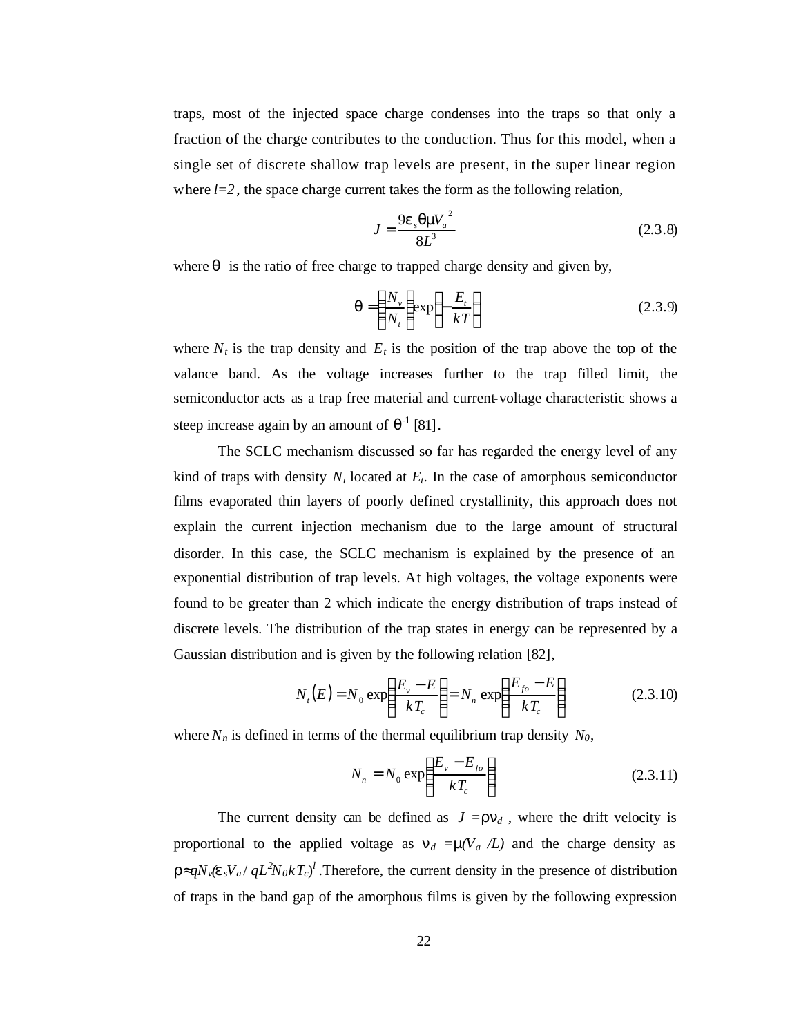traps, most of the injected space charge condenses into the traps so that only a fraction of the charge contributes to the conduction. Thus for this model, when a single set of discrete shallow trap levels are present, in the super linear region where  $l=2$ , the space charge current takes the form as the following relation,

$$
J = \frac{9e_s qmV_a^2}{8L^3}
$$
 (2.3.8)

where  $q$  is the ratio of free charge to trapped charge density and given by,

$$
\boldsymbol{q} = \left(\frac{N_v}{N_t}\right) \exp\left(-\frac{E_t}{kT}\right) \tag{2.3.9}
$$

where  $N_t$  is the trap density and  $E_t$  is the position of the trap above the top of the valance band. As the voltage increases further to the trap filled limit, the semiconductor acts as a trap free material and current-voltage characteristic shows a steep increase again by an amount of  $\theta^{-1}$  [81].

The SCLC mechanism discussed so far has regarded the energy level of any kind of traps with density  $N_t$  located at  $E_t$ . In the case of amorphous semiconductor films evaporated thin layers of poorly defined crystallinity, this approach does not explain the current injection mechanism due to the large amount of structural disorder. In this case, the SCLC mechanism is explained by the presence of an exponential distribution of trap levels. At high voltages, the voltage exponents were found to be greater than 2 which indicate the energy distribution of traps instead of discrete levels. The distribution of the trap states in energy can be represented by a Gaussian distribution and is given by the following relation [82],

$$
N_{t}(E) = N_0 \exp\left(\frac{E_v - E}{kT_c}\right) = N_n \exp\left(\frac{E_{fo} - E}{kT_c}\right)
$$
 (2.3.10)

where  $N_n$  is defined in terms of the thermal equilibrium trap density  $N_0$ ,

$$
N_n = N_0 \exp\left(\frac{E_v - E_{fo}}{kT_c}\right) \tag{2.3.11}
$$

The current density can be defined as  $J = r n_d$ , where the drift velocity is proportional to the applied voltage as  $n_d = m(V_a / L)$  and the charge density as *r*≈ $qN_v$ (*e*  $sV_a$  /  $qL^2N_0kT_c$ )<sup>*l*</sup>. Therefore, the current density in the presence of distribution of traps in the band gap of the amorphous films is given by the following expression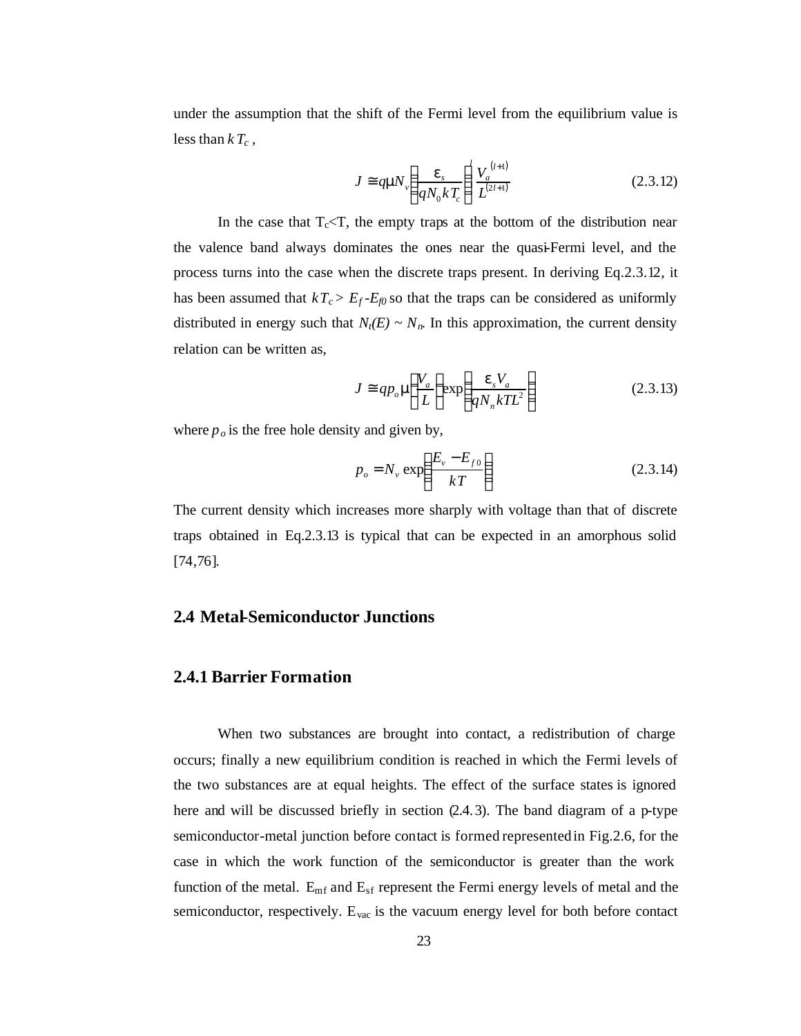under the assumption that the shift of the Fermi level from the equilibrium value is less than  $kT_c$ ,

$$
J \cong q\mathbf{m} \mathbf{V}_v \left(\frac{\mathbf{e}_s}{qN_0kT_c}\right)^l \frac{V_a^{(l+1)}}{L^{(2l+1)}}
$$
(2.3.12)

In the case that  $T_c < T$ , the empty traps at the bottom of the distribution near the valence band always dominates the ones near the quasi-Fermi level, and the process turns into the case when the discrete traps present. In deriving Eq.2.3.12, it has been assumed that  $kT_c > E_f - E_{f0}$  so that the traps can be considered as uniformly distributed in energy such that  $N_t(E) \sim N_n$ . In this approximation, the current density relation can be written as,

$$
J \cong qp_o \mathbf{m} \left( \frac{V_a}{L} \right) \exp \left( \frac{\mathbf{e}_s V_a}{q N_n k T L^2} \right) \tag{2.3.13}
$$

where  $p_o$  is the free hole density and given by,

$$
p_o = N_v \exp\left(\frac{E_v - E_{fo}}{kT}\right) \tag{2.3.14}
$$

The current density which increases more sharply with voltage than that of discrete traps obtained in Eq.2.3.13 is typical that can be expected in an amorphous solid [74,76].

## **2.4 Metal-Semiconductor Junctions**

#### **2.4.1 Barrier Formation**

When two substances are brought into contact, a redistribution of charge occurs; finally a new equilibrium condition is reached in which the Fermi levels of the two substances are at equal heights. The effect of the surface states is ignored here and will be discussed briefly in section (2.4.3). The band diagram of a p-type semiconductor-metal junction before contact is formed represented in Fig.2.6, for the case in which the work function of the semiconductor is greater than the work function of the metal.  $E_{mf}$  and  $E_{sf}$  represent the Fermi energy levels of metal and the semiconductor, respectively.  $E_{\text{vac}}$  is the vacuum energy level for both before contact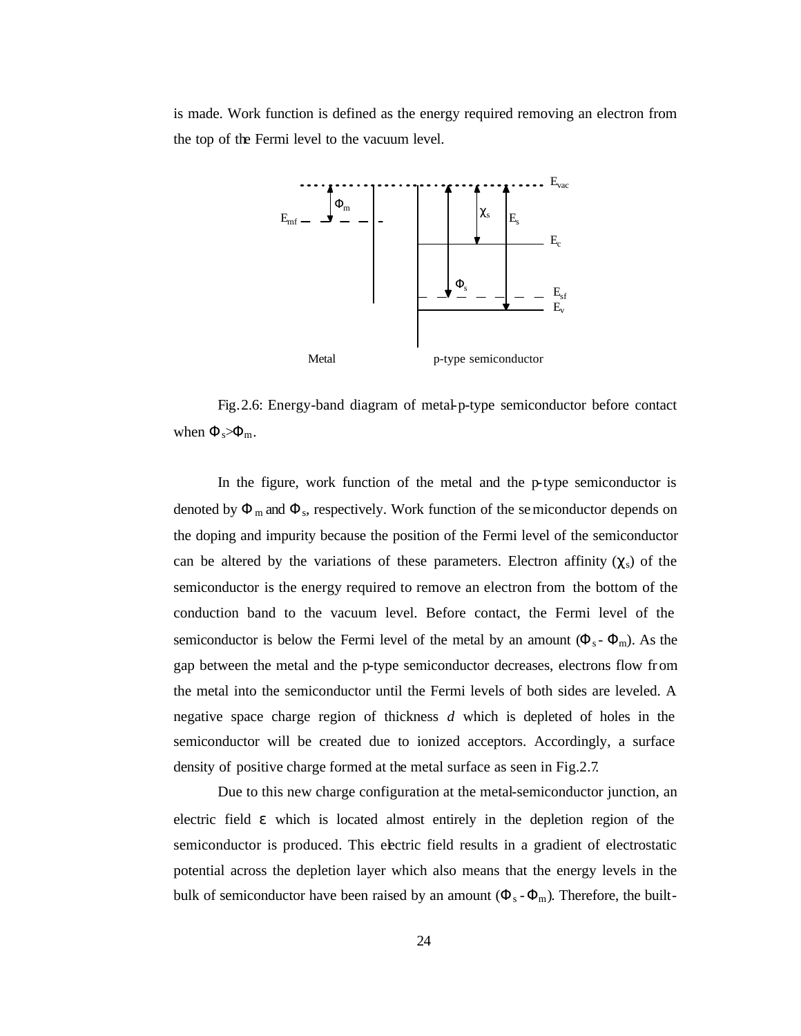is made. Work function is defined as the energy required removing an electron from the top of the Fermi level to the vacuum level.



Fig.2.6: Energy-band diagram of metal-p-type semiconductor before contact when  $\Phi_s \rightarrow \Phi_m$ .

In the figure, work function of the metal and the p-type semiconductor is denoted by  $\Phi_m$  and  $\Phi_s$ , respectively. Work function of the semiconductor depends on the doping and impurity because the position of the Fermi level of the semiconductor can be altered by the variations of these parameters. Electron affinity  $(\chi_s)$  of the semiconductor is the energy required to remove an electron from the bottom of the conduction band to the vacuum level. Before contact, the Fermi level of the semiconductor is below the Fermi level of the metal by an amount  $(\Phi_s - \Phi_m)$ . As the gap between the metal and the p-type semiconductor decreases, electrons flow from the metal into the semiconductor until the Fermi levels of both sides are leveled. A negative space charge region of thickness *d* which is depleted of holes in the semiconductor will be created due to ionized acceptors. Accordingly, a surface density of positive charge formed at the metal surface as seen in Fig.2.7.

Due to this new charge configuration at the metal-semiconductor junction, an electric field *e* which is located almost entirely in the depletion region of the semiconductor is produced. This electric field results in a gradient of electrostatic potential across the depletion layer which also means that the energy levels in the bulk of semiconductor have been raised by an amount  $(\Phi_s - \Phi_m)$ . Therefore, the built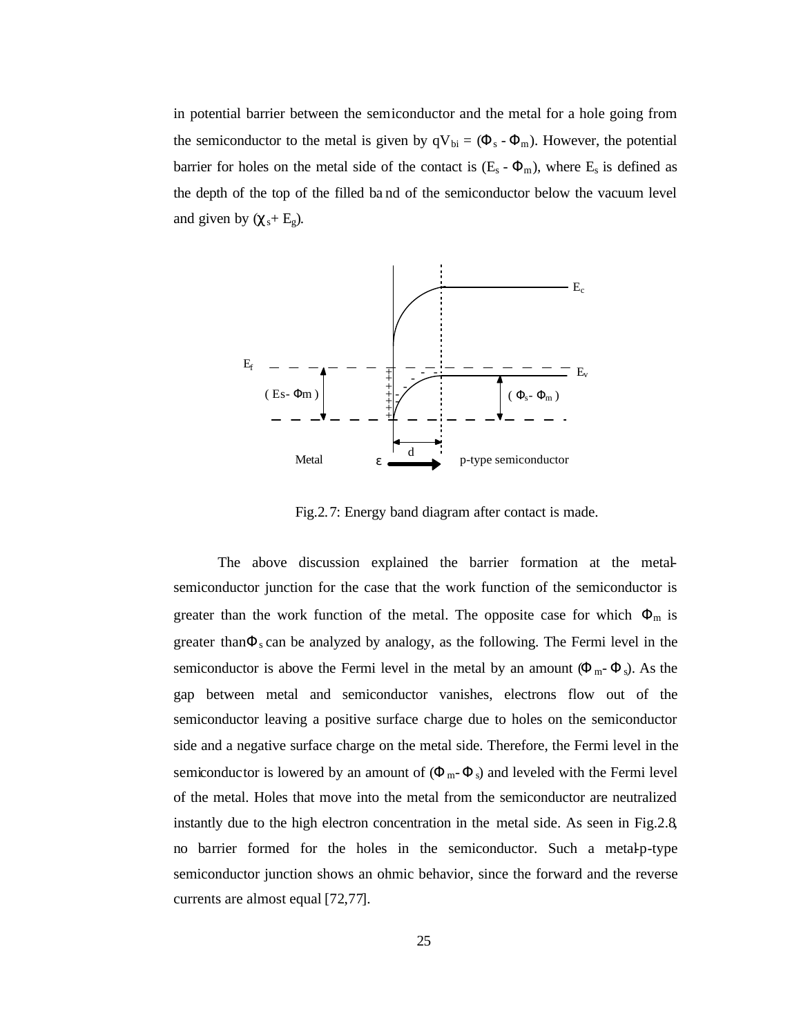in potential barrier between the semiconductor and the metal for a hole going from the semiconductor to the metal is given by  $qV_{bi} = (\Phi_s - \Phi_m)$ . However, the potential barrier for holes on the metal side of the contact is  $(E_s - \Phi_m)$ , where  $E_s$  is defined as the depth of the top of the filled ba nd of the semiconductor below the vacuum level and given by  $(\chi_s + E_g)$ .



Fig.2.7: Energy band diagram after contact is made.

The above discussion explained the barrier formation at the metalsemiconductor junction for the case that the work function of the semiconductor is greater than the work function of the metal. The opposite case for which  $\Phi_m$  is greater than $\Phi_s$  can be analyzed by analogy, as the following. The Fermi level in the semiconductor is above the Fermi level in the metal by an amount  $(\Phi_{m} - \Phi_{s})$ . As the gap between metal and semiconductor vanishes, electrons flow out of the semiconductor leaving a positive surface charge due to holes on the semiconductor side and a negative surface charge on the metal side. Therefore, the Fermi level in the semiconductor is lowered by an amount of  $(\Phi_m - \Phi_s)$  and leveled with the Fermi level of the metal. Holes that move into the metal from the semiconductor are neutralized instantly due to the high electron concentration in the metal side. As seen in Fig.2.8, no barrier formed for the holes in the semiconductor. Such a metal-p-type semiconductor junction shows an ohmic behavior, since the forward and the reverse currents are almost equal [72,77].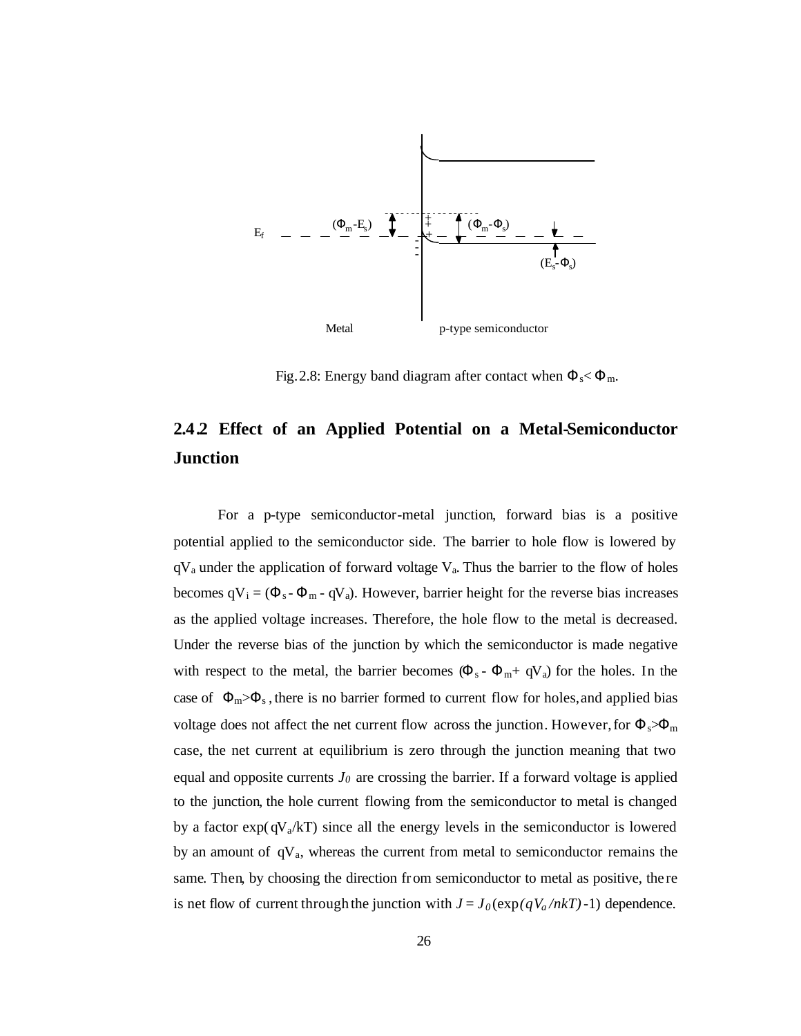

Fig.2.8: Energy band diagram after contact when  $\Phi_s < \Phi_m$ .

# **2.4.2 Effect of an Applied Potential on a Metal-Semiconductor Junction**

For a p-type semiconductor-metal junction, forward bias is a positive potential applied to the semiconductor side. The barrier to hole flow is lowered by  $qV_a$  under the application of forward voltage  $V_a$ . Thus the barrier to the flow of holes becomes  $qV_i = (\Phi_s - \Phi_m - qV_a)$ . However, barrier height for the reverse bias increases as the applied voltage increases. Therefore, the hole flow to the metal is decreased. Under the reverse bias of the junction by which the semiconductor is made negative with respect to the metal, the barrier becomes  $(\Phi_s - \Phi_m + qV_a)$  for the holes. In the case of  $\Phi_m > \Phi_s$ , there is no barrier formed to current flow for holes, and applied bias voltage does not affect the net current flow across the junction. However, for  $\Phi_s \gg \Phi_m$ case, the net current at equilibrium is zero through the junction meaning that two equal and opposite currents  $J_0$  are crossing the barrier. If a forward voltage is applied to the junction, the hole current flowing from the semiconductor to metal is changed by a factor  $exp(qV_a/kT)$  since all the energy levels in the semiconductor is lowered by an amount of  $qV_a$ , whereas the current from metal to semiconductor remains the same. Then, by choosing the direction from semiconductor to metal as positive, the re is net flow of current through the junction with  $J = J_0(\exp(qV_a/nkT) - 1)$  dependence.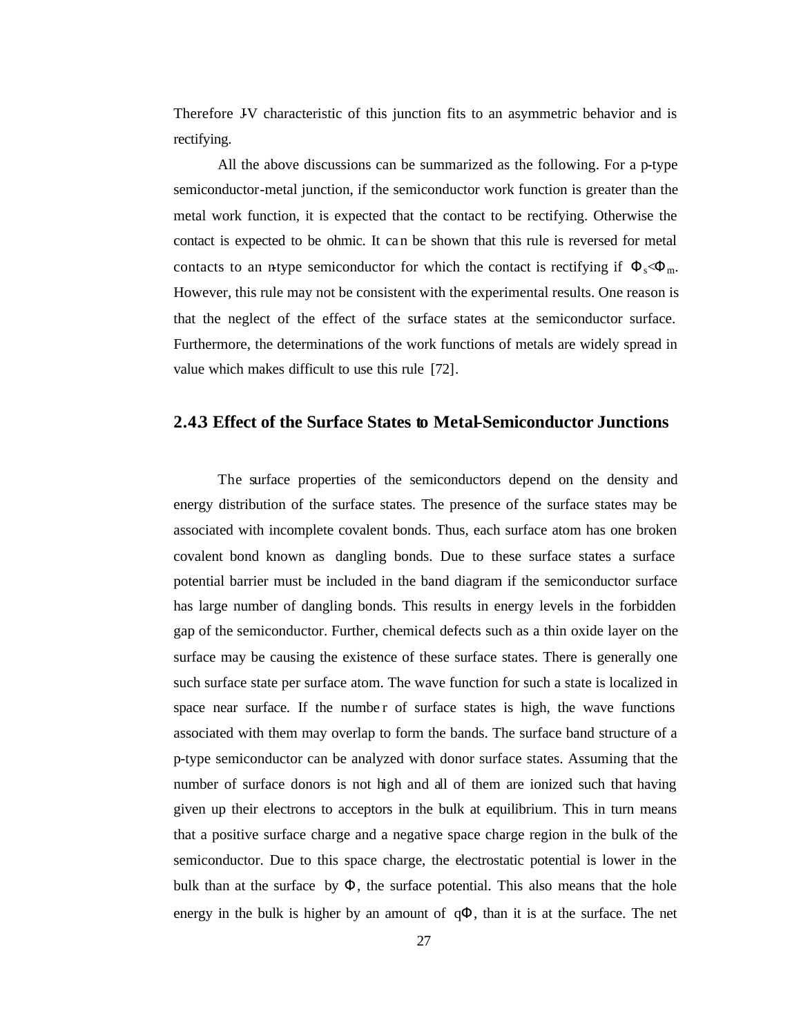Therefore JV characteristic of this junction fits to an asymmetric behavior and is rectifying.

All the above discussions can be summarized as the following. For a p-type semiconductor-metal junction, if the semiconductor work function is greater than the metal work function, it is expected that the contact to be rectifying. Otherwise the contact is expected to be ohmic. It can be shown that this rule is reversed for metal contacts to an n-type semiconductor for which the contact is rectifying if  $\Phi_s \ll \Phi_m$ . However, this rule may not be consistent with the experimental results. One reason is that the neglect of the effect of the surface states at the semiconductor surface. Furthermore, the determinations of the work functions of metals are widely spread in value which makes difficult to use this rule [72].

#### **2.4.3 Effect of the Surface States to Metal-Semiconductor Junctions**

The surface properties of the semiconductors depend on the density and energy distribution of the surface states. The presence of the surface states may be associated with incomplete covalent bonds. Thus, each surface atom has one broken covalent bond known as dangling bonds. Due to these surface states a surface potential barrier must be included in the band diagram if the semiconductor surface has large number of dangling bonds. This results in energy levels in the forbidden gap of the semiconductor. Further, chemical defects such as a thin oxide layer on the surface may be causing the existence of these surface states. There is generally one such surface state per surface atom. The wave function for such a state is localized in space near surface. If the numbe r of surface states is high, the wave functions associated with them may overlap to form the bands. The surface band structure of a p-type semiconductor can be analyzed with donor surface states. Assuming that the number of surface donors is not high and all of them are ionized such that having given up their electrons to acceptors in the bulk at equilibrium. This in turn means that a positive surface charge and a negative space charge region in the bulk of the semiconductor. Due to this space charge, the electrostatic potential is lower in the bulk than at the surface by  $\Phi$ , the surface potential. This also means that the hole energy in the bulk is higher by an amount of  $q\Phi$ , than it is at the surface. The net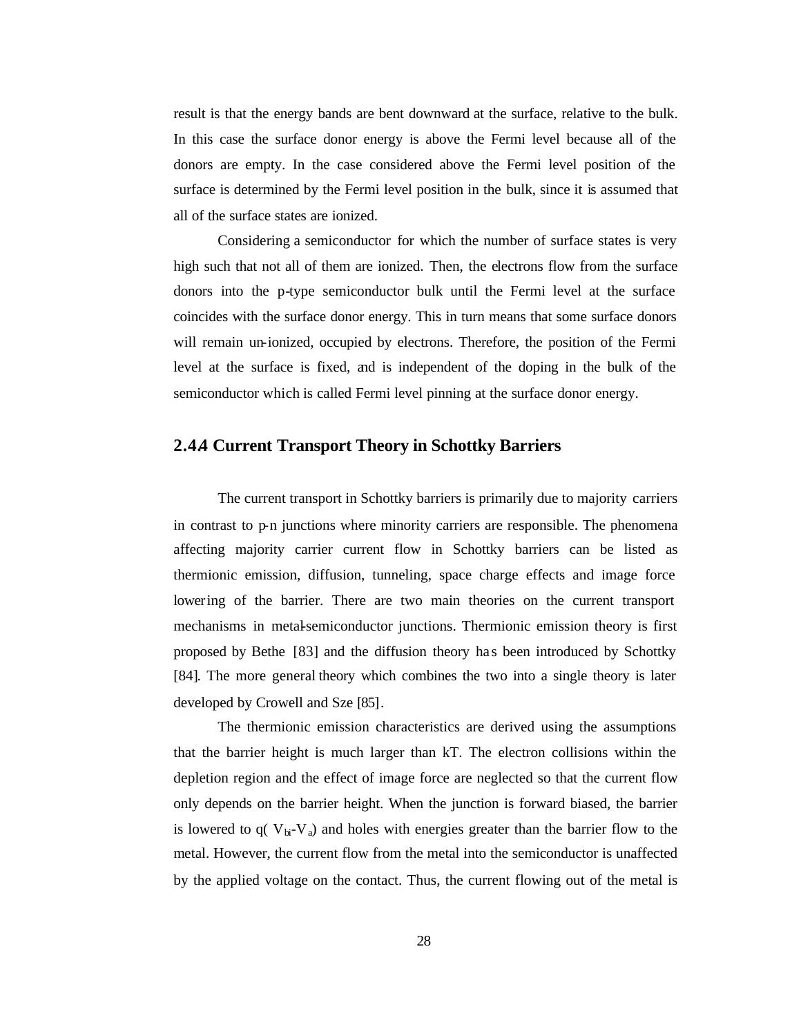result is that the energy bands are bent downward at the surface, relative to the bulk. In this case the surface donor energy is above the Fermi level because all of the donors are empty. In the case considered above the Fermi level position of the surface is determined by the Fermi level position in the bulk, since it is assumed that all of the surface states are ionized.

Considering a semiconductor for which the number of surface states is very high such that not all of them are ionized. Then, the electrons flow from the surface donors into the p-type semiconductor bulk until the Fermi level at the surface coincides with the surface donor energy. This in turn means that some surface donors will remain un-ionized, occupied by electrons. Therefore, the position of the Fermi level at the surface is fixed, and is independent of the doping in the bulk of the semiconductor which is called Fermi level pinning at the surface donor energy.

## **2.4.4 Current Transport Theory in Schottky Barriers**

The current transport in Schottky barriers is primarily due to majority carriers in contrast to p-n junctions where minority carriers are responsible. The phenomena affecting majority carrier current flow in Schottky barriers can be listed as thermionic emission, diffusion, tunneling, space charge effects and image force lowering of the barrier. There are two main theories on the current transport mechanisms in metal-semiconductor junctions. Thermionic emission theory is first proposed by Bethe [83] and the diffusion theory ha s been introduced by Schottky [84]. The more general theory which combines the two into a single theory is later developed by Crowell and Sze [85].

The thermionic emission characteristics are derived using the assumptions that the barrier height is much larger than kT. The electron collisions within the depletion region and the effect of image force are neglected so that the current flow only depends on the barrier height. When the junction is forward biased, the barrier is lowered to  $q(V_{bi}-V_a)$  and holes with energies greater than the barrier flow to the metal. However, the current flow from the metal into the semiconductor is unaffected by the applied voltage on the contact. Thus, the current flowing out of the metal is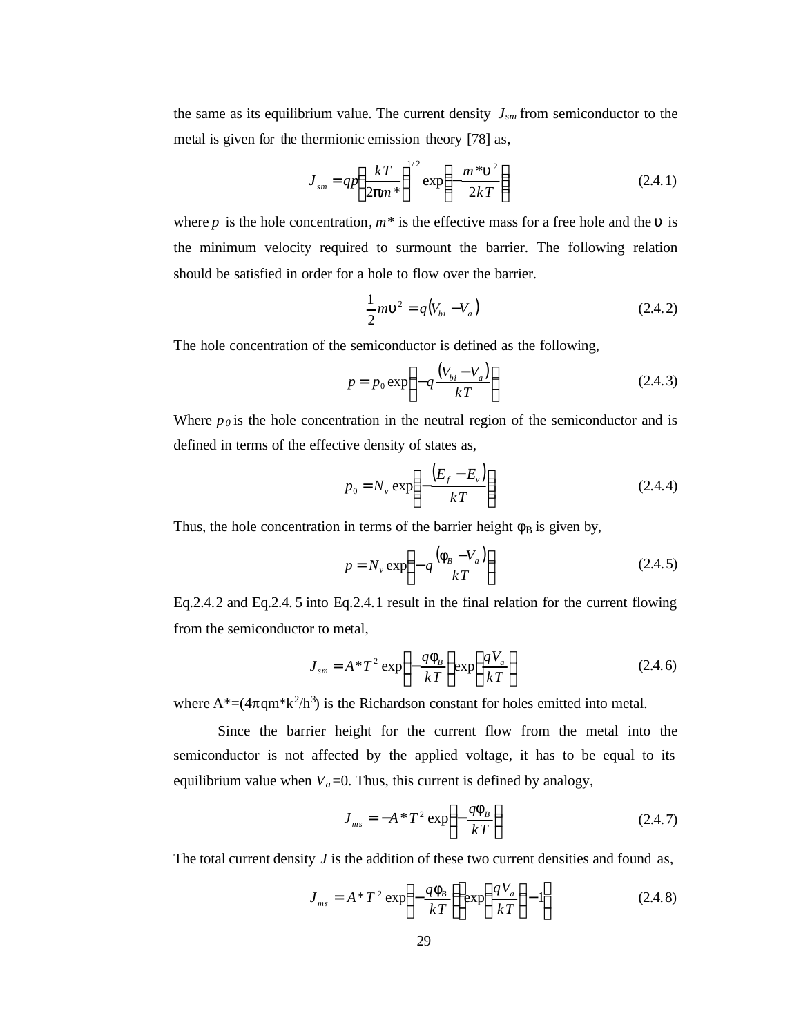the same as its equilibrium value. The current density *Jsm* from semiconductor to the metal is given for the thermionic emission theory [78] as,

$$
J_{\scriptscriptstyle sm} = qp \left(\frac{kT}{2pm^*}\right)^{1/2} \exp\left(-\frac{m^*u^2}{2kT}\right) \tag{2.4.1}
$$

where *p* is the hole concentration,  $m^*$  is the effective mass for a free hole and the *u* is the minimum velocity required to surmount the barrier. The following relation should be satisfied in order for a hole to flow over the barrier.

$$
\frac{1}{2}m\mathbf{u}^2 = q(V_{bi} - V_a)
$$
 (2.4.2)

The hole concentration of the semiconductor is defined as the following,

$$
p = p_0 \exp\left(-q \frac{\left(V_{bi} - V_a\right)}{kT}\right) \tag{2.4.3}
$$

Where  $p<sub>0</sub>$  is the hole concentration in the neutral region of the semiconductor and is defined in terms of the effective density of states as,

$$
p_0 = N_v \exp\left(-\frac{\left(E_f - E_v\right)}{kT}\right) \tag{2.4.4}
$$

Thus, the hole concentration in terms of the barrier height  $f_B$  is given by,

$$
p = N_v \exp\left(-q\frac{\left(\mathbf{f}_B - V_a\right)}{kT}\right) \tag{2.4.5}
$$

Eq.2.4.2 and Eq.2.4. 5 into Eq.2.4.1 result in the final relation for the current flowing from the semiconductor to metal,

$$
J_{\scriptscriptstyle sm} = A \cdot T^2 \exp\left(-\frac{qI_B}{kT}\right) \exp\left(\frac{qV_a}{kT}\right) \tag{2.4.6}
$$

where  $A^* = (4\pi qm^*k^2/h^3)$  is the Richardson constant for holes emitted into metal.

Since the barrier height for the current flow from the metal into the semiconductor is not affected by the applied voltage, it has to be equal to its equilibrium value when  $V_a$ =0. Thus, this current is defined by analogy,

$$
J_{ms} = -A \cdot T^2 \exp\left(-\frac{q\mathbf{f}_B}{kT}\right) \tag{2.4.7}
$$

The total current density  $J$  is the addition of these two current densities and found as,

$$
J_{ms} = A \cdot T^2 \exp\left(-\frac{q\mathbf{f}_B}{kT}\right) \exp\left(\frac{qV_a}{kT}\right) - 1\right]
$$
 (2.4.8)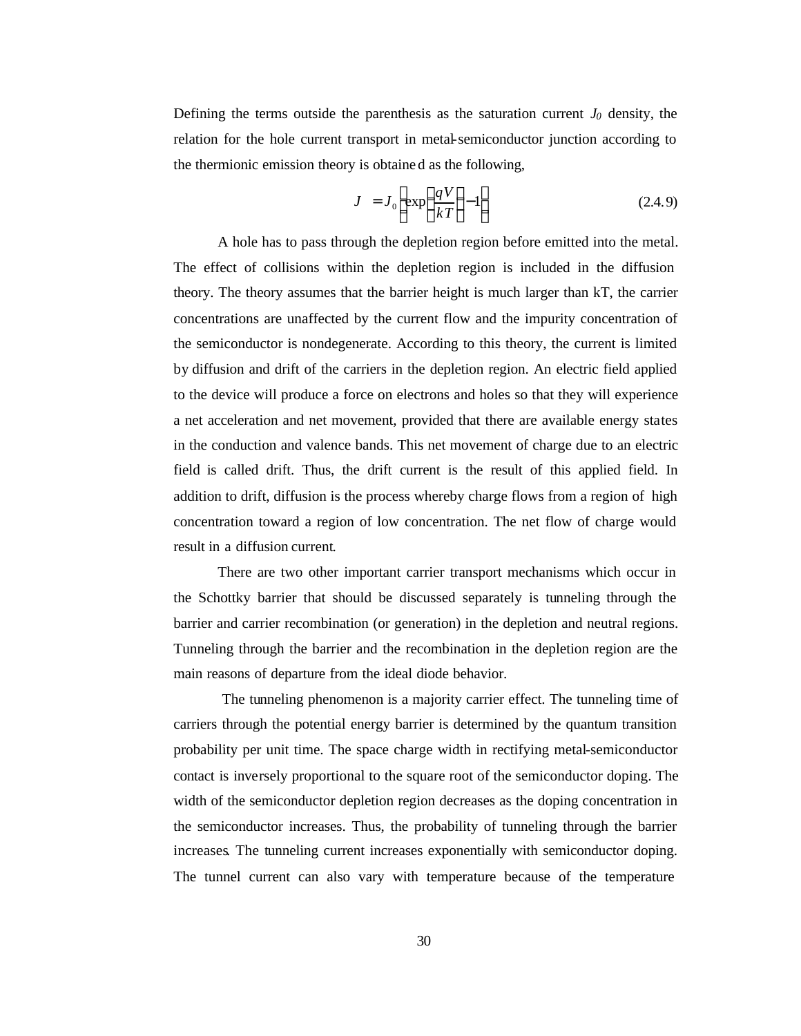Defining the terms outside the parenthesis as the saturation current  $J_0$  density, the relation for the hole current transport in metal-semiconductor junction according to the thermionic emission theory is obtaine d as the following,

$$
J = J_0 \left[ \exp\left(\frac{qV}{kT}\right) - 1 \right] \tag{2.4.9}
$$

A hole has to pass through the depletion region before emitted into the metal. The effect of collisions within the depletion region is included in the diffusion theory. The theory assumes that the barrier height is much larger than kT, the carrier concentrations are unaffected by the current flow and the impurity concentration of the semiconductor is nondegenerate. According to this theory, the current is limited by diffusion and drift of the carriers in the depletion region. An electric field applied to the device will produce a force on electrons and holes so that they will experience a net acceleration and net movement, provided that there are available energy states in the conduction and valence bands. This net movement of charge due to an electric field is called drift. Thus, the drift current is the result of this applied field. In addition to drift, diffusion is the process whereby charge flows from a region of high concentration toward a region of low concentration. The net flow of charge would result in a diffusion current.

There are two other important carrier transport mechanisms which occur in the Schottky barrier that should be discussed separately is tunneling through the barrier and carrier recombination (or generation) in the depletion and neutral regions. Tunneling through the barrier and the recombination in the depletion region are the main reasons of departure from the ideal diode behavior.

 The tunneling phenomenon is a majority carrier effect. The tunneling time of carriers through the potential energy barrier is determined by the quantum transition probability per unit time. The space charge width in rectifying metal-semiconductor contact is inversely proportional to the square root of the semiconductor doping. The width of the semiconductor depletion region decreases as the doping concentration in the semiconductor increases. Thus, the probability of tunneling through the barrier increases. The tunneling current increases exponentially with semiconductor doping. The tunnel current can also vary with temperature because of the temperature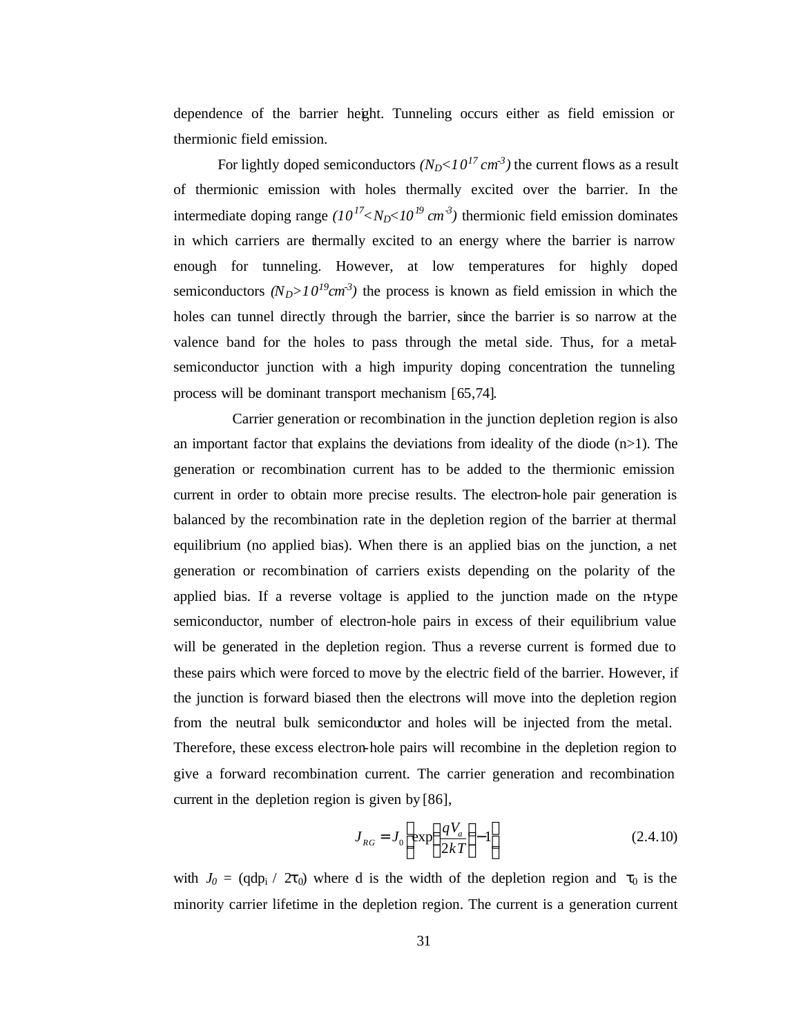dependence of the barrier height. Tunneling occurs either as field emission or thermionic field emission.

For lightly doped semiconductors  $(N_D < 10^{17} cm^3)$  the current flows as a result of thermionic emission with holes thermally excited over the barrier. In the intermediate doping range  $(10^{17} < N_D < 10^{19} \text{ cm}^3)$  thermionic field emission dominates in which carriers are thermally excited to an energy where the barrier is narrow enough for tunneling. However, at low temperatures for highly doped semiconductors  $(N_D > 10^{19} cm^{-3})$  the process is known as field emission in which the holes can tunnel directly through the barrier, since the barrier is so narrow at the valence band for the holes to pass through the metal side. Thus, for a metalsemiconductor junction with a high impurity doping concentration the tunneling process will be dominant transport mechanism [65,74].

 Carrier generation or recombination in the junction depletion region is also an important factor that explains the deviations from ideality of the diode  $(n>1)$ . The generation or recombination current has to be added to the thermionic emission current in order to obtain more precise results. The electron-hole pair generation is balanced by the recombination rate in the depletion region of the barrier at thermal equilibrium (no applied bias). When there is an applied bias on the junction, a net generation or recombination of carriers exists depending on the polarity of the applied bias. If a reverse voltage is applied to the junction made on the n-type semiconductor, number of electron-hole pairs in excess of their equilibrium value will be generated in the depletion region. Thus a reverse current is formed due to these pairs which were forced to move by the electric field of the barrier. However, if the junction is forward biased then the electrons will move into the depletion region from the neutral bulk semiconductor and holes will be injected from the metal. Therefore, these excess electron-hole pairs will recombine in the depletion region to give a forward recombination current. The carrier generation and recombination current in the depletion region is given by [86],

$$
J_{RG} = J_0 \left[ \exp\left(\frac{qV_a}{2kT}\right) - 1 \right]
$$
 (2.4.10)

with  $J_0 = (qdp_i / 2\tau_0)$  where d is the width of the depletion region and  $\tau_0$  is the minority carrier lifetime in the depletion region. The current is a generation current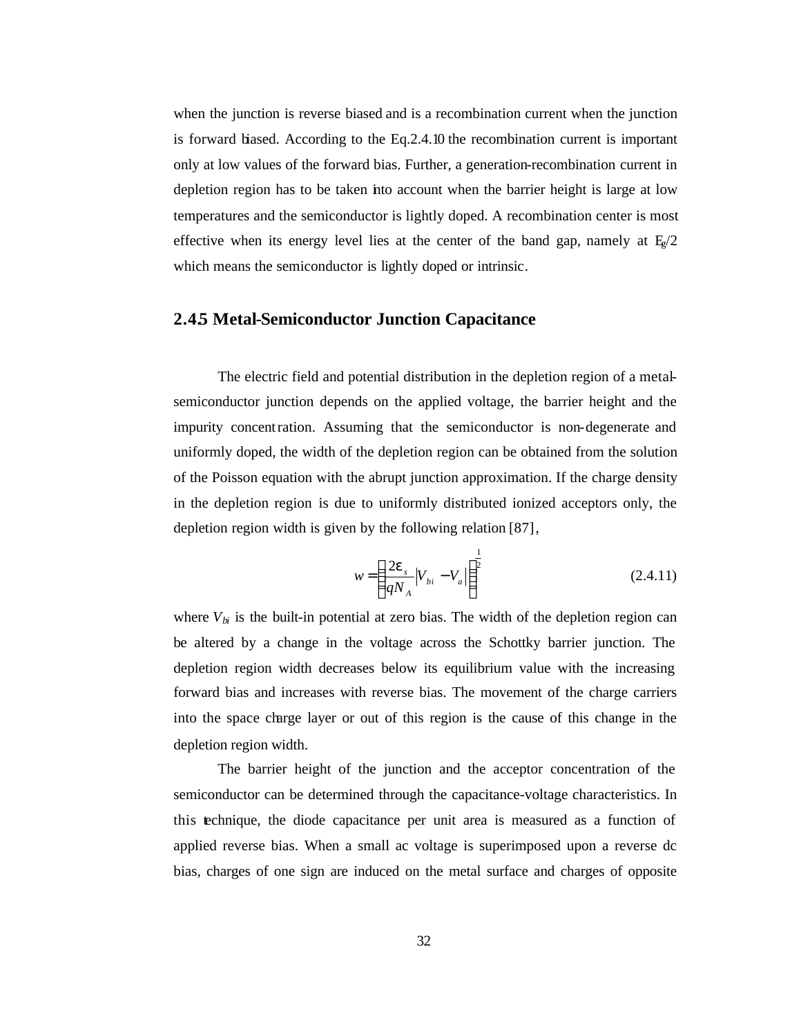when the junction is reverse biased and is a recombination current when the junction is forward biased. According to the Eq.2.4.10 the recombination current is important only at low values of the forward bias. Further, a generation-recombination current in depletion region has to be taken into account when the barrier height is large at low temperatures and the semiconductor is lightly doped. A recombination center is most effective when its energy level lies at the center of the band gap, namely at  $E_e/2$ which means the semiconductor is lightly doped or intrinsic.

## **2.4.5 Metal-Semiconductor Junction Capacitance**

The electric field and potential distribution in the depletion region of a metalsemiconductor junction depends on the applied voltage, the barrier height and the impurity concentration. Assuming that the semiconductor is non-degenerate and uniformly doped, the width of the depletion region can be obtained from the solution of the Poisson equation with the abrupt junction approximation. If the charge density in the depletion region is due to uniformly distributed ionized acceptors only, the depletion region width is given by the following relation [87],

$$
w = \left(\frac{2\mathbf{e}_s}{qN_A} |V_{bi} - V_a|\right)^{\frac{1}{2}}
$$
\n(2.4.11)

where  $V_{bi}$  is the built-in potential at zero bias. The width of the depletion region can be altered by a change in the voltage across the Schottky barrier junction. The depletion region width decreases below its equilibrium value with the increasing forward bias and increases with reverse bias. The movement of the charge carriers into the space charge layer or out of this region is the cause of this change in the depletion region width.

The barrier height of the junction and the acceptor concentration of the semiconductor can be determined through the capacitance-voltage characteristics. In this technique, the diode capacitance per unit area is measured as a function of applied reverse bias. When a small ac voltage is superimposed upon a reverse dc bias, charges of one sign are induced on the metal surface and charges of opposite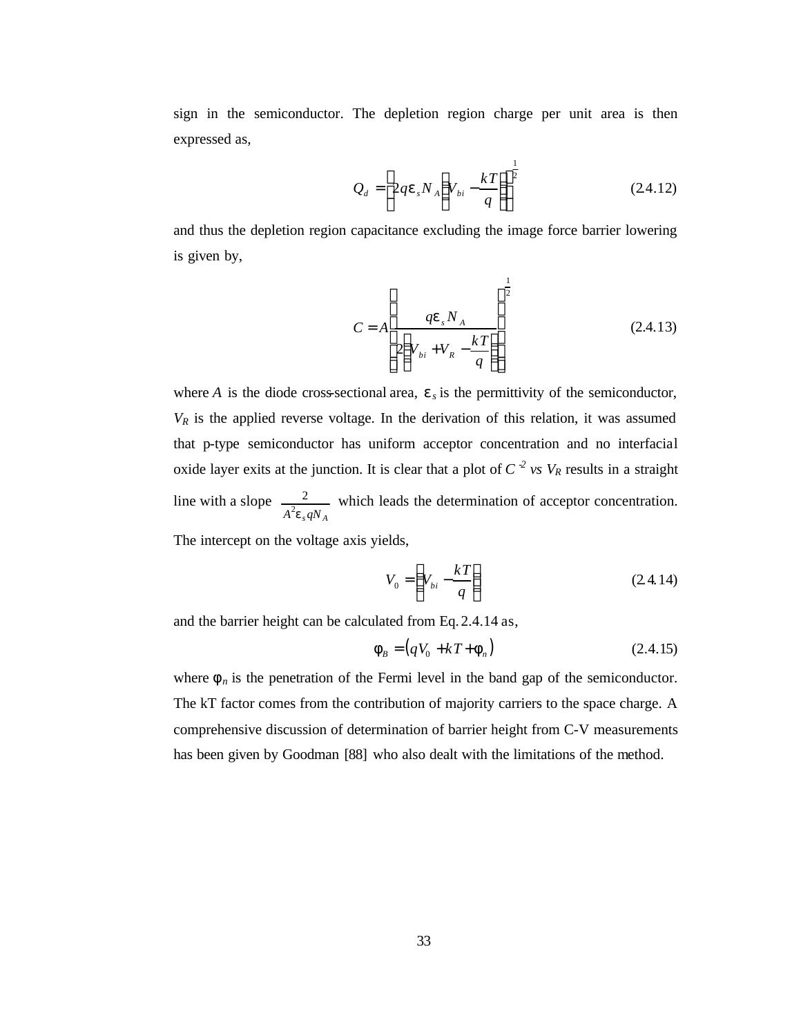sign in the semiconductor. The depletion region charge per unit area is then expressed as,

$$
Q_d = \left[2qe_sN_A\left(V_{bi} - \frac{kT}{q}\right)\right]^{\frac{1}{2}}
$$
 (24.12)

and thus the depletion region capacitance excluding the image force barrier lowering is given by,

$$
C = A \left[ \frac{q\mathbf{e}_s N_A}{2\left(V_{bi} + V_R - \frac{kT}{q}\right)} \right]^{\frac{1}{2}}
$$
(2.4.13)

where *A* is the diode cross-sectional area,  $\mathbf{e}_s$  is the permittivity of the semiconductor,  $V_R$  is the applied reverse voltage. In the derivation of this relation, it was assumed that p-type semiconductor has uniform acceptor concentration and no interfacial oxide layer exits at the junction. It is clear that a plot of  $C^{-2}$  *vs*  $V_R$  results in a straight line with a slope  $A^2 \mathbf{e}_{s} q N_A$  $\frac{2}{2}$  which leads the determination of acceptor concentration.

The intercept on the voltage axis yields,

$$
V_0 = \left(V_{bi} - \frac{kT}{q}\right) \tag{2.4.14}
$$

and the barrier height can be calculated from Eq. 2.4.14 as,

$$
\mathbf{f}_B = (qV_0 + kT + \mathbf{f}_n) \tag{2.4.15}
$$

where  $f_n$  is the penetration of the Fermi level in the band gap of the semiconductor. The kT factor comes from the contribution of majority carriers to the space charge. A comprehensive discussion of determination of barrier height from C-V measurements has been given by Goodman [88] who also dealt with the limitations of the method.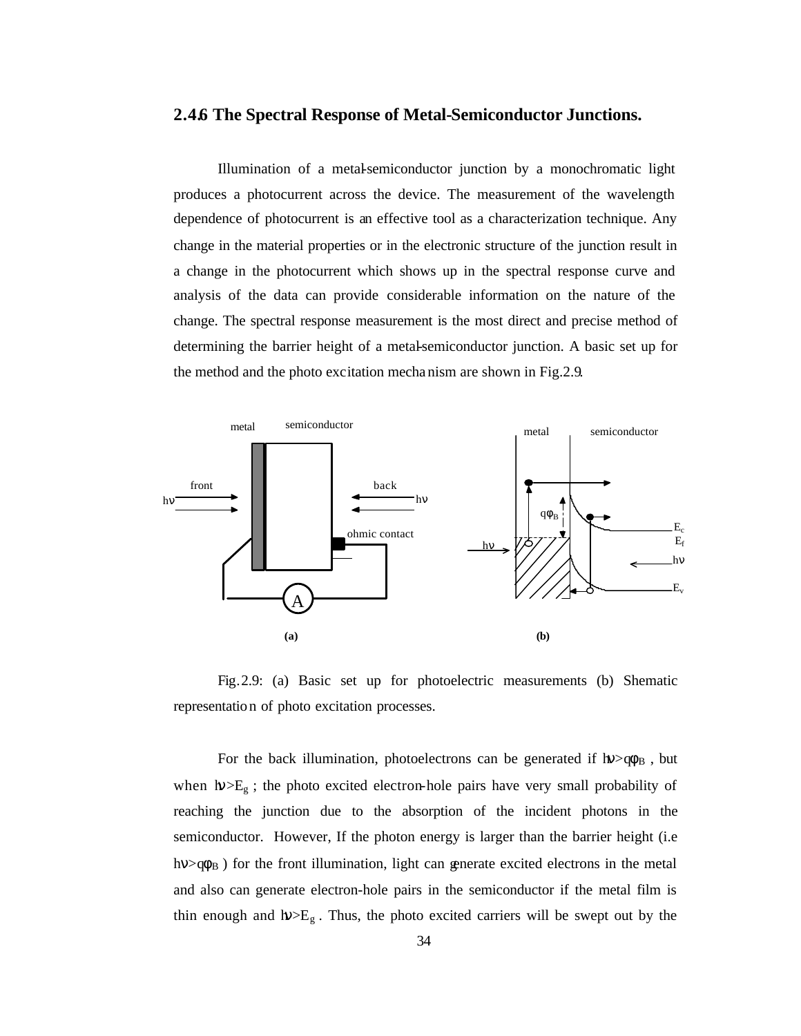#### **2.4.6 The Spectral Response of Metal-Semiconductor Junctions.**

Illumination of a metal-semiconductor junction by a monochromatic light produces a photocurrent across the device. The measurement of the wavelength dependence of photocurrent is an effective tool as a characterization technique. Any change in the material properties or in the electronic structure of the junction result in a change in the photocurrent which shows up in the spectral response curve and analysis of the data can provide considerable information on the nature of the change. The spectral response measurement is the most direct and precise method of determining the barrier height of a metal-semiconductor junction. A basic set up for the method and the photo excitation mecha nism are shown in Fig.2.9.



Fig.2.9: (a) Basic set up for photoelectric measurements (b) Shematic representation of photo excitation processes.

For the back illumination, photoelectrons can be generated if  $h$  $>$  $q\phi_B$ , but when  $h\nu>E<sub>g</sub>$ ; the photo excited electron-hole pairs have very small probability of reaching the junction due to the absorption of the incident photons in the semiconductor. However, If the photon energy is larger than the barrier height (i.e  $h\nu>q\phi_B$ ) for the front illumination, light can generate excited electrons in the metal and also can generate electron-hole pairs in the semiconductor if the metal film is thin enough and  $h$   $\gg E_{g}$ . Thus, the photo excited carriers will be swept out by the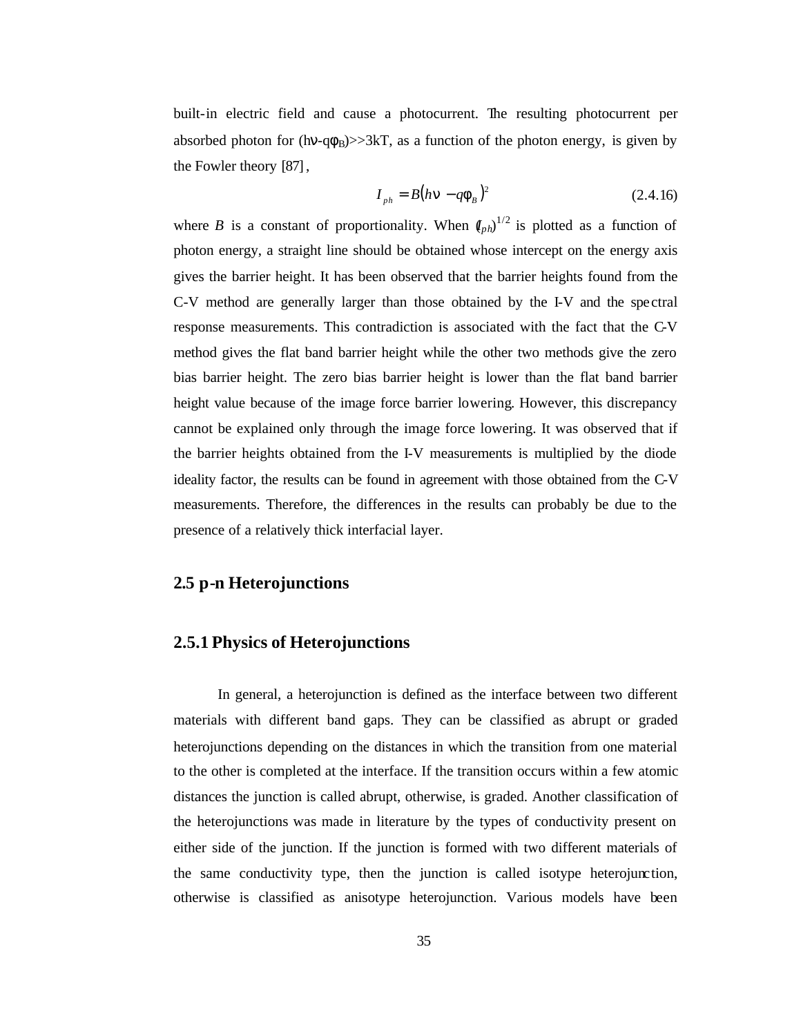built-in electric field and cause a photocurrent. The resulting photocurrent per absorbed photon for (hv-q $\phi_B$ )>>3kT, as a function of the photon energy, is given by the Fowler theory [87],

$$
I_{ph} = B(h\mathbf{n} - q\mathbf{f}_B)^2
$$
 (2.4.16)

where *B* is a constant of proportionality. When  $(I_{ph})^{1/2}$  is plotted as a function of photon energy, a straight line should be obtained whose intercept on the energy axis gives the barrier height. It has been observed that the barrier heights found from the C-V method are generally larger than those obtained by the I-V and the spectral response measurements. This contradiction is associated with the fact that the C-V method gives the flat band barrier height while the other two methods give the zero bias barrier height. The zero bias barrier height is lower than the flat band barrier height value because of the image force barrier lowering. However, this discrepancy cannot be explained only through the image force lowering. It was observed that if the barrier heights obtained from the I-V measurements is multiplied by the diode ideality factor, the results can be found in agreement with those obtained from the C-V measurements. Therefore, the differences in the results can probably be due to the presence of a relatively thick interfacial layer.

## **2.5 p-n Heterojunctions**

## **2.5.1 Physics of Heterojunctions**

In general, a heterojunction is defined as the interface between two different materials with different band gaps. They can be classified as abrupt or graded heterojunctions depending on the distances in which the transition from one material to the other is completed at the interface. If the transition occurs within a few atomic distances the junction is called abrupt, otherwise, is graded. Another classification of the heterojunctions was made in literature by the types of conductivity present on either side of the junction. If the junction is formed with two different materials of the same conductivity type, then the junction is called isotype heterojunction, otherwise is classified as anisotype heterojunction. Various models have been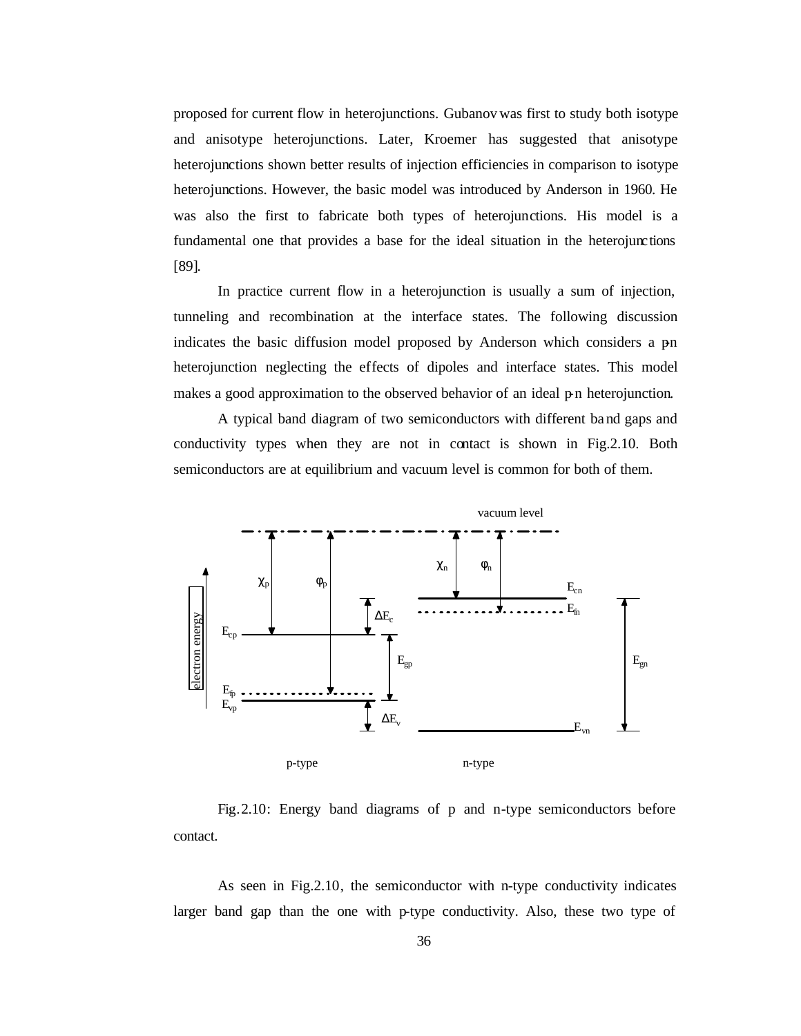proposed for current flow in heterojunctions. Gubanov was first to study both isotype and anisotype heterojunctions. Later, Kroemer has suggested that anisotype heterojunctions shown better results of injection efficiencies in comparison to isotype heterojunctions. However, the basic model was introduced by Anderson in 1960. He was also the first to fabricate both types of heterojunctions. His model is a fundamental one that provides a base for the ideal situation in the heterojunctions [89].

In practice current flow in a heterojunction is usually a sum of injection, tunneling and recombination at the interface states. The following discussion indicates the basic diffusion model proposed by Anderson which considers a pn heterojunction neglecting the effects of dipoles and interface states. This model makes a good approximation to the observed behavior of an ideal  $p$ n heterojunction.

A typical band diagram of two semiconductors with different ba nd gaps and conductivity types when they are not in contact is shown in Fig.2.10. Both semiconductors are at equilibrium and vacuum level is common for both of them.



Fig.2.10: Energy band diagrams of p and n-type semiconductors before contact.

As seen in Fig.2.10, the semiconductor with n-type conductivity indicates larger band gap than the one with p-type conductivity. Also, these two type of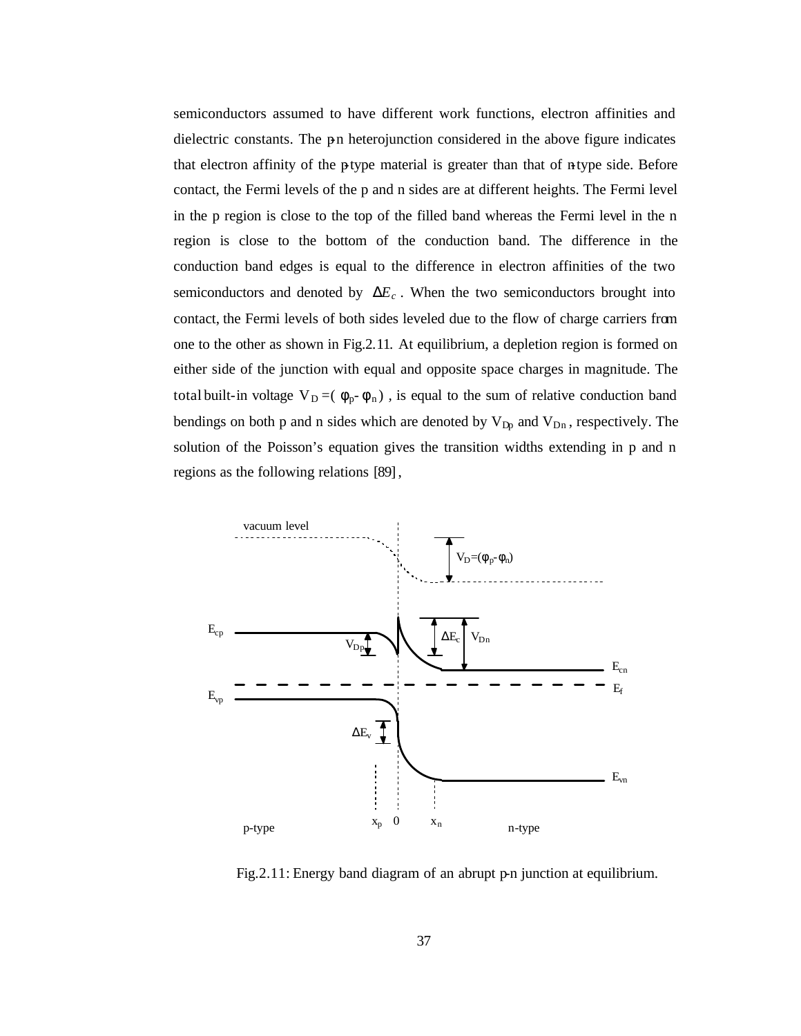semiconductors assumed to have different work functions, electron affinities and dielectric constants. The p-n heterojunction considered in the above figure indicates that electron affinity of the p-type material is greater than that of n-type side. Before contact, the Fermi levels of the p and n sides are at different heights. The Fermi level in the p region is close to the top of the filled band whereas the Fermi level in the n region is close to the bottom of the conduction band. The difference in the conduction band edges is equal to the difference in electron affinities of the two semiconductors and denoted by  $D\!E_c$ . When the two semiconductors brought into contact, the Fermi levels of both sides leveled due to the flow of charge carriers from one to the other as shown in Fig.2.11. At equilibrium, a depletion region is formed on either side of the junction with equal and opposite space charges in magnitude. The total built-in voltage  $V_D = (\phi_p - \phi_n)$ , is equal to the sum of relative conduction band bendings on both p and n sides which are denoted by  $V_{Dp}$  and  $V_{Dn}$ , respectively. The solution of the Poisson's equation gives the transition widths extending in p and n regions as the following relations [89],



Fig. 2.11: Energy band diagram of an abrupt p-n junction at equilibrium.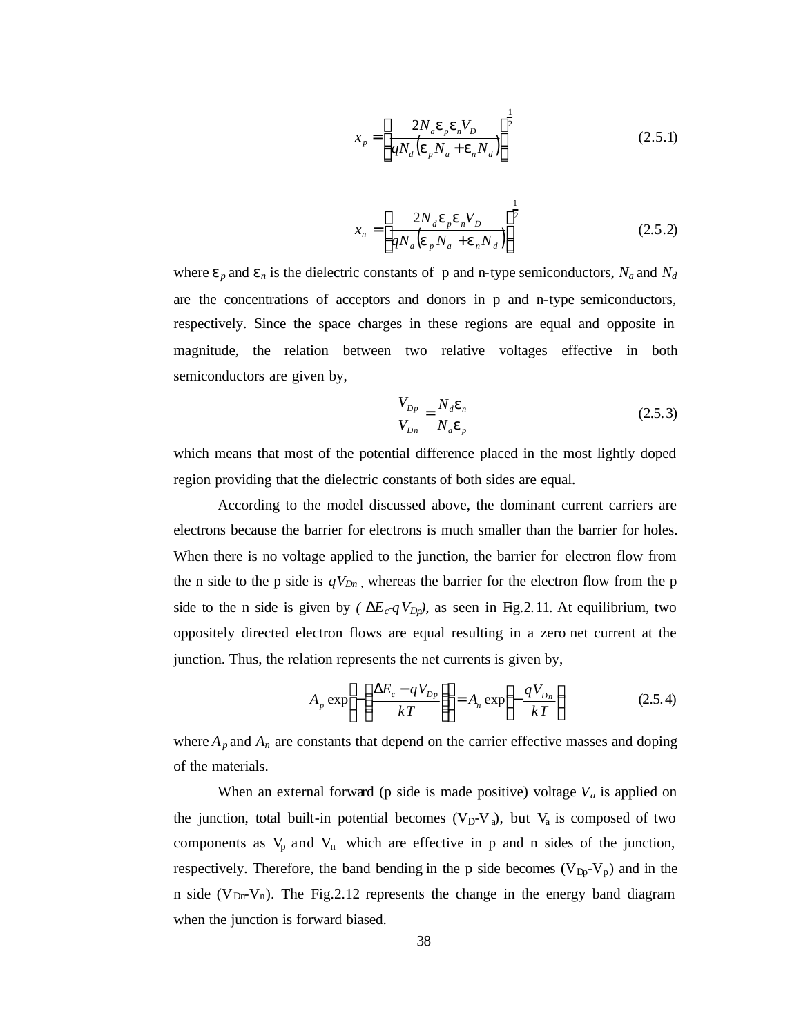$$
x_p = \left[\frac{2N_a \mathbf{e}_p \mathbf{e}_n V_D}{qN_d (\mathbf{e}_p N_a + \mathbf{e}_n N_d)}\right]^{\frac{1}{2}}
$$
(2.5.1)

$$
x_n = \left[\frac{2N_d \mathbf{e}_p \mathbf{e}_n V_D}{qN_a (\mathbf{e}_p N_a + \mathbf{e}_n N_d)}\right]^{\frac{1}{2}}
$$
(2.5.2)

where  $e_p$  and  $e_n$  is the dielectric constants of p and n-type semiconductors,  $N_a$  and  $N_d$ are the concentrations of acceptors and donors in p and n-type semiconductors, respectively. Since the space charges in these regions are equal and opposite in magnitude, the relation between two relative voltages effective in both semiconductors are given by,

$$
\frac{V_{Dp}}{V_{Dn}} = \frac{N_d \mathbf{e}_n}{N_d \mathbf{e}_p}
$$
\n(2.5.3)

which means that most of the potential difference placed in the most lightly doped region providing that the dielectric constants of both sides are equal.

According to the model discussed above, the dominant current carriers are electrons because the barrier for electrons is much smaller than the barrier for holes. When there is no voltage applied to the junction, the barrier for electron flow from the n side to the p side is  $qV_{Dn}$ , whereas the barrier for the electron flow from the p side to the n side is given by *(* $DE_c qV_{Dp}$ *)*, as seen in Fig. 2.11. At equilibrium, two oppositely directed electron flows are equal resulting in a zero net current at the junction. Thus, the relation represents the net currents is given by,

$$
A_p \exp\left[-\left(\frac{\Delta E_c - qV_{Dp}}{kT}\right)\right] = A_n \exp\left(-\frac{qV_{Dn}}{kT}\right) \tag{2.5.4}
$$

where  $A_p$  and  $A_n$  are constants that depend on the carrier effective masses and doping of the materials.

When an external forward (p side is made positive) voltage  $V_a$  is applied on the junction, total built-in potential becomes  $(V_D-V_a)$ , but  $V_a$  is composed of two components as  $V_p$  and  $V_n$  which are effective in p and n sides of the junction, respectively. Therefore, the band bending in the p side becomes  $(V_{Dp}-V_p)$  and in the n side ( $V_{\text{Dr}}V_n$ ). The Fig.2.12 represents the change in the energy band diagram when the junction is forward biased.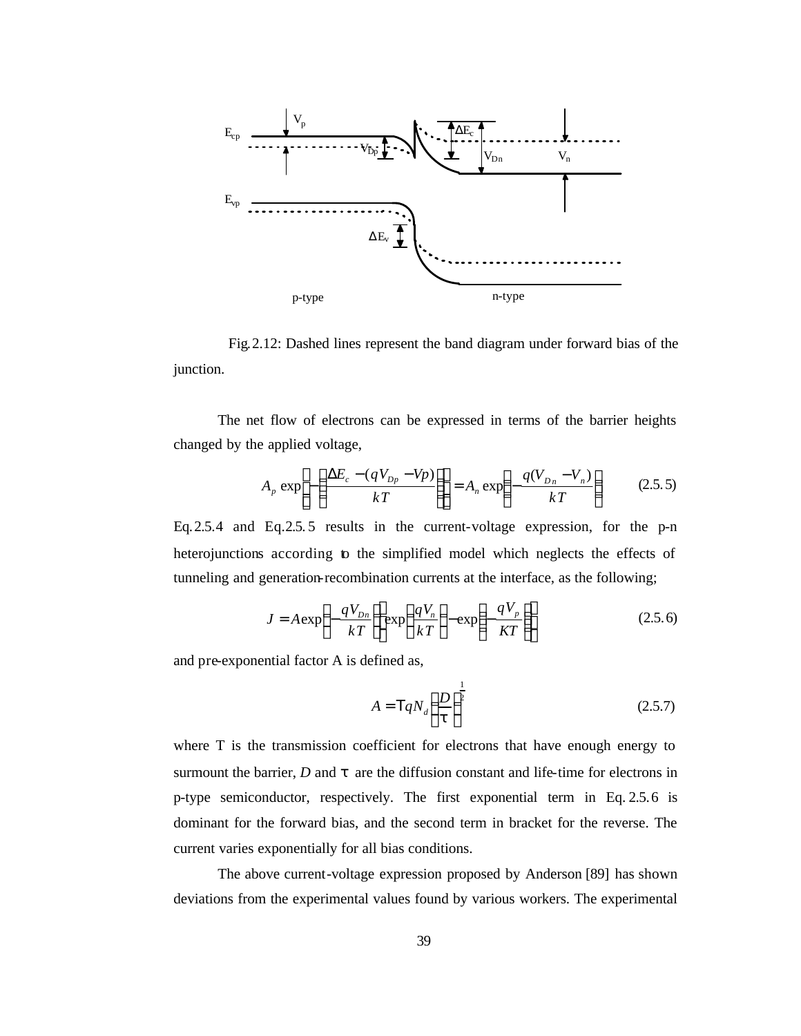

 Fig.2.12: Dashed lines represent the band diagram under forward bias of the junction.

The net flow of electrons can be expressed in terms of the barrier heights changed by the applied voltage,

$$
A_p \exp\left[-\left(\frac{\Delta E_c - (qV_{Dp} - Vp)}{kT}\right)\right] = A_n \exp\left(-\frac{q(V_{Dn} - V_n)}{kT}\right) \tag{2.5.5}
$$

Eq.2.5.4 and Eq.2.5. 5 results in the current-voltage expression, for the p-n heterojunctions according to the simplified model which neglects the effects of tunneling and generation-recombination currents at the interface, as the following;

$$
J = A \exp\left(-\frac{qV_{Dn}}{kT}\right) \exp\left(\frac{qV_n}{kT}\right) - \exp\left(-\frac{qV_p}{KT}\right)
$$
 (2.5.6)

and pre-exponential factor A is defined as,

$$
A = TqN_d \left(\frac{D}{t}\right)^{\frac{1}{2}}
$$
 (2.5.7)

where T is the transmission coefficient for electrons that have enough energy to surmount the barrier,  $D$  and  $t$  are the diffusion constant and life-time for electrons in p-type semiconductor, respectively. The first exponential term in Eq. 2.5.6 is dominant for the forward bias, and the second term in bracket for the reverse. The current varies exponentially for all bias conditions.

The above current-voltage expression proposed by Anderson [89] has shown deviations from the experimental values found by various workers. The experimental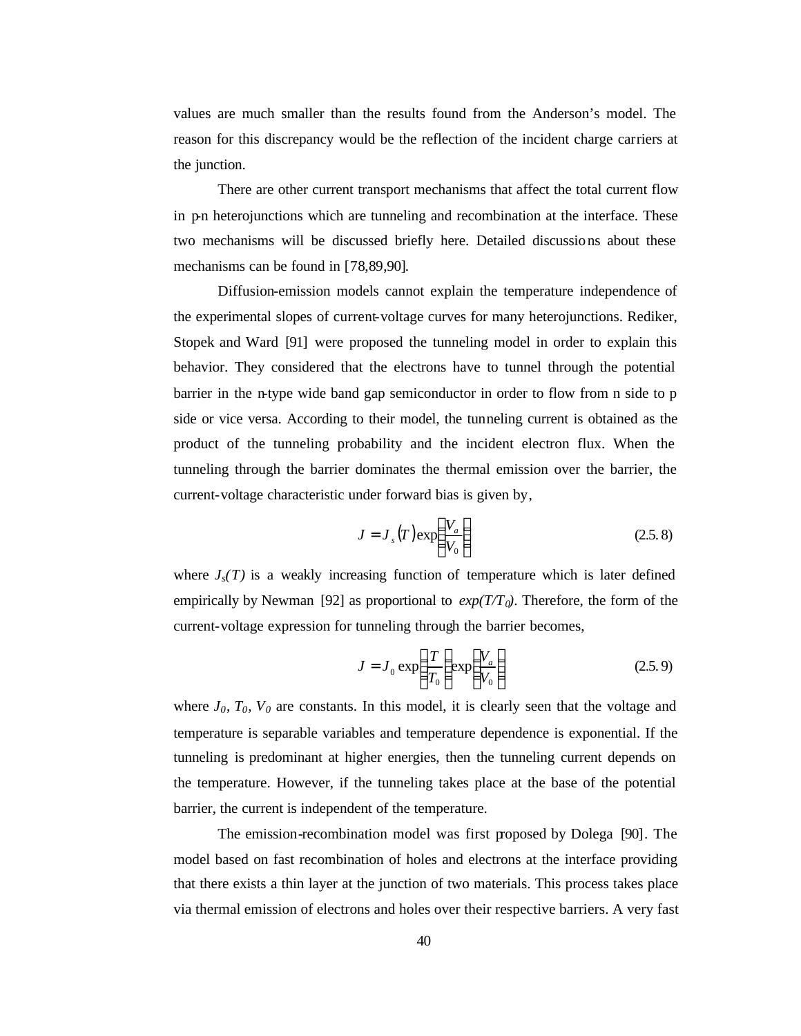values are much smaller than the results found from the Anderson's model. The reason for this discrepancy would be the reflection of the incident charge carriers at the junction.

There are other current transport mechanisms that affect the total current flow in p-n heterojunctions which are tunneling and recombination at the interface. These two mechanisms will be discussed briefly here. Detailed discussio ns about these mechanisms can be found in [78,89,90].

Diffusion-emission models cannot explain the temperature independence of the experimental slopes of current-voltage curves for many heterojunctions. Rediker, Stopek and Ward [91] were proposed the tunneling model in order to explain this behavior. They considered that the electrons have to tunnel through the potential barrier in the n-type wide band gap semiconductor in order to flow from n side to p side or vice versa. According to their model, the tunneling current is obtained as the product of the tunneling probability and the incident electron flux. When the tunneling through the barrier dominates the thermal emission over the barrier, the current-voltage characteristic under forward bias is given by,

$$
J = J_s(T) \exp\left(\frac{V_a}{V_0}\right) \tag{2.5.8}
$$

where  $J_s(T)$  is a weakly increasing function of temperature which is later defined empirically by Newman [92] as proportional to  $exp(T/T_0)$ . Therefore, the form of the current-voltage expression for tunneling through the barrier becomes,

$$
J = J_0 \exp\left(\frac{T}{T_0}\right) \exp\left(\frac{V_a}{V_0}\right) \tag{2.5.9}
$$

where  $J_0$ ,  $T_0$ ,  $V_0$  are constants. In this model, it is clearly seen that the voltage and temperature is separable variables and temperature dependence is exponential. If the tunneling is predominant at higher energies, then the tunneling current depends on the temperature. However, if the tunneling takes place at the base of the potential barrier, the current is independent of the temperature.

The emission-recombination model was first proposed by Dolega [90]. The model based on fast recombination of holes and electrons at the interface providing that there exists a thin layer at the junction of two materials. This process takes place via thermal emission of electrons and holes over their respective barriers. A very fast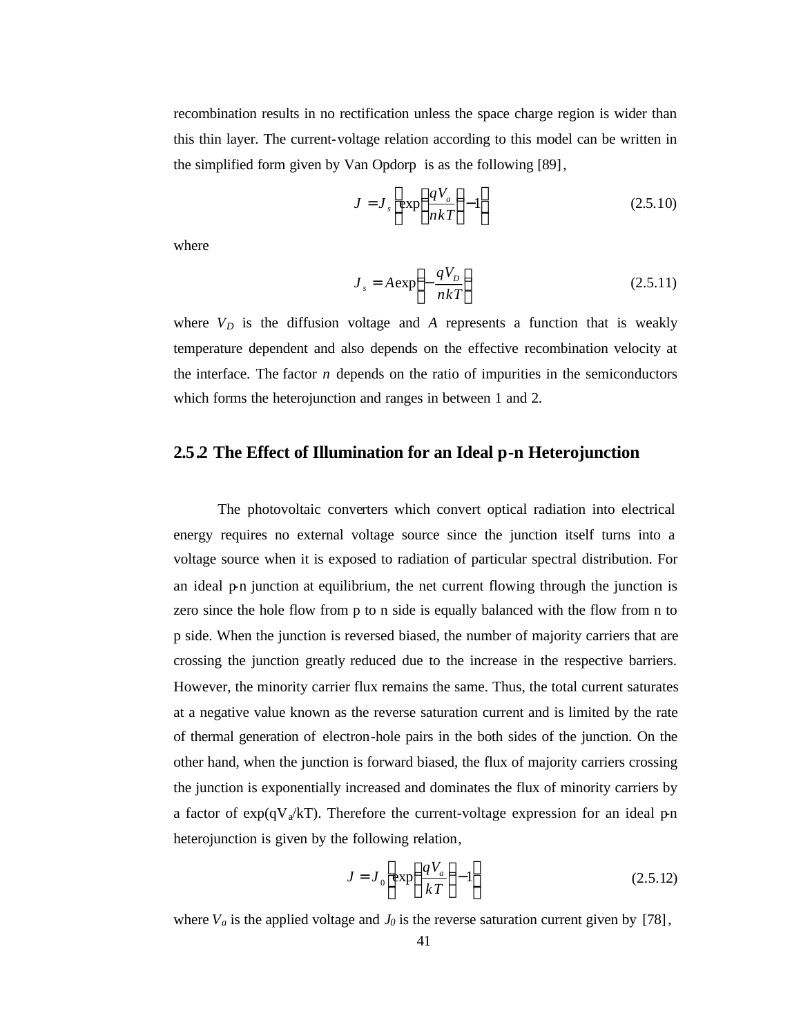recombination results in no rectification unless the space charge region is wider than this thin layer. The current-voltage relation according to this model can be written in the simplified form given by Van Opdorp is as the following [89],

$$
J = J_s \left[ \exp\left(\frac{qV_a}{nkT}\right) - 1 \right]
$$
 (2.5.10)

where

$$
J_s = A \exp\left(-\frac{qV_D}{nkT}\right) \tag{2.5.11}
$$

where  $V_D$  is the diffusion voltage and  $A$  represents a function that is weakly temperature dependent and also depends on the effective recombination velocity at the interface. The factor *n* depends on the ratio of impurities in the semiconductors which forms the heterojunction and ranges in between 1 and 2.

## **2.5.2 The Effect of Illumination for an Ideal p-n Heterojunction**

The photovoltaic converters which convert optical radiation into electrical energy requires no external voltage source since the junction itself turns into a voltage source when it is exposed to radiation of particular spectral distribution. For an ideal  $p$ -n junction at equilibrium, the net current flowing through the junction is zero since the hole flow from p to n side is equally balanced with the flow from n to p side. When the junction is reversed biased, the number of majority carriers that are crossing the junction greatly reduced due to the increase in the respective barriers. However, the minority carrier flux remains the same. Thus, the total current saturates at a negative value known as the reverse saturation current and is limited by the rate of thermal generation of electron-hole pairs in the both sides of the junction. On the other hand, when the junction is forward biased, the flux of majority carriers crossing the junction is exponentially increased and dominates the flux of minority carriers by a factor of  $exp(qV_a/kT)$ . Therefore the current-voltage expression for an ideal p-n heterojunction is given by the following relation,

$$
J = J_0 \left[ \exp\left(\frac{qV_a}{kT}\right) - 1 \right] \tag{2.5.12}
$$

where  $V_a$  is the applied voltage and  $J_0$  is the reverse saturation current given by [78],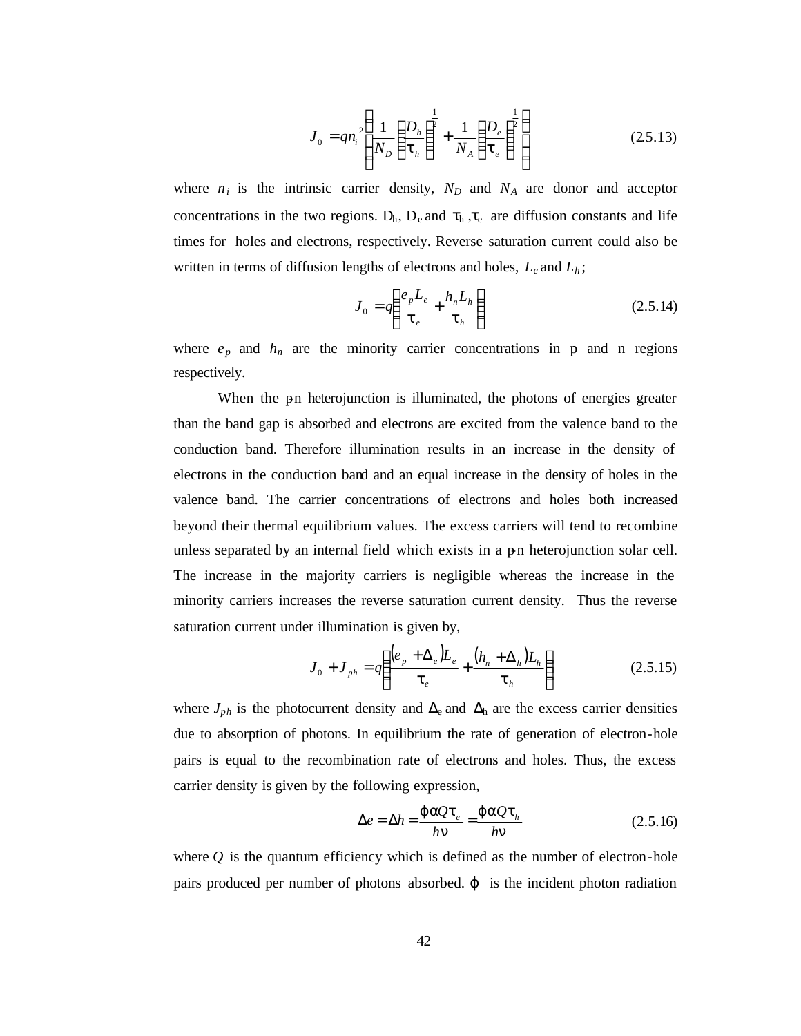$$
J_0 = q n_i^2 \left( \frac{1}{N_D} \left( \frac{D_h}{t_h} \right)^{\frac{1}{2}} + \frac{1}{N_A} \left( \frac{D_e}{t_e} \right)^{\frac{1}{2}} \right)
$$
 (25.13)

where  $n_i$  is the intrinsic carrier density,  $N_D$  and  $N_A$  are donor and acceptor concentrations in the two regions.  $D_h$ ,  $D_e$  and  $\tau_h$ ,  $\tau_e$  are diffusion constants and life times for holes and electrons, respectively. Reverse saturation current could also be written in terms of diffusion lengths of electrons and holes, *Le* and *L<sup>h</sup>* ;

$$
J_0 = q \left( \frac{e_p L_e}{t_e} + \frac{h_n L_h}{t_h} \right) \tag{2.5.14}
$$

where  $e_p$  and  $h_n$  are the minority carrier concentrations in p and n regions respectively.

When the pn heterojunction is illuminated, the photons of energies greater than the band gap is absorbed and electrons are excited from the valence band to the conduction band. Therefore illumination results in an increase in the density of electrons in the conduction band and an equal increase in the density of holes in the valence band. The carrier concentrations of electrons and holes both increased beyond their thermal equilibrium values. The excess carriers will tend to recombine unless separated by an internal field which exists in a pn heterojunction solar cell. The increase in the majority carriers is negligible whereas the increase in the minority carriers increases the reverse saturation current density. Thus the reverse saturation current under illumination is given by,

$$
J_0 + J_{ph} = q \left( \frac{(e_p + \Delta_e)L_e}{t_e} + \frac{(h_n + \Delta_h)L_h}{t_h} \right)
$$
 (2.5.15)

where  $J_{ph}$  is the photocurrent density and  $\Delta_{e}$  and  $\Delta_{h}$  are the excess carrier densities due to absorption of photons. In equilibrium the rate of generation of electron-hole pairs is equal to the recombination rate of electrons and holes. Thus, the excess carrier density is given by the following expression,

$$
\Delta e = \Delta h = \frac{\mathbf{j} \ aQ \mathbf{t}_e}{h \mathbf{n}} = \frac{\mathbf{j} \ aQ \mathbf{t}_h}{h \mathbf{n}} \tag{2.5.16}
$$

where  $Q$  is the quantum efficiency which is defined as the number of electron-hole pairs produced per number of photons absorbed. *j* is the incident photon radiation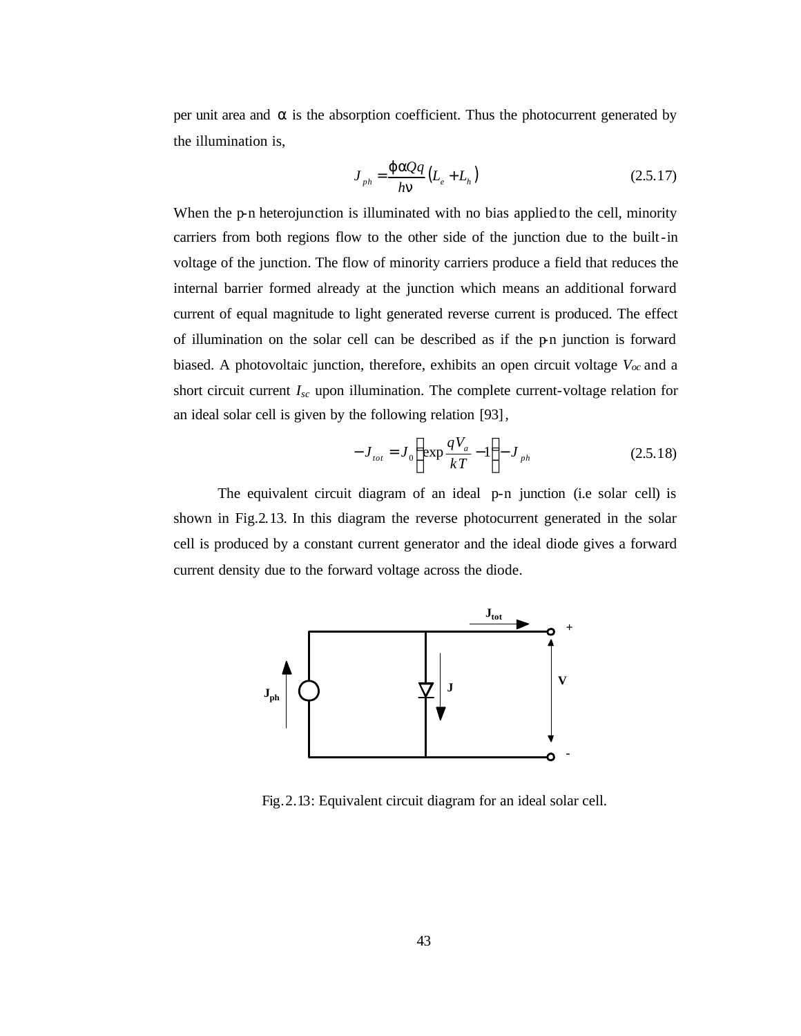per unit area and *a* is the absorption coefficient. Thus the photocurrent generated by the illumination is,

$$
J_{ph} = \frac{\mathbf{j} \mathbf{a} Q q}{h \mathbf{n}} \left( L_e + L_h \right) \tag{2.5.17}
$$

When the p-n heterojunction is illuminated with no bias applied to the cell, minority carriers from both regions flow to the other side of the junction due to the built-in voltage of the junction. The flow of minority carriers produce a field that reduces the internal barrier formed already at the junction which means an additional forward current of equal magnitude to light generated reverse current is produced. The effect of illumination on the solar cell can be described as if the p-n junction is forward biased. A photovoltaic junction, therefore, exhibits an open circuit voltage  $V_{\text{oc}}$  and a short circuit current *Isc* upon illumination. The complete current-voltage relation for an ideal solar cell is given by the following relation [93],

$$
-J_{tot} = J_0 \left( \exp \frac{qV_a}{kT} - 1 \right) - J_{ph} \tag{2.5.18}
$$

The equivalent circuit diagram of an ideal p-n junction (i.e solar cell) is shown in Fig.2.13. In this diagram the reverse photocurrent generated in the solar cell is produced by a constant current generator and the ideal diode gives a forward current density due to the forward voltage across the diode.



Fig.2.13: Equivalent circuit diagram for an ideal solar cell.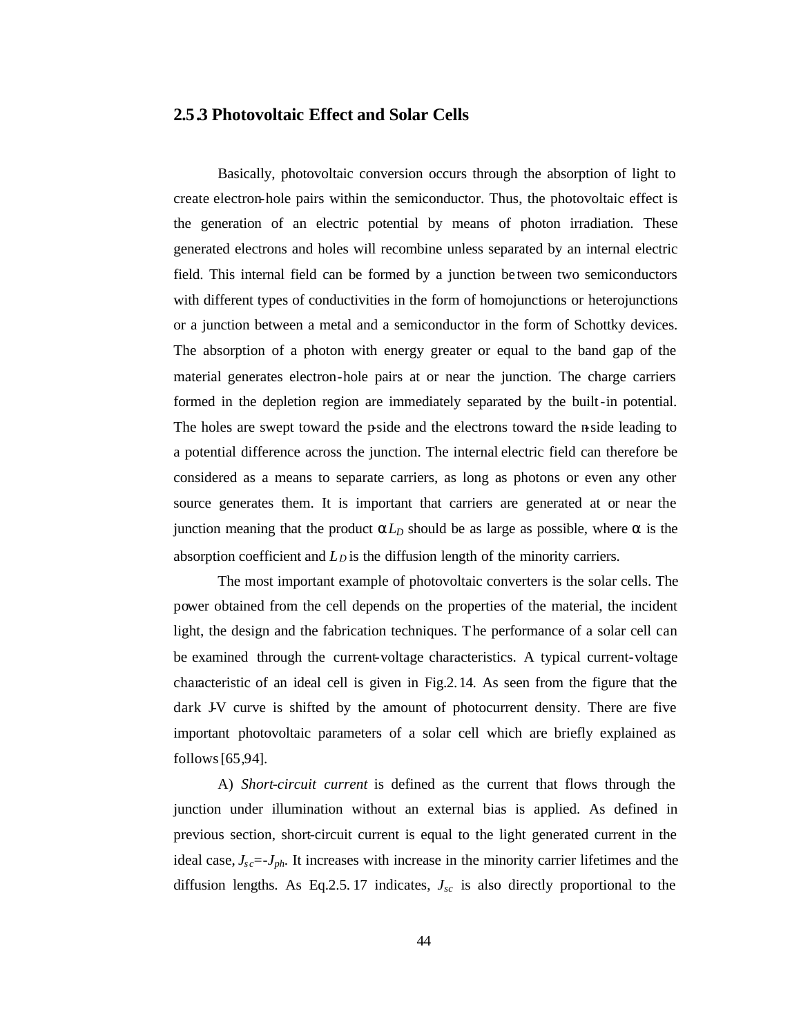#### **2.5.3 Photovoltaic Effect and Solar Cells**

Basically, photovoltaic conversion occurs through the absorption of light to create electron-hole pairs within the semiconductor. Thus, the photovoltaic effect is the generation of an electric potential by means of photon irradiation. These generated electrons and holes will recombine unless separated by an internal electric field. This internal field can be formed by a junction be tween two semiconductors with different types of conductivities in the form of homojunctions or heterojunctions or a junction between a metal and a semiconductor in the form of Schottky devices. The absorption of a photon with energy greater or equal to the band gap of the material generates electron-hole pairs at or near the junction. The charge carriers formed in the depletion region are immediately separated by the built-in potential. The holes are swept toward the p-side and the electrons toward the n-side leading to a potential difference across the junction. The internal electric field can therefore be considered as a means to separate carriers, as long as photons or even any other source generates them. It is important that carriers are generated at or near the junction meaning that the product *aLD* should be as large as possible, where *a* is the absorption coefficient and  $L<sub>D</sub>$  is the diffusion length of the minority carriers.

The most important example of photovoltaic converters is the solar cells. The power obtained from the cell depends on the properties of the material, the incident light, the design and the fabrication techniques. The performance of a solar cell can be examined through the current-voltage characteristics. A typical current-voltage characteristic of an ideal cell is given in Fig.2.14. As seen from the figure that the dark J-V curve is shifted by the amount of photocurrent density. There are five important photovoltaic parameters of a solar cell which are briefly explained as follows[65,94].

A) *Short-circuit current* is defined as the current that flows through the junction under illumination without an external bias is applied. As defined in previous section, short-circuit current is equal to the light generated current in the ideal case,  $J_{\rm sc} = J_{\rm ph}$ . It increases with increase in the minority carrier lifetimes and the diffusion lengths. As Eq.2.5.17 indicates,  $J_{sc}$  is also directly proportional to the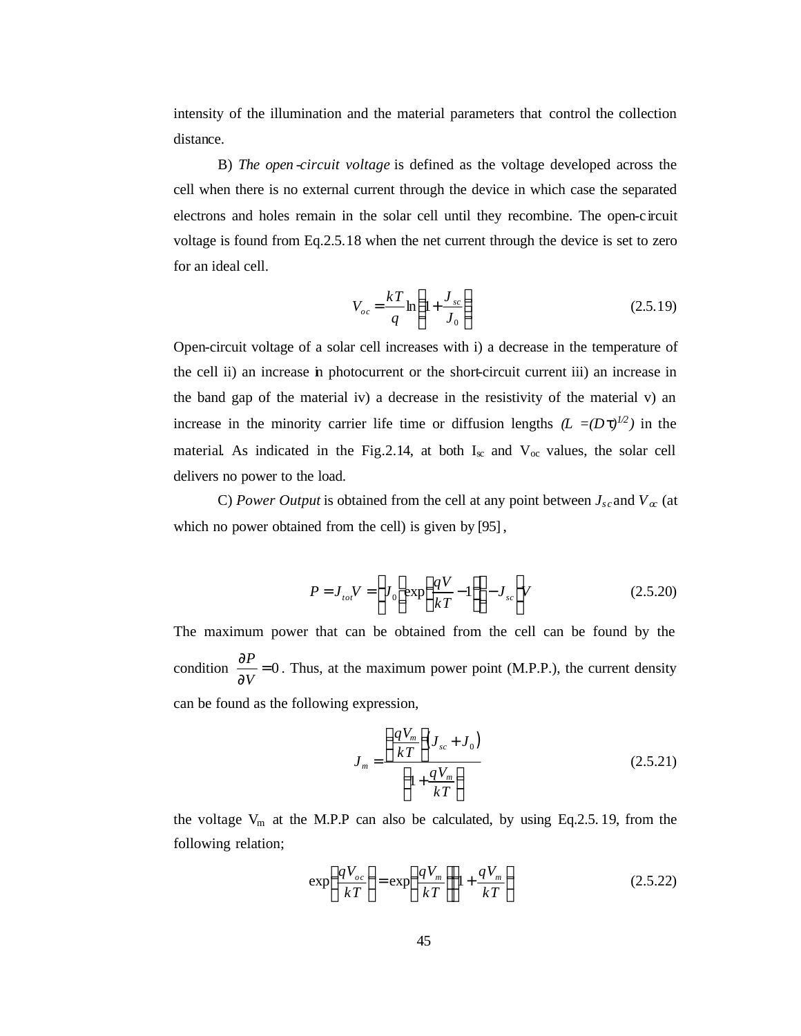intensity of the illumination and the material parameters that control the collection distance.

B) *The open -circuit voltage* is defined as the voltage developed across the cell when there is no external current through the device in which case the separated electrons and holes remain in the solar cell until they recombine. The open-circuit voltage is found from Eq.2.5.18 when the net current through the device is set to zero for an ideal cell.

$$
V_{oc} = \frac{kT}{q} \ln\left(1 + \frac{J_{sc}}{J_0}\right) \tag{2.5.19}
$$

Open-circuit voltage of a solar cell increases with i) a decrease in the temperature of the cell ii) an increase in photocurrent or the short-circuit current iii) an increase in the band gap of the material iv) a decrease in the resistivity of the material v) an increase in the minority carrier life time or diffusion lengths  $(L = (Dt)^{1/2})$  in the material. As indicated in the Fig. 2.14, at both  $I_{\infty}$  and  $V_{\infty}$  values, the solar cell delivers no power to the load.

C) *Power Output* is obtained from the cell at any point between  $J_{sc}$  and  $V_{\alpha}$  (at which no power obtained from the cell) is given by [95] ,

$$
P = J_{tot} V = \left[ J_0 \left[ \exp\left(\frac{qV}{kT} - 1\right) \right] - J_{sc} \right] V \tag{2.5.20}
$$

The maximum power that can be obtained from the cell can be found by the condition  $\frac{01}{200} = 0$ ∂ ∂ *V*  $\frac{P}{\sqrt{P}}$  = 0. Thus, at the maximum power point (M.P.P.), the current density can be found as the following expression,

$$
J_m = \frac{\left(\frac{qV_m}{kT}\right)J_{sc} + J_0}{\left(1 + \frac{qV_m}{kT}\right)}
$$
(2.5.21)

the voltage  $V_m$  at the M.P.P can also be calculated, by using Eq.2.5. 19, from the following relation;

$$
\exp\left(\frac{qV_{oc}}{kT}\right) = \exp\left(\frac{qV_m}{kT}\right) \left(1 + \frac{qV_m}{kT}\right) \tag{2.5.22}
$$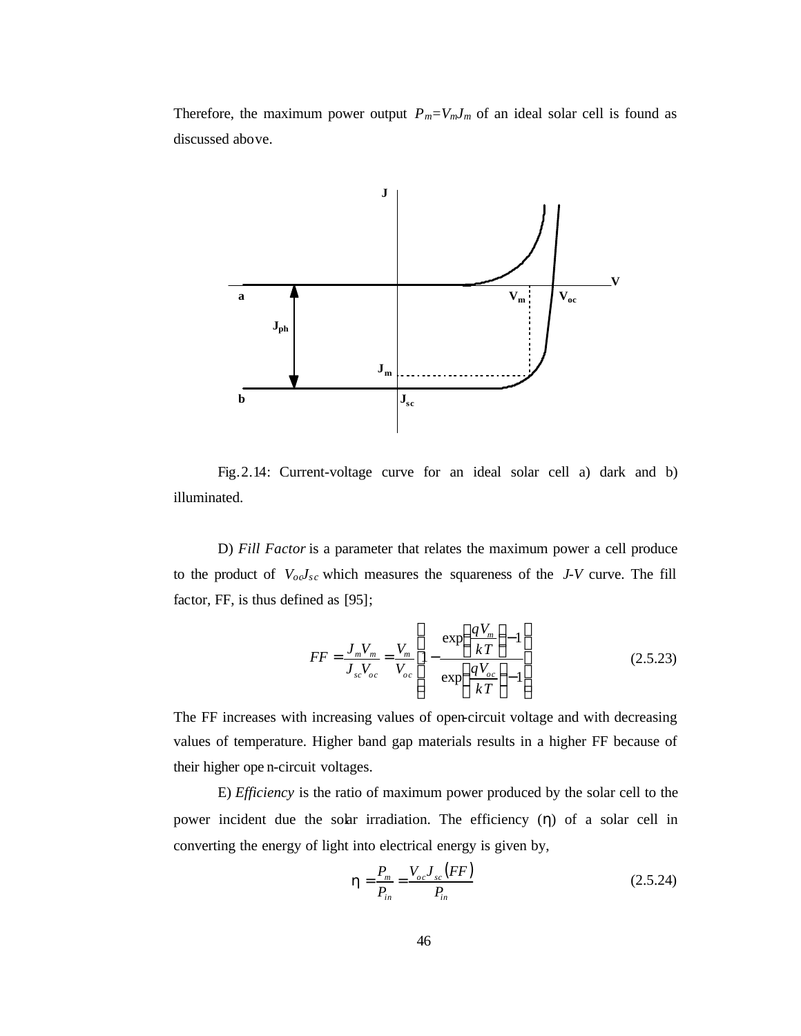Therefore, the maximum power output  $P_m = V_m J_m$  of an ideal solar cell is found as discussed above.



Fig.2.14: Current-voltage curve for an ideal solar cell a) dark and b) illuminated.

D) *Fill Factor* is a parameter that relates the maximum power a cell produce to the product of  $V_{oo}J_{sc}$  which measures the squareness of the *J-V* curve. The fill factor, FF, is thus defined as [95];

$$
FF = \frac{J_m V_m}{J_{sc} V_{oc}} = \frac{V_m}{V_{oc}} \left[ 1 - \frac{\exp\left(\frac{qV_m}{kT}\right) - 1}{\exp\left(\frac{qV_{oc}}{kT}\right) - 1} \right]
$$
(2.5.23)

The FF increases with increasing values of open-circuit voltage and with decreasing values of temperature. Higher band gap materials results in a higher FF because of their higher ope n-circuit voltages.

E) *Efficiency* is the ratio of maximum power produced by the solar cell to the power incident due the solar irradiation. The efficiency (*h*) of a solar cell in converting the energy of light into electrical energy is given by,

$$
h = \frac{P_m}{P_{in}} = \frac{V_{oc}J_{sc}(FF)}{P_{in}}
$$
 (2.5.24)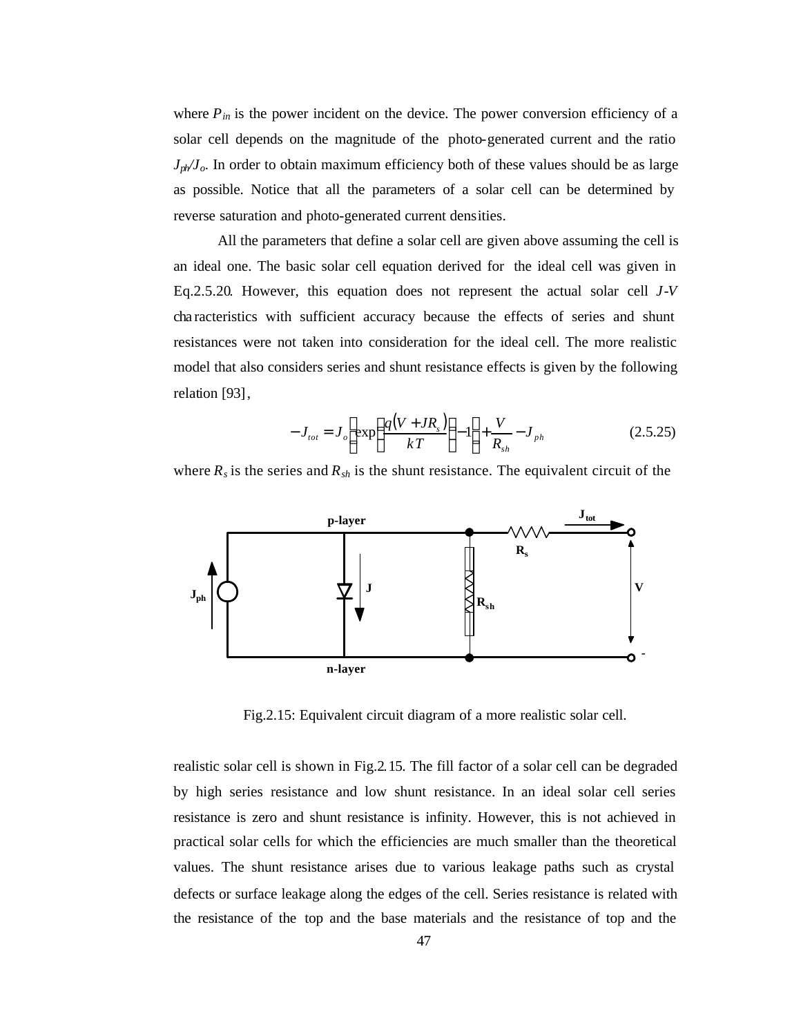where  $P_{in}$  is the power incident on the device. The power conversion efficiency of a solar cell depends on the magnitude of the photo-generated current and the ratio *Jph/Jo*. In order to obtain maximum efficiency both of these values should be as large as possible. Notice that all the parameters of a solar cell can be determined by reverse saturation and photo-generated current densities.

All the parameters that define a solar cell are given above assuming the cell is an ideal one. The basic solar cell equation derived for the ideal cell was given in Eq.2.5.20. However, this equation does not represent the actual solar cell *J-V* cha racteristics with sufficient accuracy because the effects of series and shunt resistances were not taken into consideration for the ideal cell. The more realistic model that also considers series and shunt resistance effects is given by the following relation [93],

$$
-J_{tot} = J_o \left[ \exp \left( \frac{q(V + JR_s)}{kT} \right) - 1 \right] + \frac{V}{R_{sh}} - J_{ph} \tag{2.5.25}
$$

where  $R_s$  is the series and  $R_{sh}$  is the shunt resistance. The equivalent circuit of the



Fig.2.15: Equivalent circuit diagram of a more realistic solar cell.

realistic solar cell is shown in Fig.2.15. The fill factor of a solar cell can be degraded by high series resistance and low shunt resistance. In an ideal solar cell series resistance is zero and shunt resistance is infinity. However, this is not achieved in practical solar cells for which the efficiencies are much smaller than the theoretical values. The shunt resistance arises due to various leakage paths such as crystal defects or surface leakage along the edges of the cell. Series resistance is related with the resistance of the top and the base materials and the resistance of top and the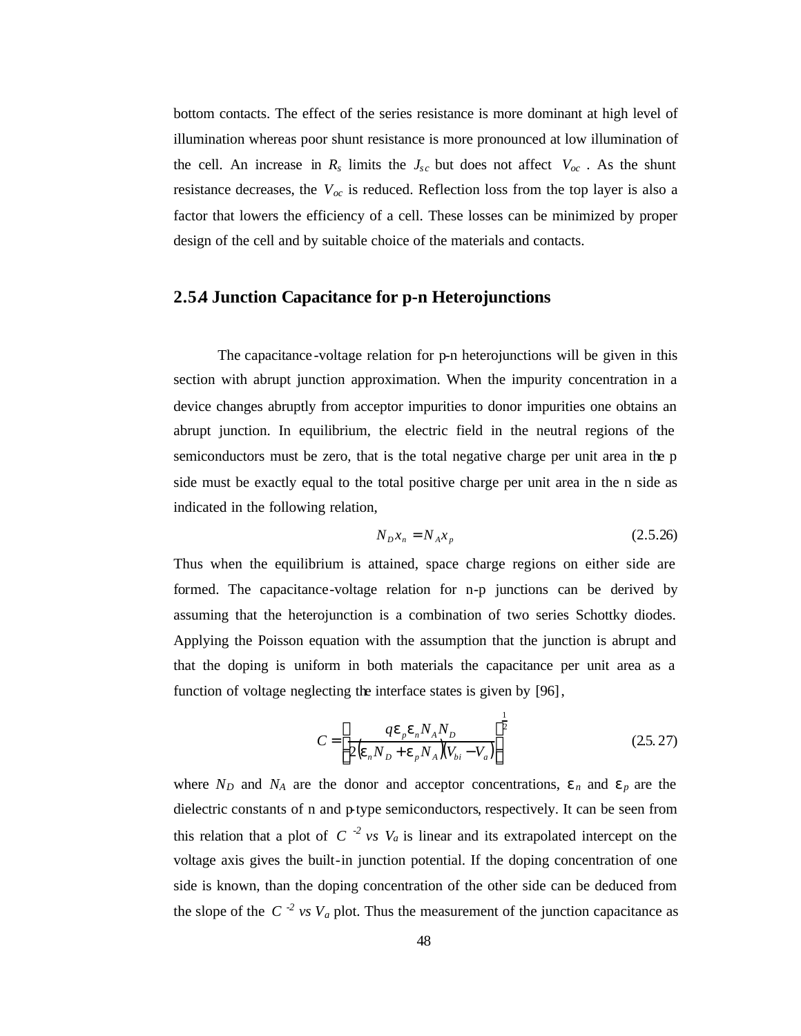bottom contacts. The effect of the series resistance is more dominant at high level of illumination whereas poor shunt resistance is more pronounced at low illumination of the cell. An increase in  $R_s$  limits the  $J_{sc}$  but does not affect  $V_{oc}$ . As the shunt resistance decreases, the  $V_{\alpha}$  is reduced. Reflection loss from the top layer is also a factor that lowers the efficiency of a cell. These losses can be minimized by proper design of the cell and by suitable choice of the materials and contacts.

## **2.5.4 Junction Capacitance for p-n Heterojunctions**

The capacitance -voltage relation for p-n heterojunctions will be given in this section with abrupt junction approximation. When the impurity concentration in a device changes abruptly from acceptor impurities to donor impurities one obtains an abrupt junction. In equilibrium, the electric field in the neutral regions of the semiconductors must be zero, that is the total negative charge per unit area in the p side must be exactly equal to the total positive charge per unit area in the n side as indicated in the following relation,

$$
N_D x_n = N_A x_p \tag{2.5.26}
$$

Thus when the equilibrium is attained, space charge regions on either side are formed. The capacitance-voltage relation for n-p junctions can be derived by assuming that the heterojunction is a combination of two series Schottky diodes. Applying the Poisson equation with the assumption that the junction is abrupt and that the doping is uniform in both materials the capacitance per unit area as a function of voltage neglecting the interface states is given by [96],

$$
C = \left[ \frac{q\mathbf{e}_p \mathbf{e}_n N_A N_D}{2(\mathbf{e}_n N_D + \mathbf{e}_p N_A)(V_{bi} - V_a)} \right]^{\frac{1}{2}}
$$
(25.27)

where  $N_D$  and  $N_A$  are the donor and acceptor concentrations,  $e_n$  and  $e_p$  are the dielectric constants of n and p-type semiconductors, respectively. It can be seen from this relation that a plot of  $C^{-2}$  *vs*  $V_a$  is linear and its extrapolated intercept on the voltage axis gives the built-in junction potential. If the doping concentration of one side is known, than the doping concentration of the other side can be deduced from the slope of the  $C^{-2}$  *vs*  $V_a$  plot. Thus the measurement of the junction capacitance as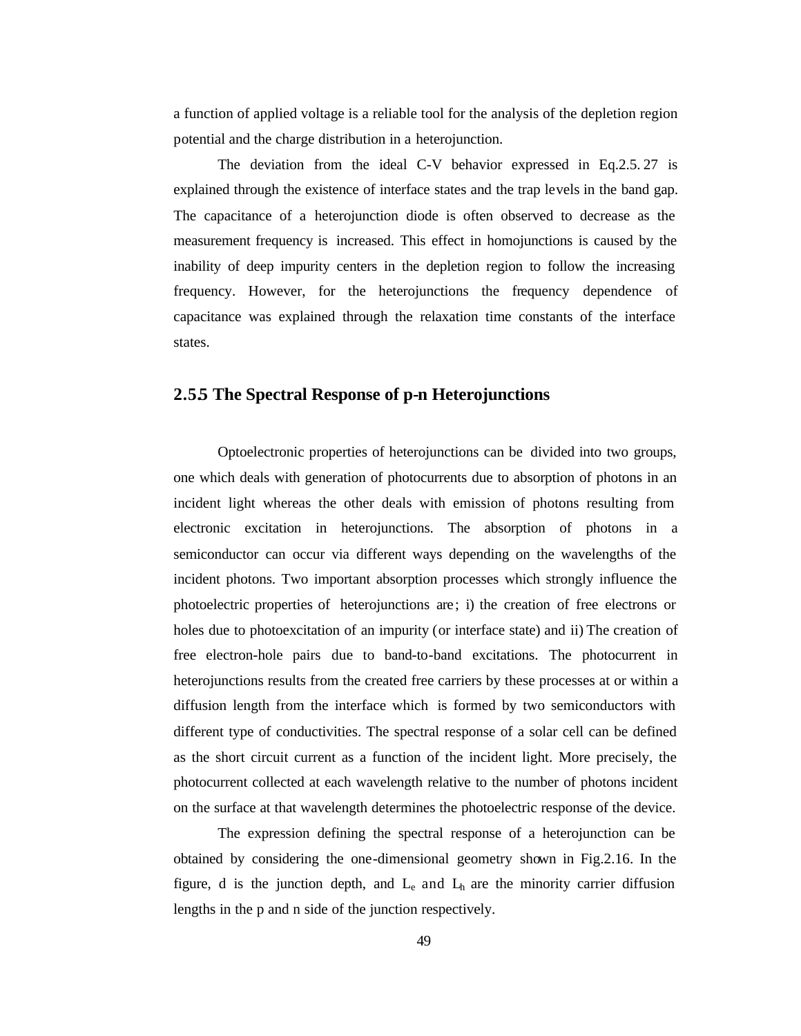a function of applied voltage is a reliable tool for the analysis of the depletion region potential and the charge distribution in a heterojunction.

The deviation from the ideal C-V behavior expressed in Eq.2.5. 27 is explained through the existence of interface states and the trap levels in the band gap. The capacitance of a heterojunction diode is often observed to decrease as the measurement frequency is increased. This effect in homojunctions is caused by the inability of deep impurity centers in the depletion region to follow the increasing frequency. However, for the heterojunctions the frequency dependence of capacitance was explained through the relaxation time constants of the interface states.

#### **2.5.5 The Spectral Response of p-n Heterojunctions**

Optoelectronic properties of heterojunctions can be divided into two groups, one which deals with generation of photocurrents due to absorption of photons in an incident light whereas the other deals with emission of photons resulting from electronic excitation in heterojunctions. The absorption of photons in a semiconductor can occur via different ways depending on the wavelengths of the incident photons. Two important absorption processes which strongly influence the photoelectric properties of heterojunctions are; i) the creation of free electrons or holes due to photoexcitation of an impurity (or interface state) and ii) The creation of free electron-hole pairs due to band-to-band excitations. The photocurrent in heterojunctions results from the created free carriers by these processes at or within a diffusion length from the interface which is formed by two semiconductors with different type of conductivities. The spectral response of a solar cell can be defined as the short circuit current as a function of the incident light. More precisely, the photocurrent collected at each wavelength relative to the number of photons incident on the surface at that wavelength determines the photoelectric response of the device.

The expression defining the spectral response of a heterojunction can be obtained by considering the one-dimensional geometry shown in Fig.2.16. In the figure, d is the junction depth, and  $L_{e}$  and  $L_{h}$  are the minority carrier diffusion lengths in the p and n side of the junction respectively.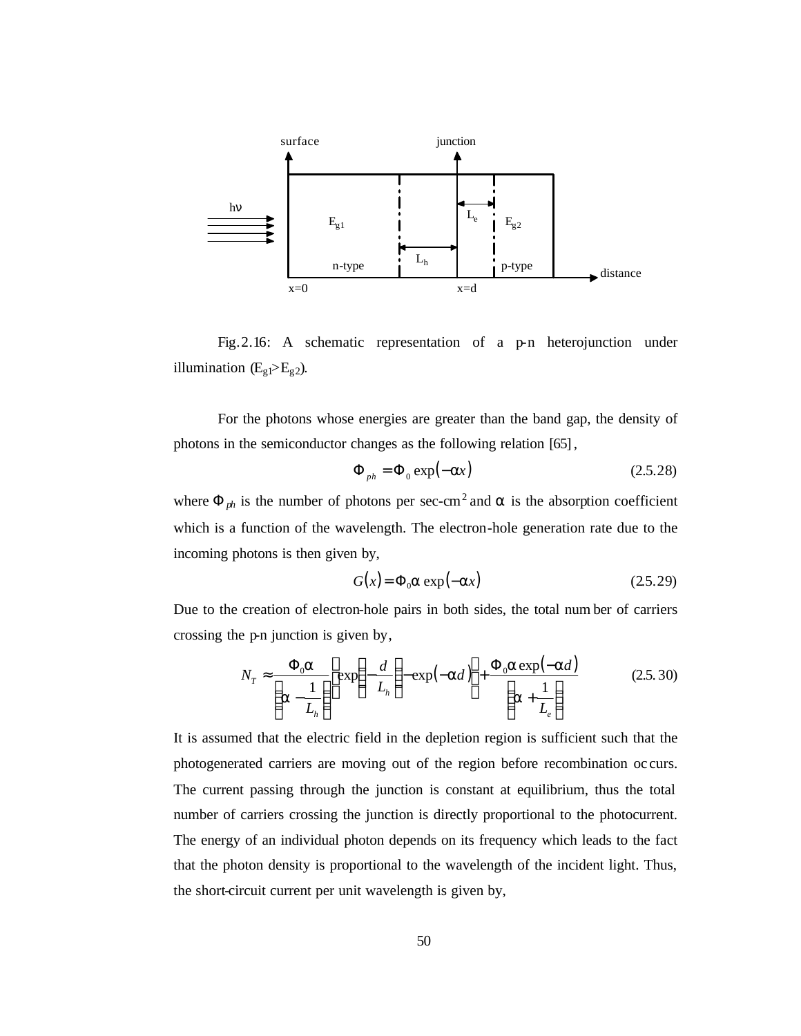

Fig.2.16: A schematic representation of a p-n heterojunction under illumination  $(E_{g1} > E_{g2})$ .

For the photons whose energies are greater than the band gap, the density of photons in the semiconductor changes as the following relation [65],

$$
\Phi_{ph} = \Phi_0 \exp(-ax) \tag{2.5.28}
$$

where  $\Phi_{ph}$  is the number of photons per sec-cm<sup>2</sup> and **a** is the absorption coefficient which is a function of the wavelength. The electron-hole generation rate due to the incoming photons is then given by,

$$
G(x) = \Phi_0 \mathbf{a} \exp(-\mathbf{a}x) \tag{25.29}
$$

Due to the creation of electron-hole pairs in both sides, the total num ber of carriers crossing the p-n junction is given by,

$$
N_T \approx \frac{\Phi_0 \mathbf{a}}{\left(\mathbf{a} - \frac{1}{L_h}\right)} \left[ \exp\left(-\frac{d}{L_h}\right) - \exp(-\mathbf{a}d) \right] + \frac{\Phi_0 \mathbf{a} \exp(-\mathbf{a}d)}{\left(\mathbf{a} + \frac{1}{L_e}\right)} \tag{2.5.30}
$$

It is assumed that the electric field in the depletion region is sufficient such that the photogenerated carriers are moving out of the region before recombination oc curs. The current passing through the junction is constant at equilibrium, thus the total number of carriers crossing the junction is directly proportional to the photocurrent. The energy of an individual photon depends on its frequency which leads to the fact that the photon density is proportional to the wavelength of the incident light. Thus, the short-circuit current per unit wavelength is given by,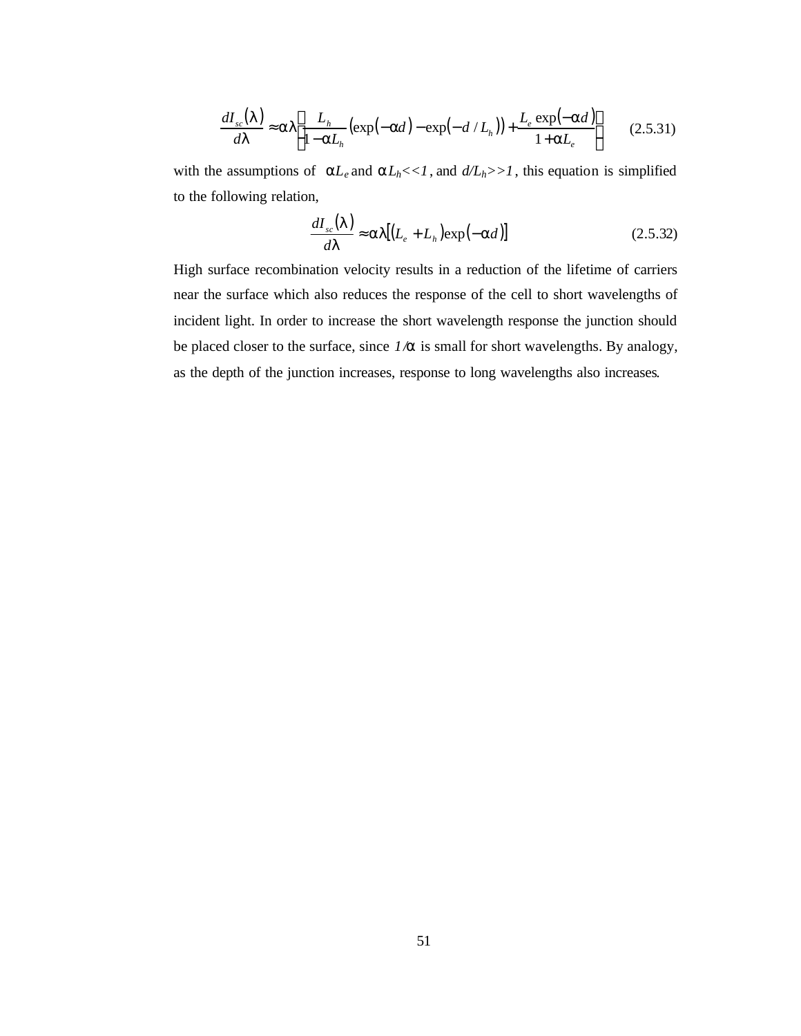$$
\frac{dI_{sc}(I)}{dI} \approx \mathbf{a}I \left[ \frac{L_h}{1-\mathbf{a}L_h} \left( \exp(-\mathbf{a}d) - \exp(-d/L_h) \right) + \frac{L_e \exp(-\mathbf{a}d)}{1+\mathbf{a}L_e} \right] \tag{2.5.31}
$$

with the assumptions of  $aL_e$  and  $aL_h \ll 1$ , and  $d/L_h \gg 1$ , this equation is simplified to the following relation,

$$
\frac{dI_{sc}(I)}{dI} \approx \mathbf{a}I[(L_e + L_h)\exp(-\mathbf{a}d)]
$$
\n(2.5.32)

High surface recombination velocity results in a reduction of the lifetime of carriers near the surface which also reduces the response of the cell to short wavelengths of incident light. In order to increase the short wavelength response the junction should be placed closer to the surface, since *1/a* is small for short wavelengths. By analogy, as the depth of the junction increases, response to long wavelengths also increases.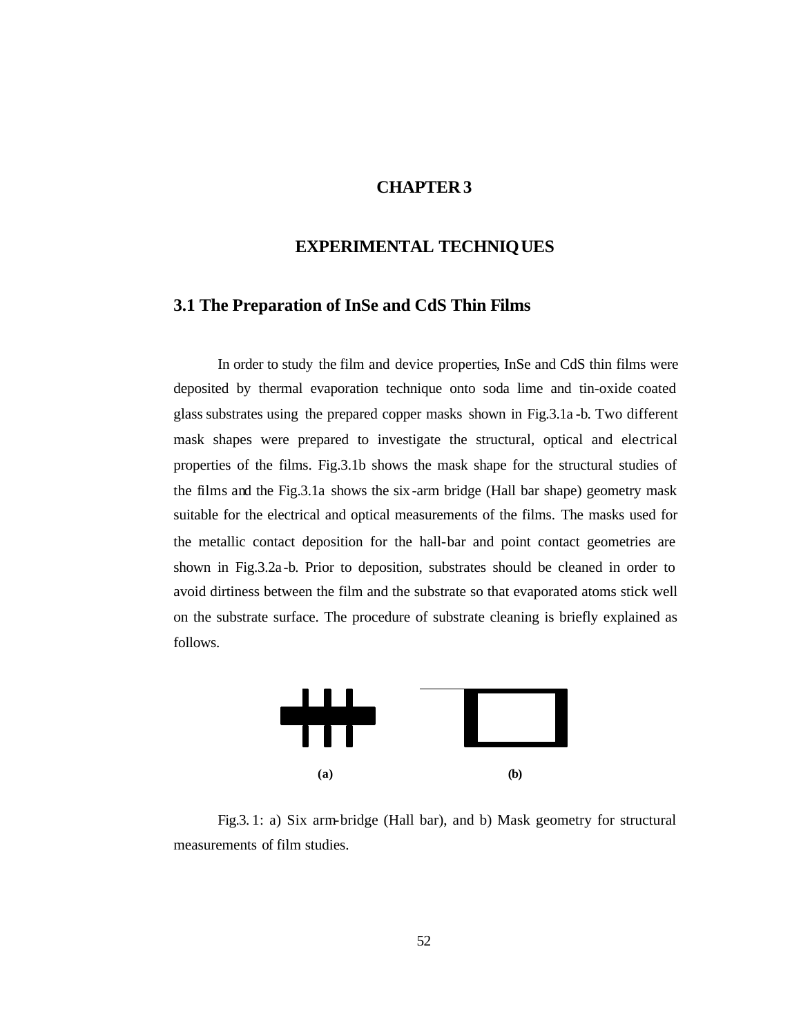#### **CHAPTER 3**

#### **EXPERIMENTAL TECHNIQUES**

#### **3.1 The Preparation of InSe and CdS Thin Films**

In order to study the film and device properties, InSe and CdS thin films were deposited by thermal evaporation technique onto soda lime and tin-oxide coated glass substrates using the prepared copper masks shown in Fig.3.1a -b. Two different mask shapes were prepared to investigate the structural, optical and electrical properties of the films. Fig.3.1b shows the mask shape for the structural studies of the films and the Fig.3.1a shows the six-arm bridge (Hall bar shape) geometry mask suitable for the electrical and optical measurements of the films. The masks used for the metallic contact deposition for the hall-bar and point contact geometries are shown in Fig.3.2a -b. Prior to deposition, substrates should be cleaned in order to avoid dirtiness between the film and the substrate so that evaporated atoms stick well on the substrate surface. The procedure of substrate cleaning is briefly explained as follows.



Fig.3. 1: a) Six arm-bridge (Hall bar), and b) Mask geometry for structural measurements of film studies.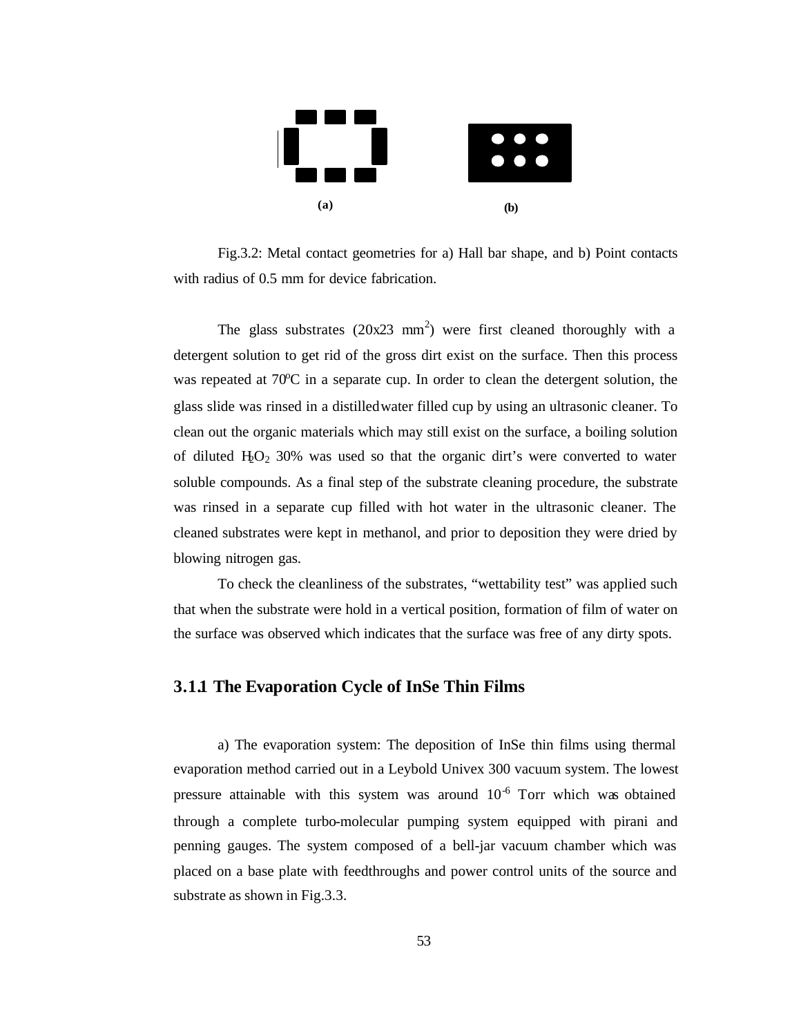

Fig.3.2: Metal contact geometries for a) Hall bar shape, and b) Point contacts with radius of 0.5 mm for device fabrication.

The glass substrates  $(20x23 \text{ mm}^2)$  were first cleaned thoroughly with a detergent solution to get rid of the gross dirt exist on the surface. Then this process was repeated at  $70^{\circ}$ C in a separate cup. In order to clean the detergent solution, the glass slide was rinsed in a distilled water filled cup by using an ultrasonic cleaner. To clean out the organic materials which may still exist on the surface, a boiling solution of diluted  $H_2O_2$  30% was used so that the organic dirt's were converted to water soluble compounds. As a final step of the substrate cleaning procedure, the substrate was rinsed in a separate cup filled with hot water in the ultrasonic cleaner. The cleaned substrates were kept in methanol, and prior to deposition they were dried by blowing nitrogen gas.

To check the cleanliness of the substrates, "wettability test" was applied such that when the substrate were hold in a vertical position, formation of film of water on the surface was observed which indicates that the surface was free of any dirty spots.

## **3.1.1 The Evaporation Cycle of InSe Thin Films**

a) The evaporation system: The deposition of InSe thin films using thermal evaporation method carried out in a Leybold Univex 300 vacuum system. The lowest pressure attainable with this system was around  $10^{-6}$  Torr which was obtained through a complete turbo-molecular pumping system equipped with pirani and penning gauges. The system composed of a bell-jar vacuum chamber which was placed on a base plate with feedthroughs and power control units of the source and substrate as shown in Fig.3.3.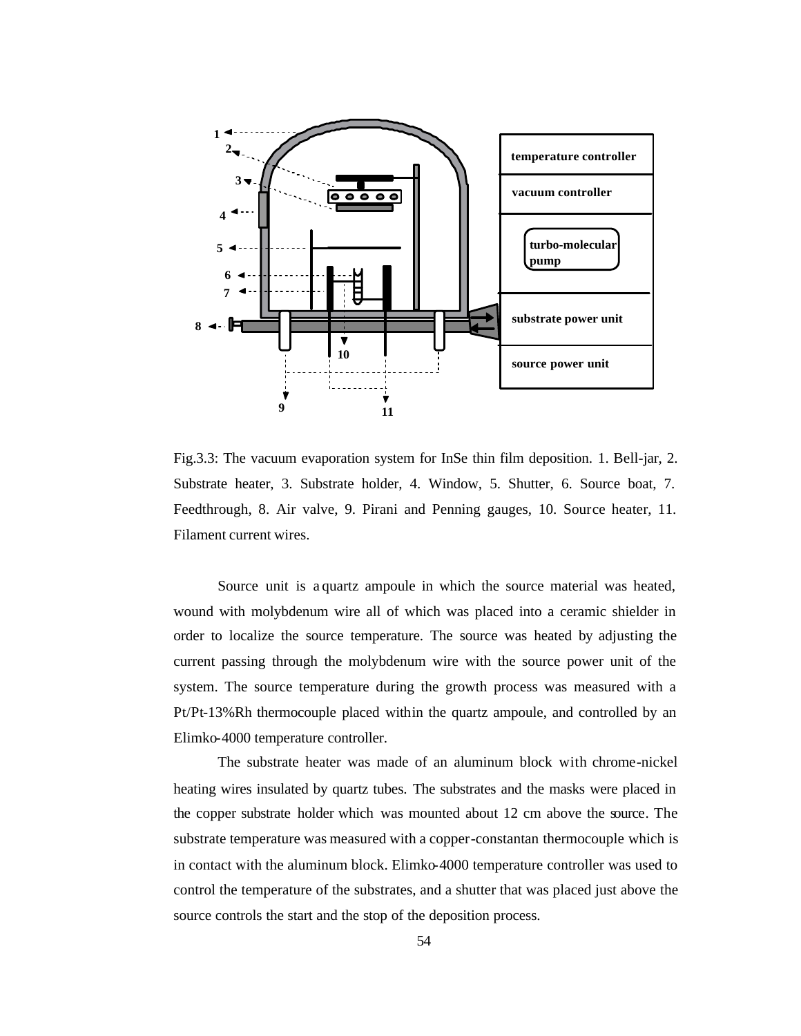

Fig.3.3: The vacuum evaporation system for InSe thin film deposition. 1. Bell-jar, 2. Substrate heater, 3. Substrate holder, 4. Window, 5. Shutter, 6. Source boat, 7. Feedthrough, 8. Air valve, 9. Pirani and Penning gauges, 10. Source heater, 11. Filament current wires.

Source unit is a quartz ampoule in which the source material was heated, wound with molybdenum wire all of which was placed into a ceramic shielder in order to localize the source temperature. The source was heated by adjusting the current passing through the molybdenum wire with the source power unit of the system. The source temperature during the growth process was measured with a Pt/Pt-13%Rh thermocouple placed within the quartz ampoule, and controlled by an Elimko-4000 temperature controller.

The substrate heater was made of an aluminum block with chrome-nickel heating wires insulated by quartz tubes. The substrates and the masks were placed in the copper substrate holder which was mounted about 12 cm above the source. The substrate temperature was measured with a copper-constantan thermocouple which is in contact with the aluminum block. Elimko-4000 temperature controller was used to control the temperature of the substrates, and a shutter that was placed just above the source controls the start and the stop of the deposition process.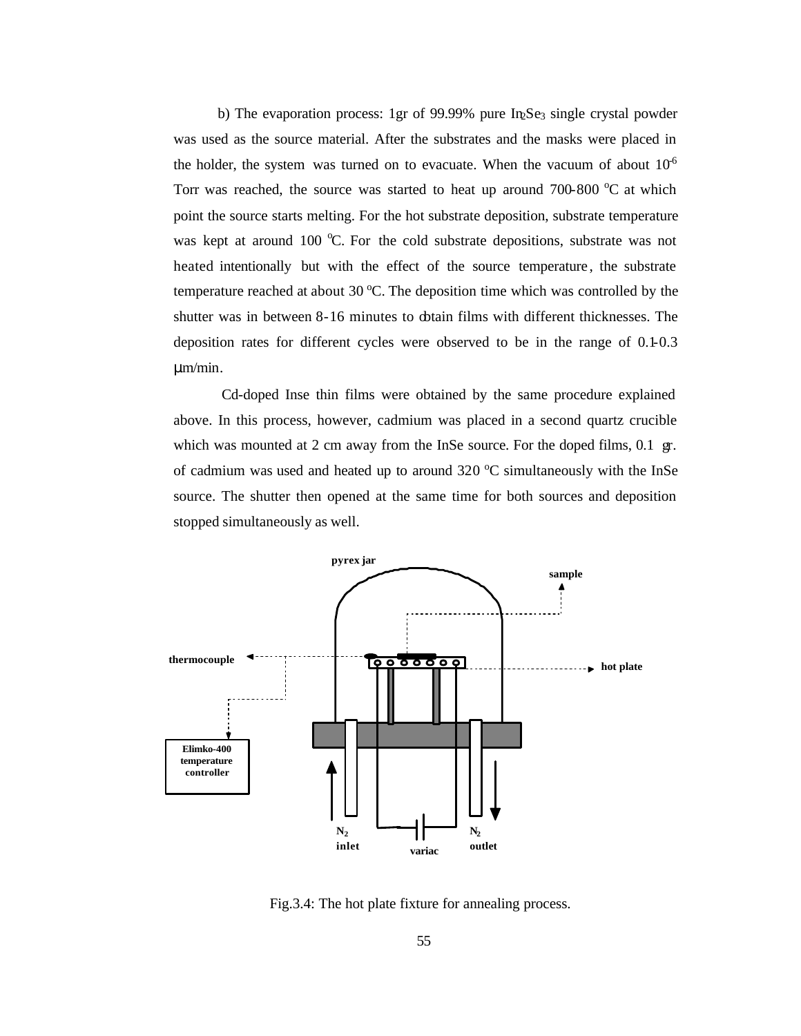b) The evaporation process: 1gr of 99.99% pure In Se<sub>3</sub> single crystal powder was used as the source material. After the substrates and the masks were placed in the holder, the system was turned on to evacuate. When the vacuum of about  $10<sup>6</sup>$ Torr was reached, the source was started to heat up around  $700-800\degree C$  at which point the source starts melting. For the hot substrate deposition, substrate temperature was kept at around 100  $\degree$ C. For the cold substrate depositions, substrate was not heated intentionally but with the effect of the source temperature , the substrate temperature reached at about 30  $^{\circ}$ C. The deposition time which was controlled by the shutter was in between 8-16 minutes to obtain films with different thicknesses. The deposition rates for different cycles were observed to be in the range of 0.1-0.3 μm/min.

 Cd-doped Inse thin films were obtained by the same procedure explained above. In this process, however, cadmium was placed in a second quartz crucible which was mounted at 2 cm away from the InSe source. For the doped films, 0.1 gr. of cadmium was used and heated up to around  $320^{\circ}$ C simultaneously with the InSe source. The shutter then opened at the same time for both sources and deposition stopped simultaneously as well.



Fig.3.4: The hot plate fixture for annealing process.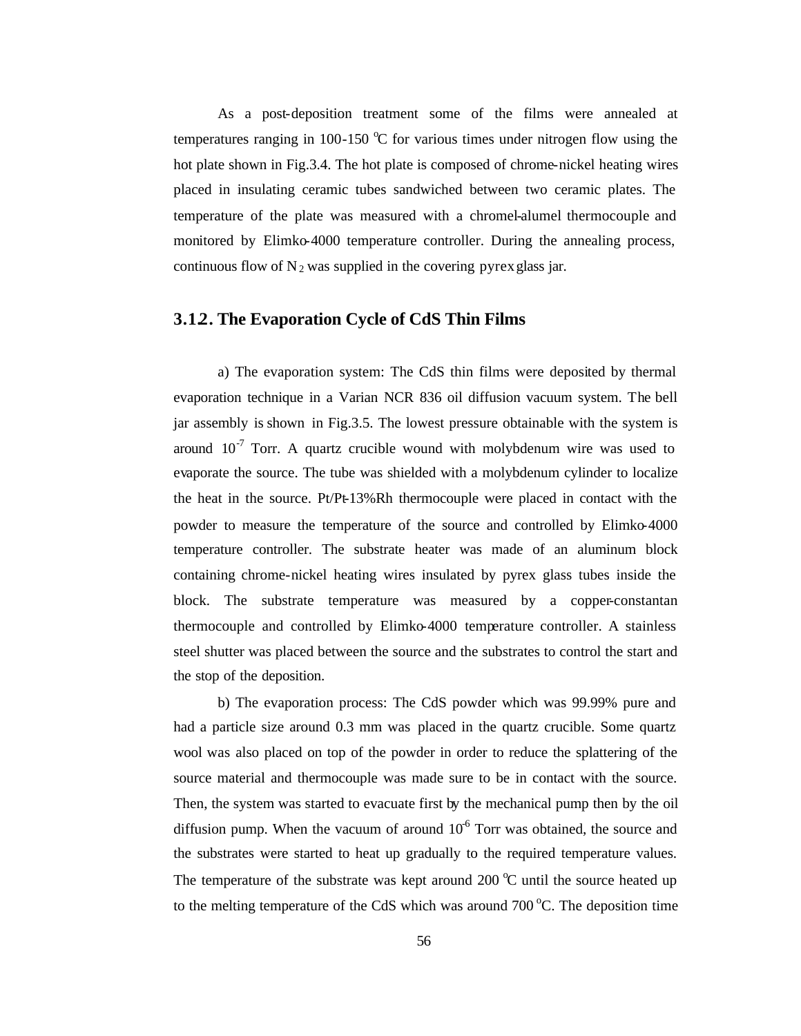As a post-deposition treatment some of the films were annealed at temperatures ranging in 100-150  $\degree$ C for various times under nitrogen flow using the hot plate shown in Fig.3.4. The hot plate is composed of chrome-nickel heating wires placed in insulating ceramic tubes sandwiched between two ceramic plates. The temperature of the plate was measured with a chromel-alumel thermocouple and monitored by Elimko-4000 temperature controller. During the annealing process, continuous flow of  $N_2$  was supplied in the covering pyrex glass jar.

#### **3.1.2. The Evaporation Cycle of CdS Thin Films**

a) The evaporation system: The CdS thin films were deposited by thermal evaporation technique in a Varian NCR 836 oil diffusion vacuum system. The bell jar assembly is shown in Fig.3.5. The lowest pressure obtainable with the system is around  $10^{-7}$  Torr. A quartz crucible wound with molybdenum wire was used to evaporate the source. The tube was shielded with a molybdenum cylinder to localize the heat in the source. Pt/Pt-13%Rh thermocouple were placed in contact with the powder to measure the temperature of the source and controlled by Elimko-4000 temperature controller. The substrate heater was made of an aluminum block containing chrome-nickel heating wires insulated by pyrex glass tubes inside the block. The substrate temperature was measured by a copper-constantan thermocouple and controlled by Elimko-4000 temperature controller. A stainless steel shutter was placed between the source and the substrates to control the start and the stop of the deposition.

b) The evaporation process: The CdS powder which was 99.99% pure and had a particle size around 0.3 mm was placed in the quartz crucible. Some quartz wool was also placed on top of the powder in order to reduce the splattering of the source material and thermocouple was made sure to be in contact with the source. Then, the system was started to evacuate first by the mechanical pump then by the oil diffusion pump. When the vacuum of around  $10<sup>6</sup>$  Torr was obtained, the source and the substrates were started to heat up gradually to the required temperature values. The temperature of the substrate was kept around 200  $^{\circ}$ C until the source heated up to the melting temperature of the CdS which was around  $700\,^{\circ}$ C. The deposition time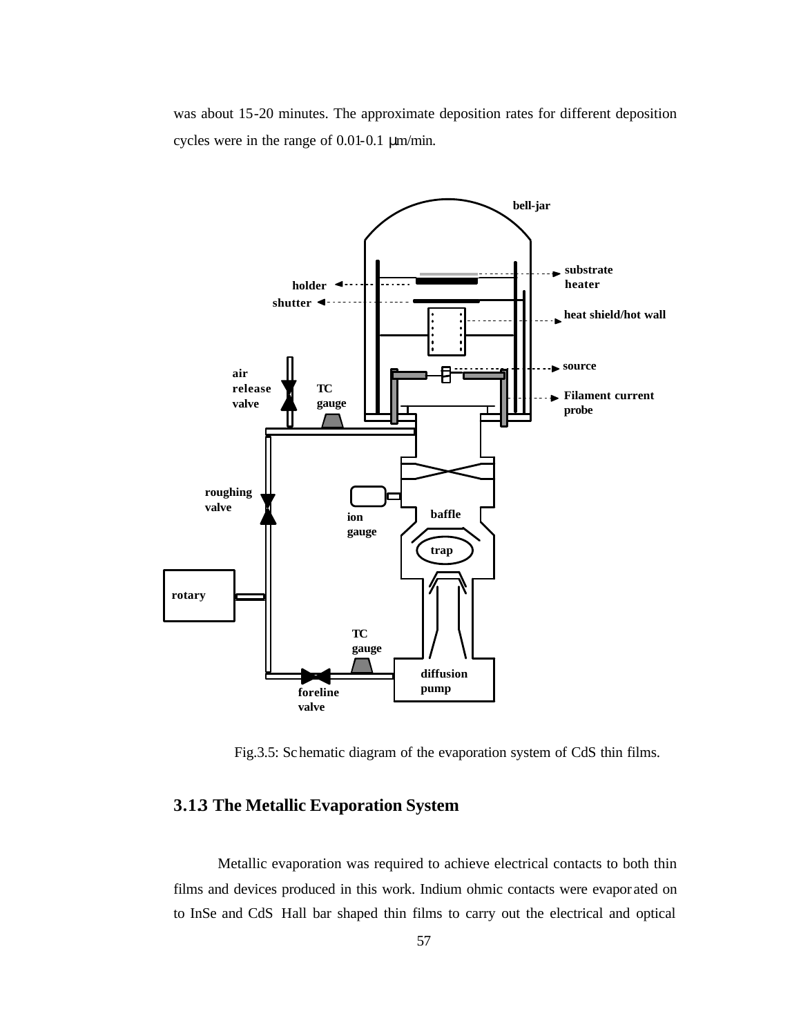was about 15-20 minutes. The approximate deposition rates for different deposition cycles were in the range of 0.01-0.1 μm/min.



Fig.3.5: Schematic diagram of the evaporation system of CdS thin films.

## **3.1.3 The Metallic Evaporation System**

Metallic evaporation was required to achieve electrical contacts to both thin films and devices produced in this work. Indium ohmic contacts were evapor ated on to InSe and CdS Hall bar shaped thin films to carry out the electrical and optical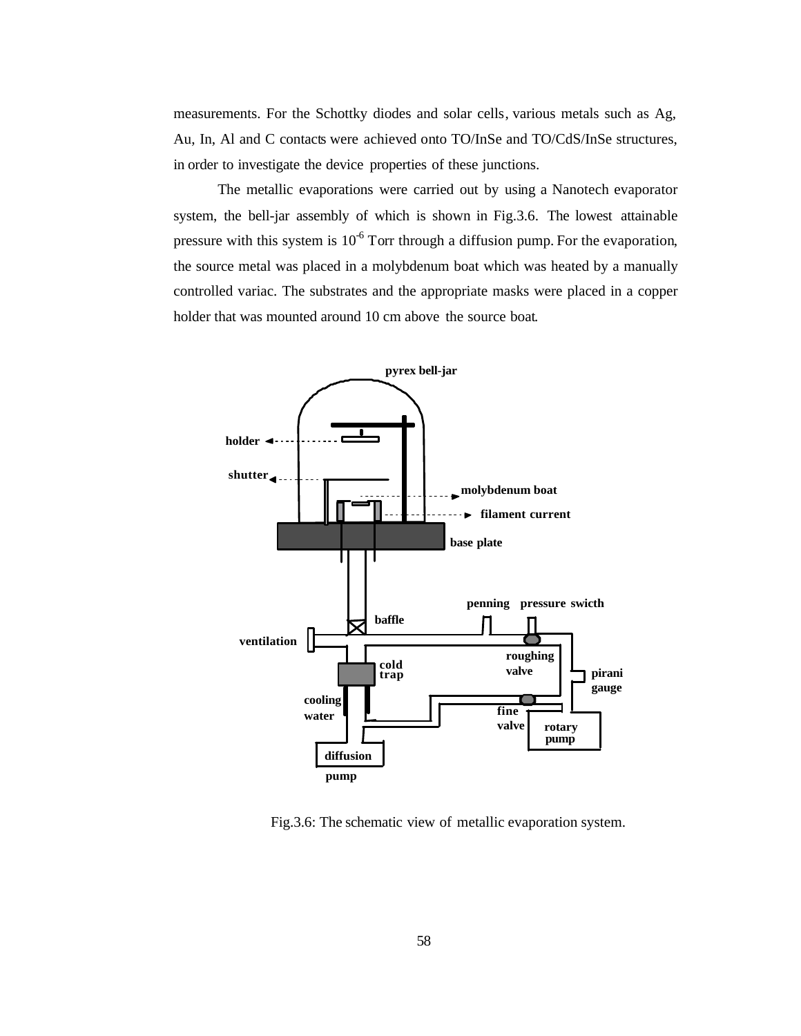measurements. For the Schottky diodes and solar cells, various metals such as Ag, Au, In, Al and C contacts were achieved onto TO/InSe and TO/CdS/InSe structures, in order to investigate the device properties of these junctions.

The metallic evaporations were carried out by using a Nanotech evaporator system, the bell-jar assembly of which is shown in Fig.3.6. The lowest attainable pressure with this system is  $10^{-6}$  Torr through a diffusion pump. For the evaporation, the source metal was placed in a molybdenum boat which was heated by a manually controlled variac. The substrates and the appropriate masks were placed in a copper holder that was mounted around 10 cm above the source boat.



Fig.3.6: The schematic view of metallic evaporation system.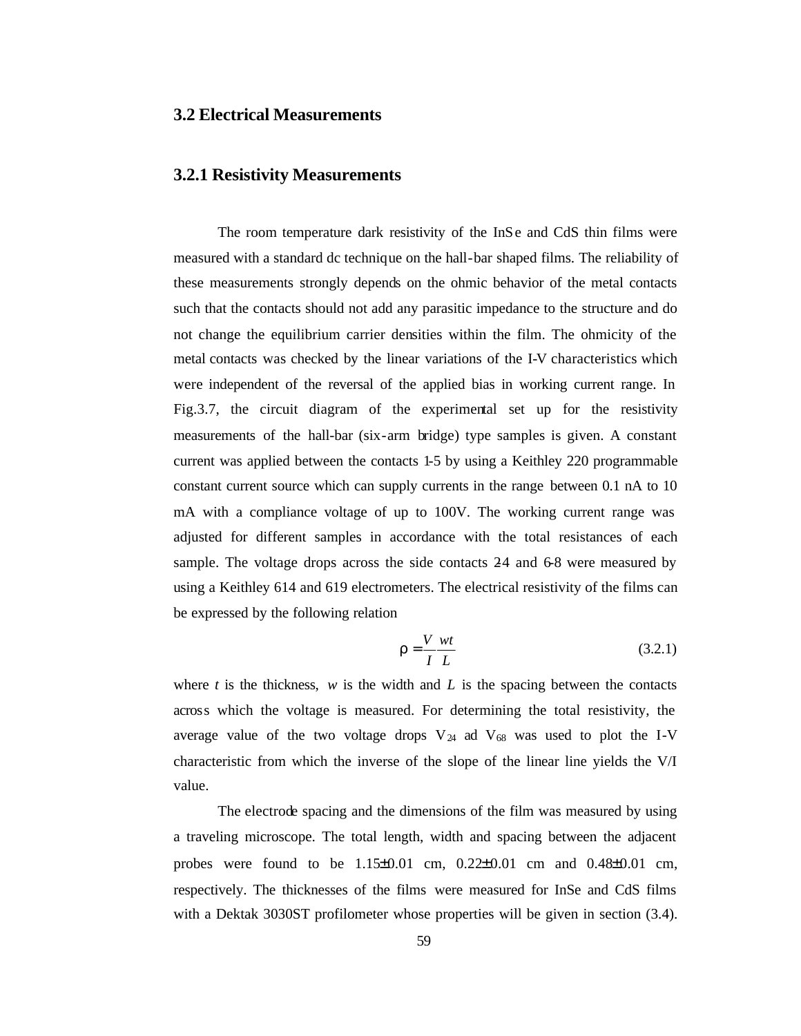#### **3.2 Electrical Measurements**

#### **3.2.1 Resistivity Measurements**

The room temperature dark resistivity of the InSe and CdS thin films were measured with a standard dc technique on the hall-bar shaped films. The reliability of these measurements strongly depends on the ohmic behavior of the metal contacts such that the contacts should not add any parasitic impedance to the structure and do not change the equilibrium carrier densities within the film. The ohmicity of the metal contacts was checked by the linear variations of the I-V characteristics which were independent of the reversal of the applied bias in working current range. In Fig.3.7, the circuit diagram of the experimental set up for the resistivity measurements of the hall-bar (six-arm bridge) type samples is given. A constant current was applied between the contacts 1-5 by using a Keithley 220 programmable constant current source which can supply currents in the range between 0.1 nA to 10 mA with a compliance voltage of up to 100V. The working current range was adjusted for different samples in accordance with the total resistances of each sample. The voltage drops across the side contacts 24 and 6-8 were measured by using a Keithley 614 and 619 electrometers. The electrical resistivity of the films can be expressed by the following relation

$$
r = \frac{V}{I} \frac{wt}{L}
$$
 (3.2.1)

where *t* is the thickness, *w* is the width and *L* is the spacing between the contacts across which the voltage is measured. For determining the total resistivity, the average value of the two voltage drops  $V_{24}$  ad  $V_{68}$  was used to plot the I-V characteristic from which the inverse of the slope of the linear line yields the V/I value.

The electrode spacing and the dimensions of the film was measured by using a traveling microscope. The total length, width and spacing between the adjacent probes were found to be  $1.15\pm0.01$  cm,  $0.22\pm0.01$  cm and  $0.48\pm0.01$  cm, respectively. The thicknesses of the films were measured for InSe and CdS films with a Dektak 3030ST profilometer whose properties will be given in section (3.4).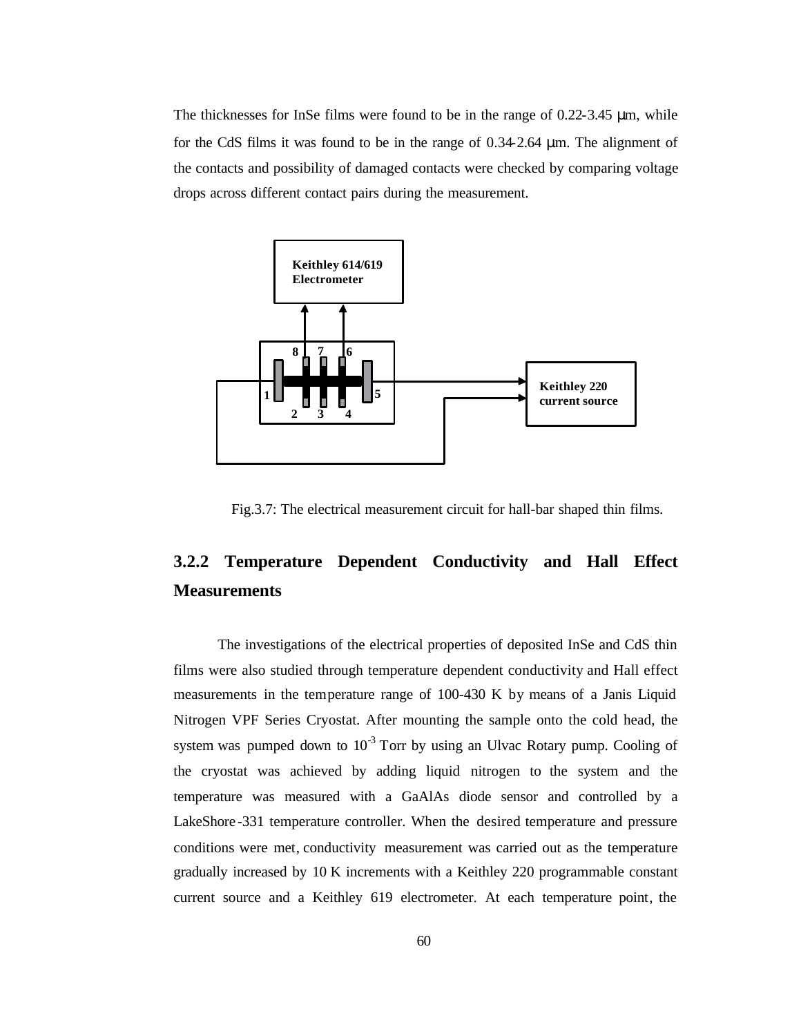The thicknesses for InSe films were found to be in the range of 0.22-3.45 μm, while for the CdS films it was found to be in the range of 0.34-2.64 μm. The alignment of the contacts and possibility of damaged contacts were checked by comparing voltage drops across different contact pairs during the measurement.



Fig.3.7: The electrical measurement circuit for hall-bar shaped thin films.

# **3.2.2 Temperature Dependent Conductivity and Hall Effect Measurements**

The investigations of the electrical properties of deposited InSe and CdS thin films were also studied through temperature dependent conductivity and Hall effect measurements in the temperature range of 100-430 K by means of a Janis Liquid Nitrogen VPF Series Cryostat. After mounting the sample onto the cold head, the system was pumped down to  $10^{-3}$  Torr by using an Ulvac Rotary pump. Cooling of the cryostat was achieved by adding liquid nitrogen to the system and the temperature was measured with a GaAlAs diode sensor and controlled by a LakeShore -331 temperature controller. When the desired temperature and pressure conditions were met, conductivity measurement was carried out as the temperature gradually increased by 10 K increments with a Keithley 220 programmable constant current source and a Keithley 619 electrometer. At each temperature point, the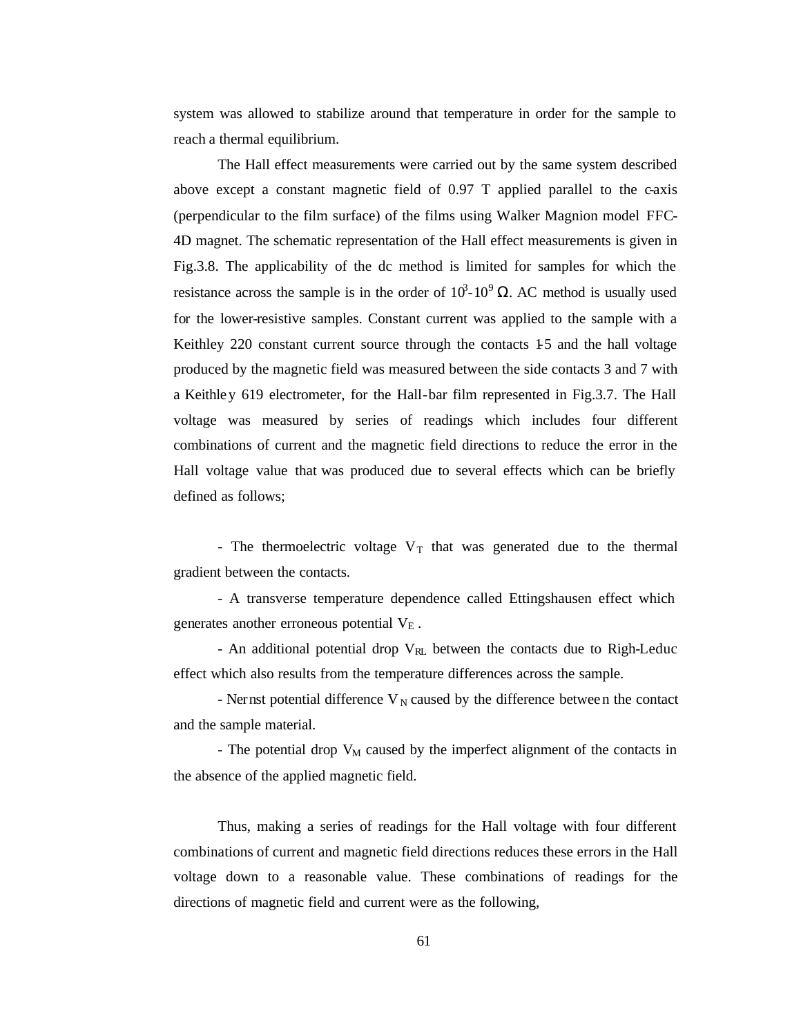system was allowed to stabilize around that temperature in order for the sample to reach a thermal equilibrium.

The Hall effect measurements were carried out by the same system described above except a constant magnetic field of  $0.97$  T applied parallel to the c-axis (perpendicular to the film surface) of the films using Walker Magnion model FFC-4D magnet. The schematic representation of the Hall effect measurements is given in Fig.3.8. The applicability of the dc method is limited for samples for which the resistance across the sample is in the order of  $10^3$ - $10^9$   $\Omega$ . AC method is usually used for the lower-resistive samples. Constant current was applied to the sample with a Keithley 220 constant current source through the contacts 15 and the hall voltage produced by the magnetic field was measured between the side contacts 3 and 7 with a Keithley 619 electrometer, for the Hall-bar film represented in Fig.3.7. The Hall voltage was measured by series of readings which includes four different combinations of current and the magnetic field directions to reduce the error in the Hall voltage value that was produced due to several effects which can be briefly defined as follows;

- The thermoelectric voltage  $V_T$  that was generated due to the thermal gradient between the contacts.

- A transverse temperature dependence called Ettingshausen effect which generates another erroneous potential  $V_E$ .

- An additional potential drop  $V_{RL}$  between the contacts due to Righ-Leduc effect which also results from the temperature differences across the sample.

- Nernst potential difference  $V_N$  caused by the difference between the contact and the sample material.

- The potential drop  $V_M$  caused by the imperfect alignment of the contacts in the absence of the applied magnetic field.

Thus, making a series of readings for the Hall voltage with four different combinations of current and magnetic field directions reduces these errors in the Hall voltage down to a reasonable value. These combinations of readings for the directions of magnetic field and current were as the following,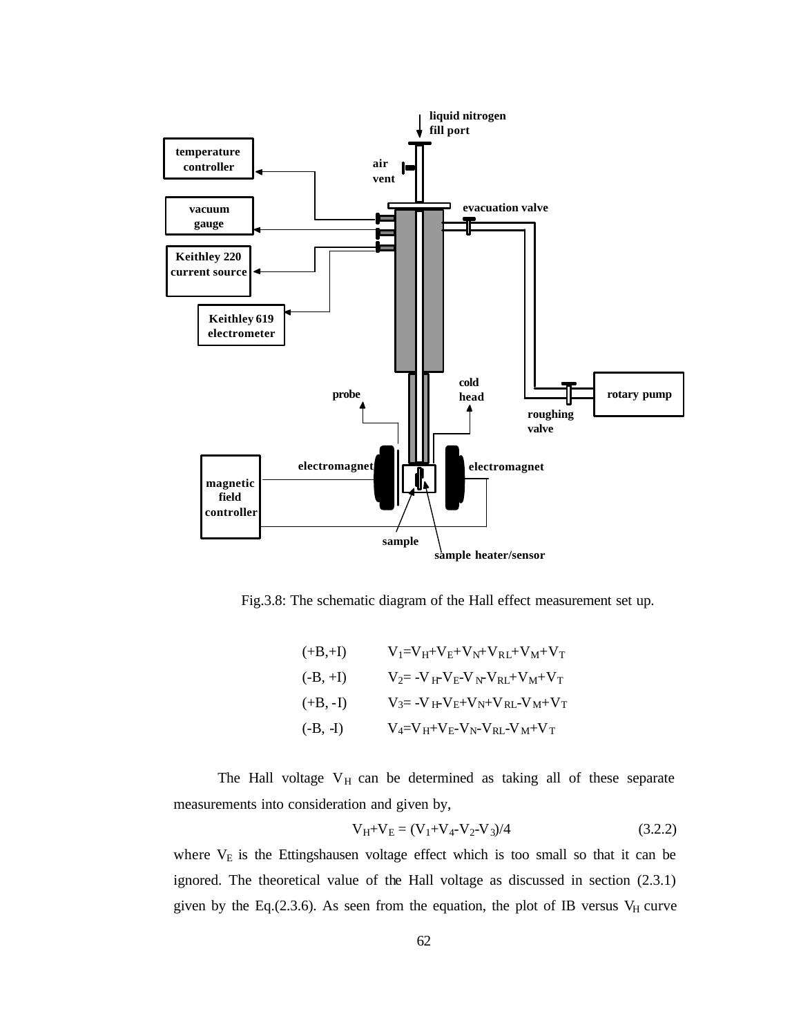

Fig.3.8: The schematic diagram of the Hall effect measurement set up.

( +B, +I) 
$$
V_1 = V_H + V_E + V_N + V_{RL} + V_M + V_T
$$

$$
V_2 = -V_H + V_E - V_N - V_{RL} + V_M + V_T
$$

$$
V_3 = -V_H + V_E + V_N + V_{RL} - V_M + V_T
$$

$$
V_4 = V_H + V_E - V_N - V_{RL} - V_M + V_T
$$

The Hall voltage  $V_H$  can be determined as taking all of these separate measurements into consideration and given by,

$$
V_H + V_E = (V_1 + V_4 - V_2 - V_3)/4
$$
\n(3.2.2)

where  $V<sub>E</sub>$  is the Ettingshausen voltage effect which is too small so that it can be ignored. The theoretical value of the Hall voltage as discussed in section (2.3.1) given by the Eq.(2.3.6). As seen from the equation, the plot of IB versus  $V_H$  curve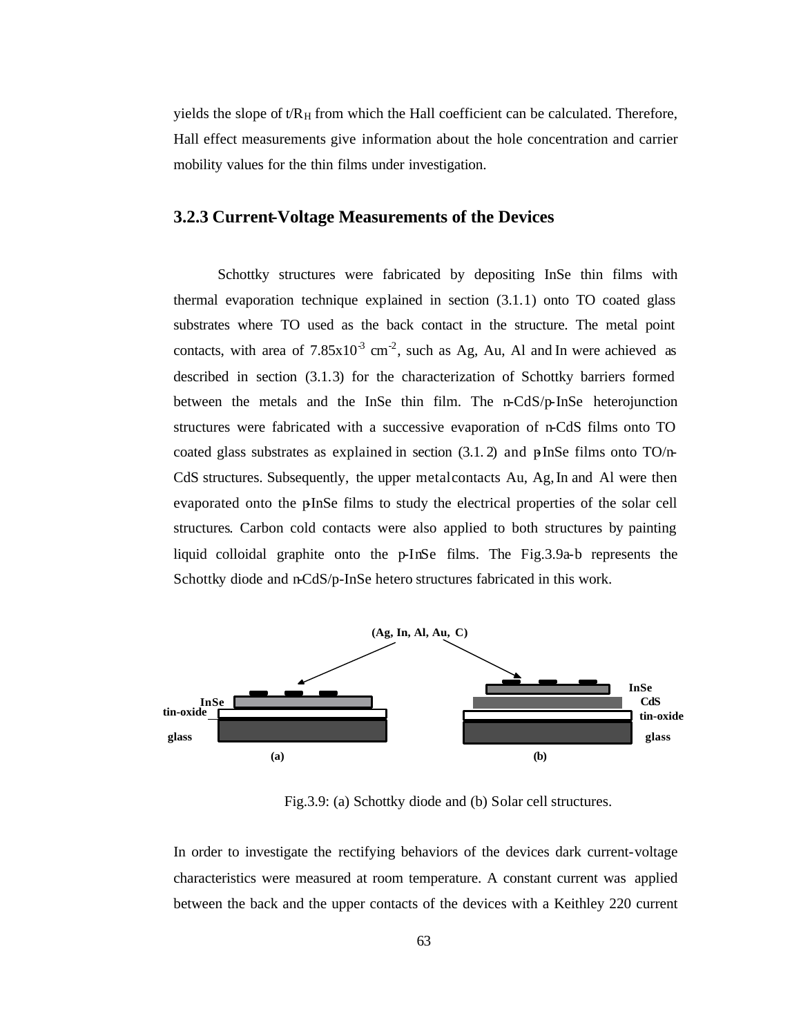yields the slope of  $t/R_H$  from which the Hall coefficient can be calculated. Therefore, Hall effect measurements give information about the hole concentration and carrier mobility values for the thin films under investigation.

#### **3.2.3 Current-Voltage Measurements of the Devices**

Schottky structures were fabricated by depositing InSe thin films with thermal evaporation technique explained in section (3.1.1) onto TO coated glass substrates where TO used as the back contact in the structure. The metal point contacts, with area of  $7.85 \times 10^{-3}$  cm<sup>-2</sup>, such as Ag, Au, Al and In were achieved as described in section (3.1.3) for the characterization of Schottky barriers formed between the metals and the InSe thin film. The n-CdS/p-InSe heterojunction structures were fabricated with a successive evaporation of n-CdS films onto TO coated glass substrates as explained in section  $(3.1.2)$  and pInSe films onto TO/n-CdS structures. Subsequently, the upper metal contacts Au, Ag, In and Al were then evaporated onto the pInSe films to study the electrical properties of the solar cell structures. Carbon cold contacts were also applied to both structures by painting liquid colloidal graphite onto the p-InSe films. The Fig.3.9a-b represents the Schottky diode and n-CdS/p-InSe hetero structures fabricated in this work.



Fig.3.9: (a) Schottky diode and (b) Solar cell structures.

In order to investigate the rectifying behaviors of the devices dark current-voltage characteristics were measured at room temperature. A constant current was applied between the back and the upper contacts of the devices with a Keithley 220 current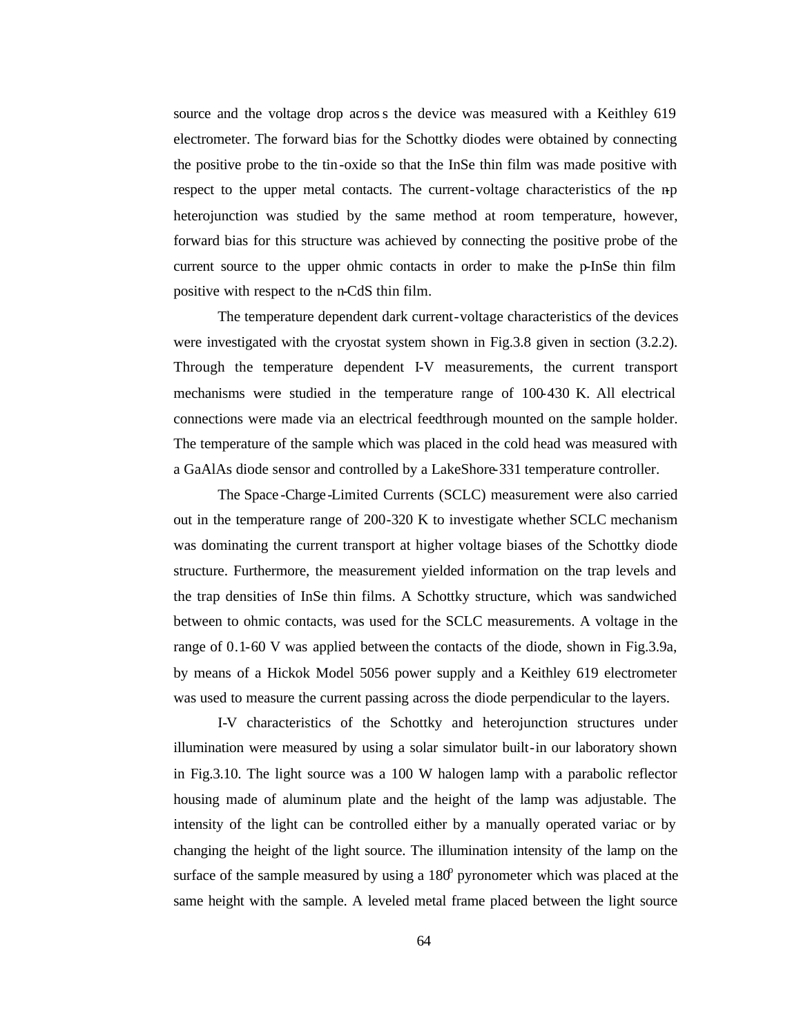source and the voltage drop across the device was measured with a Keithley 619 electrometer. The forward bias for the Schottky diodes were obtained by connecting the positive probe to the tin-oxide so that the InSe thin film was made positive with respect to the upper metal contacts. The current-voltage characteristics of the np heterojunction was studied by the same method at room temperature, however, forward bias for this structure was achieved by connecting the positive probe of the current source to the upper ohmic contacts in order to make the p-InSe thin film positive with respect to the n-CdS thin film.

The temperature dependent dark current-voltage characteristics of the devices were investigated with the cryostat system shown in Fig.3.8 given in section (3.2.2). Through the temperature dependent I-V measurements, the current transport mechanisms were studied in the temperature range of 100-430 K. All electrical connections were made via an electrical feedthrough mounted on the sample holder. The temperature of the sample which was placed in the cold head was measured with a GaAlAs diode sensor and controlled by a LakeShore-331 temperature controller.

The Space -Charge-Limited Currents (SCLC) measurement were also carried out in the temperature range of 200-320 K to investigate whether SCLC mechanism was dominating the current transport at higher voltage biases of the Schottky diode structure. Furthermore, the measurement yielded information on the trap levels and the trap densities of InSe thin films. A Schottky structure, which was sandwiched between to ohmic contacts, was used for the SCLC measurements. A voltage in the range of 0.1-60 V was applied between the contacts of the diode, shown in Fig.3.9a, by means of a Hickok Model 5056 power supply and a Keithley 619 electrometer was used to measure the current passing across the diode perpendicular to the layers.

I-V characteristics of the Schottky and heterojunction structures under illumination were measured by using a solar simulator built-in our laboratory shown in Fig.3.10. The light source was a 100 W halogen lamp with a parabolic reflector housing made of aluminum plate and the height of the lamp was adjustable. The intensity of the light can be controlled either by a manually operated variac or by changing the height of the light source. The illumination intensity of the lamp on the surface of the sample measured by using a  $180^{\circ}$  pyronometer which was placed at the same height with the sample. A leveled metal frame placed between the light source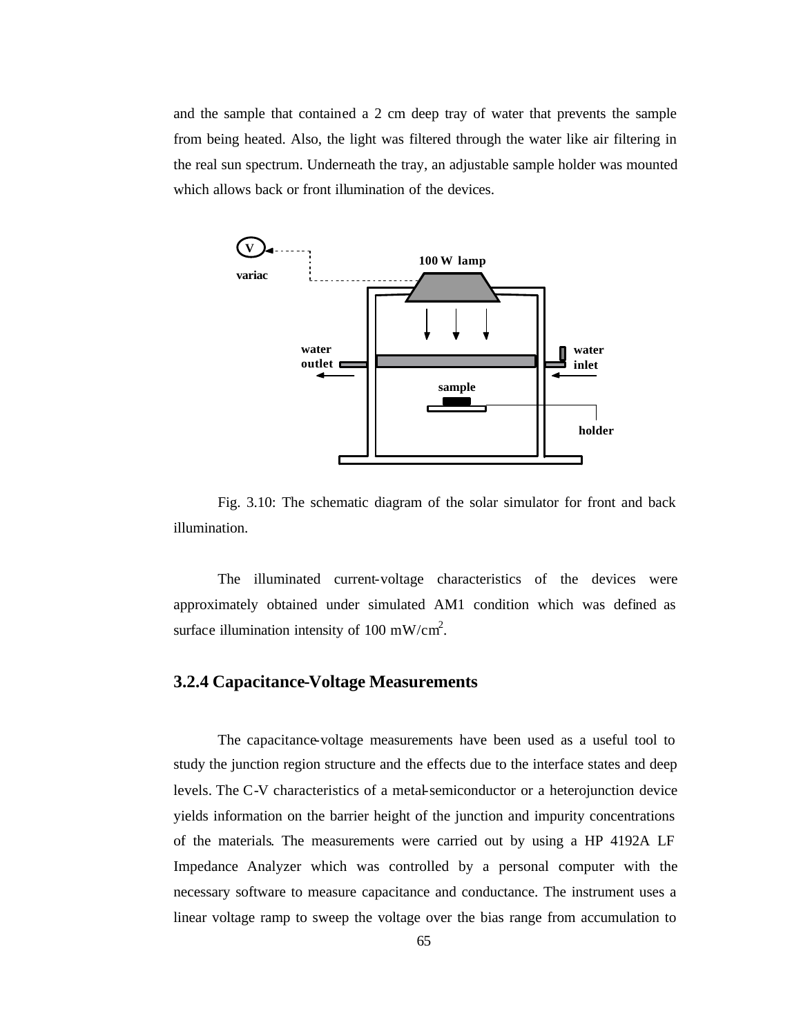and the sample that contained a 2 cm deep tray of water that prevents the sample from being heated. Also, the light was filtered through the water like air filtering in the real sun spectrum. Underneath the tray, an adjustable sample holder was mounted which allows back or front illumination of the devices.



Fig. 3.10: The schematic diagram of the solar simulator for front and back illumination.

The illuminated current-voltage characteristics of the devices were approximately obtained under simulated AM1 condition which was defined as surface illumination intensity of 100 mW/cm<sup>2</sup>.

#### **3.2.4 Capacitance-Voltage Measurements**

The capacitance-voltage measurements have been used as a useful tool to study the junction region structure and the effects due to the interface states and deep levels. The C-V characteristics of a metal-semiconductor or a heterojunction device yields information on the barrier height of the junction and impurity concentrations of the materials. The measurements were carried out by using a HP 4192A LF Impedance Analyzer which was controlled by a personal computer with the necessary software to measure capacitance and conductance. The instrument uses a linear voltage ramp to sweep the voltage over the bias range from accumulation to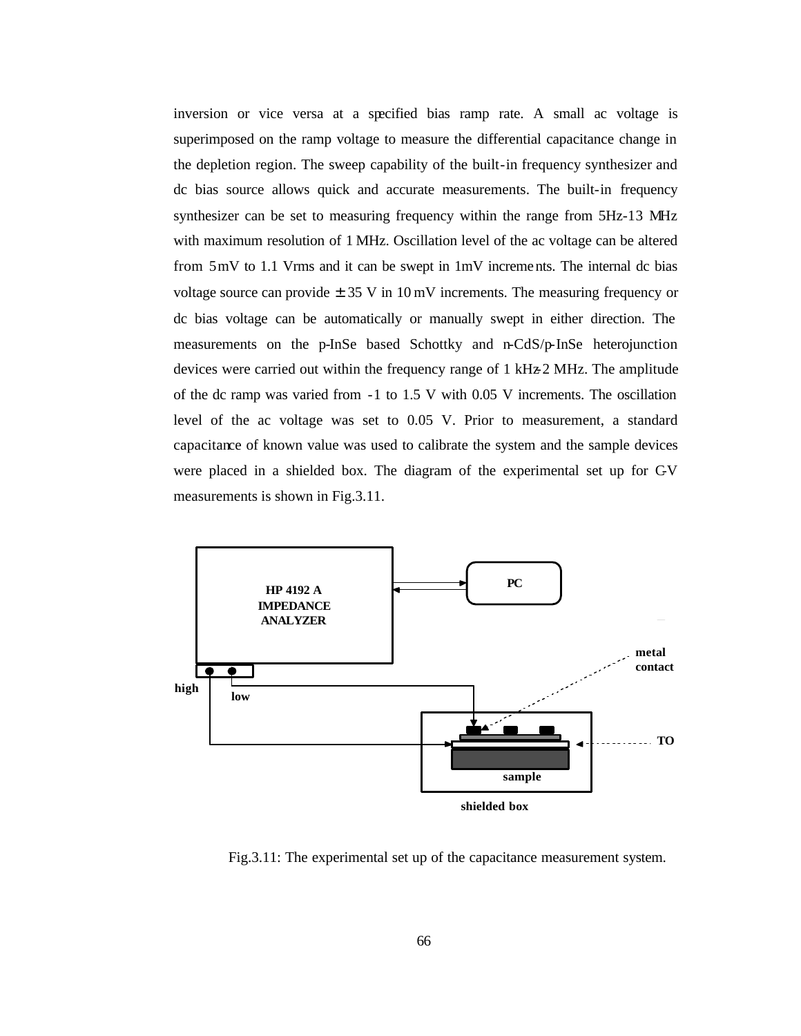inversion or vice versa at a specified bias ramp rate. A small ac voltage is superimposed on the ramp voltage to measure the differential capacitance change in the depletion region. The sweep capability of the built-in frequency synthesizer and dc bias source allows quick and accurate measurements. The built-in frequency synthesizer can be set to measuring frequency within the range from 5Hz-13 MHz with maximum resolution of 1 MHz. Oscillation level of the ac voltage can be altered from 5mV to 1.1 Vrms and it can be swept in 1mV increments. The internal dc bias voltage source can provide  $\pm$  35 V in 10 mV increments. The measuring frequency or dc bias voltage can be automatically or manually swept in either direction. The measurements on the p-InSe based Schottky and n-CdS/p-InSe heterojunction devices were carried out within the frequency range of 1 kHz-2 MHz. The amplitude of the dc ramp was varied from -1 to 1.5 V with 0.05 V increments. The oscillation level of the ac voltage was set to 0.05 V. Prior to measurement, a standard capacitance of known value was used to calibrate the system and the sample devices were placed in a shielded box. The diagram of the experimental set up for C-V measurements is shown in Fig.3.11.



Fig.3.11: The experimental set up of the capacitance measurement system.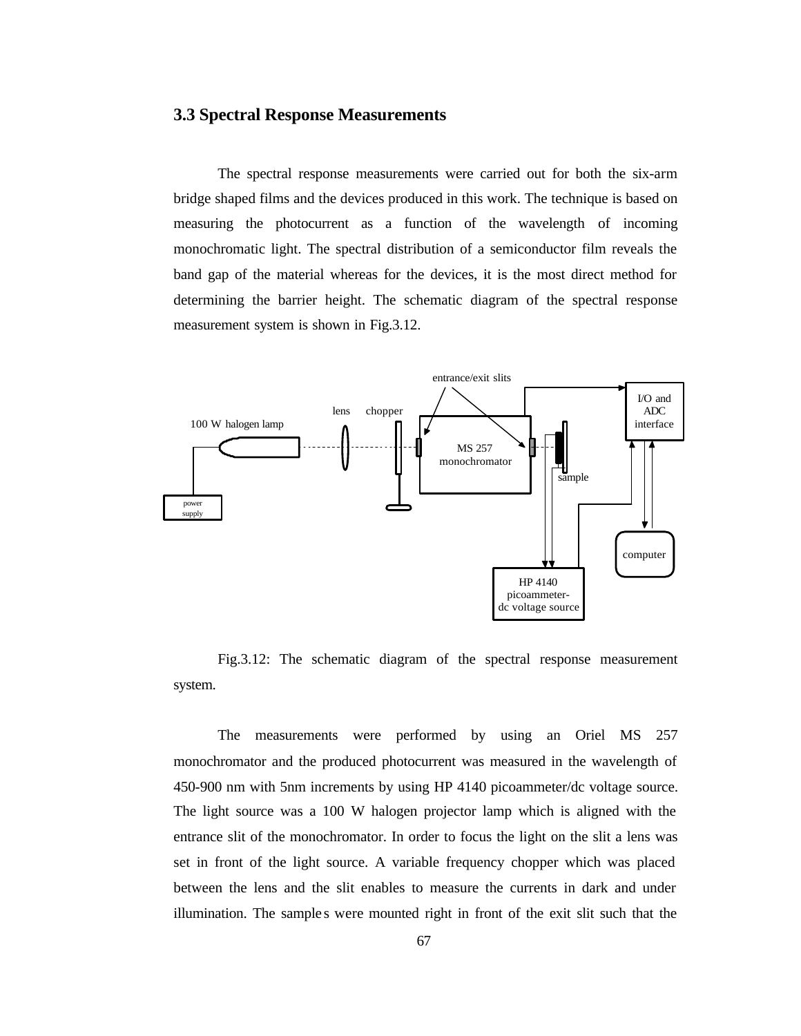#### **3.3 Spectral Response Measurements**

The spectral response measurements were carried out for both the six-arm bridge shaped films and the devices produced in this work. The technique is based on measuring the photocurrent as a function of the wavelength of incoming monochromatic light. The spectral distribution of a semiconductor film reveals the band gap of the material whereas for the devices, it is the most direct method for determining the barrier height. The schematic diagram of the spectral response measurement system is shown in Fig.3.12.



Fig.3.12: The schematic diagram of the spectral response measurement system.

The measurements were performed by using an Oriel MS 257 monochromator and the produced photocurrent was measured in the wavelength of 450-900 nm with 5nm increments by using HP 4140 picoammeter/dc voltage source. The light source was a 100 W halogen projector lamp which is aligned with the entrance slit of the monochromator. In order to focus the light on the slit a lens was set in front of the light source. A variable frequency chopper which was placed between the lens and the slit enables to measure the currents in dark and under illumination. The samples were mounted right in front of the exit slit such that the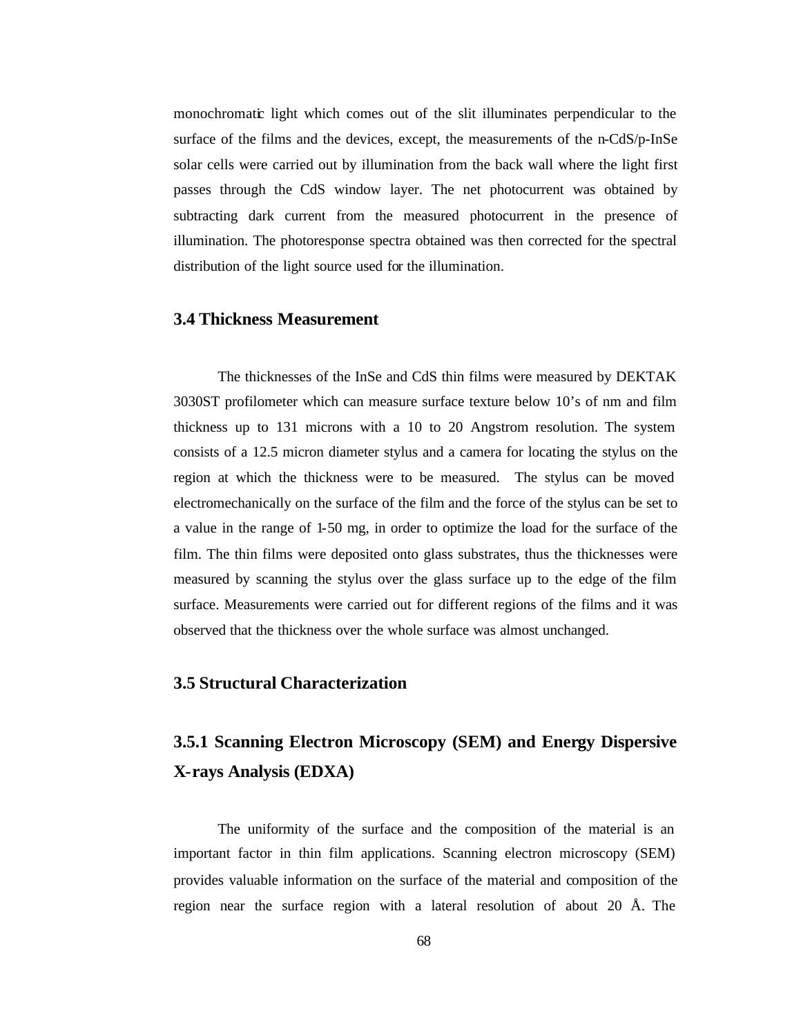monochromatic light which comes out of the slit illuminates perpendicular to the surface of the films and the devices, except, the measurements of the n-CdS/p-InSe solar cells were carried out by illumination from the back wall where the light first passes through the CdS window layer. The net photocurrent was obtained by subtracting dark current from the measured photocurrent in the presence of illumination. The photoresponse spectra obtained was then corrected for the spectral distribution of the light source used for the illumination.

#### **3.4 Thickness Measurement**

The thicknesses of the InSe and CdS thin films were measured by DEKTAK 3030ST profilometer which can measure surface texture below 10's of nm and film thickness up to 131 microns with a 10 to 20 Angstrom resolution. The system consists of a 12.5 micron diameter stylus and a camera for locating the stylus on the region at which the thickness were to be measured. The stylus can be moved electromechanically on the surface of the film and the force of the stylus can be set to a value in the range of 1-50 mg, in order to optimize the load for the surface of the film. The thin films were deposited onto glass substrates, thus the thicknesses were measured by scanning the stylus over the glass surface up to the edge of the film surface. Measurements were carried out for different regions of the films and it was observed that the thickness over the whole surface was almost unchanged.

#### **3.5 Structural Characterization**

## **3.5.1 Scanning Electron Microscopy (SEM) and Energy Dispersive X-rays Analysis (EDXA)**

The uniformity of the surface and the composition of the material is an important factor in thin film applications. Scanning electron microscopy (SEM) provides valuable information on the surface of the material and composition of the region near the surface region with a lateral resolution of about 20 Å. The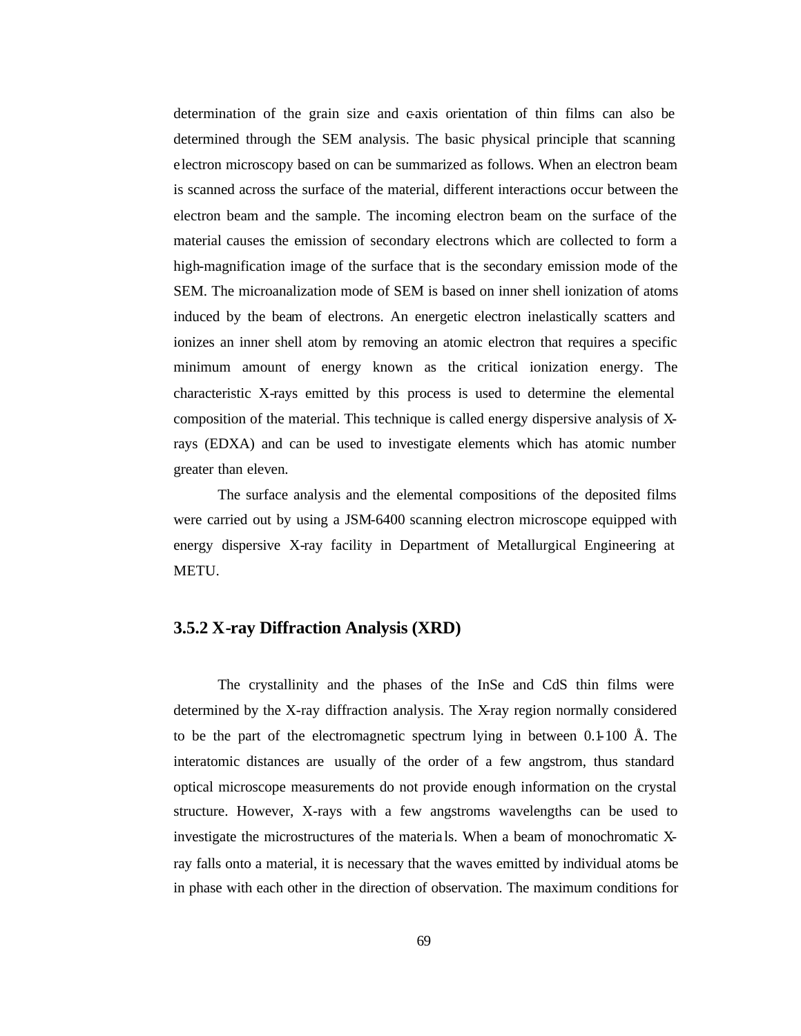determination of the grain size and c-axis orientation of thin films can also be determined through the SEM analysis. The basic physical principle that scanning electron microscopy based on can be summarized as follows. When an electron beam is scanned across the surface of the material, different interactions occur between the electron beam and the sample. The incoming electron beam on the surface of the material causes the emission of secondary electrons which are collected to form a high-magnification image of the surface that is the secondary emission mode of the SEM. The microanalization mode of SEM is based on inner shell ionization of atoms induced by the beam of electrons. An energetic electron inelastically scatters and ionizes an inner shell atom by removing an atomic electron that requires a specific minimum amount of energy known as the critical ionization energy. The characteristic X-rays emitted by this process is used to determine the elemental composition of the material. This technique is called energy dispersive analysis of Xrays (EDXA) and can be used to investigate elements which has atomic number greater than eleven.

The surface analysis and the elemental compositions of the deposited films were carried out by using a JSM-6400 scanning electron microscope equipped with energy dispersive X-ray facility in Department of Metallurgical Engineering at METU.

#### **3.5.2 X-ray Diffraction Analysis (XRD)**

The crystallinity and the phases of the InSe and CdS thin films were determined by the X-ray diffraction analysis. The X-ray region normally considered to be the part of the electromagnetic spectrum lying in between 0.1-100 Å. The interatomic distances are usually of the order of a few angstrom, thus standard optical microscope measurements do not provide enough information on the crystal structure. However, X-rays with a few angstroms wavelengths can be used to investigate the microstructures of the materia ls. When a beam of monochromatic Xray falls onto a material, it is necessary that the waves emitted by individual atoms be in phase with each other in the direction of observation. The maximum conditions for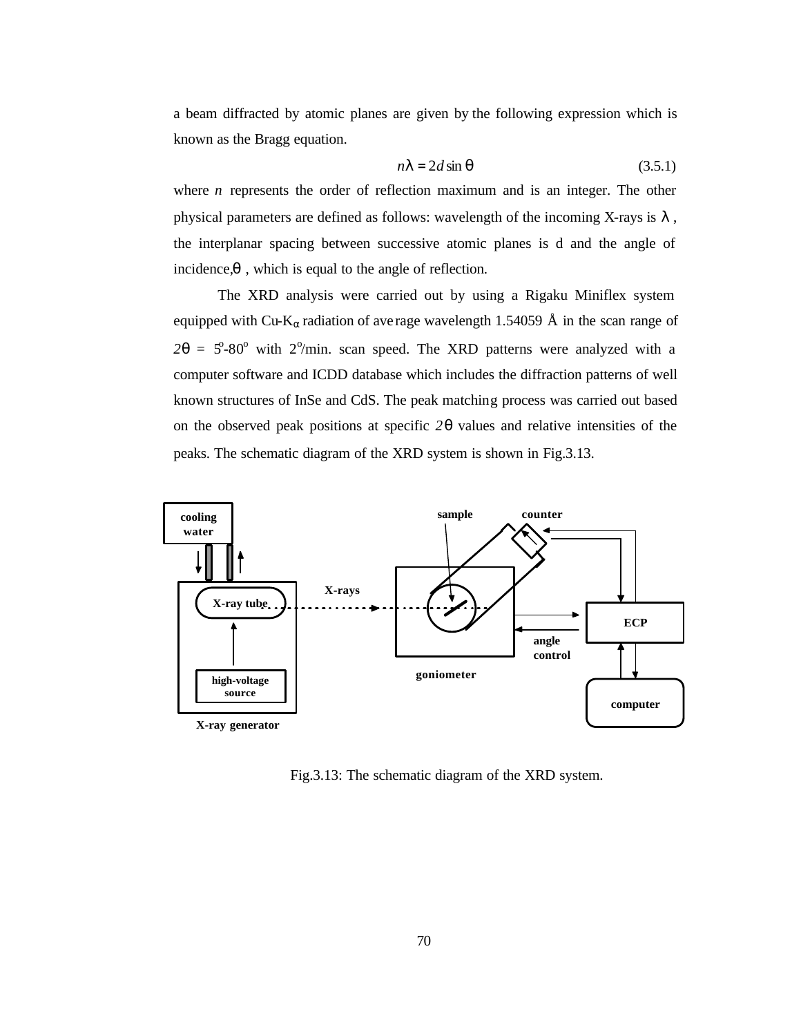a beam diffracted by atomic planes are given by the following expression which is known as the Bragg equation.

$$
nI = 2d \sin q \tag{3.5.1}
$$

where *n* represents the order of reflection maximum and is an integer. The other physical parameters are defined as follows: wavelength of the incoming X-rays is *l* , the interplanar spacing between successive atomic planes is d and the angle of incidence,*q* , which is equal to the angle of reflection.

The XRD analysis were carried out by using a Rigaku Miniflex system equipped with Cu-K<sub>α</sub> radiation of ave rage wavelength 1.54059 Å in the scan range of  $2q = 5^{\circ} - 80^{\circ}$  with 2 $^{\circ}$ /min. scan speed. The XRD patterns were analyzed with a computer software and ICDD database which includes the diffraction patterns of well known structures of InSe and CdS. The peak matching process was carried out based on the observed peak positions at specific *2q* values and relative intensities of the peaks. The schematic diagram of the XRD system is shown in Fig.3.13.



Fig.3.13: The schematic diagram of the XRD system.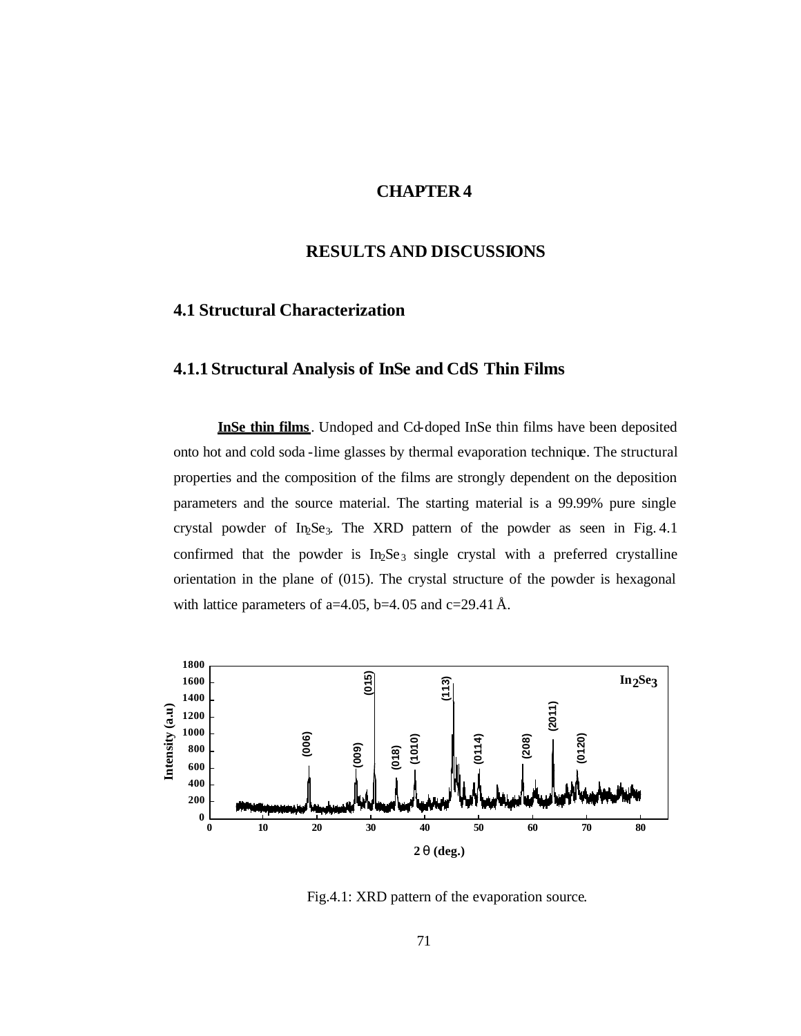#### **CHAPTER 4**

#### **RESULTS AND DISCUSSIONS**

### **4.1 Structural Characterization**

## **4.1.1 Structural Analysis of InSe and CdS Thin Films**

**InSe thin films**. Undoped and Cd-doped InSe thin films have been deposited onto hot and cold soda -lime glasses by thermal evaporation technique. The structural properties and the composition of the films are strongly dependent on the deposition parameters and the source material. The starting material is a 99.99% pure single crystal powder of In<sub>2</sub>Se<sub>3</sub>. The XRD pattern of the powder as seen in Fig. 4.1 confirmed that the powder is  $In_2Se_3$  single crystal with a preferred crystalline orientation in the plane of (015). The crystal structure of the powder is hexagonal with lattice parameters of a=4.05, b=4.05 and c=29.41 Å.



Fig.4.1: XRD pattern of the evaporation source.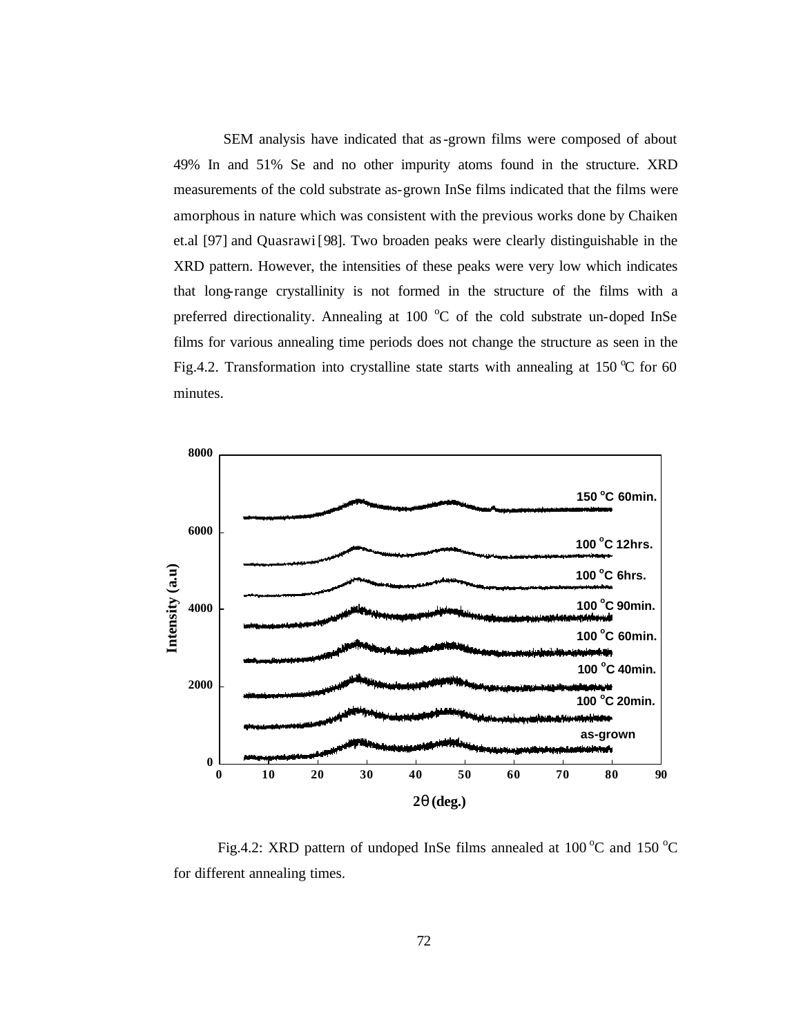SEM analysis have indicated that as-grown films were composed of about 49% In and 51% Se and no other impurity atoms found in the structure. XRD measurements of the cold substrate as-grown InSe films indicated that the films were amorphous in nature which was consistent with the previous works done by Chaiken et.al [97] and Quasrawi [98]. Two broaden peaks were clearly distinguishable in the XRD pattern. However, the intensities of these peaks were very low which indicates that long-range crystallinity is not formed in the structure of the films with a preferred directionality. Annealing at 100 $\degree$ C of the cold substrate un-doped InSe films for various annealing time periods does not change the structure as seen in the Fig.4.2. Transformation into crystalline state starts with annealing at 150  $\degree$ C for 60 minutes.



Fig.4.2: XRD pattern of undoped InSe films annealed at  $100^{\circ}$ C and  $150^{\circ}$ C for different annealing times.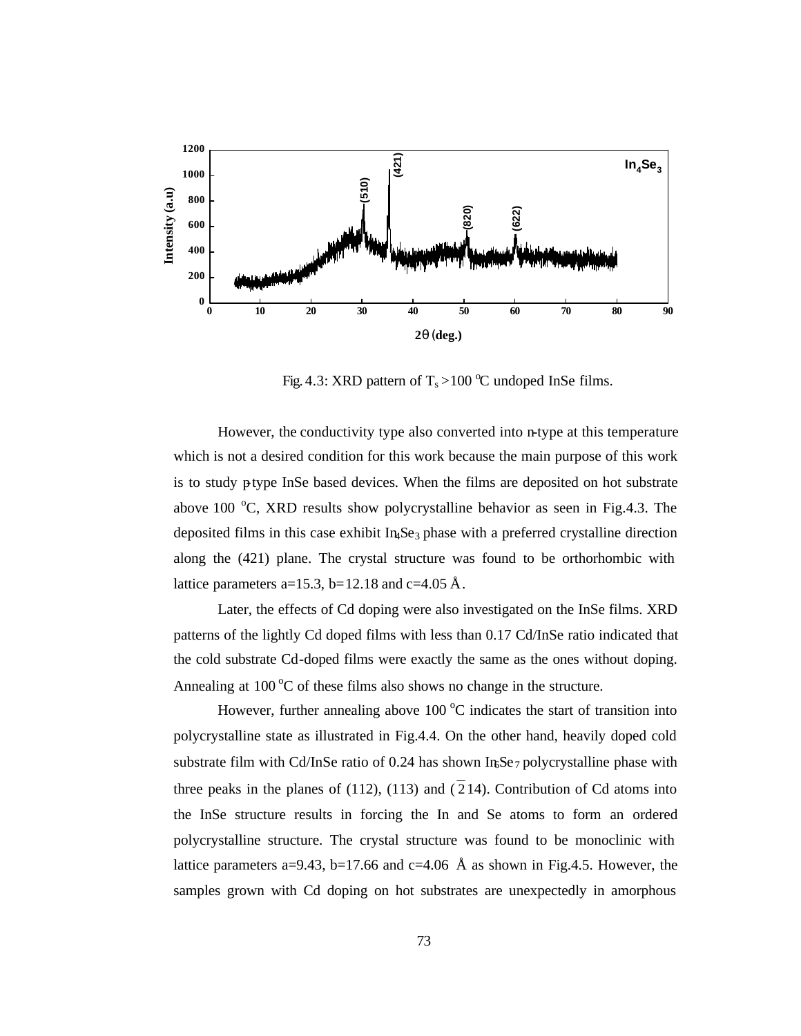

Fig. 4.3: XRD pattern of  $T_s > 100 \degree C$  undoped InSe films.

However, the conductivity type also converted into n-type at this temperature which is not a desired condition for this work because the main purpose of this work is to study p-type InSe based devices. When the films are deposited on hot substrate above 100  $\degree$ C, XRD results show polycrystalline behavior as seen in Fig.4.3. The deposited films in this case exhibit  $In<sub>4</sub>Se<sub>3</sub> phase with a preferred crystalline direction$ along the (421) plane. The crystal structure was found to be orthorhombic with lattice parameters a=15.3, b=12.18 and c=4.05 Å.

Later, the effects of Cd doping were also investigated on the InSe films. XRD patterns of the lightly Cd doped films with less than 0.17 Cd/InSe ratio indicated that the cold substrate Cd-doped films were exactly the same as the ones without doping. Annealing at  $100\degree C$  of these films also shows no change in the structure.

However, further annealing above  $100\degree C$  indicates the start of transition into polycrystalline state as illustrated in Fig.4.4. On the other hand, heavily doped cold substrate film with Cd/InSe ratio of 0.24 has shown InSe<sub>7</sub> polycrystalline phase with three peaks in the planes of (112), (113) and ( $\overline{2}14$ ). Contribution of Cd atoms into the InSe structure results in forcing the In and Se atoms to form an ordered polycrystalline structure. The crystal structure was found to be monoclinic with lattice parameters a=9.43, b=17.66 and c=4.06 Å as shown in Fig.4.5. However, the samples grown with Cd doping on hot substrates are unexpectedly in amorphous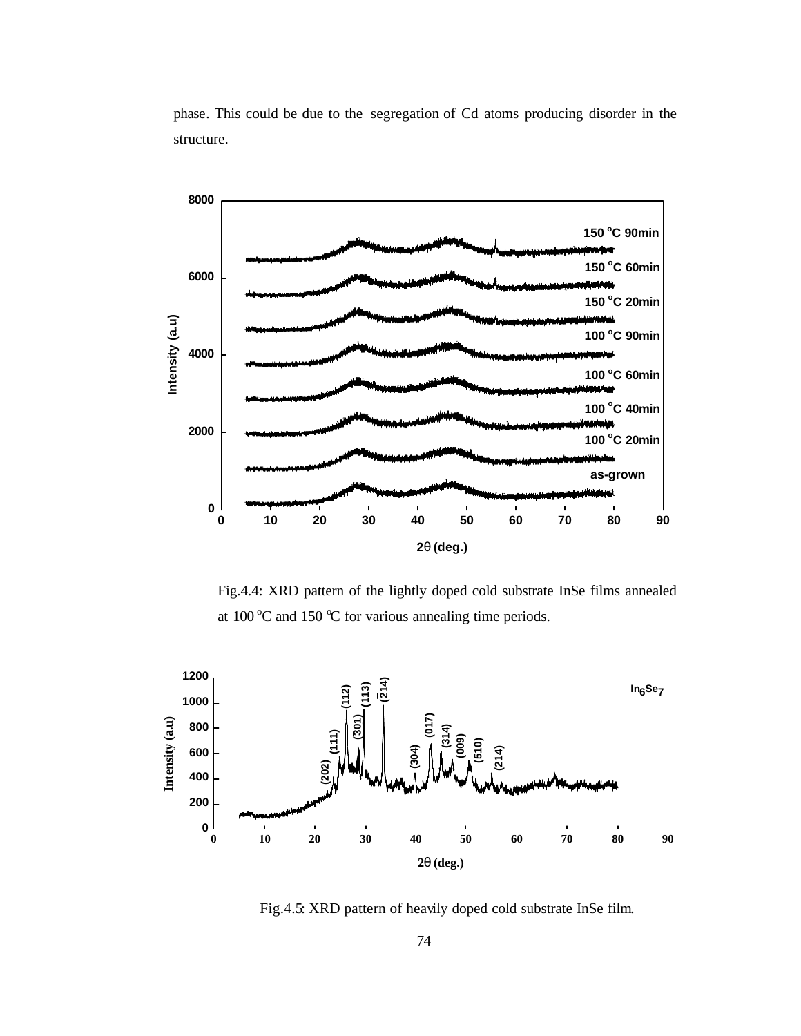



Fig.4.4: XRD pattern of the lightly doped cold substrate InSe films annealed at 100 °C and 150 °C for various annealing time periods.



Fig.4.5: XRD pattern of heavily doped cold substrate InSe film.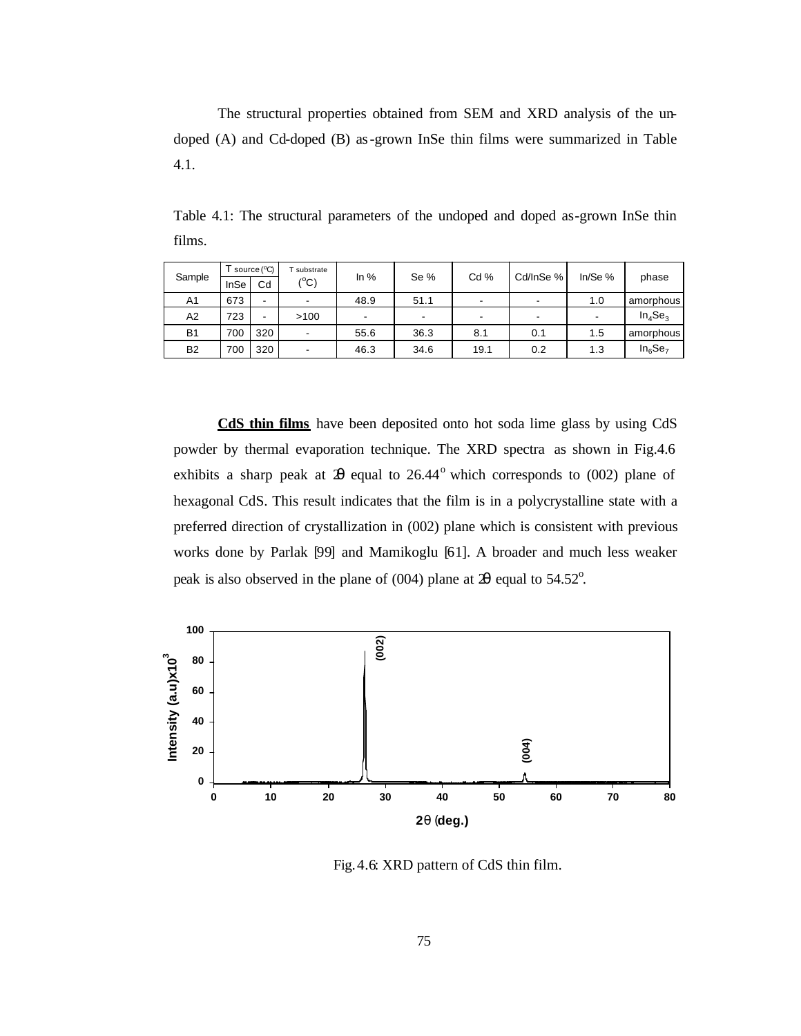The structural properties obtained from SEM and XRD analysis of the undoped (A) and Cd-doped (B) as-grown InSe thin films were summarized in Table 4.1.

Table 4.1: The structural parameters of the undoped and doped as-grown InSe thin films.

| Sample    | $T$ source ( $\degree$ C) |                          | substrate     | In $%$ | Se %                     | Cd % | Cd/InSe % | In/Se $%$                |            |
|-----------|---------------------------|--------------------------|---------------|--------|--------------------------|------|-----------|--------------------------|------------|
|           | InSe                      | Cd                       | $(^{\circ}C)$ |        |                          |      |           |                          | phase      |
| A1        | 673                       | $\overline{\phantom{0}}$ | -             | 48.9   | 51.1                     |      |           | 1.0                      | amorphous  |
| A2        | 723                       | $\overline{\phantom{0}}$ | >100          | -      | $\overline{\phantom{a}}$ |      |           | $\overline{\phantom{0}}$ | $In_4Se_3$ |
| <b>B1</b> | 700                       | 320                      | -             | 55.6   | 36.3                     | 8.1  | 0.1       | 1.5                      | amorphous  |
| <b>B2</b> | 700                       | 320                      | -             | 46.3   | 34.6                     | 19.1 | 0.2       | 1.3                      | $In_6Se_7$ |

**CdS thin films** have been deposited onto hot soda lime glass by using CdS powder by thermal evaporation technique. The XRD spectra as shown in Fig.4.6 exhibits a sharp peak at  $2\theta$  equal to  $26.44^\circ$  which corresponds to (002) plane of hexagonal CdS. This result indicates that the film is in a polycrystalline state with a preferred direction of crystallization in (002) plane which is consistent with previous works done by Parlak [99] and Mamikoglu [61]. A broader and much less weaker peak is also observed in the plane of (004) plane at  $\mathfrak{B}$  equal to 54.52<sup>o</sup>.



Fig.4.6: XRD pattern of CdS thin film.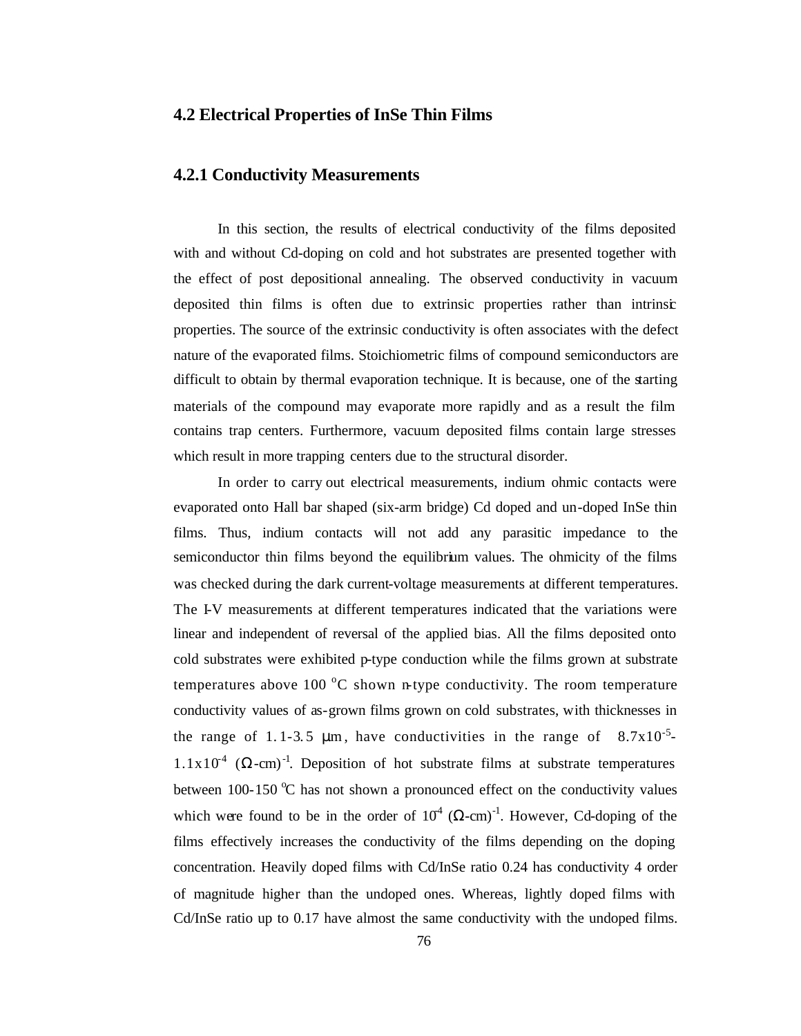#### **4.2 Electrical Properties of InSe Thin Films**

#### **4.2.1 Conductivity Measurements**

In this section, the results of electrical conductivity of the films deposited with and without Cd-doping on cold and hot substrates are presented together with the effect of post depositional annealing. The observed conductivity in vacuum deposited thin films is often due to extrinsic properties rather than intrinsic properties. The source of the extrinsic conductivity is often associates with the defect nature of the evaporated films. Stoichiometric films of compound semiconductors are difficult to obtain by thermal evaporation technique. It is because, one of the starting materials of the compound may evaporate more rapidly and as a result the film contains trap centers. Furthermore, vacuum deposited films contain large stresses which result in more trapping centers due to the structural disorder.

In order to carry out electrical measurements, indium ohmic contacts were evaporated onto Hall bar shaped (six-arm bridge) Cd doped and un-doped InSe thin films. Thus, indium contacts will not add any parasitic impedance to the semiconductor thin films beyond the equilibrium values. The ohmicity of the films was checked during the dark current-voltage measurements at different temperatures. The I-V measurements at different temperatures indicated that the variations were linear and independent of reversal of the applied bias. All the films deposited onto cold substrates were exhibited p-type conduction while the films grown at substrate temperatures above 100  $\degree$ C shown n-type conductivity. The room temperature conductivity values of as-grown films grown on cold substrates, with thicknesses in the range of 1.1-3.5  $\mu$ m, have conductivities in the range of 8.7x10<sup>-5</sup>  $1.1x10^4$  ( $\Omega$ -cm)<sup>-1</sup>. Deposition of hot substrate films at substrate temperatures between 100-150  $\degree$ C has not shown a pronounced effect on the conductivity values which were found to be in the order of  $10^4$  ( $\Omega$ -cm)<sup>-1</sup>. However, Cd-doping of the films effectively increases the conductivity of the films depending on the doping concentration. Heavily doped films with Cd/InSe ratio 0.24 has conductivity 4 order of magnitude higher than the undoped ones. Whereas, lightly doped films with Cd/InSe ratio up to 0.17 have almost the same conductivity with the undoped films.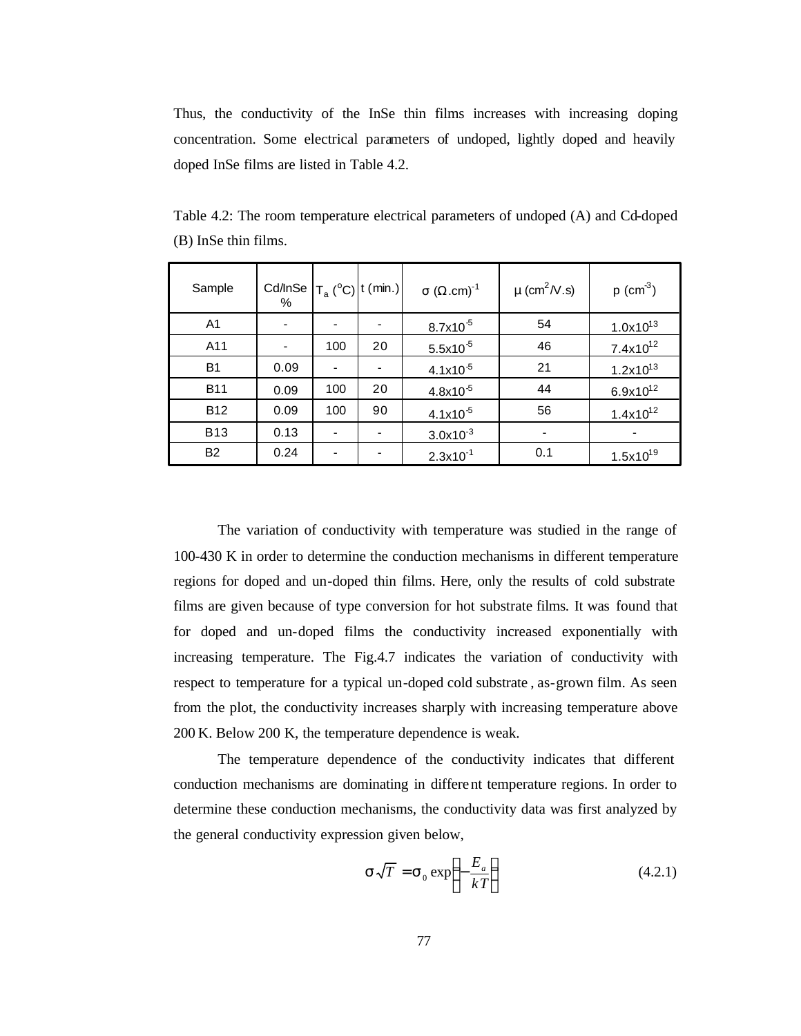Thus, the conductivity of the InSe thin films increases with increasing doping concentration. Some electrical parameters of undoped, lightly doped and heavily doped InSe films are listed in Table 4.2.

| Sample         | Cd/InSe $ T_a (^{\circ}C) $ t (min.)<br>% |                          |    | $\sigma$ ( $\Omega$ .cm) <sup>-1</sup> | $\mu$ (cm <sup>2</sup> /V.s) | $p$ (cm <sup>-3</sup> ) |
|----------------|-------------------------------------------|--------------------------|----|----------------------------------------|------------------------------|-------------------------|
| A <sub>1</sub> | $\qquad \qquad \blacksquare$              | $\overline{\phantom{a}}$ |    | $8.7x10^{5}$                           | 54                           | $1.0x10^{13}$           |
| A11            | $\qquad \qquad \blacksquare$              | 100                      | 20 | $5.5x10^{5}$                           | 46                           | $7.4x10^{12}$           |
| <b>B1</b>      | 0.09                                      | $\overline{\phantom{a}}$ |    | $4.1x10^{5}$                           | 21                           | $1.2x10^{13}$           |
| <b>B11</b>     | 0.09                                      | 100                      | 20 | $4.8x10^{5}$                           | 44                           | $6.9x10^{12}$           |
| <b>B12</b>     | 0.09                                      | 100                      | 90 | $4.1x10^{5}$                           | 56                           | $1.4x10^{12}$           |
| <b>B13</b>     | 0.13                                      | $\overline{\phantom{0}}$ |    | $3.0x10^{-3}$                          |                              |                         |
| <b>B2</b>      | 0.24                                      | $\overline{\phantom{0}}$ |    | $2.3x10^{-1}$                          | 0.1                          | $1.5x10^{19}$           |

Table 4.2: The room temperature electrical parameters of undoped (A) and Cd-doped (B) InSe thin films.

The variation of conductivity with temperature was studied in the range of 100-430 K in order to determine the conduction mechanisms in different temperature regions for doped and un-doped thin films. Here, only the results of cold substrate films are given because of type conversion for hot substrate films. It was found that for doped and un-doped films the conductivity increased exponentially with increasing temperature. The Fig.4.7 indicates the variation of conductivity with respect to temperature for a typical un-doped cold substrate , as-grown film. As seen from the plot, the conductivity increases sharply with increasing temperature above 200 K. Below 200 K, the temperature dependence is weak.

The temperature dependence of the conductivity indicates that different conduction mechanisms are dominating in different temperature regions. In order to determine these conduction mechanisms, the conductivity data was first analyzed by the general conductivity expression given below,

$$
\mathbf{S}\sqrt{T} = \mathbf{S}_0 \exp\left(-\frac{E_a}{kT}\right) \tag{4.2.1}
$$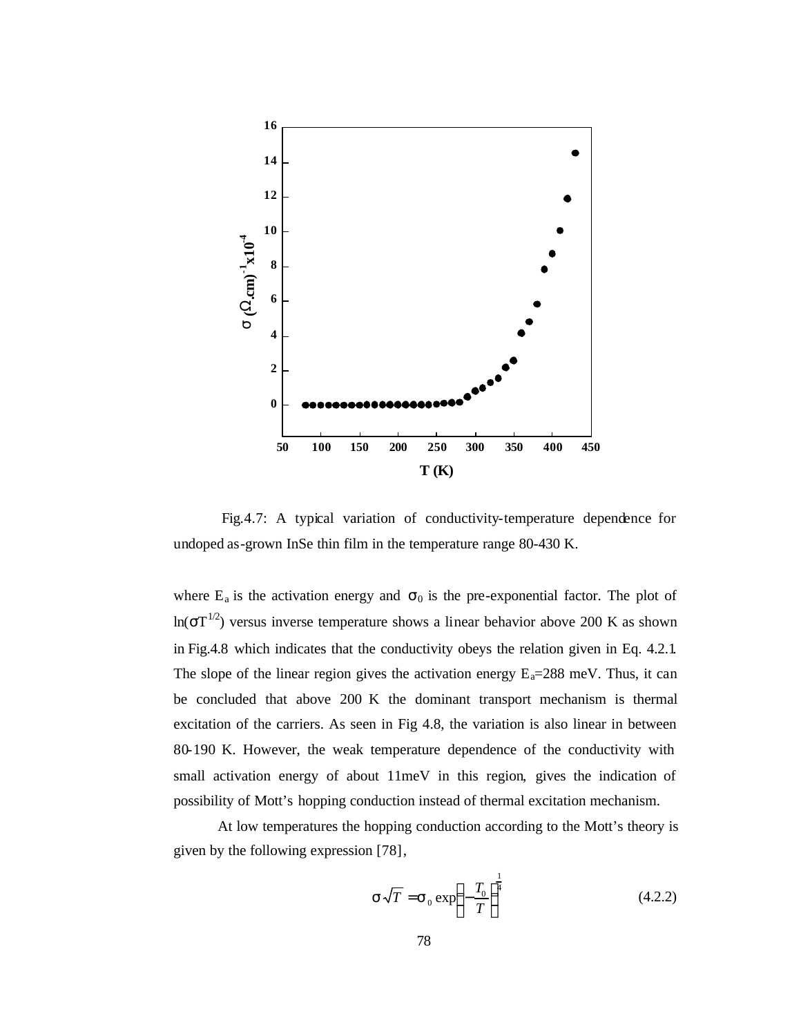

Fig.4.7: A typical variation of conductivity-temperature dependence for undoped as-grown InSe thin film in the temperature range 80-430 K.

where  $E_a$  is the activation energy and  $\sigma_0$  is the pre-exponential factor. The plot of ln( $\sigma$ T<sup>1/2</sup>) versus inverse temperature shows a linear behavior above 200 K as shown in Fig.4.8 which indicates that the conductivity obeys the relation given in Eq. 4.2.1. The slope of the linear region gives the activation energy  $E_a=288$  meV. Thus, it can be concluded that above 200 K the dominant transport mechanism is thermal excitation of the carriers. As seen in Fig 4.8, the variation is also linear in between 80-190 K. However, the weak temperature dependence of the conductivity with small activation energy of about 11meV in this region, gives the indication of possibility of Mott's hopping conduction instead of thermal excitation mechanism.

At low temperatures the hopping conduction according to the Mott's theory is given by the following expression [78],

$$
\mathbf{s}\sqrt{T} = \mathbf{s}_0 \exp\left(-\frac{T_0}{T}\right)^{\frac{1}{4}}
$$
(4.2.2)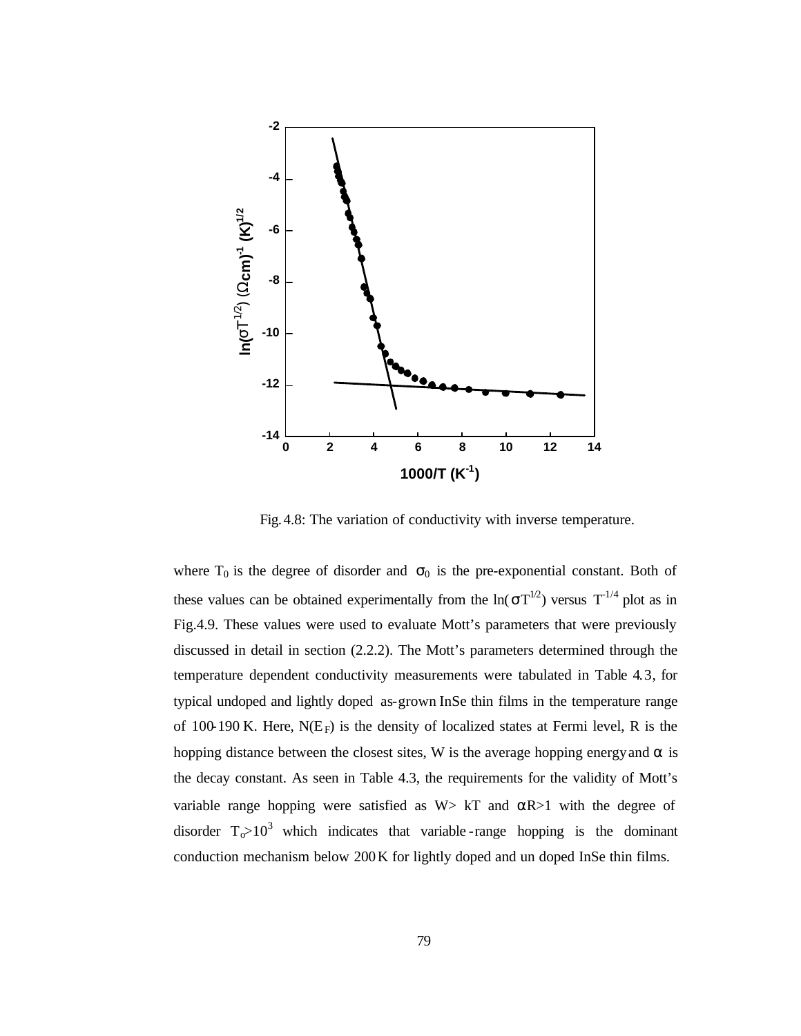

Fig.4.8: The variation of conductivity with inverse temperature.

where  $T_0$  is the degree of disorder and  $\sigma_0$  is the pre-exponential constant. Both of these values can be obtained experimentally from the  $ln(\sigma T^{1/2})$  versus  $T^{1/4}$  plot as in Fig.4.9. These values were used to evaluate Mott's parameters that were previously discussed in detail in section (2.2.2). The Mott's parameters determined through the temperature dependent conductivity measurements were tabulated in Table 4.3, for typical undoped and lightly doped as-grown InSe thin films in the temperature range of 100-190 K. Here,  $N(E_F)$  is the density of localized states at Fermi level, R is the hopping distance between the closest sites, W is the average hopping energy and  $\alpha$  is the decay constant. As seen in Table 4.3, the requirements for the validity of Mott's variable range hopping were satisfied as  $W > kT$  and  $\alpha R > 1$  with the degree of disorder  $T_0 > 10^3$  which indicates that variable-range hopping is the dominant conduction mechanism below 200K for lightly doped and un doped InSe thin films.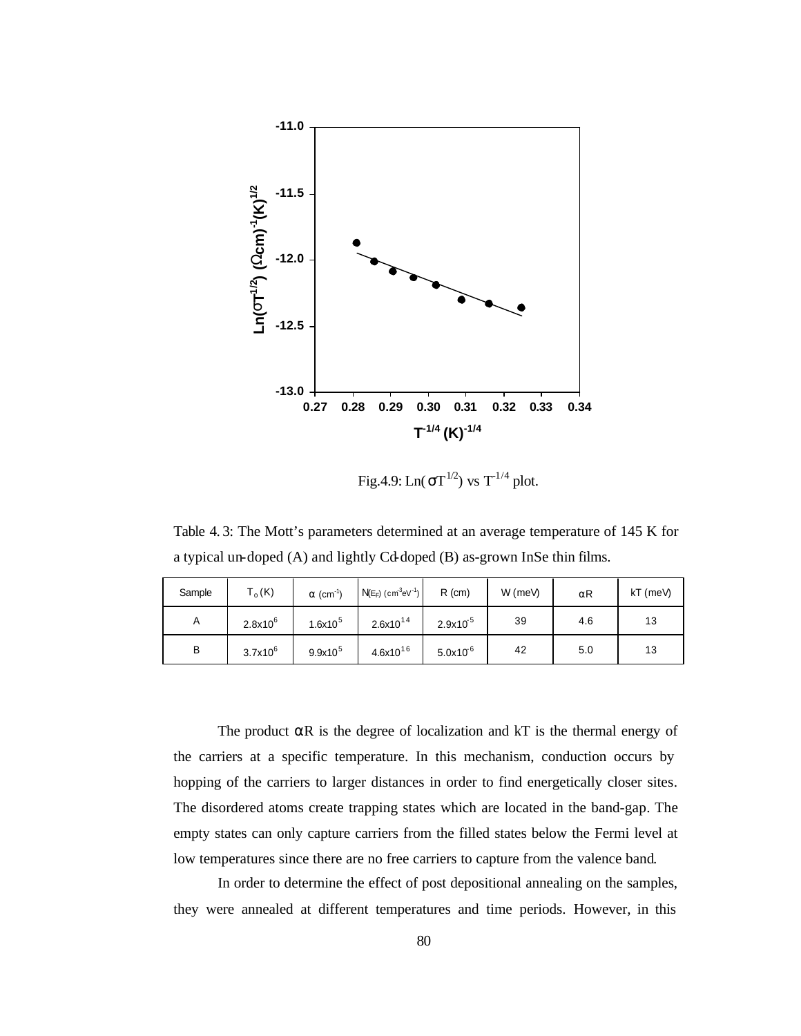

Fig.4.9:  $Ln(\sigma T^{1/2})$  vs  $T^{1/4}$  plot.

Table 4. 3: The Mott's parameters determined at an average temperature of 145 K for a typical un-doped (A) and lightly Cd-doped (B) as-grown InSe thin films.

| Sample | $T_o$ (K)    | $\alpha$ (cm <sup>-1</sup> ) | $N(E_F)$ (cm <sup>3</sup> eV <sup>-1</sup> ) | $R$ (cm)     | $W$ (meV) | αR  | kT (meV) |
|--------|--------------|------------------------------|----------------------------------------------|--------------|-----------|-----|----------|
| A      | $2.8x10^{6}$ | $1.6x10^{5}$                 | $2.6x10^{14}$                                | $2.9x10^{5}$ | 39        | 4.6 | 13       |
| B      | $3.7x10^6$   | $9.9x10^{5}$                 | $4.6x10^{16}$                                | $5.0x10^{6}$ | 42        | 5.0 | 13       |

The product  $\alpha R$  is the degree of localization and kT is the thermal energy of the carriers at a specific temperature. In this mechanism, conduction occurs by hopping of the carriers to larger distances in order to find energetically closer sites. The disordered atoms create trapping states which are located in the band-gap. The empty states can only capture carriers from the filled states below the Fermi level at low temperatures since there are no free carriers to capture from the valence band.

In order to determine the effect of post depositional annealing on the samples, they were annealed at different temperatures and time periods. However, in this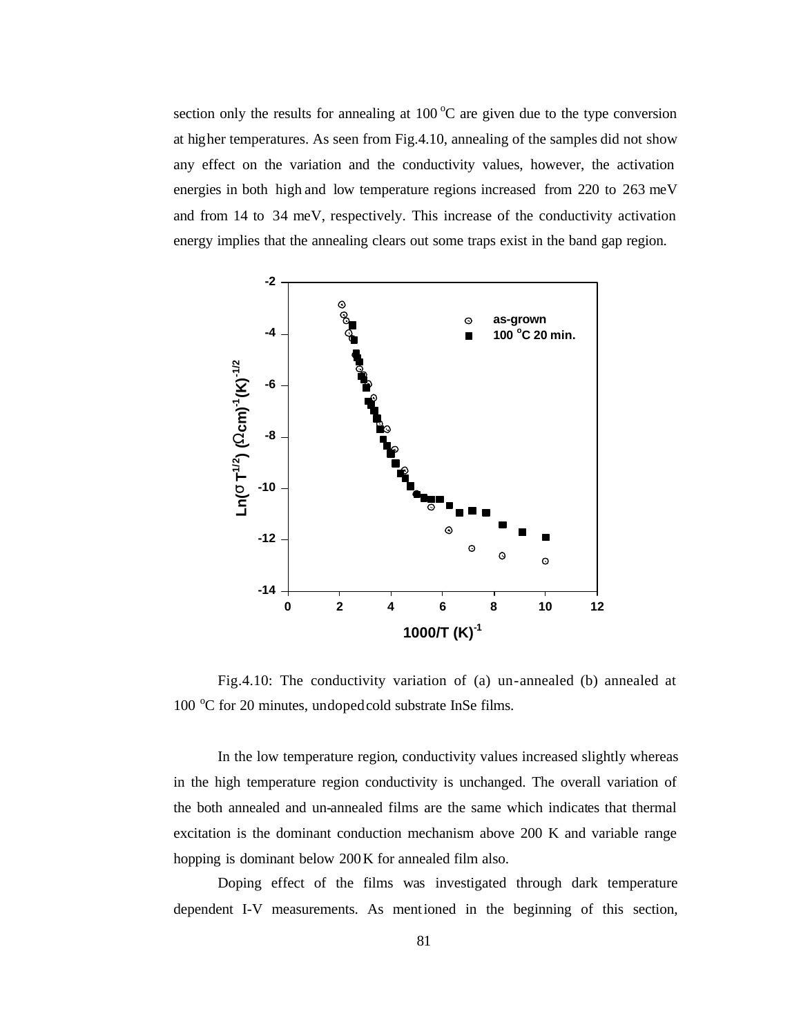section only the results for annealing at 100  $^{\circ}$ C are given due to the type conversion at higher temperatures. As seen from Fig.4.10, annealing of the samples did not show any effect on the variation and the conductivity values, however, the activation energies in both high and low temperature regions increased from 220 to 263 meV and from 14 to 34 meV, respectively. This increase of the conductivity activation energy implies that the annealing clears out some traps exist in the band gap region.



Fig.4.10: The conductivity variation of (a) un-annealed (b) annealed at 100 °C for 20 minutes, undoped cold substrate InSe films.

In the low temperature region, conductivity values increased slightly whereas in the high temperature region conductivity is unchanged. The overall variation of the both annealed and un-annealed films are the same which indicates that thermal excitation is the dominant conduction mechanism above 200 K and variable range hopping is dominant below 200K for annealed film also.

Doping effect of the films was investigated through dark temperature dependent I-V measurements. As mentioned in the beginning of this section,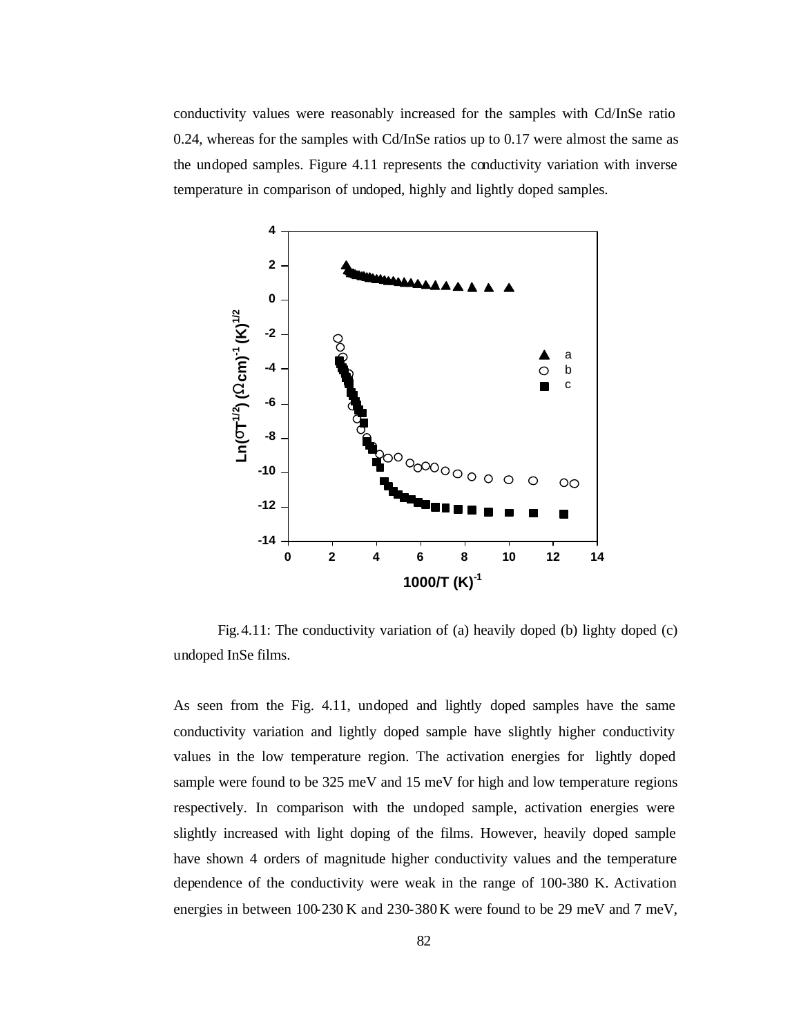conductivity values were reasonably increased for the samples with Cd/InSe ratio 0.24, whereas for the samples with Cd/InSe ratios up to 0.17 were almost the same as the undoped samples. Figure 4.11 represents the conductivity variation with inverse temperature in comparison of undoped, highly and lightly doped samples.



Fig.4.11: The conductivity variation of (a) heavily doped (b) lighty doped (c) undoped InSe films.

As seen from the Fig. 4.11, undoped and lightly doped samples have the same conductivity variation and lightly doped sample have slightly higher conductivity values in the low temperature region. The activation energies for lightly doped sample were found to be 325 meV and 15 meV for high and low temperature regions respectively. In comparison with the undoped sample, activation energies were slightly increased with light doping of the films. However, heavily doped sample have shown 4 orders of magnitude higher conductivity values and the temperature dependence of the conductivity were weak in the range of 100-380 K. Activation energies in between 100-230 K and 230-380 K were found to be 29 meV and 7 meV,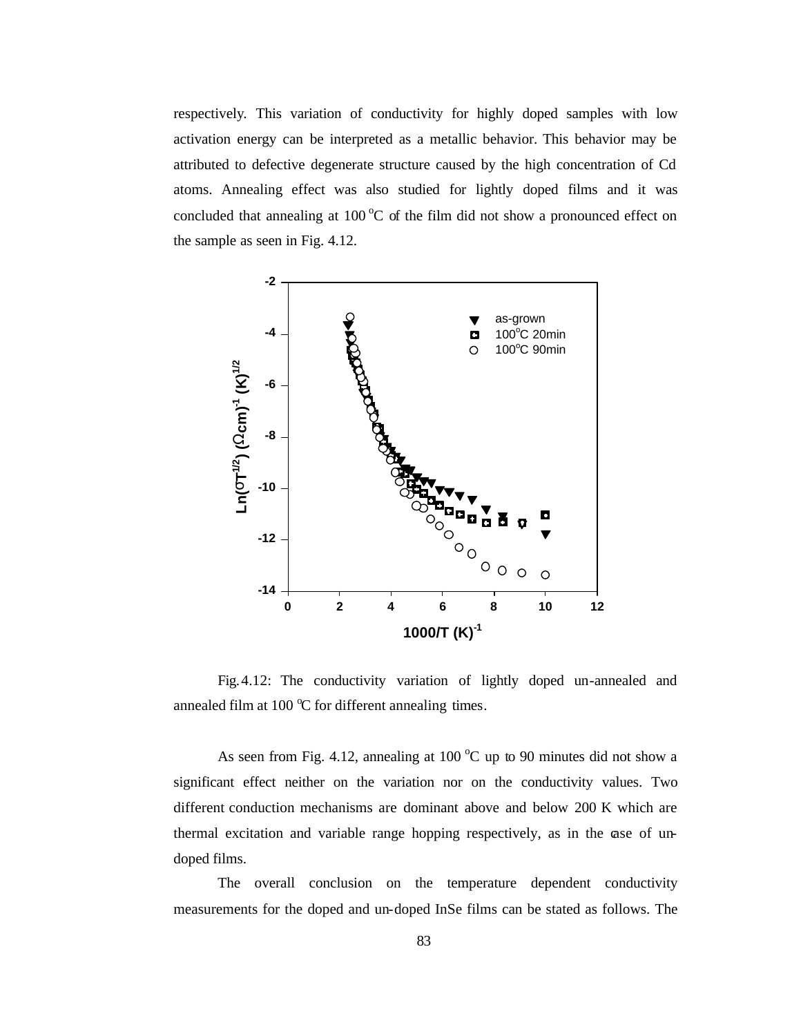respectively. This variation of conductivity for highly doped samples with low activation energy can be interpreted as a metallic behavior. This behavior may be attributed to defective degenerate structure caused by the high concentration of Cd atoms. Annealing effect was also studied for lightly doped films and it was concluded that annealing at  $100\degree C$  of the film did not show a pronounced effect on the sample as seen in Fig. 4.12.



Fig.4.12: The conductivity variation of lightly doped un-annealed and annealed film at 100  $\degree$ C for different annealing times.

As seen from Fig. 4.12, annealing at 100  $^{\circ}$ C up to 90 minutes did not show a significant effect neither on the variation nor on the conductivity values. Two different conduction mechanisms are dominant above and below 200 K which are thermal excitation and variable range hopping respectively, as in the case of undoped films.

The overall conclusion on the temperature dependent conductivity measurements for the doped and un-doped InSe films can be stated as follows. The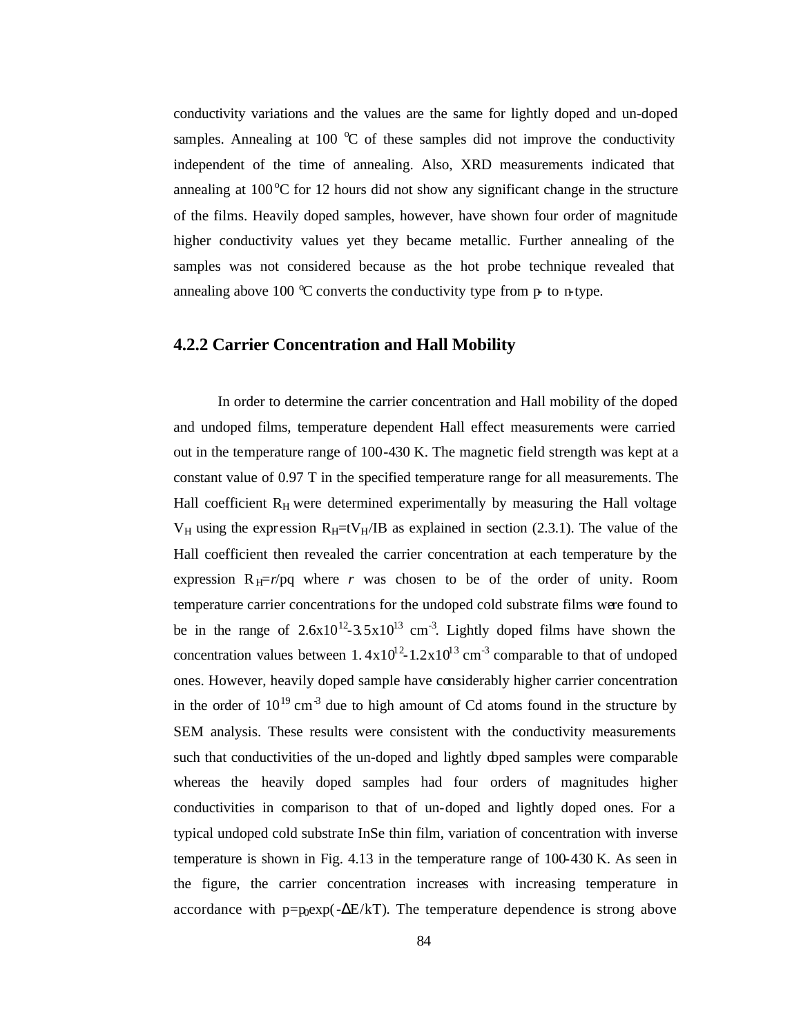conductivity variations and the values are the same for lightly doped and un-doped samples. Annealing at 100  $\degree$ C of these samples did not improve the conductivity independent of the time of annealing. Also, XRD measurements indicated that annealing at  $100^{\circ}$ C for 12 hours did not show any significant change in the structure of the films. Heavily doped samples, however, have shown four order of magnitude higher conductivity values yet they became metallic. Further annealing of the samples was not considered because as the hot probe technique revealed that annealing above 100  $\degree$ C converts the conductivity type from p- to n-type.

#### **4.2.2 Carrier Concentration and Hall Mobility**

In order to determine the carrier concentration and Hall mobility of the doped and undoped films, temperature dependent Hall effect measurements were carried out in the temperature range of 100-430 K. The magnetic field strength was kept at a constant value of 0.97 T in the specified temperature range for all measurements. The Hall coefficient  $R_H$  were determined experimentally by measuring the Hall voltage  $V_H$  using the expression  $R_H=$ t $V_H$ /IB as explained in section (2.3.1). The value of the Hall coefficient then revealed the carrier concentration at each temperature by the expression  $R$ <sub>H</sub>=*r*/pq where *r* was chosen to be of the order of unity. Room temperature carrier concentrations for the undoped cold substrate films were found to be in the range of  $2.6x10^{12} - 3.5x10^{13}$  cm<sup>-3</sup>. Lightly doped films have shown the concentration values between  $1.4x10^{12} - 1.2x10^{13}$  cm<sup>-3</sup> comparable to that of undoped ones. However, heavily doped sample have considerably higher carrier concentration in the order of  $10^{19}$  cm<sup>-3</sup> due to high amount of Cd atoms found in the structure by SEM analysis. These results were consistent with the conductivity measurements such that conductivities of the un-doped and lightly doped samples were comparable whereas the heavily doped samples had four orders of magnitudes higher conductivities in comparison to that of un-doped and lightly doped ones. For a typical undoped cold substrate InSe thin film, variation of concentration with inverse temperature is shown in Fig. 4.13 in the temperature range of 100-430 K. As seen in the figure, the carrier concentration increases with increasing temperature in accordance with  $p=p_0exp(-\Delta E/kT)$ . The temperature dependence is strong above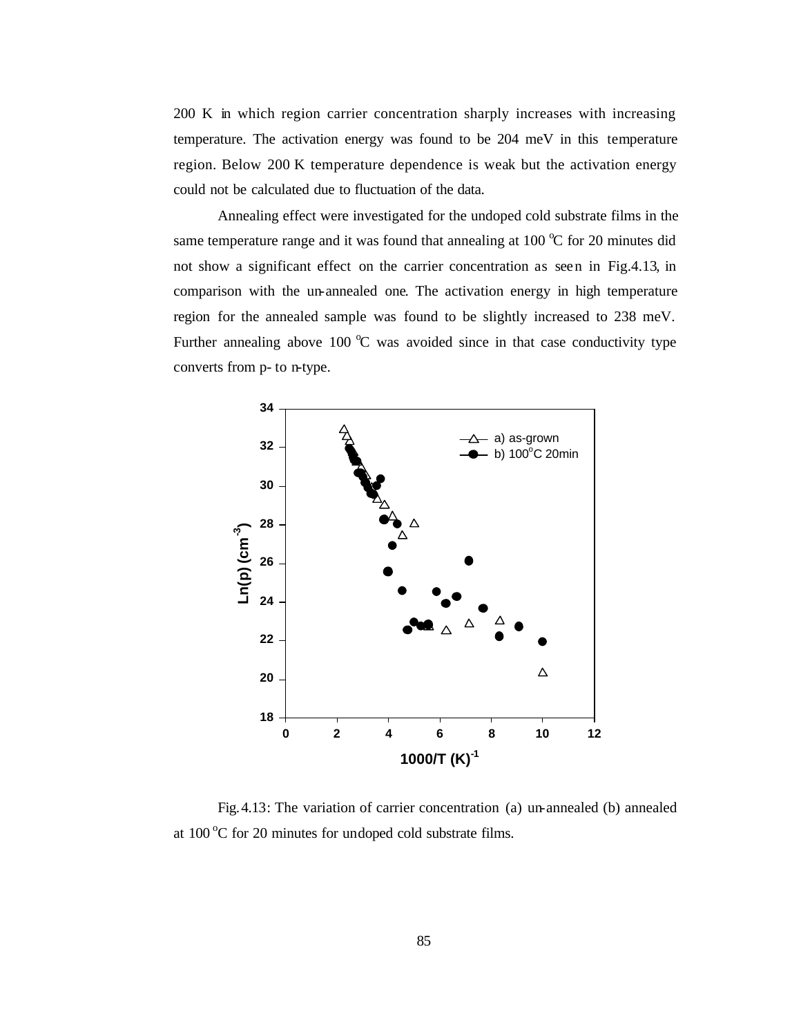200 K in which region carrier concentration sharply increases with increasing temperature. The activation energy was found to be 204 meV in this temperature region. Below 200 K temperature dependence is weak but the activation energy could not be calculated due to fluctuation of the data.

Annealing effect were investigated for the undoped cold substrate films in the same temperature range and it was found that annealing at 100  $\degree$ C for 20 minutes did not show a significant effect on the carrier concentration as seen in Fig.4.13, in comparison with the un-annealed one. The activation energy in high temperature region for the annealed sample was found to be slightly increased to 238 meV. Further annealing above 100  $\degree$ C was avoided since in that case conductivity type converts from p- to n-type.



Fig.4.13: The variation of carrier concentration (a) un-annealed (b) annealed at  $100^{\circ}$ C for 20 minutes for undoped cold substrate films.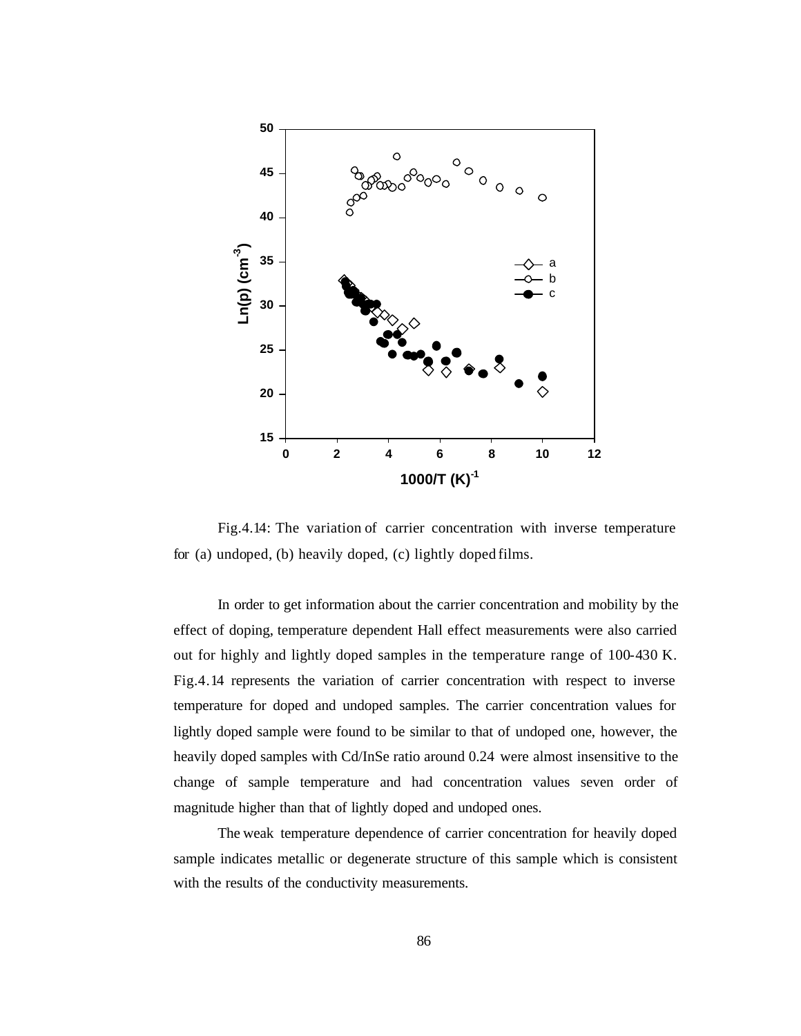

Fig.4.14: The variation of carrier concentration with inverse temperature for (a) undoped, (b) heavily doped, (c) lightly doped films.

In order to get information about the carrier concentration and mobility by the effect of doping, temperature dependent Hall effect measurements were also carried out for highly and lightly doped samples in the temperature range of 100-430 K. Fig.4.14 represents the variation of carrier concentration with respect to inverse temperature for doped and undoped samples. The carrier concentration values for lightly doped sample were found to be similar to that of undoped one, however, the heavily doped samples with Cd/InSe ratio around 0.24 were almost insensitive to the change of sample temperature and had concentration values seven order of magnitude higher than that of lightly doped and undoped ones.

The weak temperature dependence of carrier concentration for heavily doped sample indicates metallic or degenerate structure of this sample which is consistent with the results of the conductivity measurements.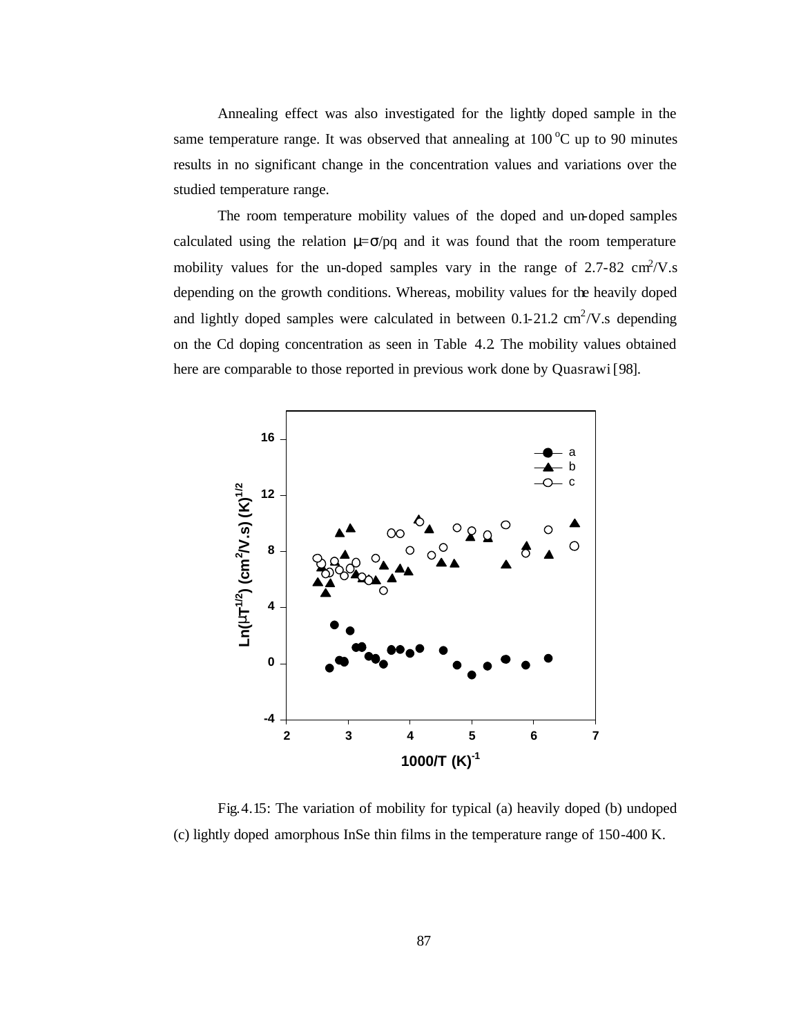Annealing effect was also investigated for the lightly doped sample in the same temperature range. It was observed that annealing at  $100\degree C$  up to 90 minutes results in no significant change in the concentration values and variations over the studied temperature range.

The room temperature mobility values of the doped and un-doped samples calculated using the relation  $\mu = \sigma / \rho q$  and it was found that the room temperature mobility values for the un-doped samples vary in the range of  $2.7-82 \text{ cm}^2/\text{V}$ .s depending on the growth conditions. Whereas, mobility values for the heavily doped and lightly doped samples were calculated in between  $0.1$ -21.2 cm<sup>2</sup>/V.s depending on the Cd doping concentration as seen in Table 4.2. The mobility values obtained here are comparable to those reported in previous work done by Quasrawi [98].



Fig.4.15: The variation of mobility for typical (a) heavily doped (b) undoped (c) lightly doped amorphous InSe thin films in the temperature range of 150-400 K.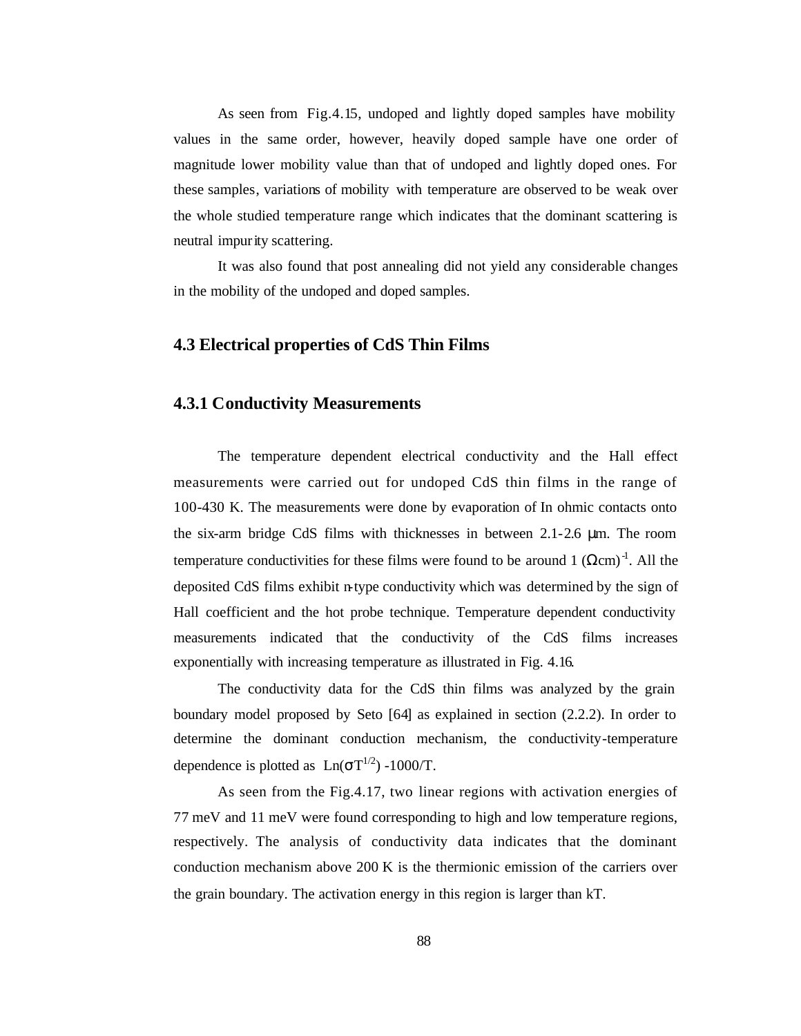As seen from Fig.4.15, undoped and lightly doped samples have mobility values in the same order, however, heavily doped sample have one order of magnitude lower mobility value than that of undoped and lightly doped ones. For these samples, variations of mobility with temperature are observed to be weak over the whole studied temperature range which indicates that the dominant scattering is neutral impurity scattering.

It was also found that post annealing did not yield any considerable changes in the mobility of the undoped and doped samples.

### **4.3 Electrical properties of CdS Thin Films**

## **4.3.1 Conductivity Measurements**

The temperature dependent electrical conductivity and the Hall effect measurements were carried out for undoped CdS thin films in the range of 100-430 K. The measurements were done by evaporation of In ohmic contacts onto the six-arm bridge CdS films with thicknesses in between 2.1-2.6 μm. The room temperature conductivities for these films were found to be around 1  $(\Omega \text{cm})^{-1}$ . All the deposited CdS films exhibit n-type conductivity which was determined by the sign of Hall coefficient and the hot probe technique. Temperature dependent conductivity measurements indicated that the conductivity of the CdS films increases exponentially with increasing temperature as illustrated in Fig. 4.16.

The conductivity data for the CdS thin films was analyzed by the grain boundary model proposed by Seto [64] as explained in section (2.2.2). In order to determine the dominant conduction mechanism, the conductivity-temperature dependence is plotted as  $Ln(\sigma T^{1/2}) - 1000/T$ .

As seen from the Fig.4.17, two linear regions with activation energies of 77 meV and 11 meV were found corresponding to high and low temperature regions, respectively. The analysis of conductivity data indicates that the dominant conduction mechanism above 200 K is the thermionic emission of the carriers over the grain boundary. The activation energy in this region is larger than kT.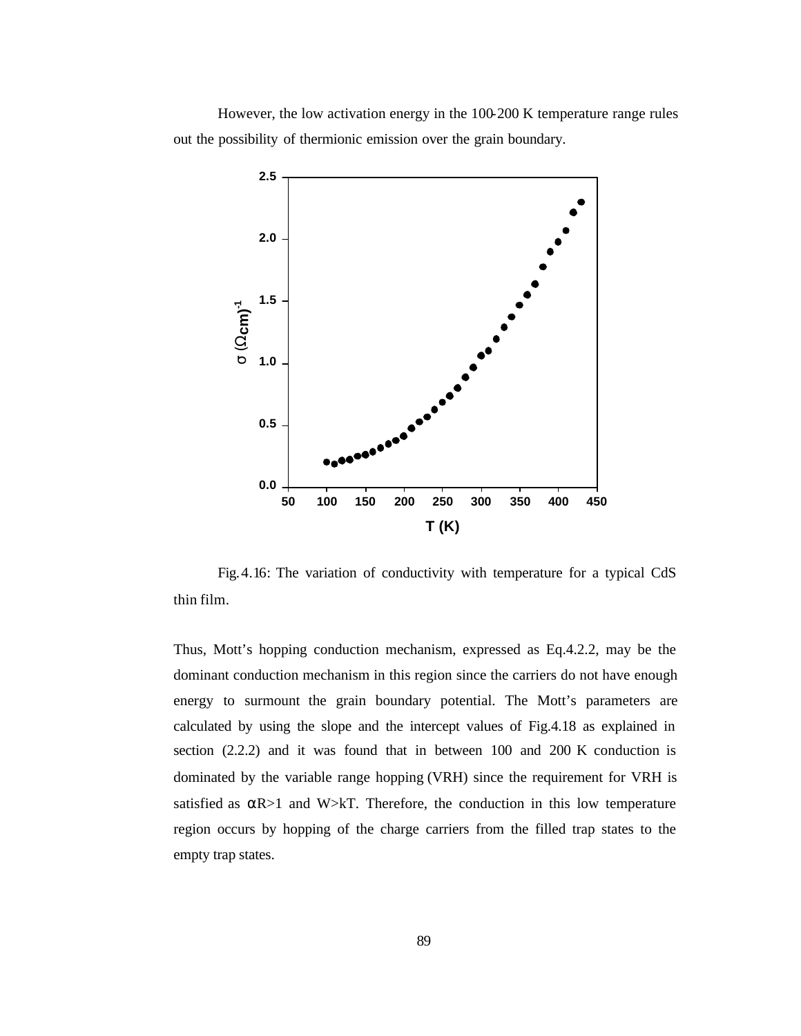However, the low activation energy in the 100-200 K temperature range rules out the possibility of thermionic emission over the grain boundary.



Fig.4.16: The variation of conductivity with temperature for a typical CdS thin film.

Thus, Mott's hopping conduction mechanism, expressed as Eq.4.2.2, may be the dominant conduction mechanism in this region since the carriers do not have enough energy to surmount the grain boundary potential. The Mott's parameters are calculated by using the slope and the intercept values of Fig.4.18 as explained in section (2.2.2) and it was found that in between 100 and 200 K conduction is dominated by the variable range hopping (VRH) since the requirement for VRH is satisfied as  $\alpha R > 1$  and W>kT. Therefore, the conduction in this low temperature region occurs by hopping of the charge carriers from the filled trap states to the empty trap states.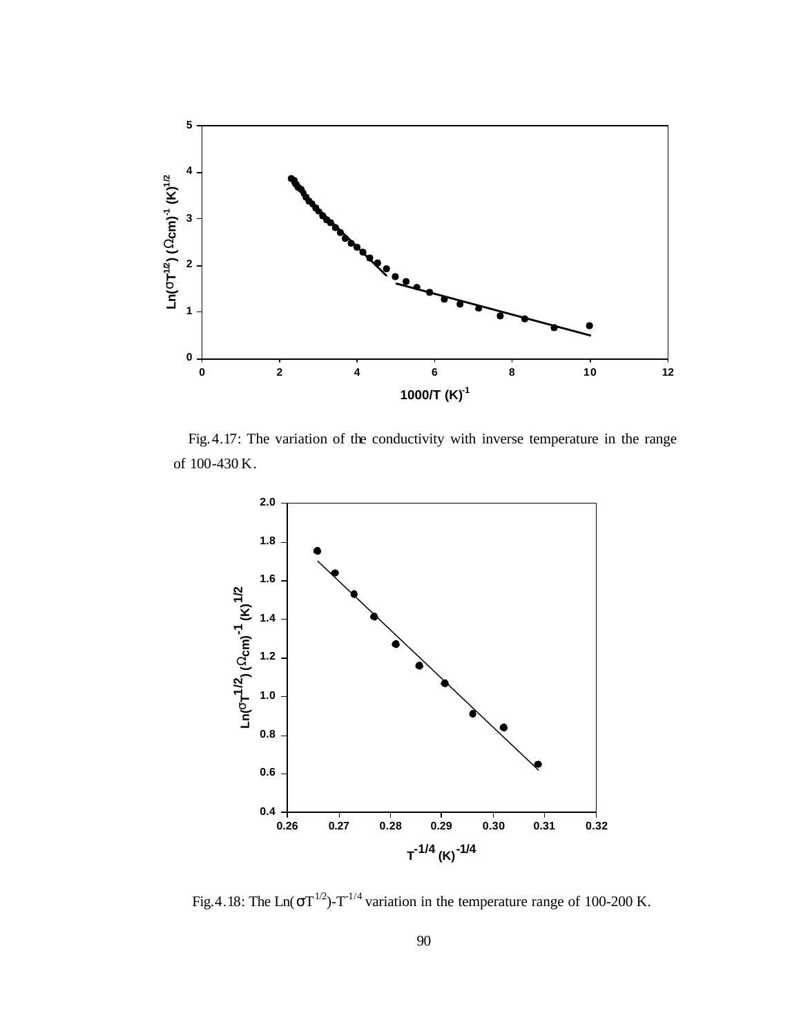

 Fig.4.17: The variation of the conductivity with inverse temperature in the range of 100-430 K.



Fig. 4.18: The Ln( $\sigma T^{1/2}$ )- $T^{-1/4}$  variation in the temperature range of 100-200 K.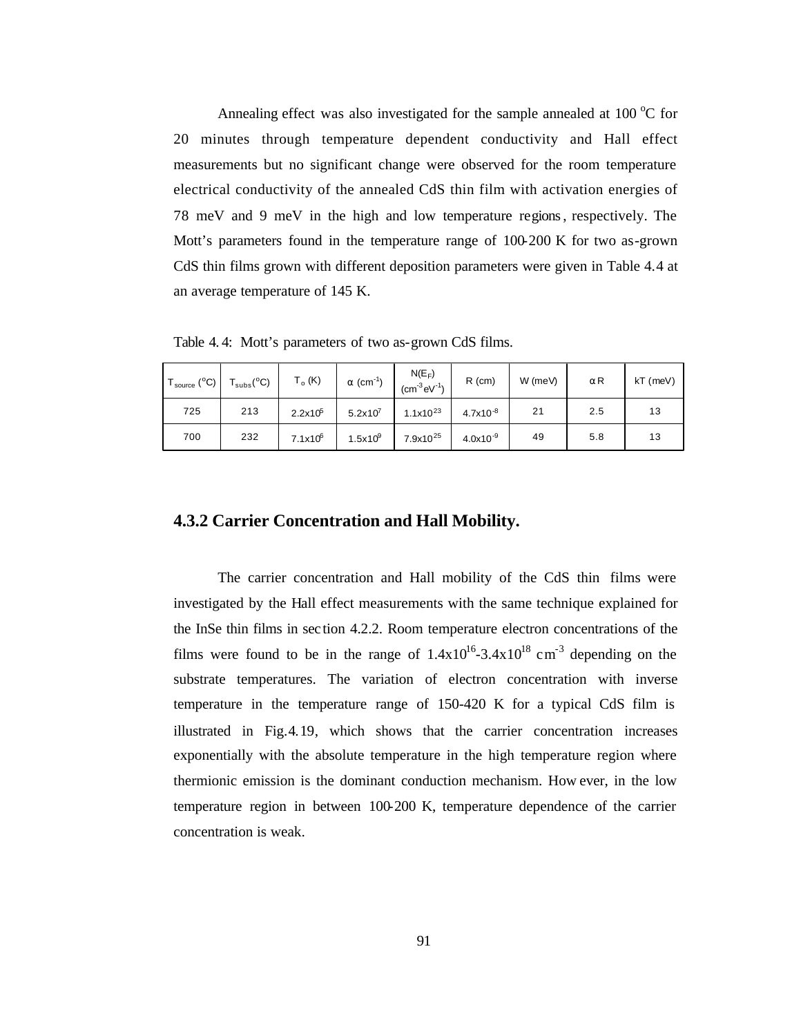Annealing effect was also investigated for the sample annealed at  $100\degree C$  for 20 minutes through temperature dependent conductivity and Hall effect measurements but no significant change were observed for the room temperature electrical conductivity of the annealed CdS thin film with activation energies of 78 meV and 9 meV in the high and low temperature regions, respectively. The Mott's parameters found in the temperature range of 100-200 K for two as-grown CdS thin films grown with different deposition parameters were given in Table 4.4 at an average temperature of 145 K.

Table 4. 4: Mott's parameters of two as-grown CdS films.

| $T_{source}$ (°C) | $T_{\text{subs}}(^{\circ}C)$ | $T_o$ (K)    | $\alpha$ (cm <sup>-1</sup> ) | $N(E_F)$<br>$(cm-3eV-1)$ | $R$ (cm)      | W (meV) | αR  | $kT$ (meV) |
|-------------------|------------------------------|--------------|------------------------------|--------------------------|---------------|---------|-----|------------|
| 725               | 213                          | $2.2x10^5$   | $5.2 \times 10^7$            | $1.1x10^{23}$            | $4.7x10^{-8}$ | 21      | 2.5 | 13         |
| 700               | 232                          | $7.1x10^{6}$ | $1.5x10^{9}$                 | $7.9x10^{25}$            | $4.0x10^{-9}$ | 49      | 5.8 | 13         |

#### **4.3.2 Carrier Concentration and Hall Mobility.**

The carrier concentration and Hall mobility of the CdS thin films were investigated by the Hall effect measurements with the same technique explained for the InSe thin films in sec tion 4.2.2. Room temperature electron concentrations of the films were found to be in the range of  $1.4x10^{16} - 3.4x10^{18}$  cm<sup>-3</sup> depending on the substrate temperatures. The variation of electron concentration with inverse temperature in the temperature range of 150-420 K for a typical CdS film is illustrated in Fig.4.19, which shows that the carrier concentration increases exponentially with the absolute temperature in the high temperature region where thermionic emission is the dominant conduction mechanism. How ever, in the low temperature region in between 100-200 K, temperature dependence of the carrier concentration is weak.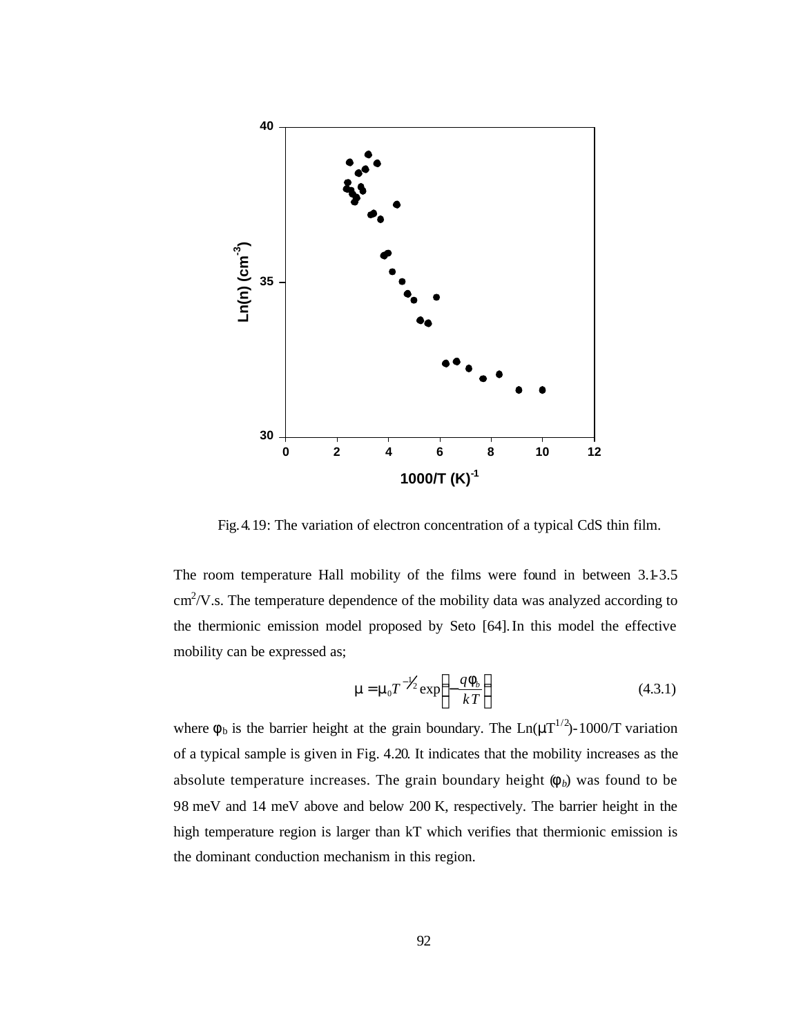

Fig.4.19: The variation of electron concentration of a typical CdS thin film.

The room temperature Hall mobility of the films were found in between 3.1-3.5  $\text{cm}^2$ /V.s. The temperature dependence of the mobility data was analyzed according to the thermionic emission model proposed by Seto [64].In this model the effective mobility can be expressed as;

$$
\mathbf{m} = \mathbf{m}_0 T^{-1/2} \exp\left(-\frac{q\mathbf{f}_b}{kT}\right) \tag{4.3.1}
$$

where  $\phi_b$  is the barrier height at the grain boundary. The  $Ln(\mu T^{1/2})$ -1000/T variation of a typical sample is given in Fig. 4.20. It indicates that the mobility increases as the absolute temperature increases. The grain boundary height  $(f_b)$  was found to be 98 meV and 14 meV above and below 200 K, respectively. The barrier height in the high temperature region is larger than kT which verifies that thermionic emission is the dominant conduction mechanism in this region.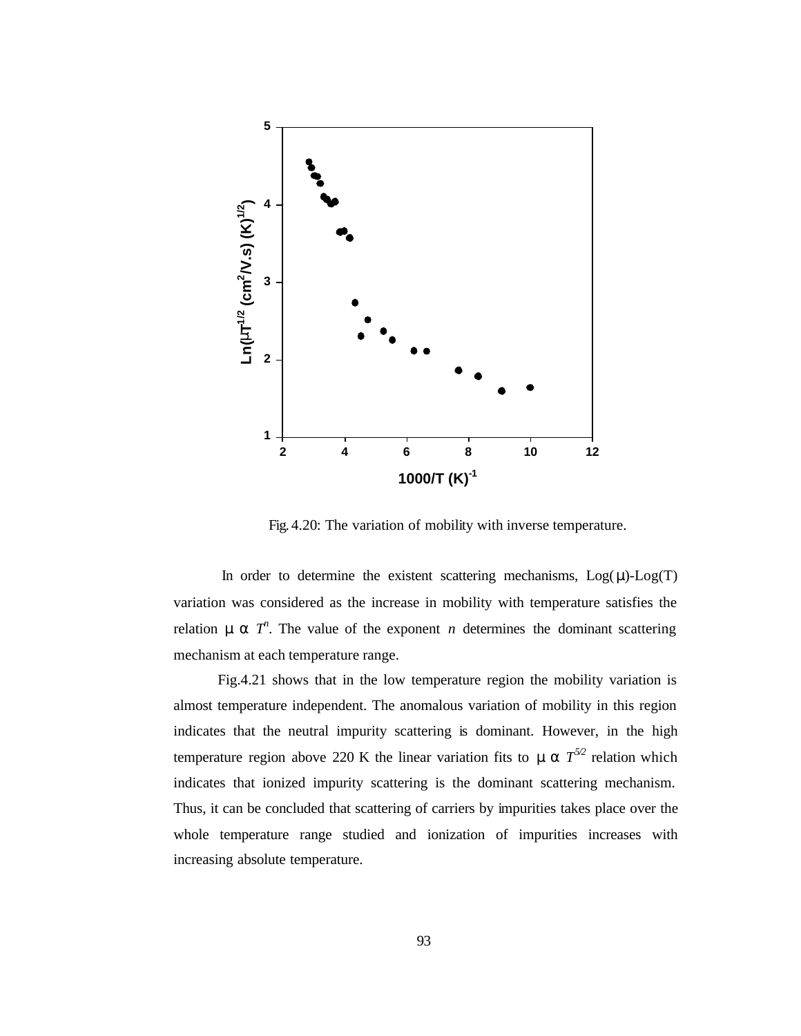

Fig. 4.20: The variation of mobility with inverse temperature.

In order to determine the existent scattering mechanisms,  $Log(\mu)-Log(T)$ variation was considered as the increase in mobility with temperature satisfies the relation  $\mathbf{m} \propto T^n$ . The value of the exponent *n* determines the dominant scattering mechanism at each temperature range.

Fig.4.21 shows that in the low temperature region the mobility variation is almost temperature independent. The anomalous variation of mobility in this region indicates that the neutral impurity scattering is dominant. However, in the high temperature region above 220 K the linear variation fits to  $\mathbf{m} \propto T^{5/2}$  relation which indicates that ionized impurity scattering is the dominant scattering mechanism. Thus, it can be concluded that scattering of carriers by impurities takes place over the whole temperature range studied and ionization of impurities increases with increasing absolute temperature.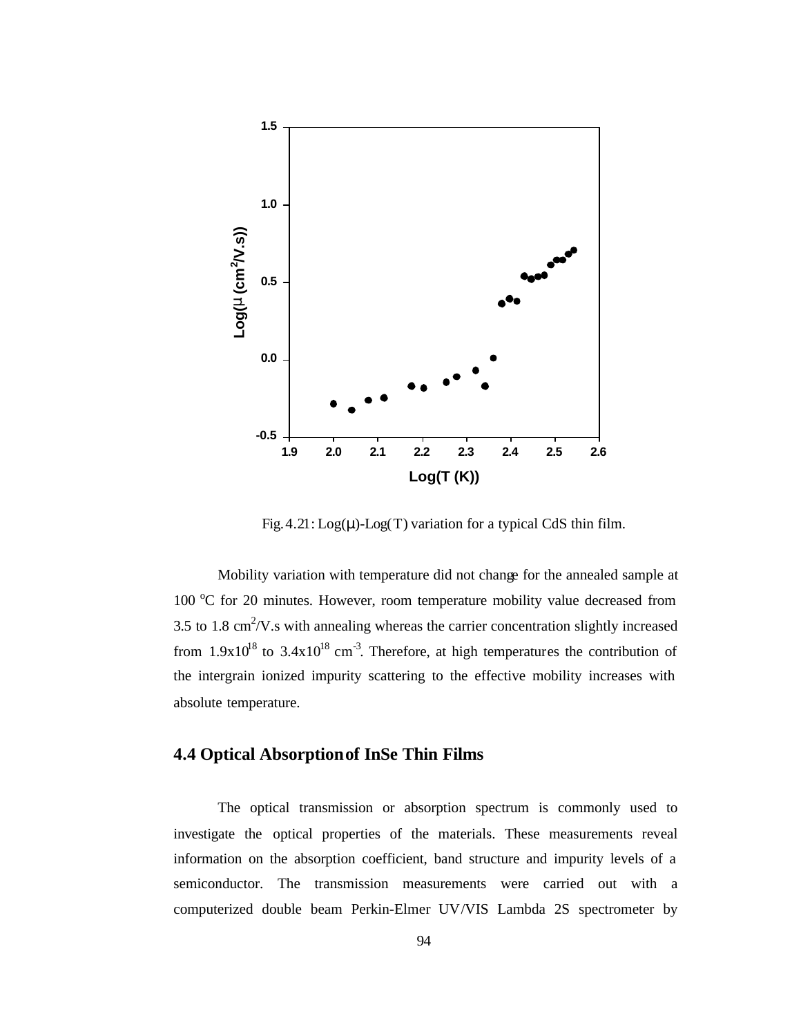

Fig.  $4.21:$  Log( $\mu$ )-Log(T) variation for a typical CdS thin film.

Mobility variation with temperature did not change for the annealed sample at 100  $^{\circ}$ C for 20 minutes. However, room temperature mobility value decreased from 3.5 to 1.8  $\text{cm}^2/\text{V}$ . s with annealing whereas the carrier concentration slightly increased from  $1.9x10^{18}$  to  $3.4x10^{18}$  cm<sup>-3</sup>. Therefore, at high temperatures the contribution of the intergrain ionized impurity scattering to the effective mobility increases with absolute temperature.

### **4.4 Optical Absorption of InSe Thin Films**

The optical transmission or absorption spectrum is commonly used to investigate the optical properties of the materials. These measurements reveal information on the absorption coefficient, band structure and impurity levels of a semiconductor. The transmission measurements were carried out with a computerized double beam Perkin-Elmer UV/VIS Lambda 2S spectrometer by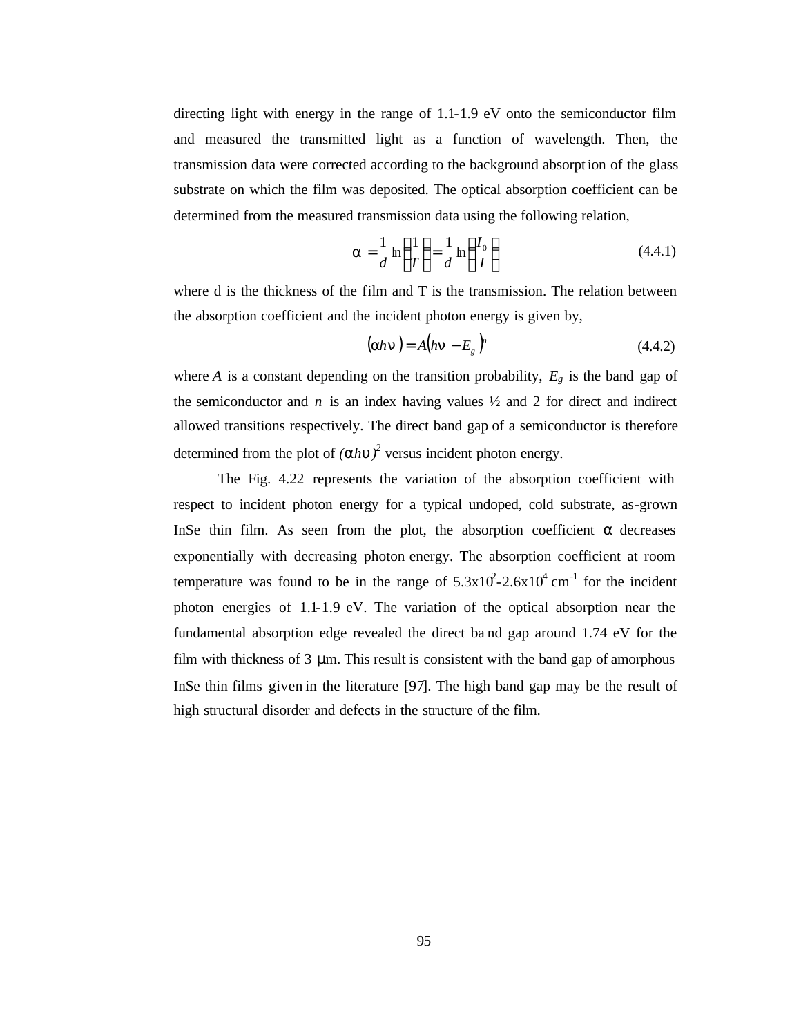directing light with energy in the range of 1.1-1.9 eV onto the semiconductor film and measured the transmitted light as a function of wavelength. Then, the transmission data were corrected according to the background absorption of the glass substrate on which the film was deposited. The optical absorption coefficient can be determined from the measured transmission data using the following relation,

$$
\mathbf{a} = \frac{1}{d} \ln \left( \frac{1}{T} \right) = \frac{1}{d} \ln \left( \frac{I_0}{I} \right) \tag{4.4.1}
$$

where d is the thickness of the film and T is the transmission. The relation between the absorption coefficient and the incident photon energy is given by,

$$
(\mathbf{a}h\mathbf{n}) = A\big(h\mathbf{n} - E_s\big)^n \tag{4.4.2}
$$

where *A* is a constant depending on the transition probability,  $E_g$  is the band gap of the semiconductor and  $n$  is an index having values  $\frac{1}{2}$  and 2 for direct and indirect allowed transitions respectively. The direct band gap of a semiconductor is therefore determined from the plot of  $(ahu)^2$  versus incident photon energy.

The Fig. 4.22 represents the variation of the absorption coefficient with respect to incident photon energy for a typical undoped, cold substrate, as-grown InSe thin film. As seen from the plot, the absorption coefficient  $\alpha$  decreases exponentially with decreasing photon energy. The absorption coefficient at room temperature was found to be in the range of  $5.3 \times 10^2 - 2.6 \times 10^4$  cm<sup>-1</sup> for the incident photon energies of 1.1-1.9 eV. The variation of the optical absorption near the fundamental absorption edge revealed the direct ba nd gap around 1.74 eV for the film with thickness of  $3 \mu$ m. This result is consistent with the band gap of amorphous InSe thin films given in the literature [97]. The high band gap may be the result of high structural disorder and defects in the structure of the film.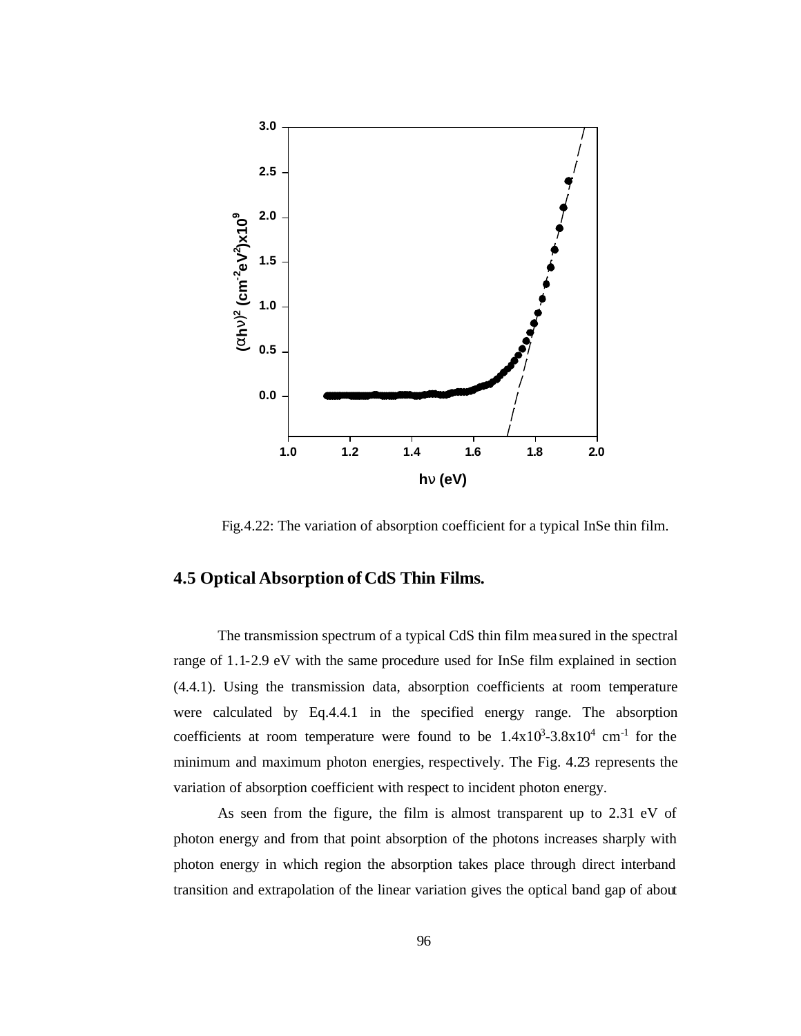

Fig.4.22: The variation of absorption coefficient for a typical InSe thin film.

## **4.5 Optical Absorption of CdS Thin Films.**

The transmission spectrum of a typical CdS thin film mea sured in the spectral range of 1.1-2.9 eV with the same procedure used for InSe film explained in section (4.4.1). Using the transmission data, absorption coefficients at room temperature were calculated by Eq.4.4.1 in the specified energy range. The absorption coefficients at room temperature were found to be  $1.4x10^3 - 3.8x10^4$  cm<sup>-1</sup> for the minimum and maximum photon energies, respectively. The Fig. 4.23 represents the variation of absorption coefficient with respect to incident photon energy.

As seen from the figure, the film is almost transparent up to 2.31 eV of photon energy and from that point absorption of the photons increases sharply with photon energy in which region the absorption takes place through direct interband transition and extrapolation of the linear variation gives the optical band gap of about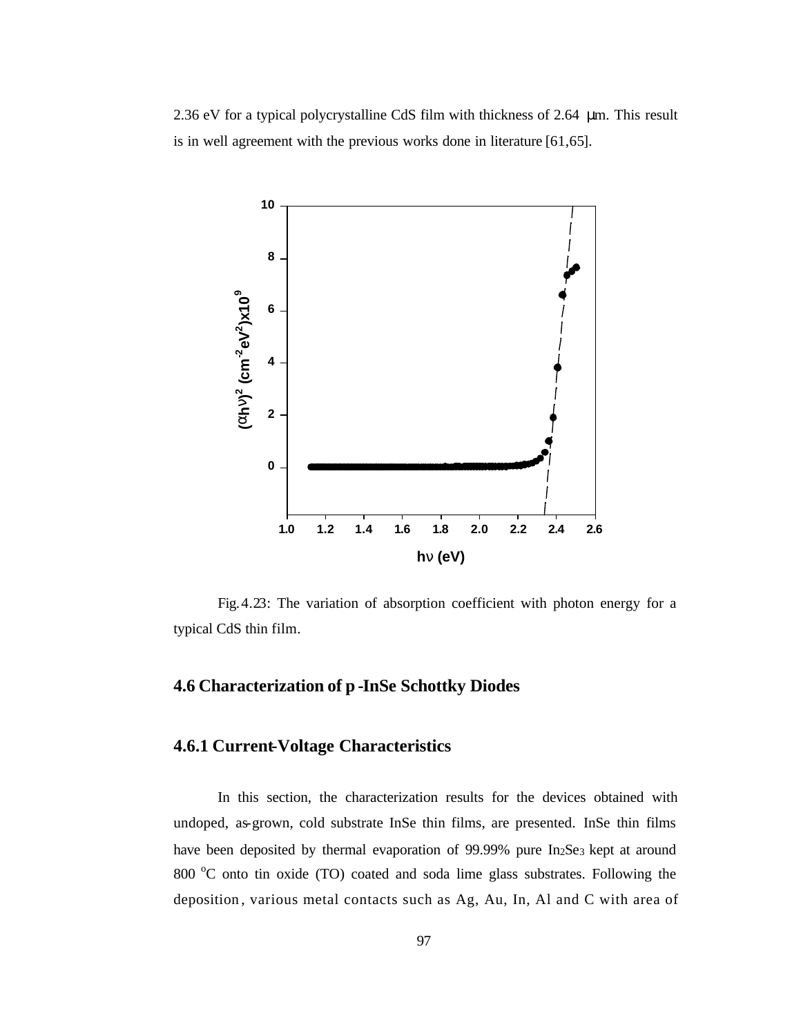2.36 eV for a typical polycrystalline CdS film with thickness of 2.64 μm. This result is in well agreement with the previous works done in literature [61,65].



Fig.4.23: The variation of absorption coefficient with photon energy for a typical CdS thin film.

# **4.6 Characterization of p -InSe Schottky Diodes**

## **4.6.1 Current-Voltage Characteristics**

In this section, the characterization results for the devices obtained with undoped, as-grown, cold substrate InSe thin films, are presented. InSe thin films have been deposited by thermal evaporation of  $99.99\%$  pure In<sub>2</sub>Se<sub>3</sub> kept at around 800  $\degree$ C onto tin oxide (TO) coated and soda lime glass substrates. Following the deposition , various metal contacts such as Ag, Au, In, Al and C with area of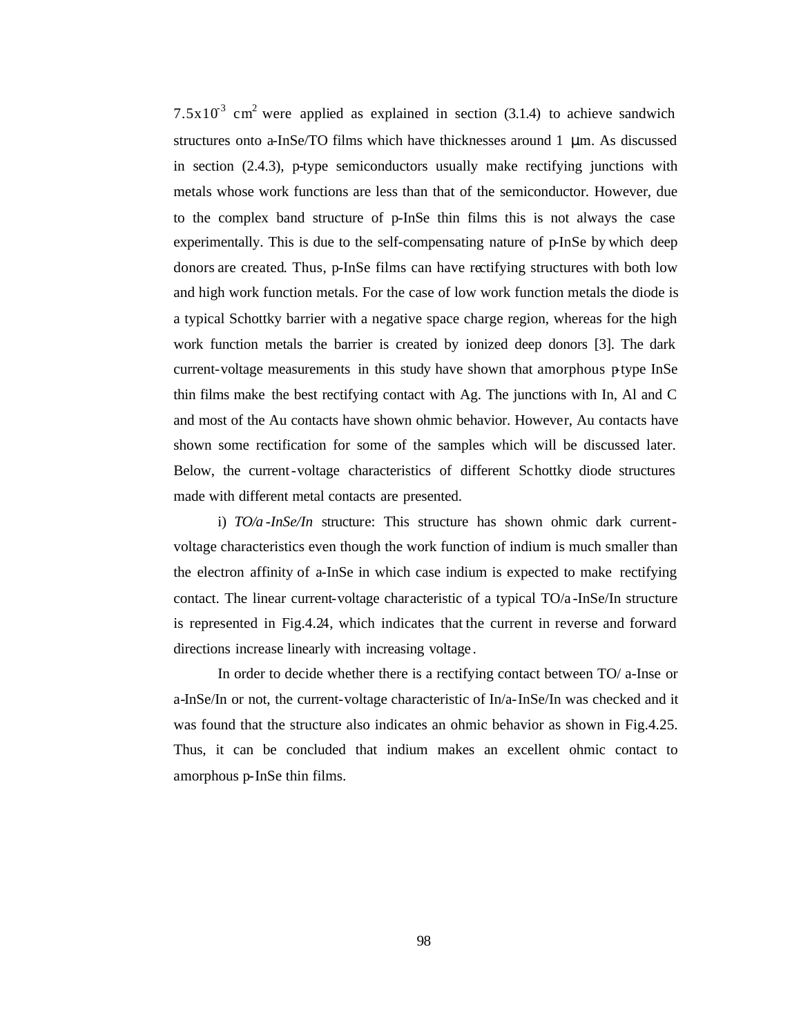7.5x10<sup>3</sup> cm<sup>2</sup> were applied as explained in section (3.1.4) to achieve sandwich structures onto a-InSe/TO films which have thicknesses around 1 μm. As discussed in section (2.4.3), p-type semiconductors usually make rectifying junctions with metals whose work functions are less than that of the semiconductor. However, due to the complex band structure of p-InSe thin films this is not always the case experimentally. This is due to the self-compensating nature of p-InSe by which deep donors are created. Thus, p-InSe films can have rectifying structures with both low and high work function metals. For the case of low work function metals the diode is a typical Schottky barrier with a negative space charge region, whereas for the high work function metals the barrier is created by ionized deep donors [3]. The dark current-voltage measurements in this study have shown that amorphous ptype InSe thin films make the best rectifying contact with Ag. The junctions with In, Al and C and most of the Au contacts have shown ohmic behavior. However, Au contacts have shown some rectification for some of the samples which will be discussed later. Below, the current-voltage characteristics of different Schottky diode structures made with different metal contacts are presented.

i) *TO/a -InSe/In* structure: This structure has shown ohmic dark currentvoltage characteristics even though the work function of indium is much smaller than the electron affinity of a-InSe in which case indium is expected to make rectifying contact. The linear current-voltage characteristic of a typical TO/a -InSe/In structure is represented in Fig.4.24, which indicates that the current in reverse and forward directions increase linearly with increasing voltage .

In order to decide whether there is a rectifying contact between TO/ a-Inse or a-InSe/In or not, the current-voltage characteristic of In/a-InSe/In was checked and it was found that the structure also indicates an ohmic behavior as shown in Fig.4.25. Thus, it can be concluded that indium makes an excellent ohmic contact to amorphous p-InSe thin films.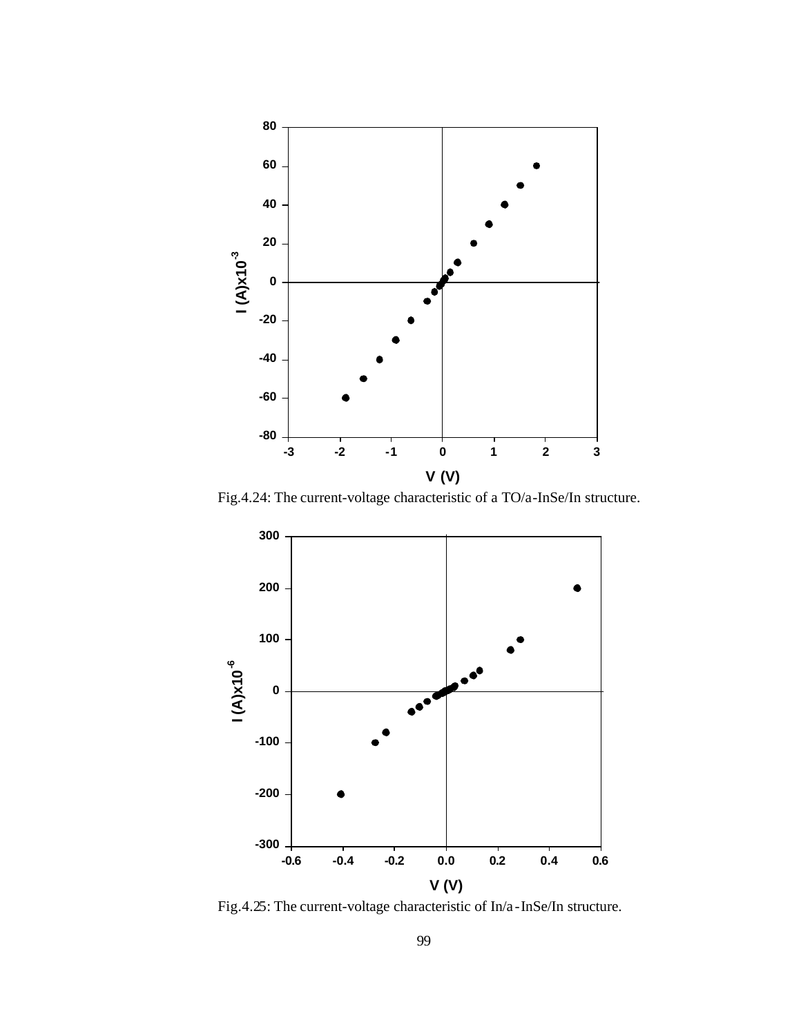

Fig.4.24: The current-voltage characteristic of a TO/a-InSe/In structure.



Fig.4.25: The current-voltage characteristic of In/a -InSe/In structure.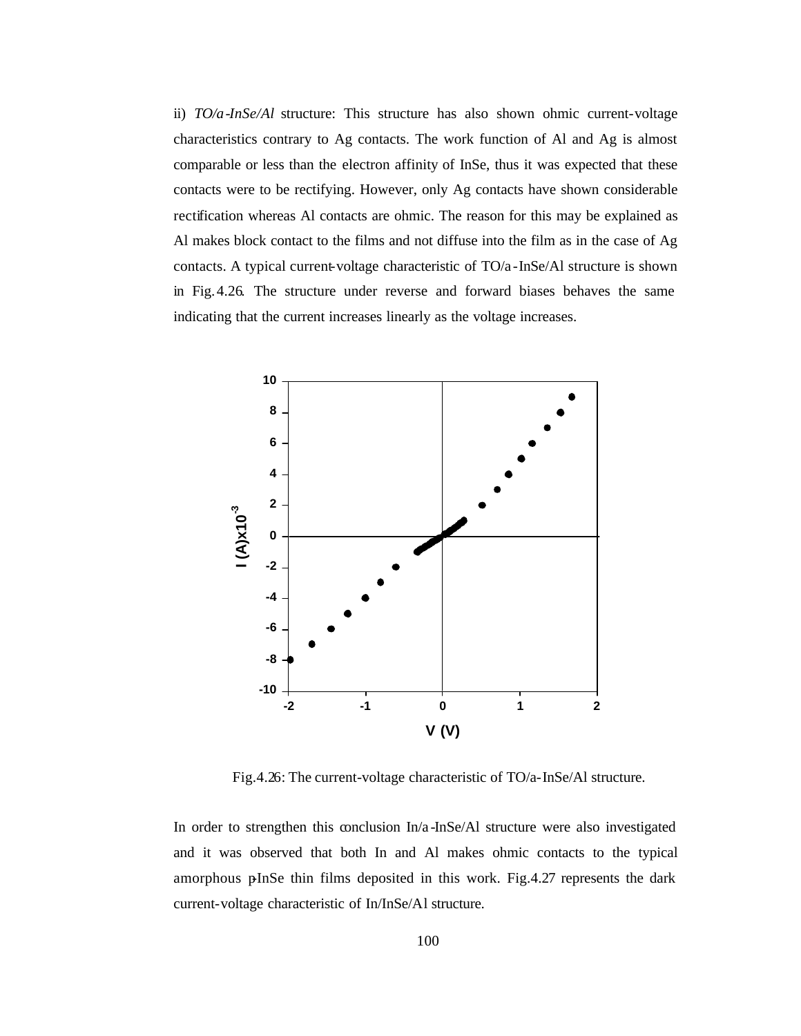ii) *TO/a-InSe/Al* structure: This structure has also shown ohmic current-voltage characteristics contrary to Ag contacts. The work function of Al and Ag is almost comparable or less than the electron affinity of InSe, thus it was expected that these contacts were to be rectifying. However, only Ag contacts have shown considerable rectification whereas Al contacts are ohmic. The reason for this may be explained as Al makes block contact to the films and not diffuse into the film as in the case of Ag contacts. A typical current-voltage characteristic of TO/a -InSe/Al structure is shown in Fig.4.26. The structure under reverse and forward biases behaves the same indicating that the current increases linearly as the voltage increases.



Fig.4.26: The current-voltage characteristic of TO/a-InSe/Al structure.

In order to strengthen this conclusion In/a -InSe/Al structure were also investigated and it was observed that both In and Al makes ohmic contacts to the typical amorphous p $InSe$  thin films deposited in this work. Fig.4.27 represents the dark current-voltage characteristic of In/InSe/Al structure.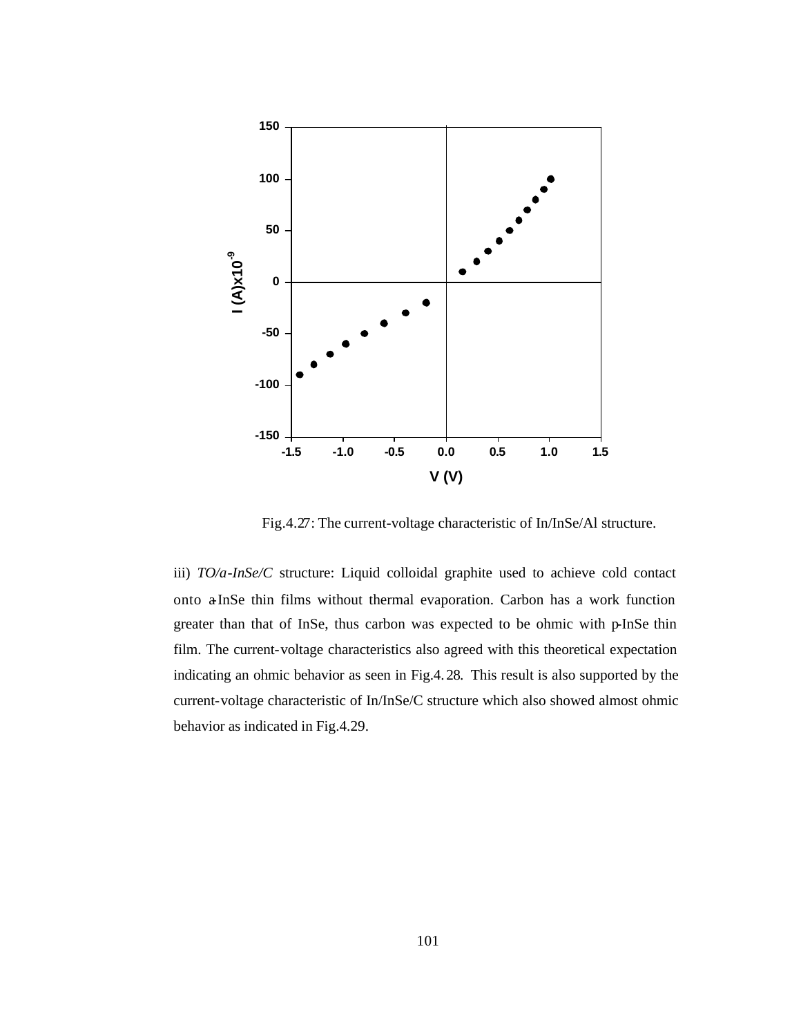

Fig.4.27: The current-voltage characteristic of In/InSe/Al structure.

iii) *TO/a-InSe/C* structure: Liquid colloidal graphite used to achieve cold contact onto a-InSe thin films without thermal evaporation. Carbon has a work function greater than that of InSe, thus carbon was expected to be ohmic with p-InSe thin film. The current-voltage characteristics also agreed with this theoretical expectation indicating an ohmic behavior as seen in Fig.4.28. This result is also supported by the current-voltage characteristic of In/InSe/C structure which also showed almost ohmic behavior as indicated in Fig.4.29.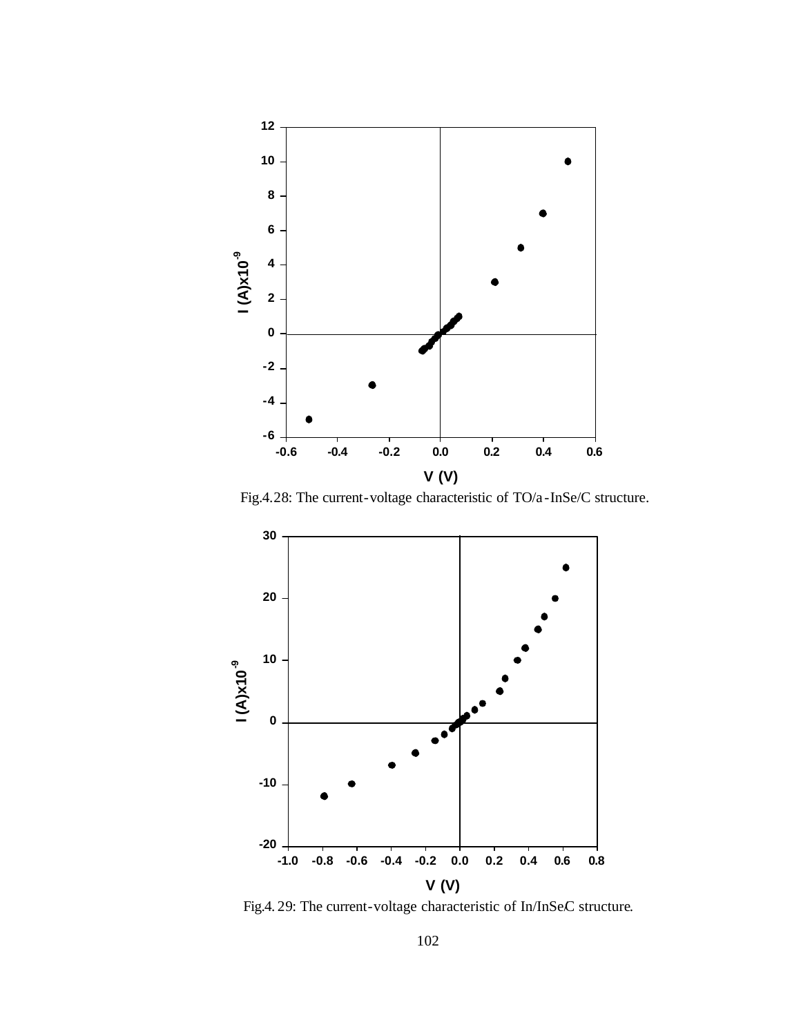

Fig.4.28: The current-voltage characteristic of TO/a -InSe/C structure.



Fig.4. 29: The current-voltage characteristic of In/InSeC structure.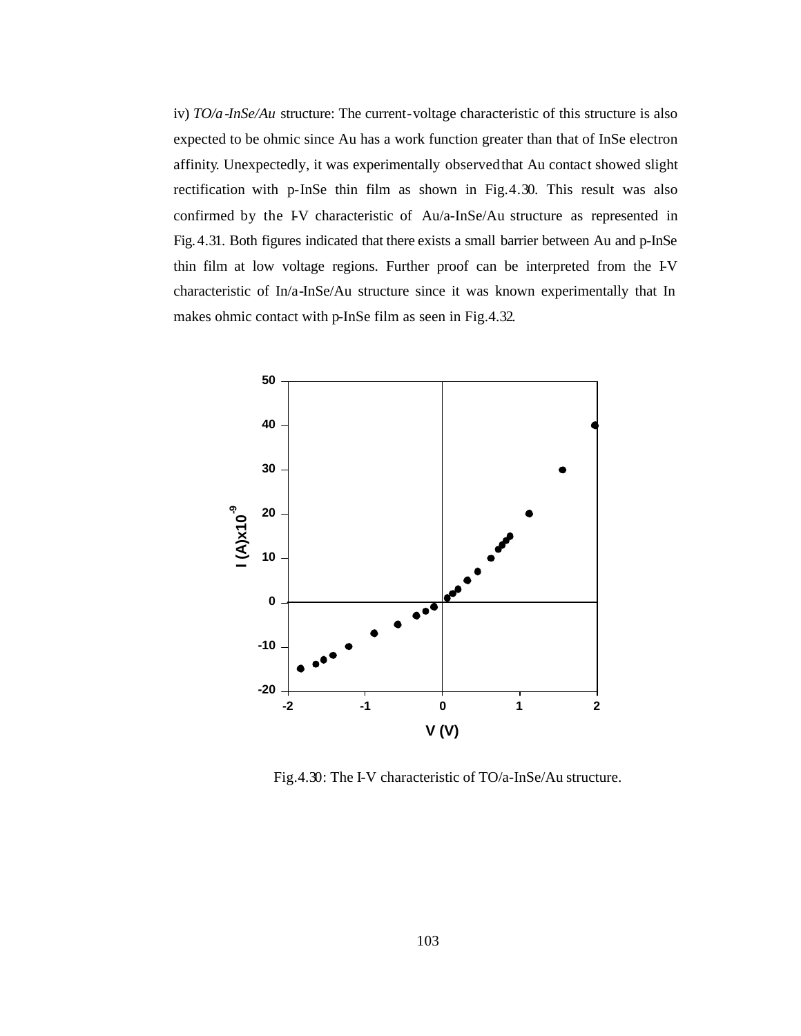iv) *TO/a-InSe/Au* structure: The current-voltage characteristic of this structure is also expected to be ohmic since Au has a work function greater than that of InSe electron affinity. Unexpectedly, it was experimentally observed that Au contact showed slight rectification with p-InSe thin film as shown in Fig.4.30. This result was also confirmed by the IV characteristic of Au/a-InSe/Au structure as represented in Fig.4.31. Both figures indicated that there exists a small barrier between Au and p-InSe thin film at low voltage regions. Further proof can be interpreted from the I-V characteristic of In/a-InSe/Au structure since it was known experimentally that In makes ohmic contact with p-InSe film as seen in Fig.4.32.



Fig.4.30: The I-V characteristic of TO/a-InSe/Au structure.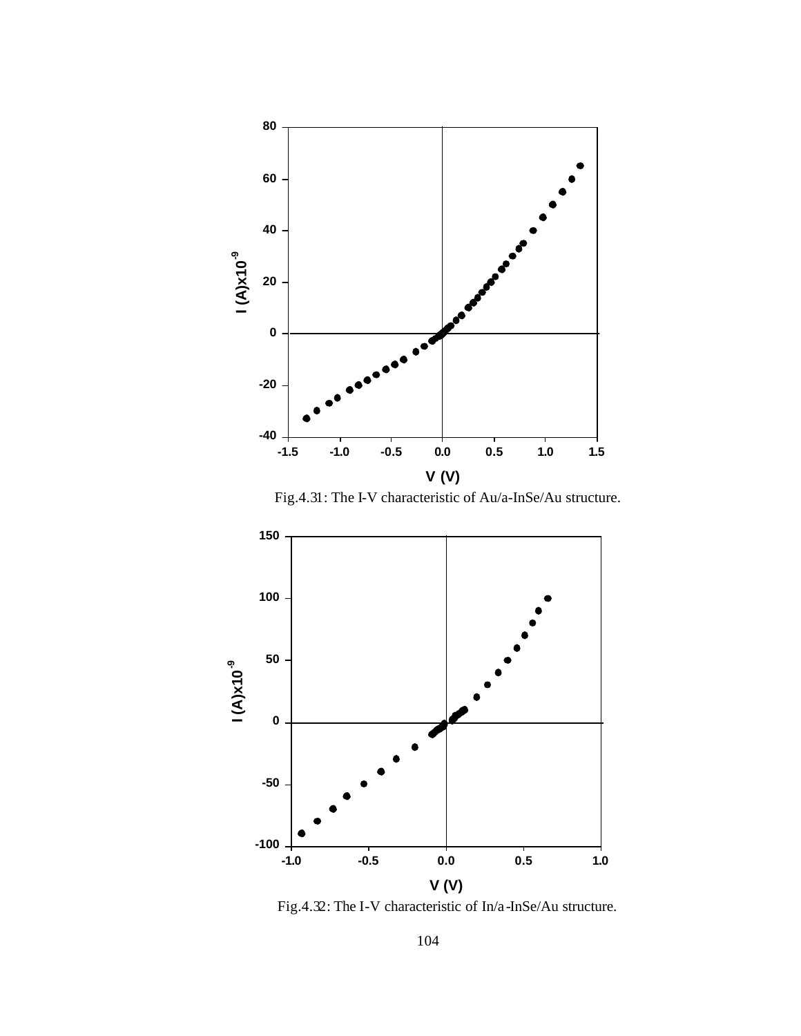

Fig.4.31: The I-V characteristic of Au/a-InSe/Au structure.



Fig.4.32: The I-V characteristic of In/a -InSe/Au structure.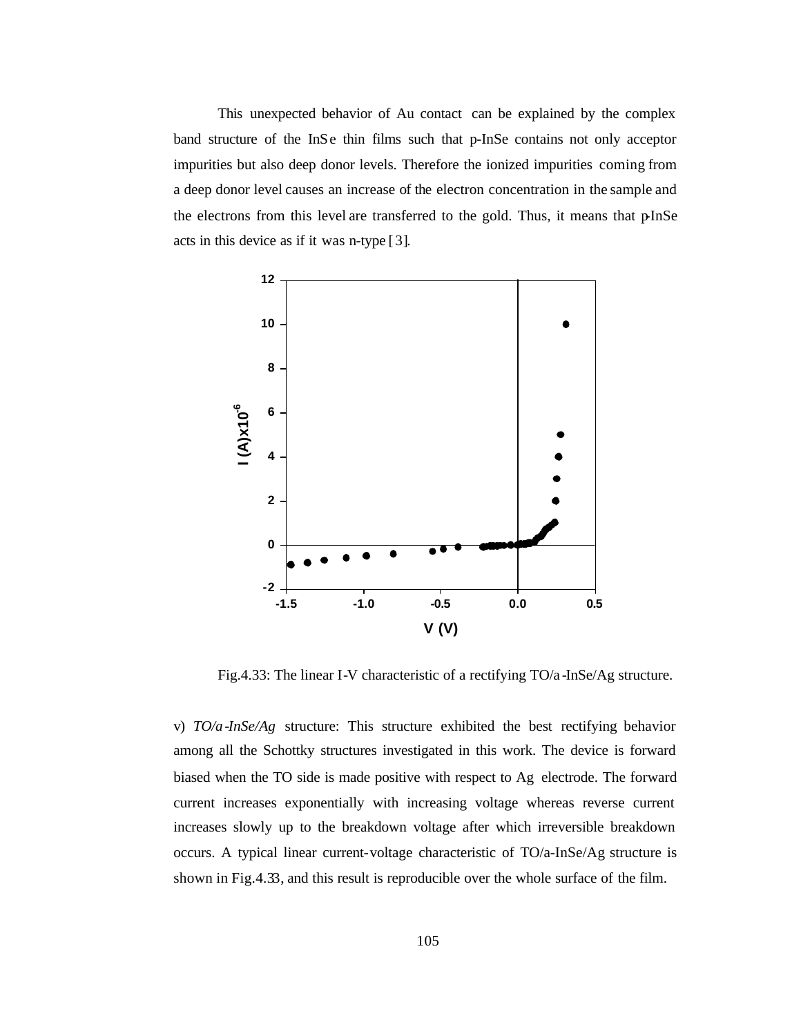This unexpected behavior of Au contact can be explained by the complex band structure of the InSe thin films such that p-InSe contains not only acceptor impurities but also deep donor levels. Therefore the ionized impurities coming from a deep donor level causes an increase of the electron concentration in the sample and the electrons from this level are transferred to the gold. Thus, it means that pInSe acts in this device as if it was n-type [3].



Fig.4.33: The linear I-V characteristic of a rectifying TO/a -InSe/Ag structure.

v) *TO/a-InSe/Ag* structure: This structure exhibited the best rectifying behavior among all the Schottky structures investigated in this work. The device is forward biased when the TO side is made positive with respect to Ag electrode. The forward current increases exponentially with increasing voltage whereas reverse current increases slowly up to the breakdown voltage after which irreversible breakdown occurs. A typical linear current-voltage characteristic of TO/a-InSe/Ag structure is shown in Fig.4.33, and this result is reproducible over the whole surface of the film.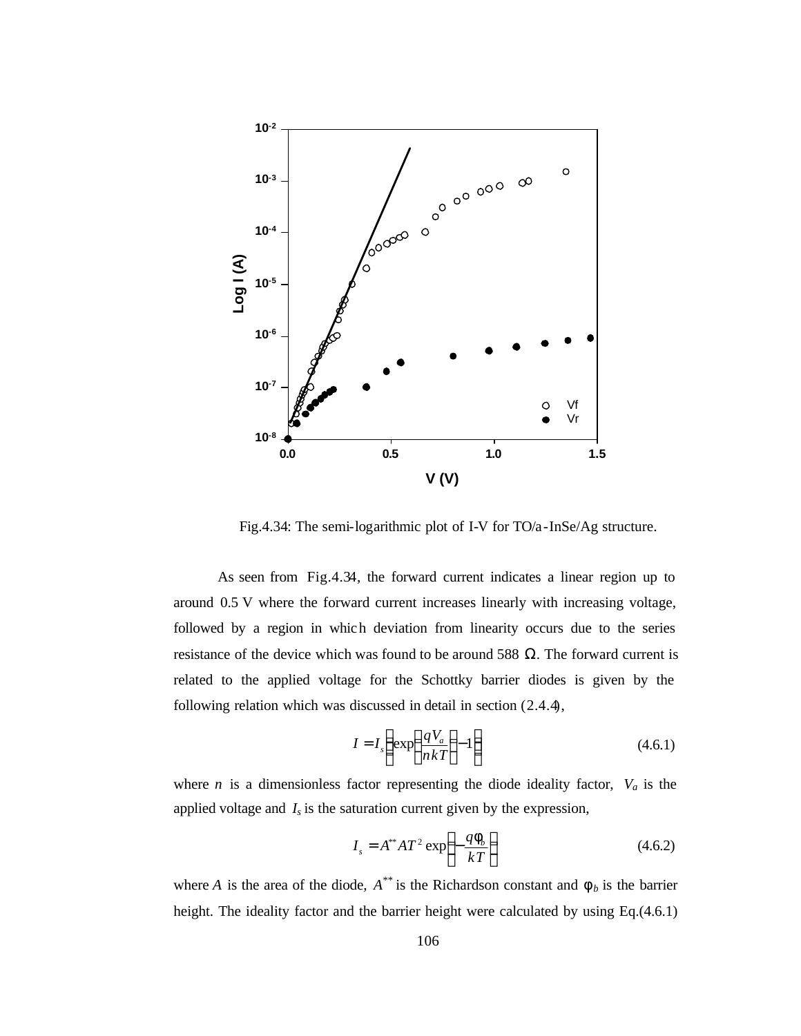

Fig.4.34: The semi-logarithmic plot of I-V for TO/a-InSe/Ag structure.

As seen from Fig.4.34, the forward current indicates a linear region up to around 0.5 V where the forward current increases linearly with increasing voltage, followed by a region in which deviation from linearity occurs due to the series resistance of the device which was found to be around 588  $\Omega$ . The forward current is related to the applied voltage for the Schottky barrier diodes is given by the following relation which was discussed in detail in section (2.4.4),

$$
I = I_s \left( \exp\left(\frac{qV_a}{nkT}\right) - 1 \right)
$$
 (4.6.1)

where *n* is a dimensionless factor representing the diode ideality factor,  $V_a$  is the applied voltage and  $I_s$  is the saturation current given by the expression,

$$
I_s = A^{**} A T^2 \exp\left(-\frac{q \mathbf{f}_b}{k T}\right) \tag{4.6.2}
$$

where *A* is the area of the diode,  $A^{**}$  is the Richardson constant and  $f_b$  is the barrier height. The ideality factor and the barrier height were calculated by using Eq.(4.6.1)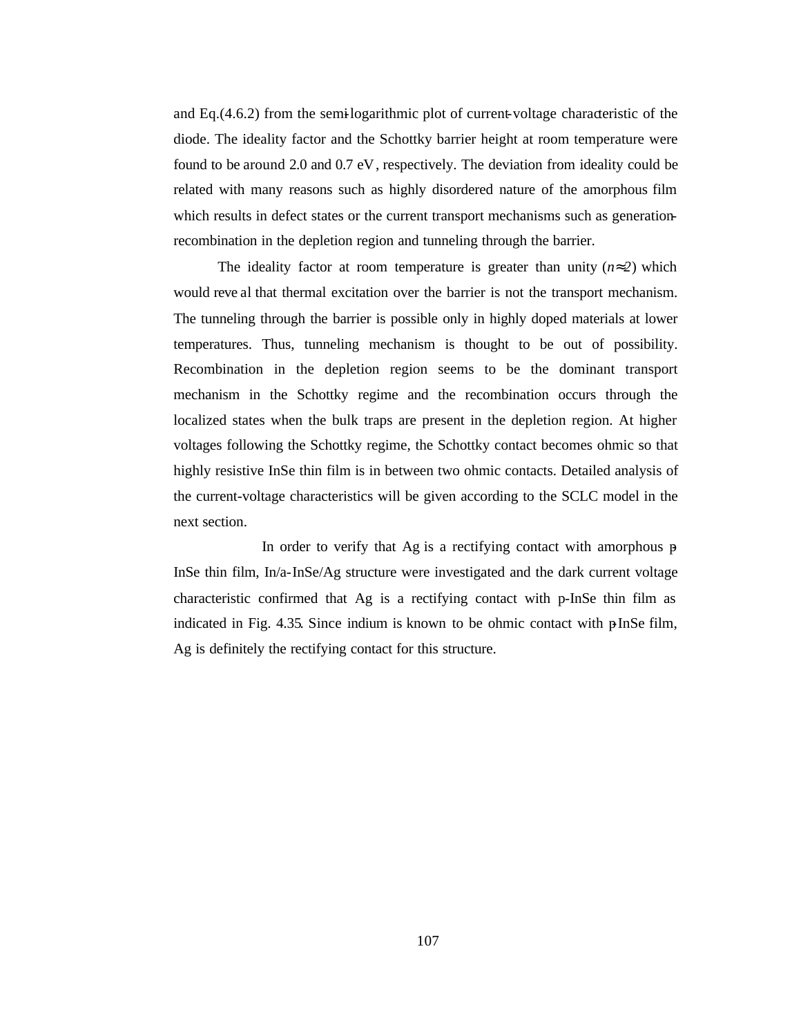and Eq.(4.6.2) from the semi-logarithmic plot of current-voltage characteristic of the diode. The ideality factor and the Schottky barrier height at room temperature were found to be around 2.0 and 0.7 eV, respectively. The deviation from ideality could be related with many reasons such as highly disordered nature of the amorphous film which results in defect states or the current transport mechanisms such as generationrecombination in the depletion region and tunneling through the barrier.

The ideality factor at room temperature is greater than unity (*n»2*) which would reve al that thermal excitation over the barrier is not the transport mechanism. The tunneling through the barrier is possible only in highly doped materials at lower temperatures. Thus, tunneling mechanism is thought to be out of possibility. Recombination in the depletion region seems to be the dominant transport mechanism in the Schottky regime and the recombination occurs through the localized states when the bulk traps are present in the depletion region. At higher voltages following the Schottky regime, the Schottky contact becomes ohmic so that highly resistive InSe thin film is in between two ohmic contacts. Detailed analysis of the current-voltage characteristics will be given according to the SCLC model in the next section.

In order to verify that Ag is a rectifying contact with amorphous  $p$ InSe thin film, In/a-InSe/Ag structure were investigated and the dark current voltage characteristic confirmed that Ag is a rectifying contact with p-InSe thin film as indicated in Fig. 4.35. Since indium is known to be ohmic contact with  $\beta$ InSe film, Ag is definitely the rectifying contact for this structure.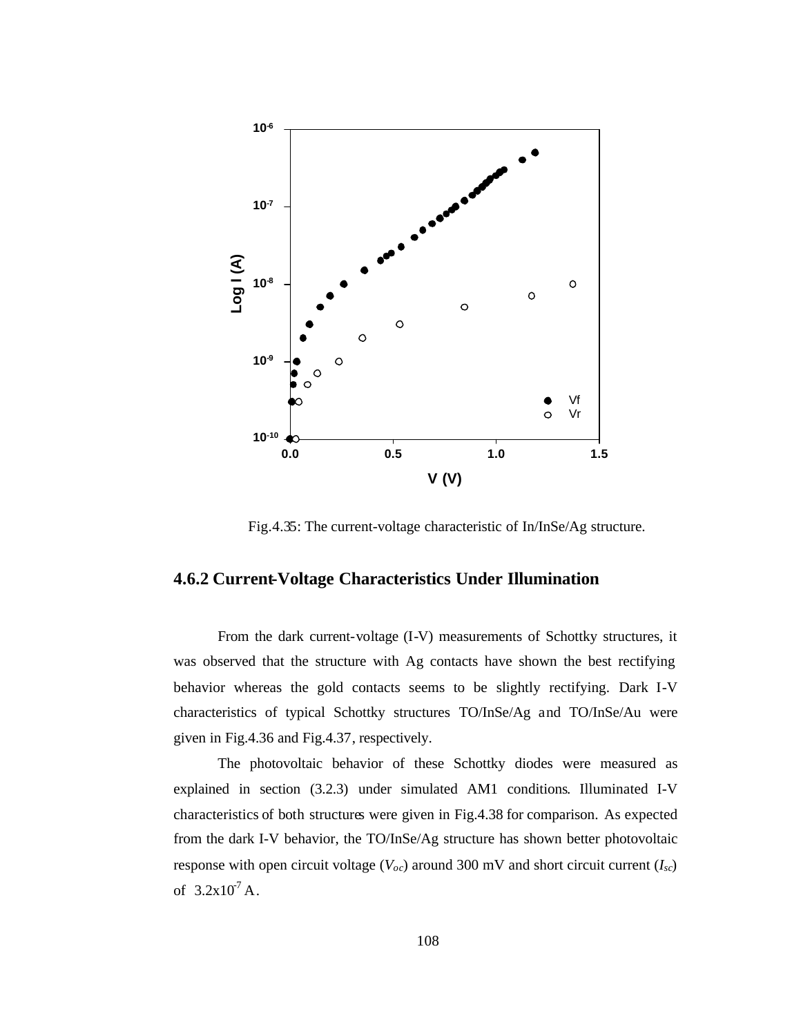

Fig.4.35: The current-voltage characteristic of In/InSe/Ag structure.

#### **4.6.2 Current-Voltage Characteristics Under Illumination**

From the dark current-voltage (I-V) measurements of Schottky structures, it was observed that the structure with Ag contacts have shown the best rectifying behavior whereas the gold contacts seems to be slightly rectifying. Dark I-V characteristics of typical Schottky structures TO/InSe/Ag and TO/InSe/Au were given in Fig.4.36 and Fig.4.37, respectively.

The photovoltaic behavior of these Schottky diodes were measured as explained in section (3.2.3) under simulated AM1 conditions. Illuminated I-V characteristics of both structures were given in Fig.4.38 for comparison. As expected from the dark I-V behavior, the TO/InSe/Ag structure has shown better photovoltaic response with open circuit voltage ( $V_{oc}$ ) around 300 mV and short circuit current ( $I_{sc}$ ) of  $3.2x10^7$  A.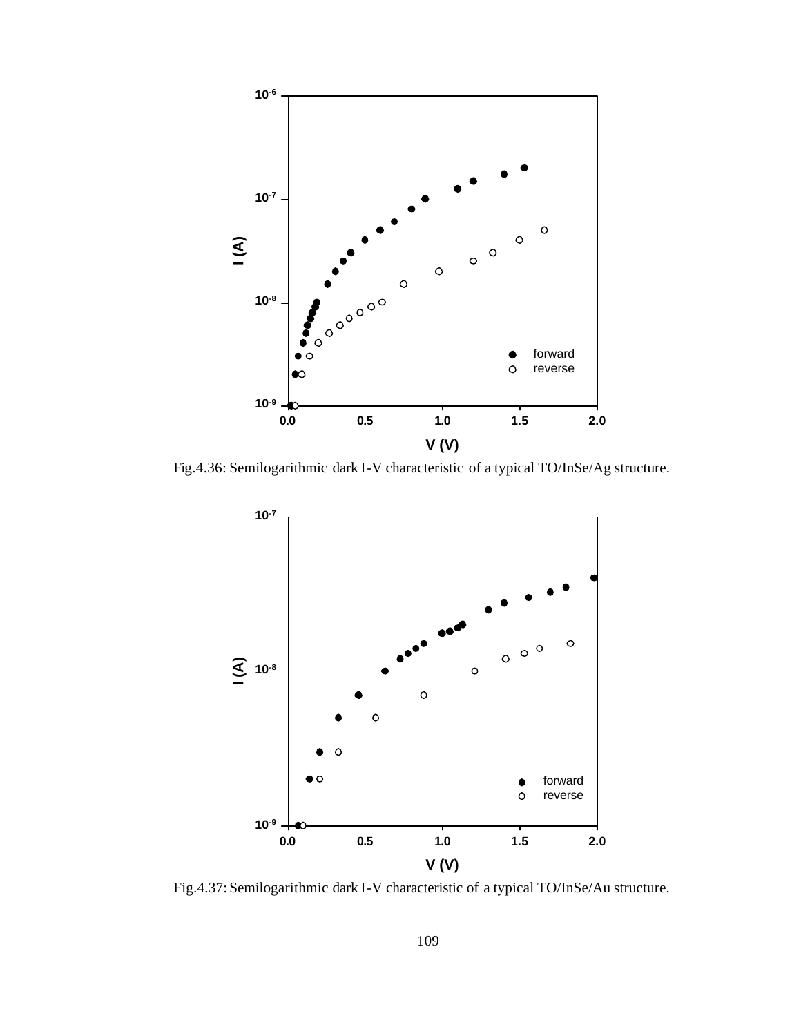

Fig.4.36: Semilogarithmic dark I-V characteristic of a typical TO/InSe/Ag structure.



Fig.4.37: Semilogarithmic dark I-V characteristic of a typical TO/InSe/Au structure.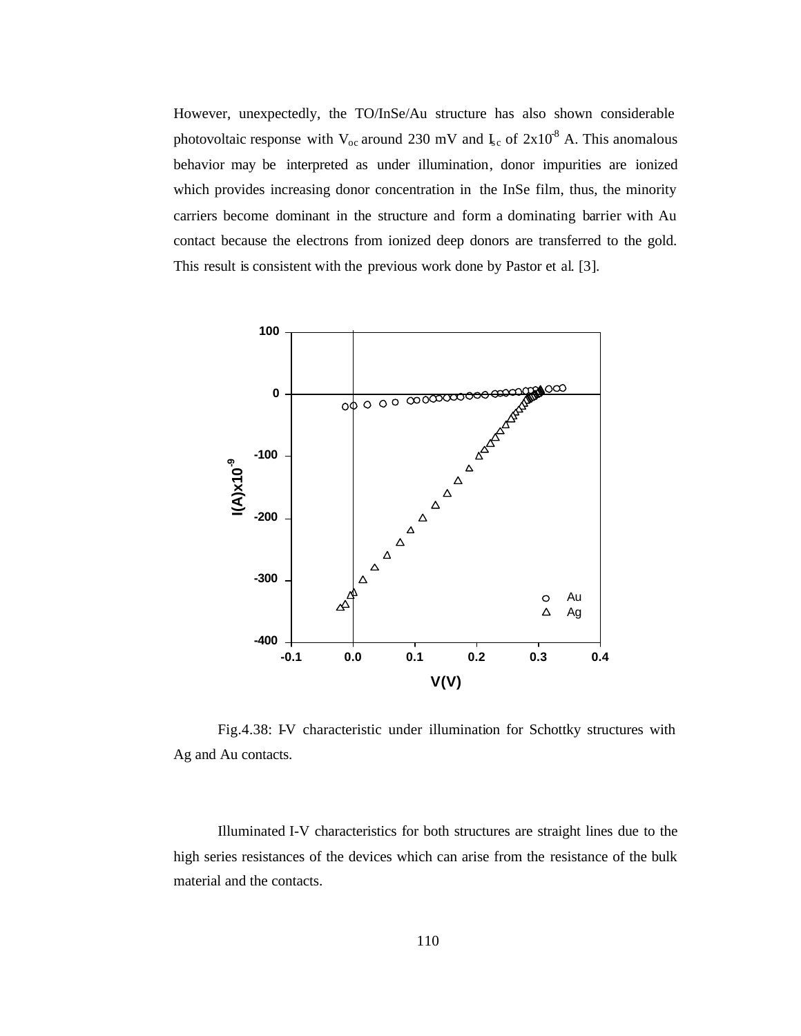However, unexpectedly, the TO/InSe/Au structure has also shown considerable photovoltaic response with  $V_{oc}$  around 230 mV and  $I_{sc}$  of  $2x10^8$  A. This anomalous behavior may be interpreted as under illumination, donor impurities are ionized which provides increasing donor concentration in the InSe film, thus, the minority carriers become dominant in the structure and form a dominating barrier with Au contact because the electrons from ionized deep donors are transferred to the gold. This result is consistent with the previous work done by Pastor et al. [3].



Fig.4.38: I-V characteristic under illumination for Schottky structures with Ag and Au contacts.

Illuminated I-V characteristics for both structures are straight lines due to the high series resistances of the devices which can arise from the resistance of the bulk material and the contacts.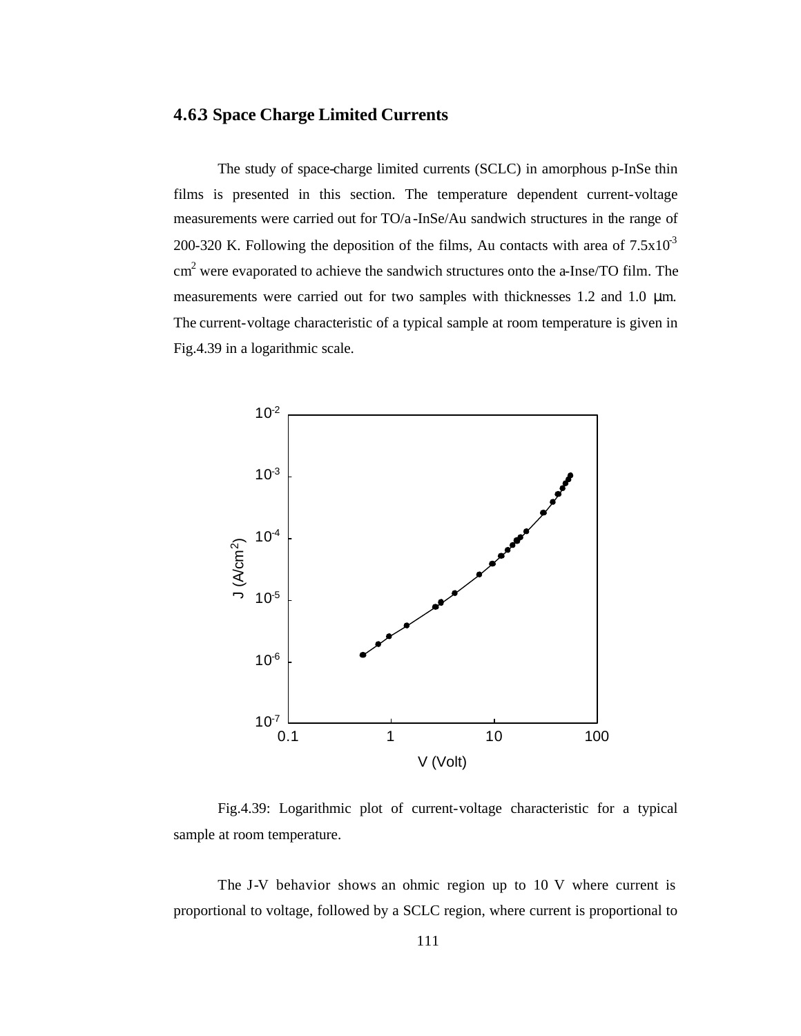## **4.6.3 Space Charge Limited Currents**

The study of space-charge limited currents (SCLC) in amorphous p-InSe thin films is presented in this section. The temperature dependent current-voltage measurements were carried out for TO/a -InSe/Au sandwich structures in the range of 200-320 K. Following the deposition of the films, Au contacts with area of  $7.5x10<sup>3</sup>$  $\text{cm}^2$  were evaporated to achieve the sandwich structures onto the a-Inse/TO film. The measurements were carried out for two samples with thicknesses 1.2 and 1.0 μm. The current-voltage characteristic of a typical sample at room temperature is given in Fig.4.39 in a logarithmic scale.



Fig.4.39: Logarithmic plot of current-voltage characteristic for a typical sample at room temperature.

The J-V behavior shows an ohmic region up to 10 V where current is proportional to voltage, followed by a SCLC region, where current is proportional to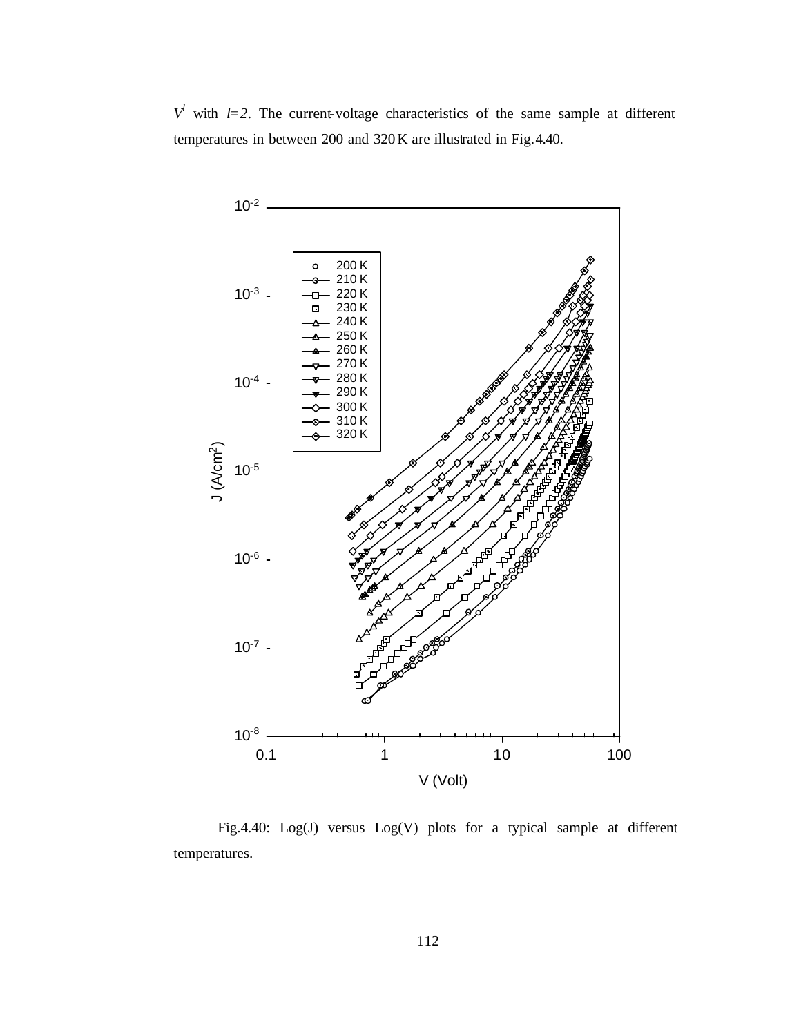$V^l$  with *l*=2. The current-voltage characteristics of the same sample at different temperatures in between 200 and 320K are illustrated in Fig.4.40.



Fig.4.40: Log(J) versus Log(V) plots for a typical sample at different temperatures.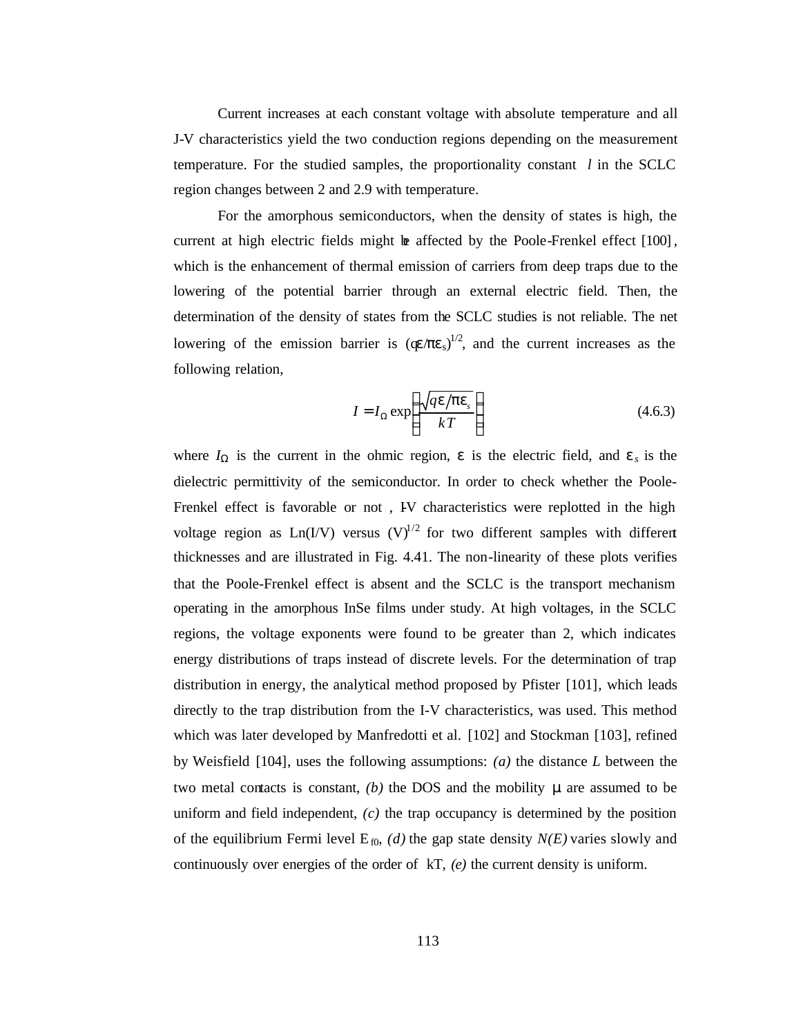Current increases at each constant voltage with absolute temperature and all J-V characteristics yield the two conduction regions depending on the measurement temperature. For the studied samples, the proportionality constant *l* in the SCLC region changes between 2 and 2.9 with temperature.

For the amorphous semiconductors, when the density of states is high, the current at high electric fields might  $\bf{b}$  affected by the Poole-Frenkel effect  $[100]$ , which is the enhancement of thermal emission of carriers from deep traps due to the lowering of the potential barrier through an external electric field. Then, the determination of the density of states from the SCLC studies is not reliable. The net lowering of the emission barrier is  $(q \epsilon / \pi \epsilon_s)^{1/2}$ , and the current increases as the following relation,

$$
I = I_{\Omega} \exp\left(\frac{\sqrt{qe/pe_s}}{kT}\right) \tag{4.6.3}
$$

where  $I_{\Omega}$  is the current in the ohmic region, *e* is the electric field, and *e<sub>s</sub>* is the dielectric permittivity of the semiconductor. In order to check whether the Poole-Frenkel effect is favorable or not, IV characteristics were replotted in the high voltage region as  $Ln(I/V)$  versus  $(V)^{1/2}$  for two different samples with different thicknesses and are illustrated in Fig. 4.41. The non-linearity of these plots verifies that the Poole-Frenkel effect is absent and the SCLC is the transport mechanism operating in the amorphous InSe films under study. At high voltages, in the SCLC regions, the voltage exponents were found to be greater than 2, which indicates energy distributions of traps instead of discrete levels. For the determination of trap distribution in energy, the analytical method proposed by Pfister [101], which leads directly to the trap distribution from the I-V characteristics, was used. This method which was later developed by Manfredotti et al. [102] and Stockman [103], refined by Weisfield [104], uses the following assumptions: *(a)* the distance *L* between the two metal contacts is constant,  $(b)$  the DOS and the mobility  $\mu$  are assumed to be uniform and field independent, *(c)* the trap occupancy is determined by the position of the equilibrium Fermi level  $E_{0}$ , *(d)* the gap state density *N(E)* varies slowly and continuously over energies of the order of kT, *(e)* the current density is uniform.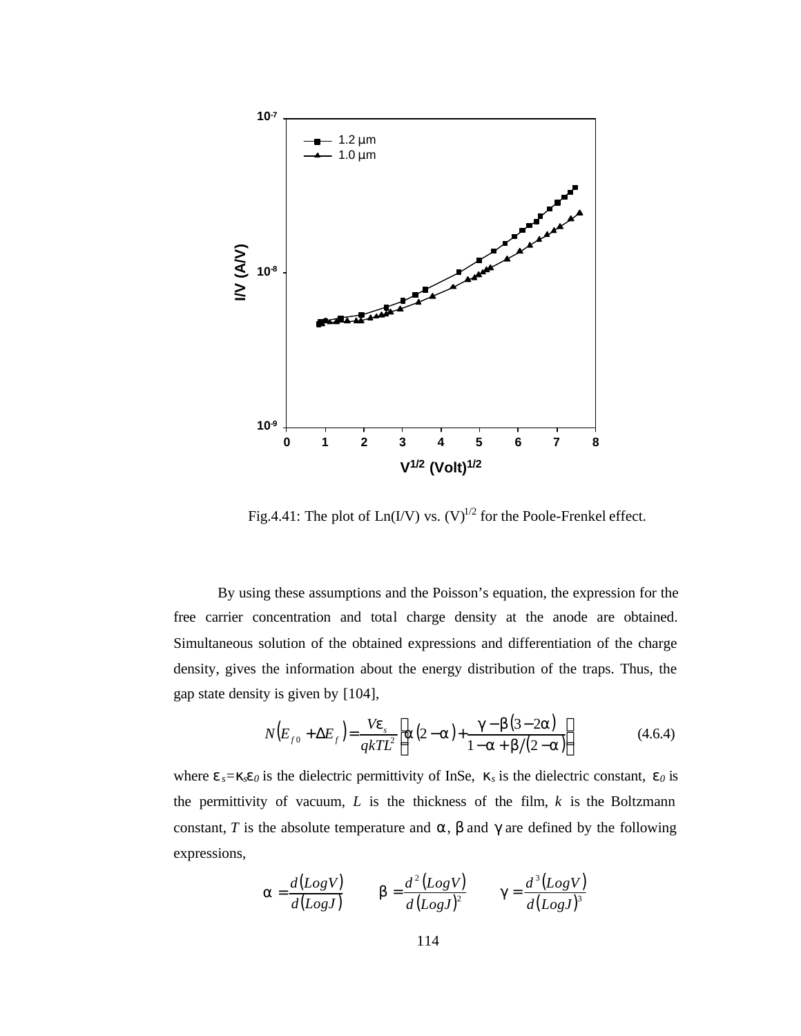

Fig.4.41: The plot of  $Ln(VV)$  vs.  $(V)^{1/2}$  for the Poole-Frenkel effect.

By using these assumptions and the Poisson's equation, the expression for the free carrier concentration and total charge density at the anode are obtained. Simultaneous solution of the obtained expressions and differentiation of the charge density, gives the information about the energy distribution of the traps. Thus, the gap state density is given by [104],

$$
N(E_{f0} + \Delta E_f) = \frac{Ve_s}{qkTL^2} \left[ a(2-a) + \frac{g - b(3-2a)}{1-a + b/(2-a)} \right]
$$
(4.6.4)

where  $e_s = k_s e_0$  is the dielectric permittivity of InSe,  $k_s$  is the dielectric constant,  $e_0$  is the permittivity of vacuum,  $L$  is the thickness of the film,  $k$  is the Boltzmann constant, *T* is the absolute temperature and *a*, *b* and *g* are defined by the following expressions,

$$
\mathbf{a} = \frac{d(LogV)}{d(LogJ)} \qquad \mathbf{b} = \frac{d^2(LogV)}{d(LogJ)^2} \qquad \mathbf{g} = \frac{d^3(LogV)}{d(LogJ)^3}
$$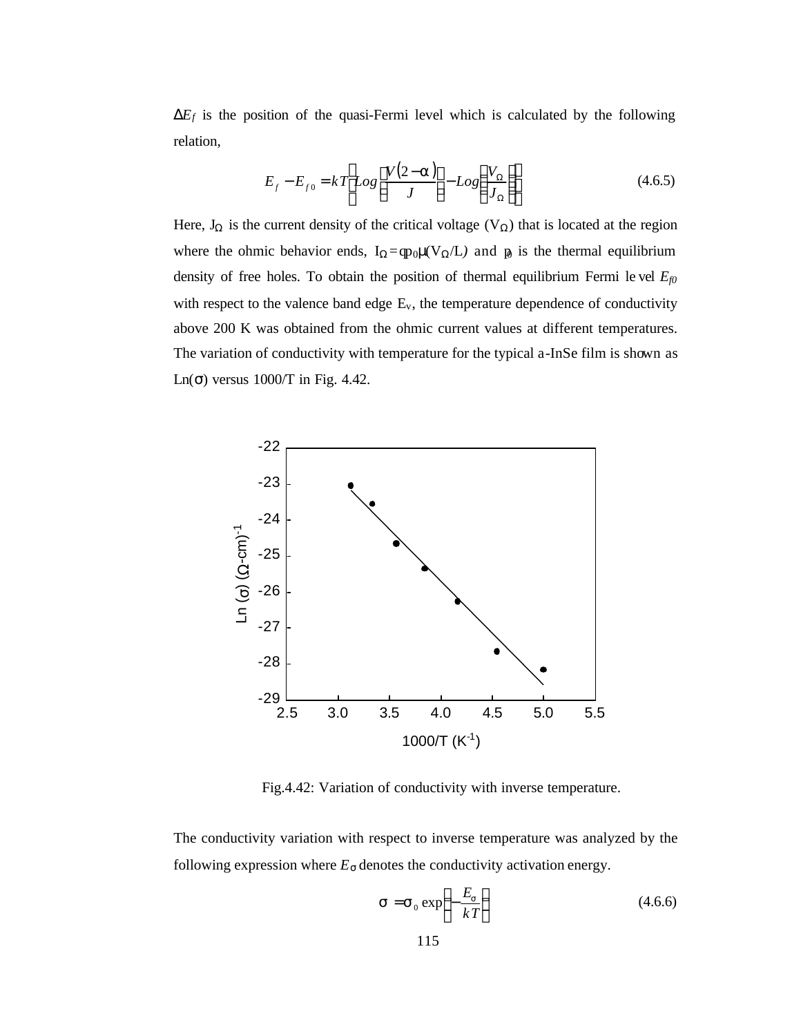$DE_f$  is the position of the quasi-Fermi level which is calculated by the following relation,

$$
E_f - E_{f0} = kT \left[ Log \left[ \frac{V(2-a)}{J} \right] - Log \left( \frac{V_{\Omega}}{J_{\Omega}} \right) \right]
$$
(4.6.5)

Here,  $J_{\Omega}$  is the current density of the critical voltage (V<sub> $\Omega$ </sub>) that is located at the region where the ohmic behavior ends,  $I_{\Omega} = qp_0\mu(V_{\Omega}/L)$  and  $\mu_0$  is the thermal equilibrium density of free holes. To obtain the position of thermal equilibrium Fermi le vel *Ef0* with respect to the valence band edge  $E_v$ , the temperature dependence of conductivity above 200 K was obtained from the ohmic current values at different temperatures. The variation of conductivity with temperature for the typical a-InSe film is shown as Ln( $\sigma$ ) versus 1000/T in Fig. 4.42.



Fig.4.42: Variation of conductivity with inverse temperature.

The conductivity variation with respect to inverse temperature was analyzed by the following expression where  $E_{\rm s}$  denotes the conductivity activation energy.

$$
\mathbf{s} = \mathbf{s}_0 \exp\left(-\frac{E_s}{kT}\right) \tag{4.6.6}
$$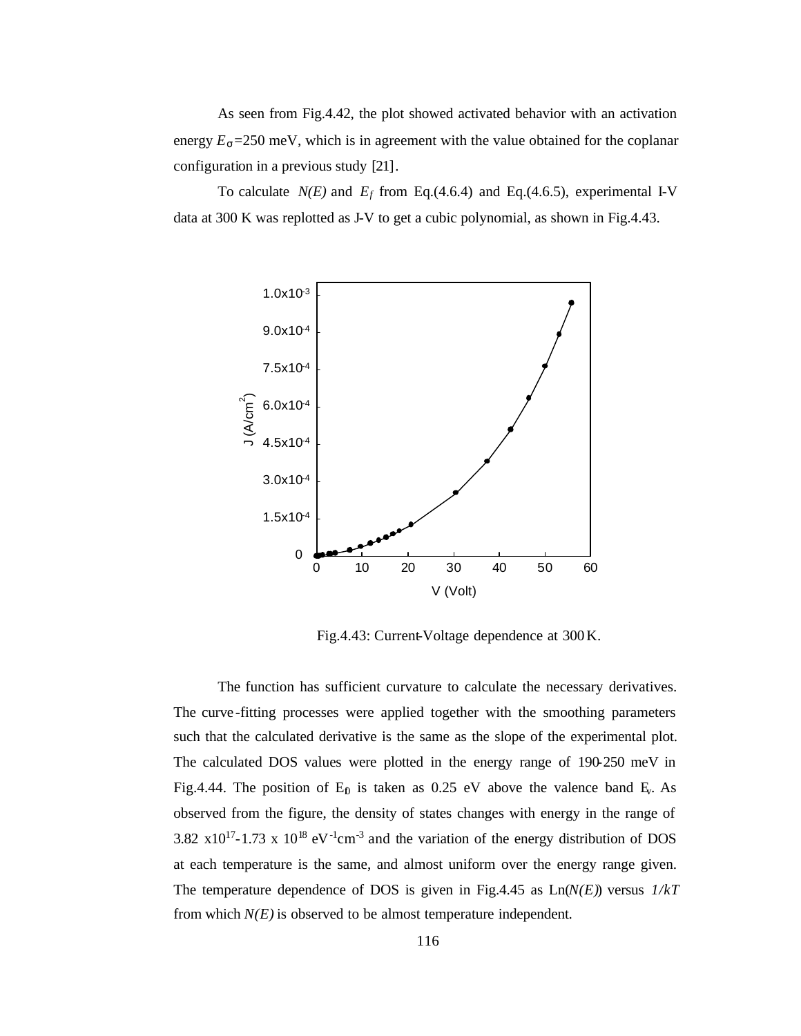As seen from Fig.4.42, the plot showed activated behavior with an activation energy  $E_s = 250$  meV, which is in agreement with the value obtained for the coplanar configuration in a previous study [21].

To calculate  $N(E)$  and  $E_f$  from Eq.(4.6.4) and Eq.(4.6.5), experimental I-V data at 300 K was replotted as J-V to get a cubic polynomial, as shown in Fig.4.43.



Fig.4.43: Current-Voltage dependence at 300K.

The function has sufficient curvature to calculate the necessary derivatives. The curve -fitting processes were applied together with the smoothing parameters such that the calculated derivative is the same as the slope of the experimental plot. The calculated DOS values were plotted in the energy range of 190-250 meV in Fig.4.44. The position of  $E_p$  is taken as 0.25 eV above the valence band  $E_v$ . As observed from the figure, the density of states changes with energy in the range of 3.82  $\times 10^{17}$ -1.73 x 10<sup>18</sup> eV<sup>-1</sup>cm<sup>-3</sup> and the variation of the energy distribution of DOS at each temperature is the same, and almost uniform over the energy range given. The temperature dependence of DOS is given in Fig.4.45 as Ln(*N(E)*) versus *1/kT* from which  $N(E)$  is observed to be almost temperature independent.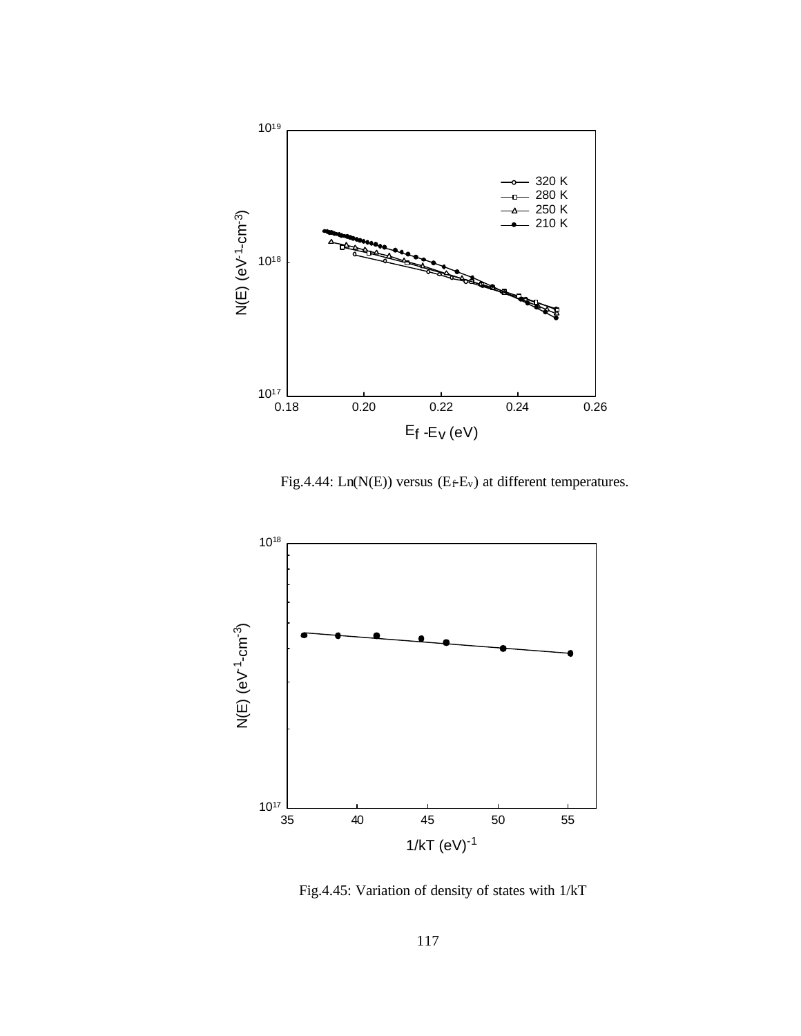

Fig.4.44:  $Ln(N(E))$  versus ( $E_fE_v$ ) at different temperatures.



Fig.4.45: Variation of density of states with 1/kT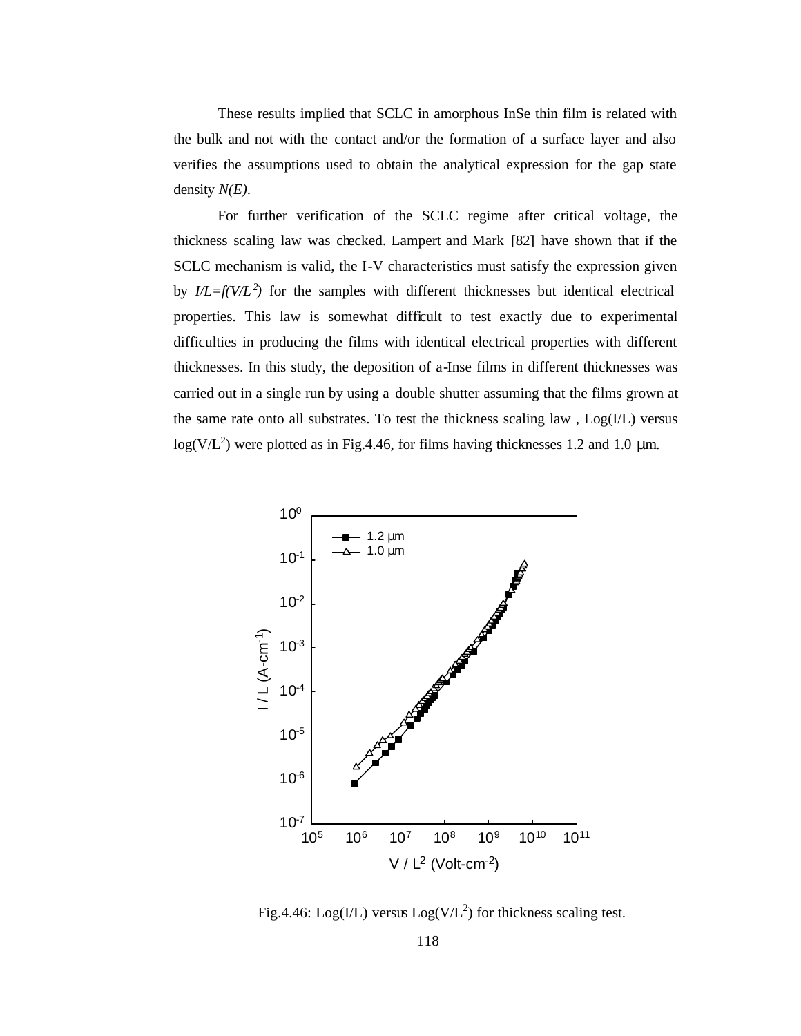These results implied that SCLC in amorphous InSe thin film is related with the bulk and not with the contact and/or the formation of a surface layer and also verifies the assumptions used to obtain the analytical expression for the gap state density *N(E)*.

For further verification of the SCLC regime after critical voltage, the thickness scaling law was checked. Lampert and Mark [82] have shown that if the SCLC mechanism is valid, the I-V characteristics must satisfy the expression given by  $I/L=f(V/L^2)$  for the samples with different thicknesses but identical electrical properties. This law is somewhat difficult to test exactly due to experimental difficulties in producing the films with identical electrical properties with different thicknesses. In this study, the deposition of a-Inse films in different thicknesses was carried out in a single run by using a double shutter assuming that the films grown at the same rate onto all substrates. To test the thickness scaling law , Log(I/L) versus  $log(V/L<sup>2</sup>)$  were plotted as in Fig.4.46, for films having thicknesses 1.2 and 1.0 µm.



Fig.4.46: Log(I/L) versus  $Log(V/L^2)$  for thickness scaling test.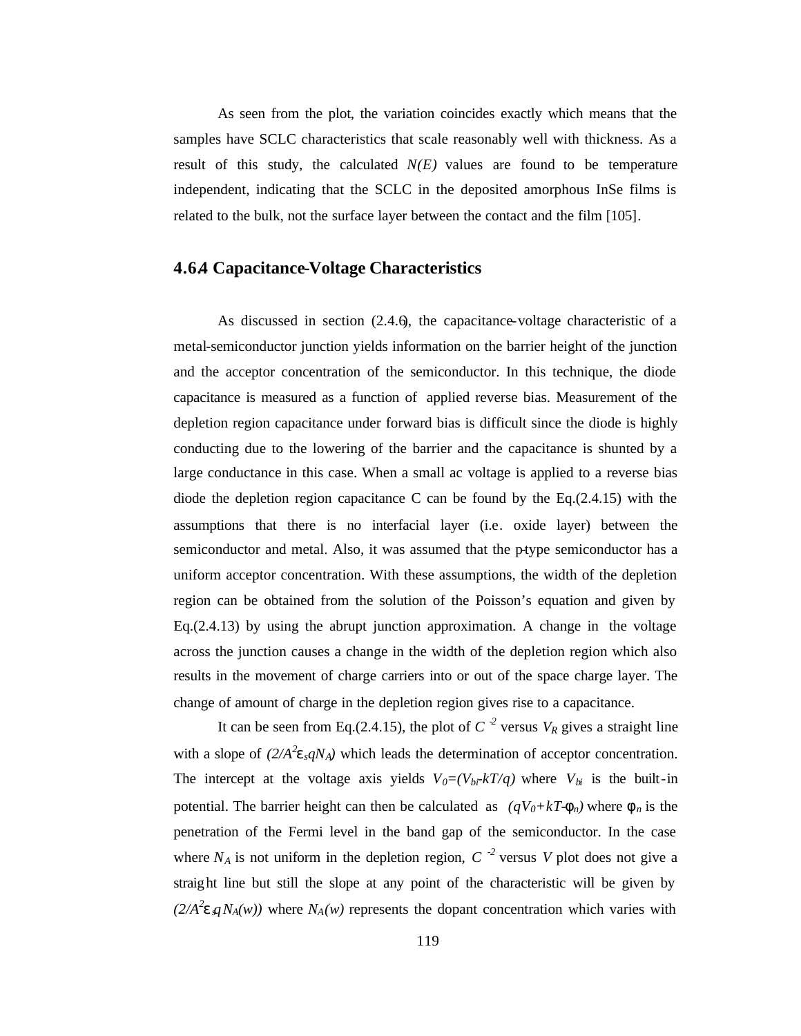As seen from the plot, the variation coincides exactly which means that the samples have SCLC characteristics that scale reasonably well with thickness. As a result of this study, the calculated  $N(E)$  values are found to be temperature independent, indicating that the SCLC in the deposited amorphous InSe films is related to the bulk, not the surface layer between the contact and the film [105].

#### **4.6.4 Capacitance-Voltage Characteristics**

As discussed in section (2.4.6), the capacitance-voltage characteristic of a metal-semiconductor junction yields information on the barrier height of the junction and the acceptor concentration of the semiconductor. In this technique, the diode capacitance is measured as a function of applied reverse bias. Measurement of the depletion region capacitance under forward bias is difficult since the diode is highly conducting due to the lowering of the barrier and the capacitance is shunted by a large conductance in this case. When a small ac voltage is applied to a reverse bias diode the depletion region capacitance C can be found by the Eq.(2.4.15) with the assumptions that there is no interfacial layer (i.e. oxide layer) between the semiconductor and metal. Also, it was assumed that the p-type semiconductor has a uniform acceptor concentration. With these assumptions, the width of the depletion region can be obtained from the solution of the Poisson's equation and given by Eq.(2.4.13) by using the abrupt junction approximation. A change in the voltage across the junction causes a change in the width of the depletion region which also results in the movement of charge carriers into or out of the space charge layer. The change of amount of charge in the depletion region gives rise to a capacitance.

It can be seen from Eq.(2.4.15), the plot of  $C<sup>2</sup>$  versus  $V<sub>R</sub>$  gives a straight line with a slope of  $(2/A^2 \mathbf{e} \cdot qN_A)$  which leads the determination of acceptor concentration. The intercept at the voltage axis yields  $V_0 = (V_{bi} \cdot kT/q)$  where  $V_{bi}$  is the built-in potential. The barrier height can then be calculated as  $(qV_0 + kT - f_n)$  where  $f_n$  is the penetration of the Fermi level in the band gap of the semiconductor. In the case where  $N_A$  is not uniform in the depletion region,  $C^{-2}$  versus V plot does not give a straight line but still the slope at any point of the characteristic will be given by  $(2/A^2$ **e**  $qN_A(w)$  where  $N_A(w)$  represents the dopant concentration which varies with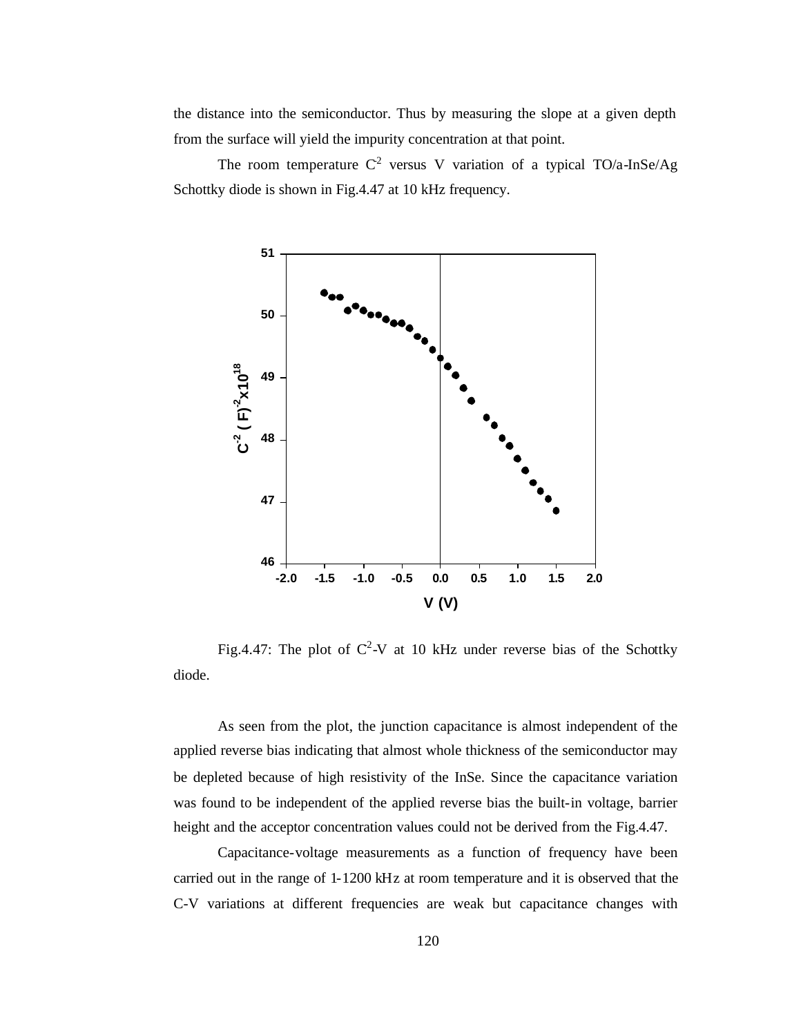the distance into the semiconductor. Thus by measuring the slope at a given depth from the surface will yield the impurity concentration at that point.

The room temperature  $C^2$  versus V variation of a typical TO/a-InSe/Ag Schottky diode is shown in Fig.4.47 at 10 kHz frequency.



Fig.4.47: The plot of  $C^2$ -V at 10 kHz under reverse bias of the Schottky diode.

As seen from the plot, the junction capacitance is almost independent of the applied reverse bias indicating that almost whole thickness of the semiconductor may be depleted because of high resistivity of the InSe. Since the capacitance variation was found to be independent of the applied reverse bias the built-in voltage, barrier height and the acceptor concentration values could not be derived from the Fig.4.47.

Capacitance-voltage measurements as a function of frequency have been carried out in the range of 1-1200 kHz at room temperature and it is observed that the C-V variations at different frequencies are weak but capacitance changes with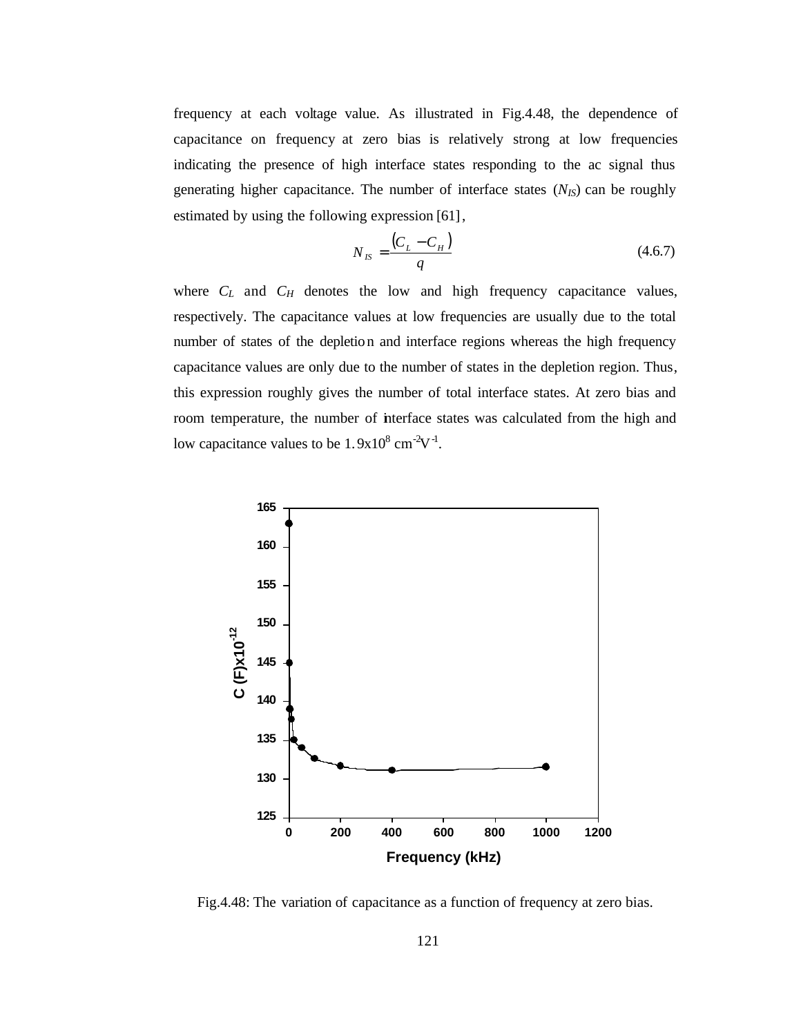frequency at each voltage value. As illustrated in Fig.4.48, the dependence of capacitance on frequency at zero bias is relatively strong at low frequencies indicating the presence of high interface states responding to the ac signal thus generating higher capacitance. The number of interface states  $(N_{IS})$  can be roughly estimated by using the following expression [61],

$$
N_{IS} = \frac{(C_L - C_H)}{q}
$$
\n(4.6.7)

where  $C_L$  and  $C_H$  denotes the low and high frequency capacitance values, respectively. The capacitance values at low frequencies are usually due to the total number of states of the depletion and interface regions whereas the high frequency capacitance values are only due to the number of states in the depletion region. Thus, this expression roughly gives the number of total interface states. At zero bias and room temperature, the number of interface states was calculated from the high and low capacitance values to be  $1.9x10^8$  cm<sup>-2</sup>V<sup>-1</sup>.



Fig.4.48: The variation of capacitance as a function of frequency at zero bias.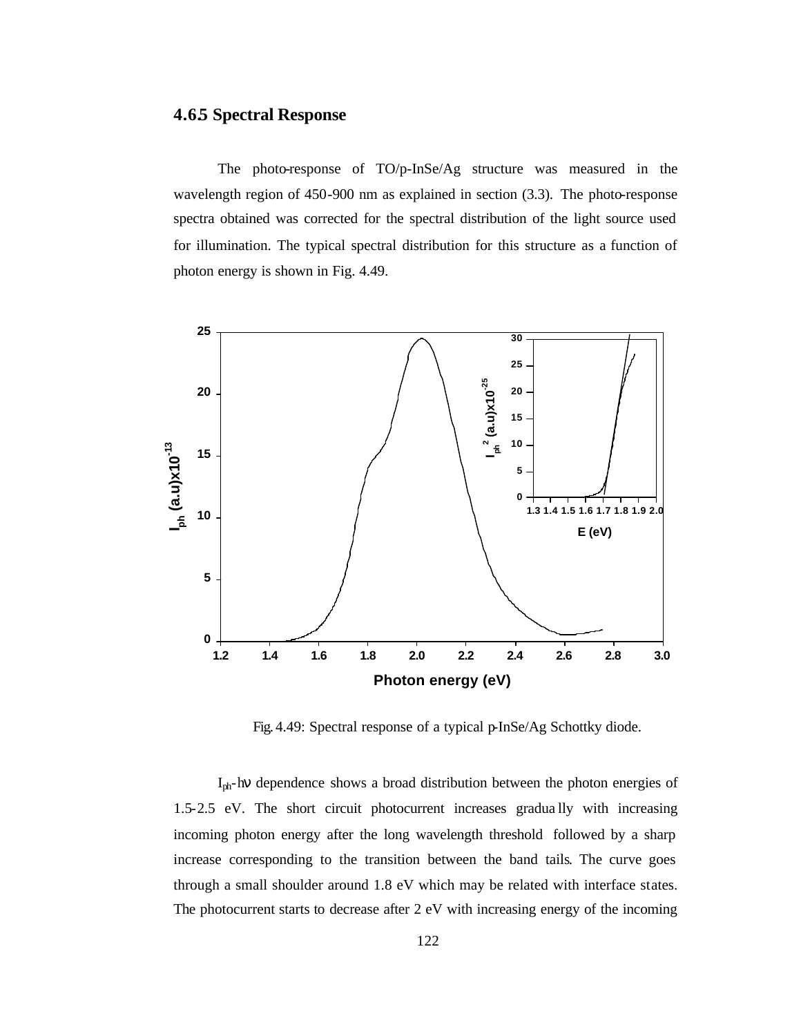#### **4.6.5 Spectral Response**

The photo-response of TO/p-InSe/Ag structure was measured in the wavelength region of 450-900 nm as explained in section (3.3). The photo-response spectra obtained was corrected for the spectral distribution of the light source used for illumination. The typical spectral distribution for this structure as a function of photon energy is shown in Fig. 4.49.



Fig. 4.49: Spectral response of a typical p-InSe/Ag Schottky diode.

I<sub>ph</sub>-hy dependence shows a broad distribution between the photon energies of 1.5-2.5 eV. The short circuit photocurrent increases gradua lly with increasing incoming photon energy after the long wavelength threshold followed by a sharp increase corresponding to the transition between the band tails. The curve goes through a small shoulder around 1.8 eV which may be related with interface states. The photocurrent starts to decrease after 2 eV with increasing energy of the incoming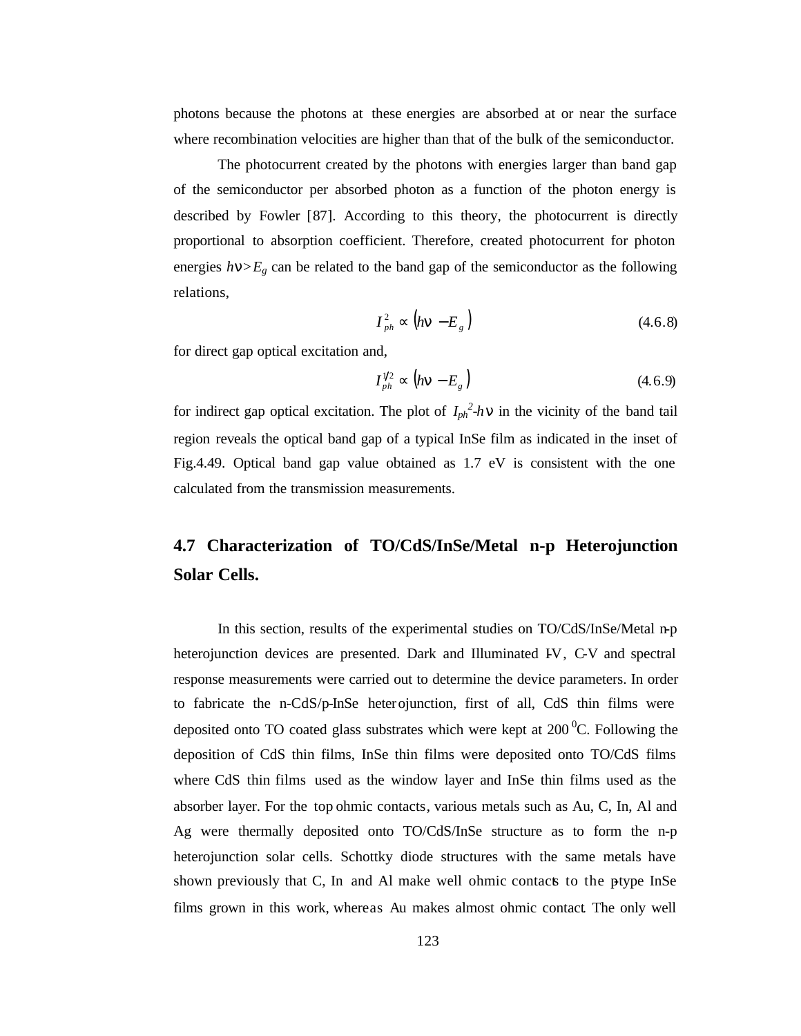photons because the photons at these energies are absorbed at or near the surface where recombination velocities are higher than that of the bulk of the semiconductor.

The photocurrent created by the photons with energies larger than band gap of the semiconductor per absorbed photon as a function of the photon energy is described by Fowler [87]. According to this theory, the photocurrent is directly proportional to absorption coefficient. Therefore, created photocurrent for photon energies  $h\mathbf{n}$  $> E<sub>g</sub>$  can be related to the band gap of the semiconductor as the following relations,

$$
I_{ph}^2 \propto \left( h\mathbf{n} - E_g \right) \tag{4.6.8}
$$

for direct gap optical excitation and,

$$
I_{ph}^{\gamma_2} \propto \left( h\mathbf{n} - E_g \right) \tag{4.6.9}
$$

for indirect gap optical excitation. The plot of  $I_{ph}^2$ -*h***n** in the vicinity of the band tail region reveals the optical band gap of a typical InSe film as indicated in the inset of Fig.4.49. Optical band gap value obtained as 1.7 eV is consistent with the one calculated from the transmission measurements.

# **4.7 Characterization of TO/CdS/InSe/Metal n-p Heterojunction Solar Cells.**

In this section, results of the experimental studies on TO/CdS/InSe/Metal n-p heterojunction devices are presented. Dark and Illuminated IV, C-V and spectral response measurements were carried out to determine the device parameters. In order to fabricate the n-CdS/p-InSe heterojunction, first of all, CdS thin films were deposited onto TO coated glass substrates which were kept at  $200<sup>0</sup>C$ . Following the deposition of CdS thin films, InSe thin films were deposited onto TO/CdS films where CdS thin films used as the window layer and InSe thin films used as the absorber layer. For the top ohmic contacts, various metals such as Au, C, In, Al and Ag were thermally deposited onto TO/CdS/InSe structure as to form the n-p heterojunction solar cells. Schottky diode structures with the same metals have shown previously that C, In and Al make well ohmic contacts to the ptype InSe films grown in this work, whereas Au makes almost ohmic contact. The only well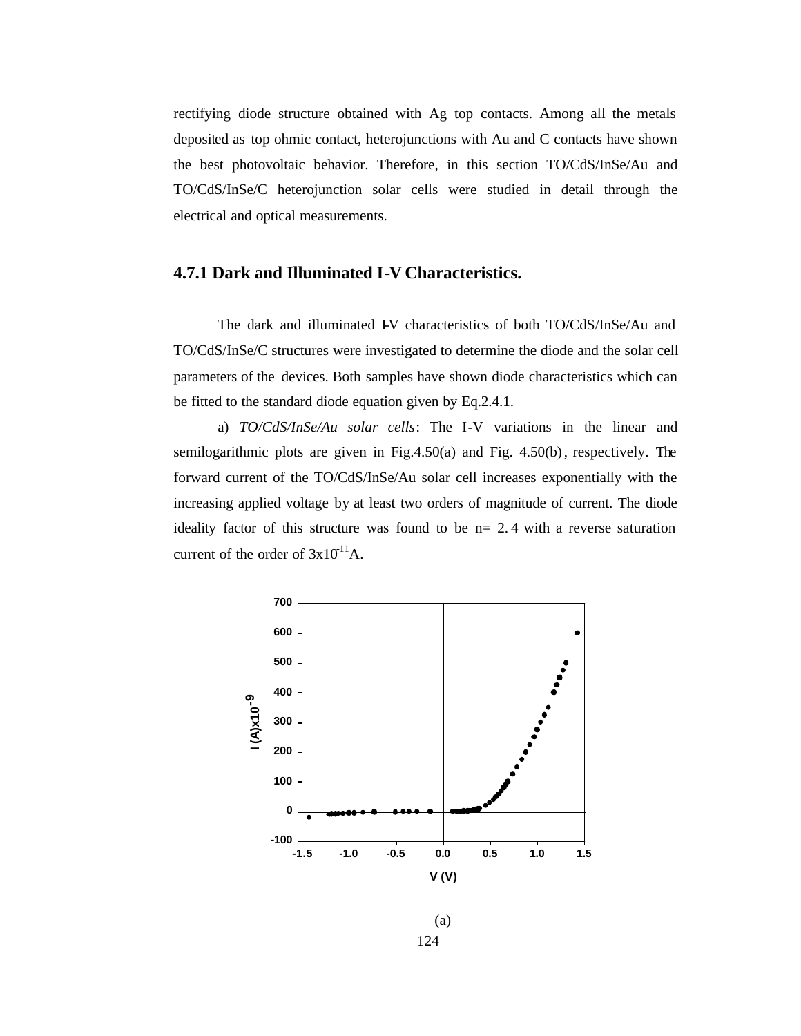rectifying diode structure obtained with Ag top contacts. Among all the metals deposited as top ohmic contact, heterojunctions with Au and C contacts have shown the best photovoltaic behavior. Therefore, in this section TO/CdS/InSe/Au and TO/CdS/InSe/C heterojunction solar cells were studied in detail through the electrical and optical measurements.

### **4.7.1 Dark and Illuminated I-V Characteristics.**

The dark and illuminated IV characteristics of both TO/CdS/InSe/Au and TO/CdS/InSe/C structures were investigated to determine the diode and the solar cell parameters of the devices. Both samples have shown diode characteristics which can be fitted to the standard diode equation given by Eq.2.4.1.

a) *TO/CdS/InSe/Au solar cells*: The I-V variations in the linear and semilogarithmic plots are given in Fig.4.50(a) and Fig. 4.50(b), respectively. The forward current of the TO/CdS/InSe/Au solar cell increases exponentially with the increasing applied voltage by at least two orders of magnitude of current. The diode ideality factor of this structure was found to be n= 2. 4 with a reverse saturation current of the order of  $3x10^{11}$ A.



124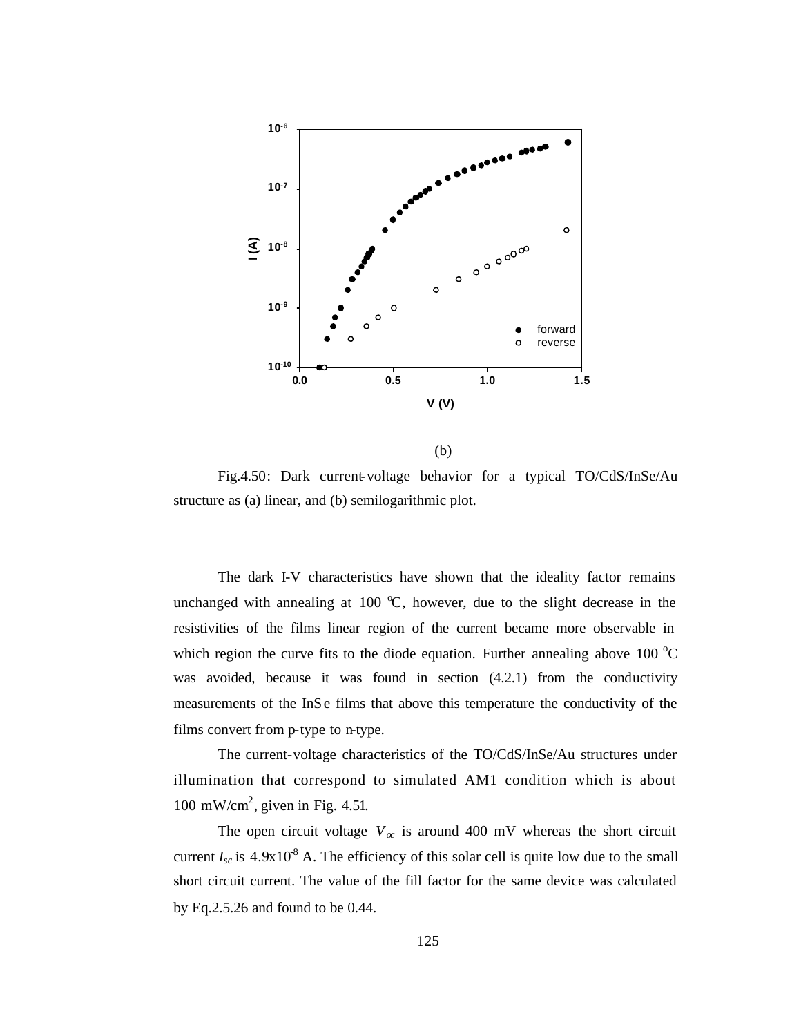

(b)

Fig.4.50: Dark current-voltage behavior for a typical TO/CdS/InSe/Au structure as (a) linear, and (b) semilogarithmic plot.

The dark I-V characteristics have shown that the ideality factor remains unchanged with annealing at 100  $\degree$ C, however, due to the slight decrease in the resistivities of the films linear region of the current became more observable in which region the curve fits to the diode equation. Further annealing above 100  $^{\circ}$ C was avoided, because it was found in section (4.2.1) from the conductivity measurements of the InSe films that above this temperature the conductivity of the films convert from p-type to n-type.

The current-voltage characteristics of the TO/CdS/InSe/Au structures under illumination that correspond to simulated AM1 condition which is about 100 mW/cm<sup>2</sup>, given in Fig. 4.51.

The open circuit voltage  $V_\alpha$  is around 400 mV whereas the short circuit current  $I_{sc}$  is  $4.9x10^8$  A. The efficiency of this solar cell is quite low due to the small short circuit current. The value of the fill factor for the same device was calculated by Eq.2.5.26 and found to be 0.44.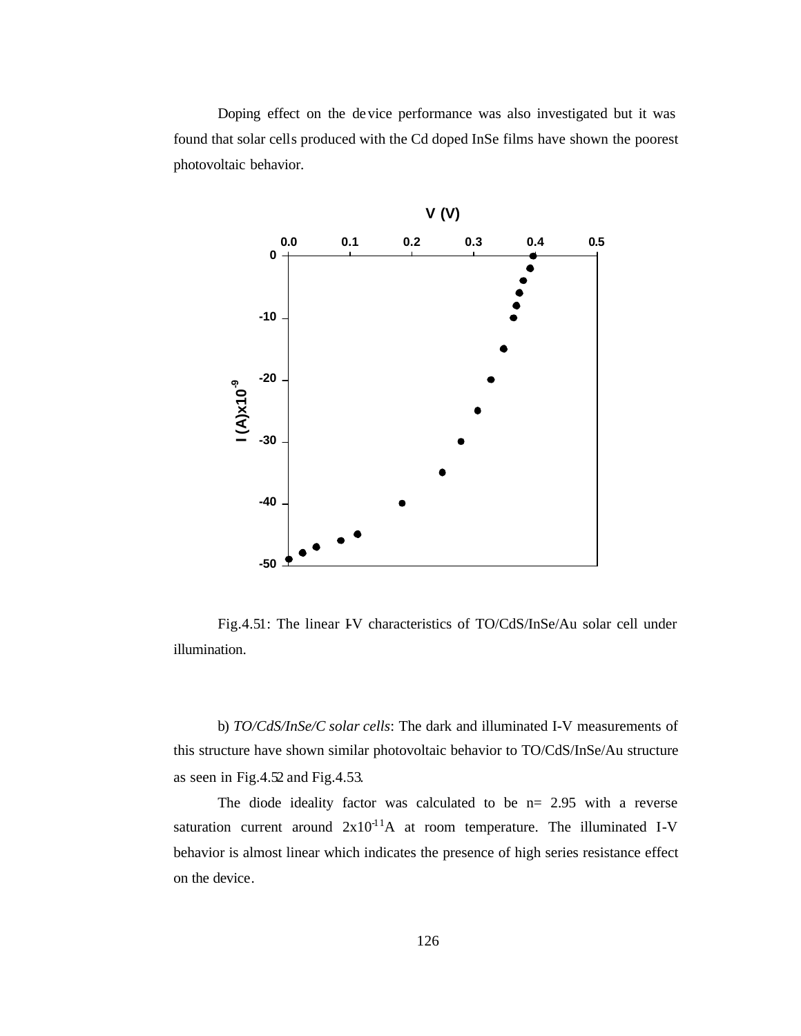Doping effect on the device performance was also investigated but it was found that solar cells produced with the Cd doped InSe films have shown the poorest photovoltaic behavior.



Fig.4.51: The linear IV characteristics of TO/CdS/InSe/Au solar cell under illumination.

b) *TO/CdS/InSe/C solar cells*: The dark and illuminated I-V measurements of this structure have shown similar photovoltaic behavior to TO/CdS/InSe/Au structure as seen in Fig.4.52 and Fig.4.53.

The diode ideality factor was calculated to be  $n= 2.95$  with a reverse saturation current around  $2x10^{-1}A$  at room temperature. The illuminated I-V behavior is almost linear which indicates the presence of high series resistance effect on the device.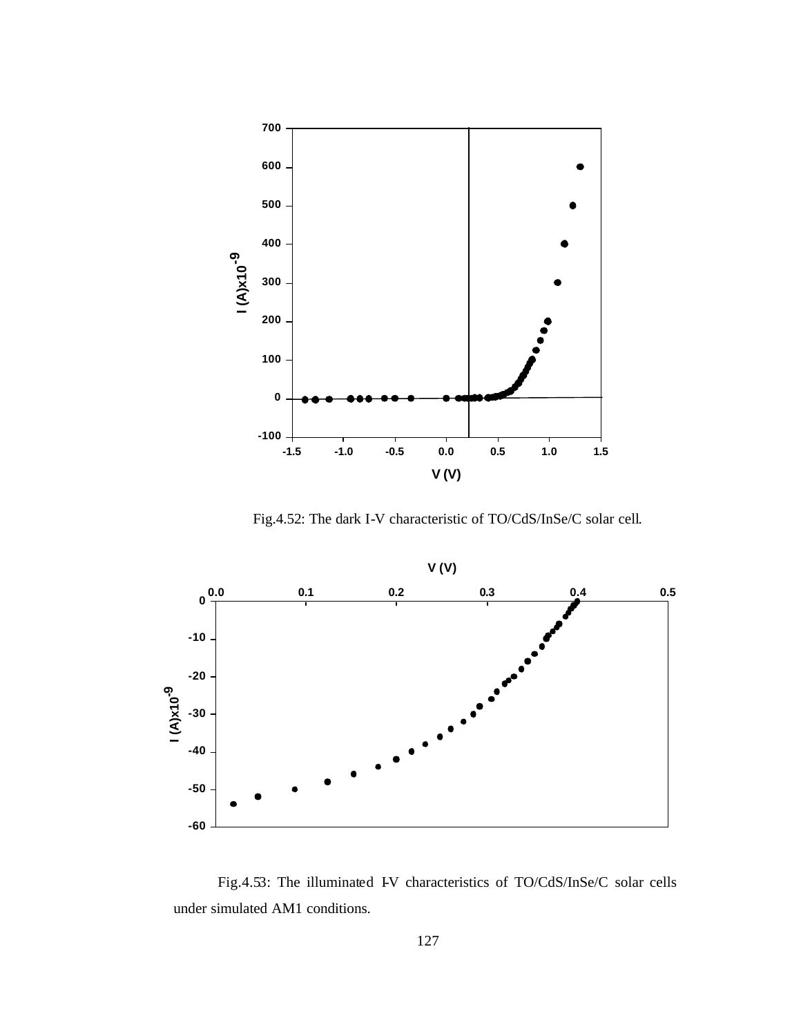

Fig.4.52: The dark I-V characteristic of TO/CdS/InSe/C solar cell.



Fig.4.53: The illuminated IV characteristics of TO/CdS/InSe/C solar cells under simulated AM1 conditions.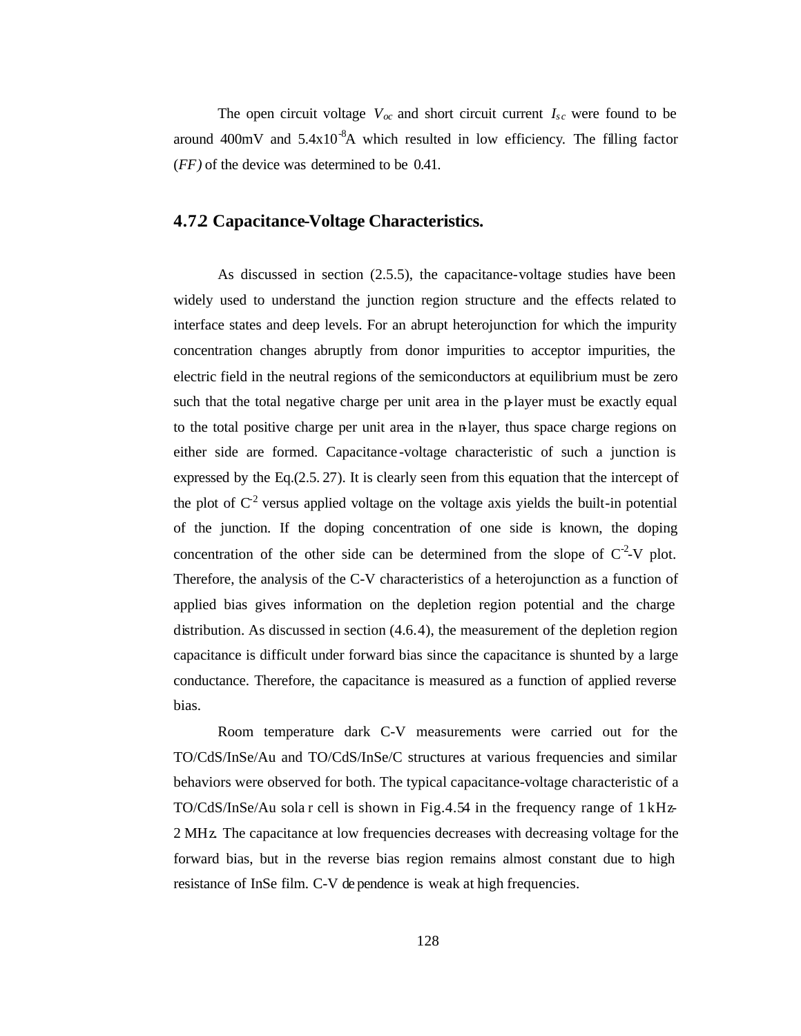The open circuit voltage  $V_{\text{oc}}$  and short circuit current  $I_{\text{sc}}$  were found to be around  $400mV$  and  $5.4x10^{-8}A$  which resulted in low efficiency. The filling factor (*FF)* of the device was determined to be 0.41.

### **4.7.2 Capacitance-Voltage Characteristics.**

As discussed in section (2.5.5), the capacitance-voltage studies have been widely used to understand the junction region structure and the effects related to interface states and deep levels. For an abrupt heterojunction for which the impurity concentration changes abruptly from donor impurities to acceptor impurities, the electric field in the neutral regions of the semiconductors at equilibrium must be zero such that the total negative charge per unit area in the p-layer must be exactly equal to the total positive charge per unit area in the n-layer, thus space charge regions on either side are formed. Capacitance -voltage characteristic of such a junction is expressed by the Eq.(2.5. 27). It is clearly seen from this equation that the intercept of the plot of  $C^2$  versus applied voltage on the voltage axis yields the built-in potential of the junction. If the doping concentration of one side is known, the doping concentration of the other side can be determined from the slope of  $C<sup>2</sup>$ -V plot. Therefore, the analysis of the C-V characteristics of a heterojunction as a function of applied bias gives information on the depletion region potential and the charge distribution. As discussed in section (4.6.4), the measurement of the depletion region capacitance is difficult under forward bias since the capacitance is shunted by a large conductance. Therefore, the capacitance is measured as a function of applied reverse bias.

Room temperature dark C-V measurements were carried out for the TO/CdS/InSe/Au and TO/CdS/InSe/C structures at various frequencies and similar behaviors were observed for both. The typical capacitance-voltage characteristic of a TO/CdS/InSe/Au sola r cell is shown in Fig.4.54 in the frequency range of 1 kHz-2 MHz. The capacitance at low frequencies decreases with decreasing voltage for the forward bias, but in the reverse bias region remains almost constant due to high resistance of InSe film. C-V de pendence is weak at high frequencies.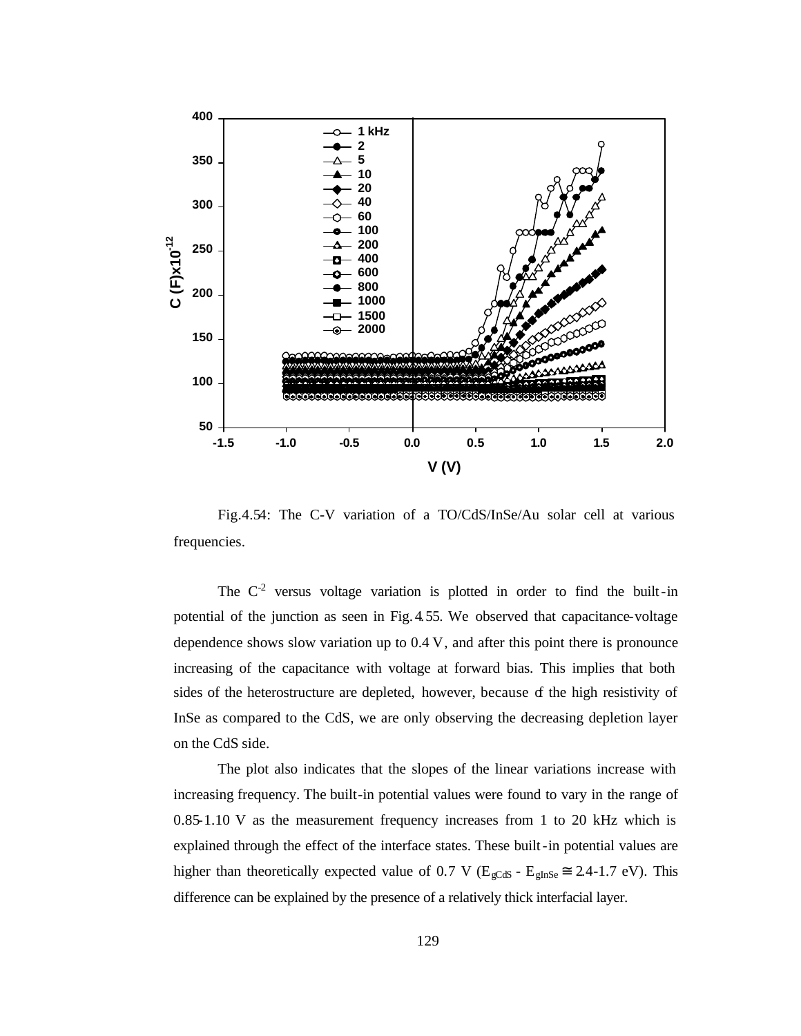

Fig.4.54: The C-V variation of a TO/CdS/InSe/Au solar cell at various frequencies.

The  $C<sup>2</sup>$  versus voltage variation is plotted in order to find the built-in potential of the junction as seen in Fig.4.55. We observed that capacitance-voltage dependence shows slow variation up to 0.4 V, and after this point there is pronounce increasing of the capacitance with voltage at forward bias. This implies that both sides of the heterostructure are depleted, however, because of the high resistivity of InSe as compared to the CdS, we are only observing the decreasing depletion layer on the CdS side.

The plot also indicates that the slopes of the linear variations increase with increasing frequency. The built-in potential values were found to vary in the range of 0.85-1.10 V as the measurement frequency increases from 1 to 20 kHz which is explained through the effect of the interface states. These built-in potential values are higher than theoretically expected value of 0.7 V ( $E_{\text{gCdS}}$  -  $E_{\text{gInSe}} \cong 2.4$ -1.7 eV). This difference can be explained by the presence of a relatively thick interfacial layer.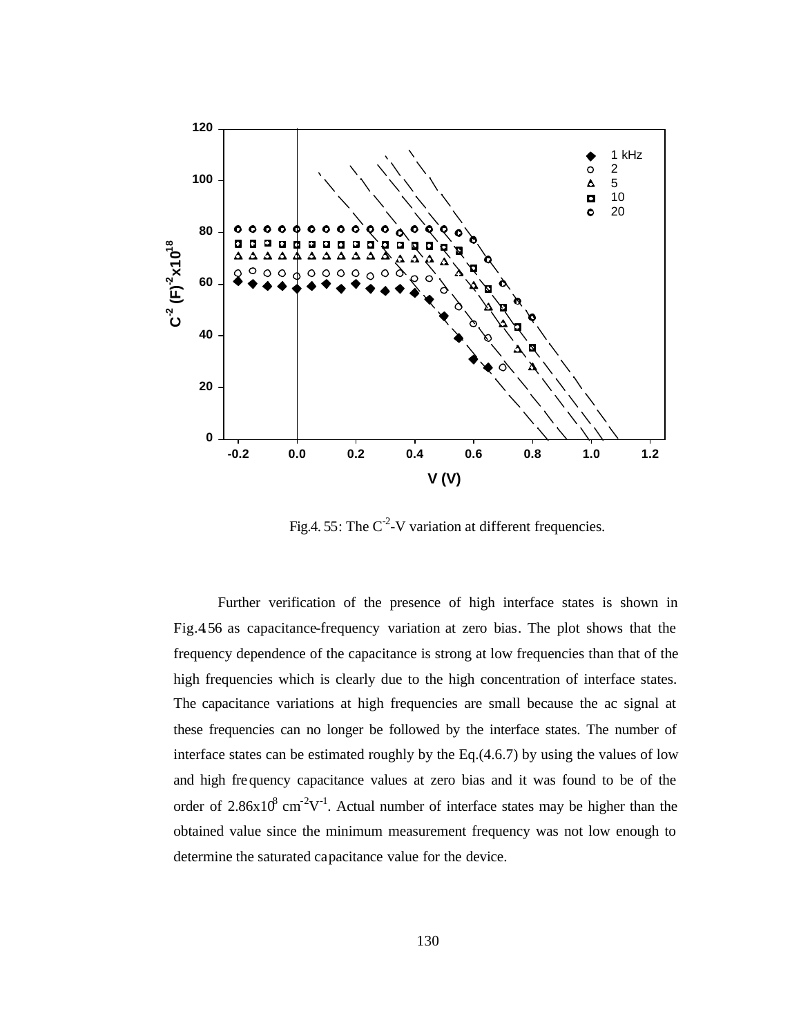

Fig.4. 55: The  $C<sup>2</sup>$ -V variation at different frequencies.

Further verification of the presence of high interface states is shown in Fig.4.56 as capacitance-frequency variation at zero bias. The plot shows that the frequency dependence of the capacitance is strong at low frequencies than that of the high frequencies which is clearly due to the high concentration of interface states. The capacitance variations at high frequencies are small because the ac signal at these frequencies can no longer be followed by the interface states. The number of interface states can be estimated roughly by the Eq.(4.6.7) by using the values of low and high frequency capacitance values at zero bias and it was found to be of the order of 2.86 $x10^8$  cm<sup>-2</sup>V<sup>-1</sup>. Actual number of interface states may be higher than the obtained value since the minimum measurement frequency was not low enough to determine the saturated capacitance value for the device.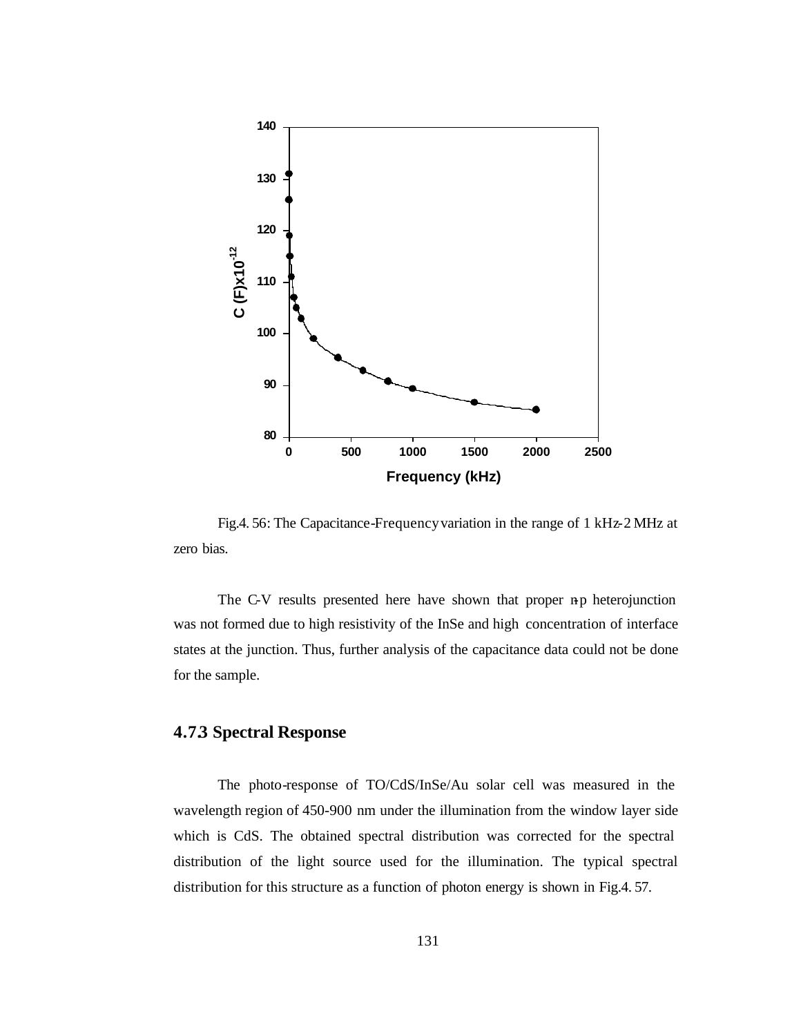

Fig.4. 56: The Capacitance-Frequency variation in the range of 1 kHz-2 MHz at zero bias.

The C-V results presented here have shown that proper n-p heterojunction was not formed due to high resistivity of the InSe and high concentration of interface states at the junction. Thus, further analysis of the capacitance data could not be done for the sample.

# **4.7.3 Spectral Response**

The photo-response of TO/CdS/InSe/Au solar cell was measured in the wavelength region of 450-900 nm under the illumination from the window layer side which is CdS. The obtained spectral distribution was corrected for the spectral distribution of the light source used for the illumination. The typical spectral distribution for this structure as a function of photon energy is shown in Fig.4. 57.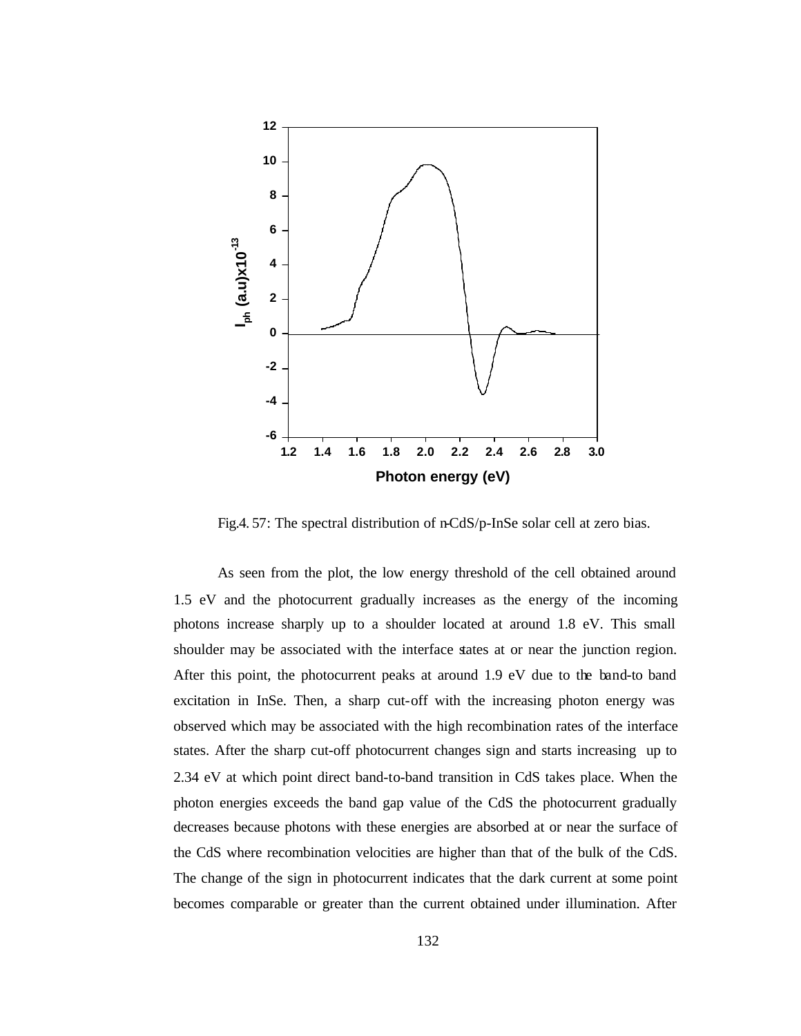

Fig.4. 57: The spectral distribution of n-CdS/p-InSe solar cell at zero bias.

As seen from the plot, the low energy threshold of the cell obtained around 1.5 eV and the photocurrent gradually increases as the energy of the incoming photons increase sharply up to a shoulder located at around 1.8 eV. This small shoulder may be associated with the interface states at or near the junction region. After this point, the photocurrent peaks at around 1.9 eV due to the band-to band excitation in InSe. Then, a sharp cut-off with the increasing photon energy was observed which may be associated with the high recombination rates of the interface states. After the sharp cut-off photocurrent changes sign and starts increasing up to 2.34 eV at which point direct band-to-band transition in CdS takes place. When the photon energies exceeds the band gap value of the CdS the photocurrent gradually decreases because photons with these energies are absorbed at or near the surface of the CdS where recombination velocities are higher than that of the bulk of the CdS. The change of the sign in photocurrent indicates that the dark current at some point becomes comparable or greater than the current obtained under illumination. After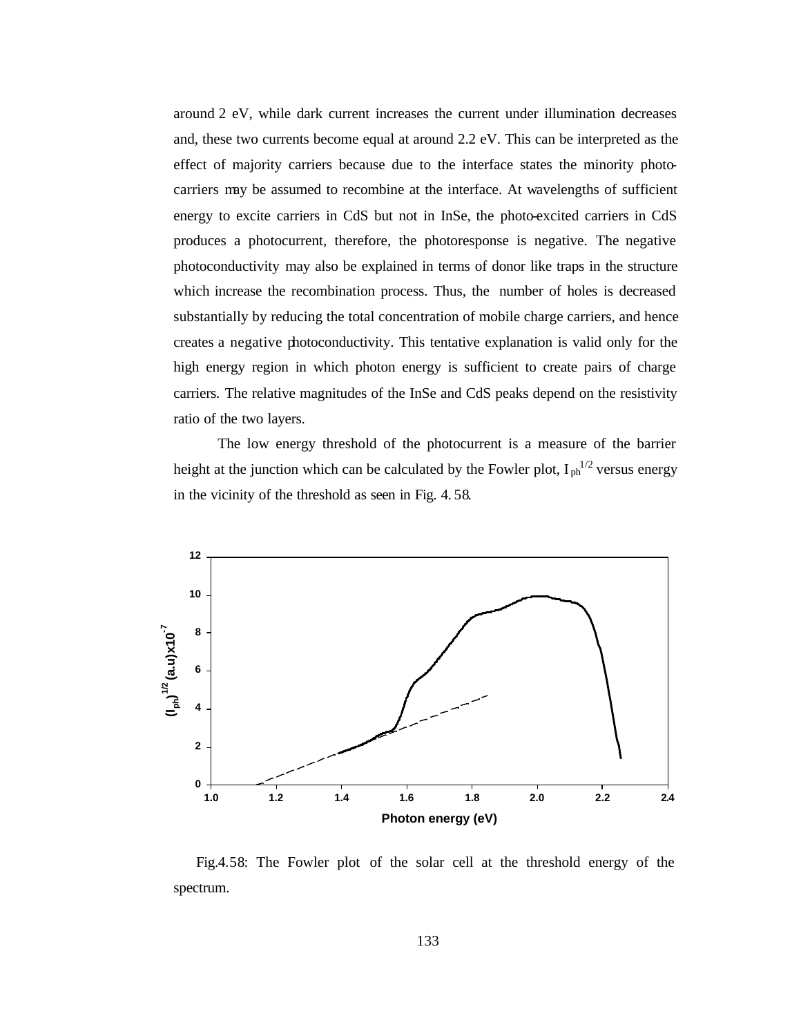around 2 eV, while dark current increases the current under illumination decreases and, these two currents become equal at around 2.2 eV. This can be interpreted as the effect of majority carriers because due to the interface states the minority photocarriers may be assumed to recombine at the interface. At wavelengths of sufficient energy to excite carriers in CdS but not in InSe, the photo-excited carriers in CdS produces a photocurrent, therefore, the photoresponse is negative. The negative photoconductivity may also be explained in terms of donor like traps in the structure which increase the recombination process. Thus, the number of holes is decreased substantially by reducing the total concentration of mobile charge carriers, and hence creates a negative photoconductivity. This tentative explanation is valid only for the high energy region in which photon energy is sufficient to create pairs of charge carriers. The relative magnitudes of the InSe and CdS peaks depend on the resistivity ratio of the two layers.

The low energy threshold of the photocurrent is a measure of the barrier height at the junction which can be calculated by the Fowler plot,  $I_{ph}^{1/2}$  versus energy in the vicinity of the threshold as seen in Fig. 4. 58.



 Fig.4.58: The Fowler plot of the solar cell at the threshold energy of the spectrum.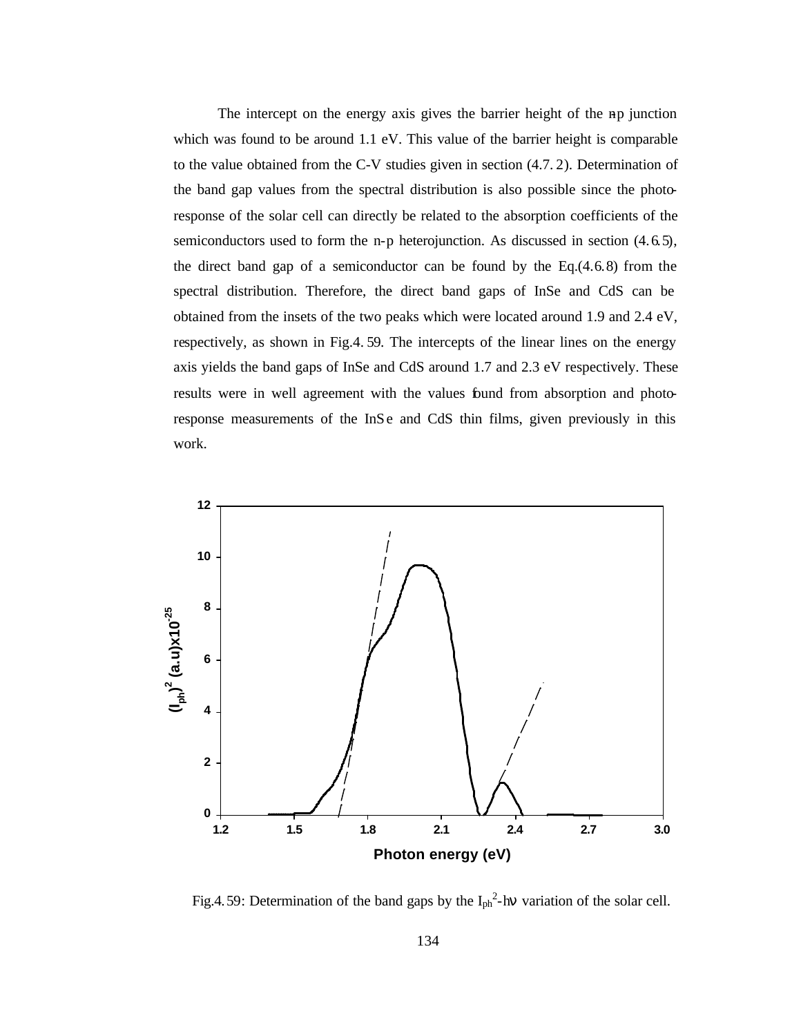The intercept on the energy axis gives the barrier height of the np junction which was found to be around 1.1 eV. This value of the barrier height is comparable to the value obtained from the C-V studies given in section (4.7. 2). Determination of the band gap values from the spectral distribution is also possible since the photoresponse of the solar cell can directly be related to the absorption coefficients of the semiconductors used to form the n-p heterojunction. As discussed in section (4.6.5), the direct band gap of a semiconductor can be found by the Eq. $(4.6.8)$  from the spectral distribution. Therefore, the direct band gaps of InSe and CdS can be obtained from the insets of the two peaks which were located around 1.9 and 2.4 eV, respectively, as shown in Fig.4. 59. The intercepts of the linear lines on the energy axis yields the band gaps of InSe and CdS around 1.7 and 2.3 eV respectively. These results were in well agreement with the values found from absorption and photoresponse measurements of the InSe and CdS thin films, given previously in this work.



Fig.4.59: Determination of the band gaps by the  $I_{ph}^2$ -hv variation of the solar cell.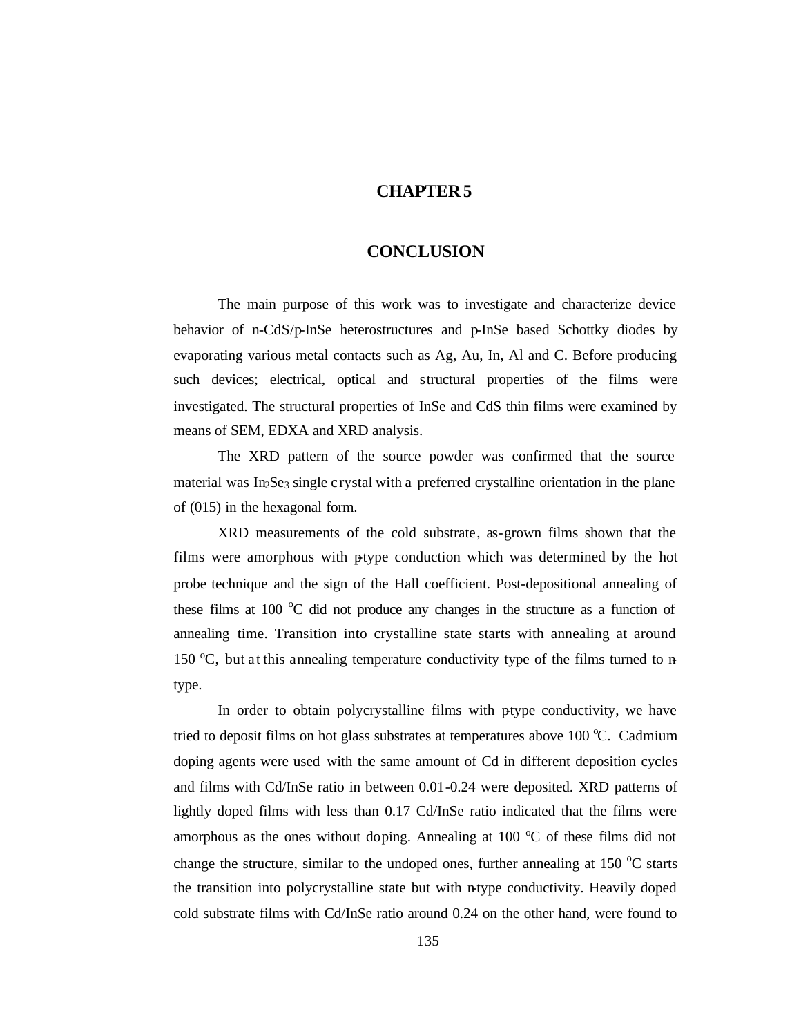## **CHAPTER 5**

#### **CONCLUSION**

The main purpose of this work was to investigate and characterize device behavior of n-CdS/p-InSe heterostructures and p-InSe based Schottky diodes by evaporating various metal contacts such as Ag, Au, In, Al and C. Before producing such devices; electrical, optical and structural properties of the films were investigated. The structural properties of InSe and CdS thin films were examined by means of SEM, EDXA and XRD analysis.

The XRD pattern of the source powder was confirmed that the source material was  $In<sub>2</sub>Se<sub>3</sub> single crystal with a preferred crystalline orientation in the plane$ of (015) in the hexagonal form.

XRD measurements of the cold substrate, as-grown films shown that the films were amorphous with ptype conduction which was determined by the hot probe technique and the sign of the Hall coefficient. Post-depositional annealing of these films at 100  $\degree$ C did not produce any changes in the structure as a function of annealing time. Transition into crystalline state starts with annealing at around 150  $\degree$ C, but at this annealing temperature conductivity type of the films turned to ntype.

In order to obtain polycrystalline films with ptype conductivity, we have tried to deposit films on hot glass substrates at temperatures above 100  $\degree$ C. Cadmium doping agents were used with the same amount of Cd in different deposition cycles and films with Cd/InSe ratio in between 0.01-0.24 were deposited. XRD patterns of lightly doped films with less than 0.17 Cd/InSe ratio indicated that the films were amorphous as the ones without doping. Annealing at  $100\ ^\circ$ C of these films did not change the structure, similar to the undoped ones, further annealing at  $150^{\circ}$ C starts the transition into polycrystalline state but with n-type conductivity. Heavily doped cold substrate films with Cd/InSe ratio around 0.24 on the other hand, were found to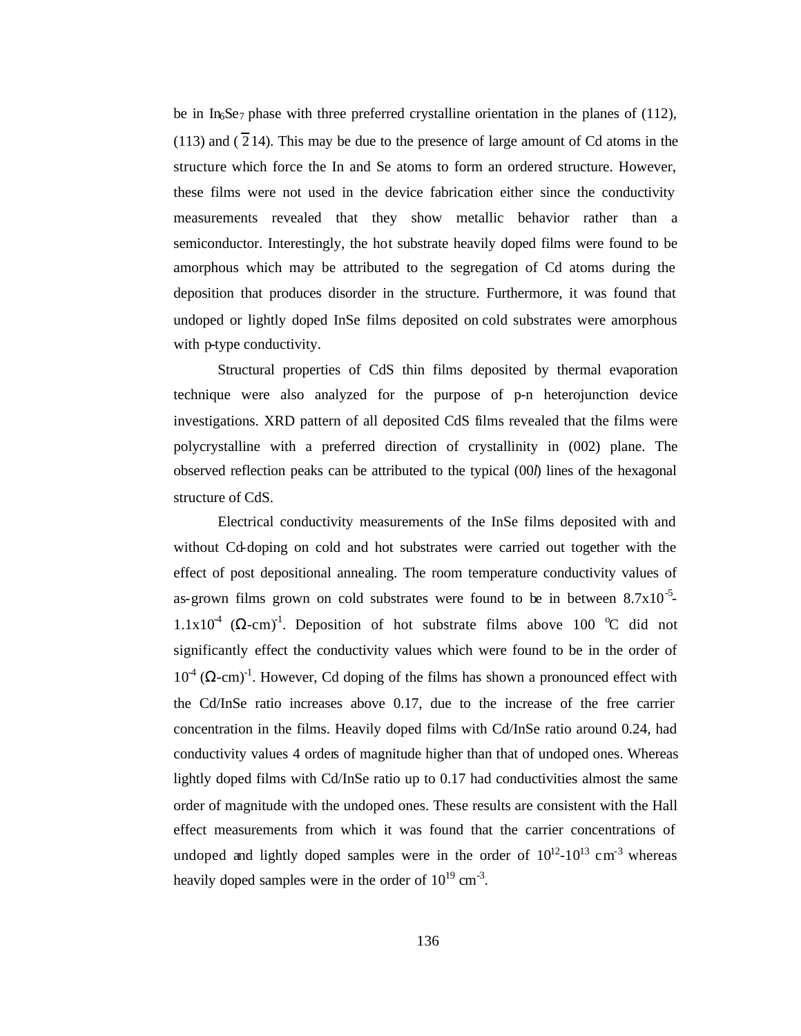be in In $S$ e<sub>7</sub> phase with three preferred crystalline orientation in the planes of (112),  $(113)$  and  $(214)$ . This may be due to the presence of large amount of Cd atoms in the structure which force the In and Se atoms to form an ordered structure. However, these films were not used in the device fabrication either since the conductivity measurements revealed that they show metallic behavior rather than a semiconductor. Interestingly, the hot substrate heavily doped films were found to be amorphous which may be attributed to the segregation of Cd atoms during the deposition that produces disorder in the structure. Furthermore, it was found that undoped or lightly doped InSe films deposited on cold substrates were amorphous with p-type conductivity.

Structural properties of CdS thin films deposited by thermal evaporation technique were also analyzed for the purpose of p-n heterojunction device investigations. XRD pattern of all deposited CdS films revealed that the films were polycrystalline with a preferred direction of crystallinity in (002) plane. The observed reflection peaks can be attributed to the typical (00*l*) lines of the hexagonal structure of CdS.

Electrical conductivity measurements of the InSe films deposited with and without Cd-doping on cold and hot substrates were carried out together with the effect of post depositional annealing. The room temperature conductivity values of as-grown films grown on cold substrates were found to be in between  $8.7 \times 10^{-5}$  $1.1x10<sup>4</sup>$  ( $\Omega$ -cm)<sup>-1</sup>. Deposition of hot substrate films above 100 °C did not significantly effect the conductivity values which were found to be in the order of  $10<sup>4</sup>$  ( $\Omega$ -cm)<sup>-1</sup>. However, Cd doping of the films has shown a pronounced effect with the Cd/InSe ratio increases above 0.17, due to the increase of the free carrier concentration in the films. Heavily doped films with Cd/InSe ratio around 0.24, had conductivity values 4 orders of magnitude higher than that of undoped ones. Whereas lightly doped films with Cd/InSe ratio up to 0.17 had conductivities almost the same order of magnitude with the undoped ones. These results are consistent with the Hall effect measurements from which it was found that the carrier concentrations of undoped and lightly doped samples were in the order of  $10^{12}$ - $10^{13}$  cm<sup>-3</sup> whereas heavily doped samples were in the order of  $10^{19}$  cm<sup>-3</sup>.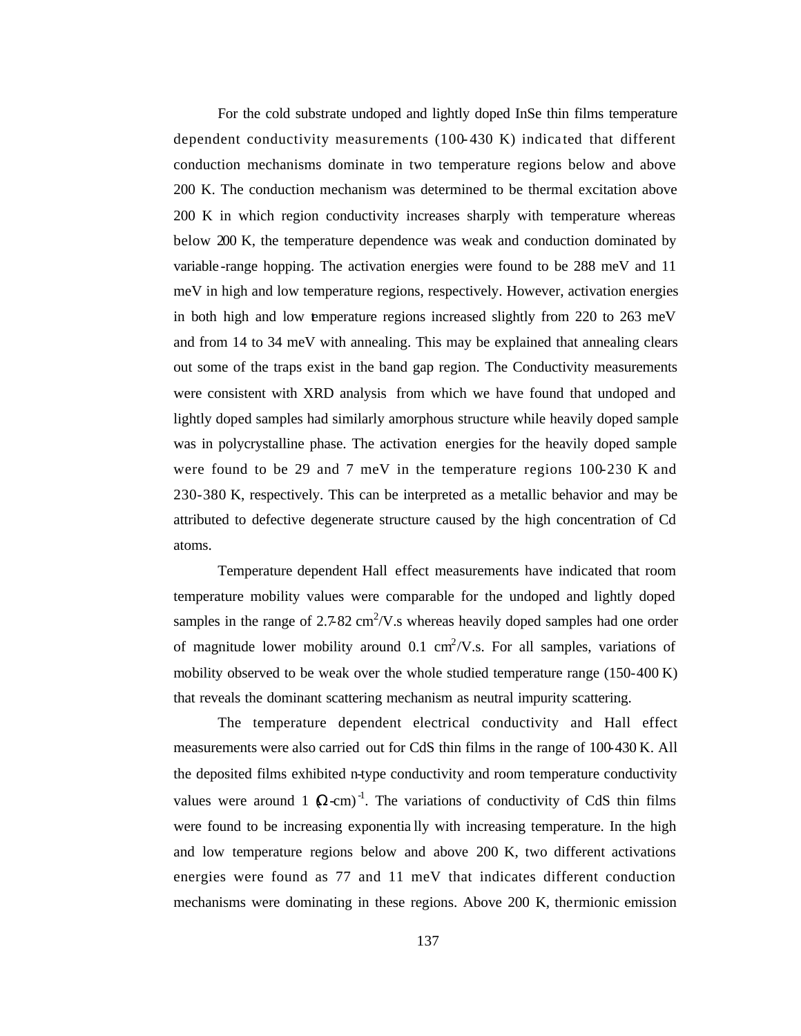For the cold substrate undoped and lightly doped InSe thin films temperature dependent conductivity measurements  $(100-430)$  K) indicated that different conduction mechanisms dominate in two temperature regions below and above 200 K. The conduction mechanism was determined to be thermal excitation above 200 K in which region conductivity increases sharply with temperature whereas below 200 K, the temperature dependence was weak and conduction dominated by variable -range hopping. The activation energies were found to be 288 meV and 11 meV in high and low temperature regions, respectively. However, activation energies in both high and low temperature regions increased slightly from 220 to 263 meV and from 14 to 34 meV with annealing. This may be explained that annealing clears out some of the traps exist in the band gap region. The Conductivity measurements were consistent with XRD analysis from which we have found that undoped and lightly doped samples had similarly amorphous structure while heavily doped sample was in polycrystalline phase. The activation energies for the heavily doped sample were found to be 29 and 7 meV in the temperature regions 100-230 K and 230-380 K, respectively. This can be interpreted as a metallic behavior and may be attributed to defective degenerate structure caused by the high concentration of Cd atoms.

Temperature dependent Hall effect measurements have indicated that room temperature mobility values were comparable for the undoped and lightly doped samples in the range of  $2.782 \text{ cm}^2/\text{V}$ . whereas heavily doped samples had one order of magnitude lower mobility around 0.1  $\text{cm}^2/\text{V}$ .s. For all samples, variations of mobility observed to be weak over the whole studied temperature range (150-400 K) that reveals the dominant scattering mechanism as neutral impurity scattering.

The temperature dependent electrical conductivity and Hall effect measurements were also carried out for CdS thin films in the range of 100-430 K. All the deposited films exhibited n-type conductivity and room temperature conductivity values were around 1  $(Q-cm)^{-1}$ . The variations of conductivity of CdS thin films were found to be increasing exponentia lly with increasing temperature. In the high and low temperature regions below and above 200 K, two different activations energies were found as 77 and 11 meV that indicates different conduction mechanisms were dominating in these regions. Above 200 K, thermionic emission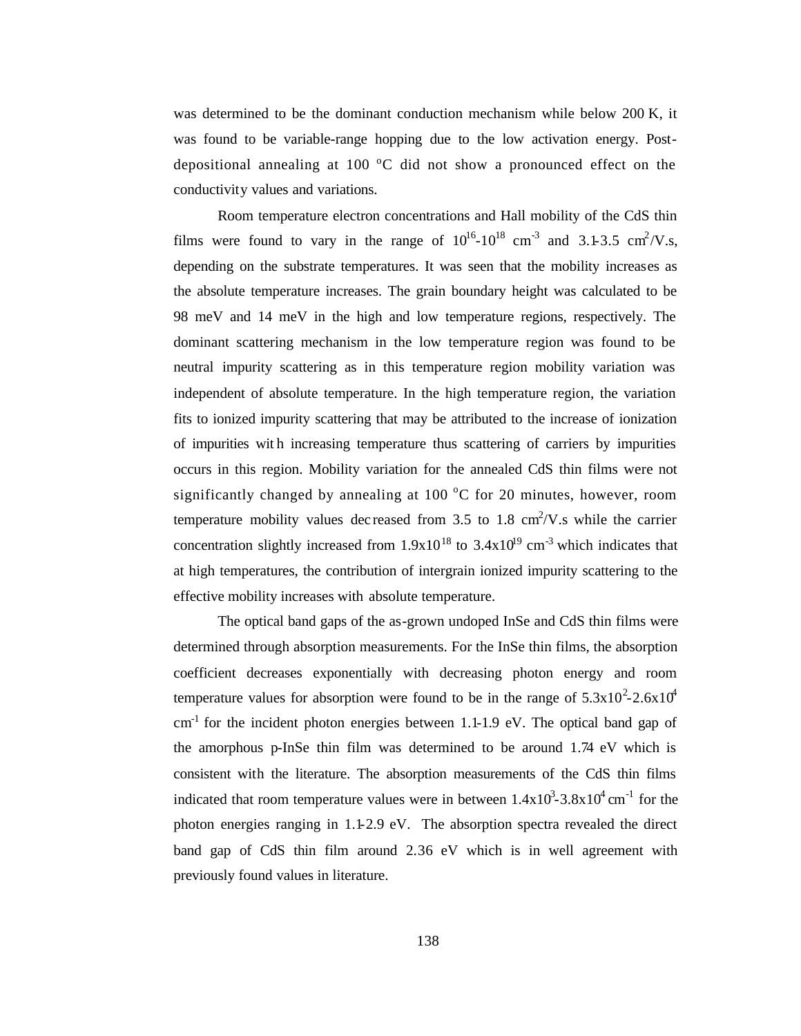was determined to be the dominant conduction mechanism while below 200 K, it was found to be variable-range hopping due to the low activation energy. Postdepositional annealing at 100  $^{\circ}$ C did not show a pronounced effect on the conductivity values and variations.

Room temperature electron concentrations and Hall mobility of the CdS thin films were found to vary in the range of  $10^{16}$ - $10^{18}$  cm<sup>-3</sup> and 3.1-3.5 cm<sup>2</sup>/V.s, depending on the substrate temperatures. It was seen that the mobility increases as the absolute temperature increases. The grain boundary height was calculated to be 98 meV and 14 meV in the high and low temperature regions, respectively. The dominant scattering mechanism in the low temperature region was found to be neutral impurity scattering as in this temperature region mobility variation was independent of absolute temperature. In the high temperature region, the variation fits to ionized impurity scattering that may be attributed to the increase of ionization of impurities wit h increasing temperature thus scattering of carriers by impurities occurs in this region. Mobility variation for the annealed CdS thin films were not significantly changed by annealing at  $100\degree C$  for 20 minutes, however, room temperature mobility values decreased from 3.5 to 1.8  $\text{cm}^2/\text{V}$ . while the carrier concentration slightly increased from  $1.9x10^{18}$  to  $3.4x10^{19}$  cm<sup>-3</sup> which indicates that at high temperatures, the contribution of intergrain ionized impurity scattering to the effective mobility increases with absolute temperature.

The optical band gaps of the as-grown undoped InSe and CdS thin films were determined through absorption measurements. For the InSe thin films, the absorption coefficient decreases exponentially with decreasing photon energy and room temperature values for absorption were found to be in the range of  $5.3x10^2$ -2.6x10<sup>4</sup>  $cm<sup>-1</sup>$  for the incident photon energies between 1.1-1.9 eV. The optical band gap of the amorphous p-InSe thin film was determined to be around 1.74 eV which is consistent with the literature. The absorption measurements of the CdS thin films indicated that room temperature values were in between  $1.4x10^3 - 3.8x10^4$  cm<sup>-1</sup> for the photon energies ranging in 1.1-2.9 eV. The absorption spectra revealed the direct band gap of CdS thin film around 2.36 eV which is in well agreement with previously found values in literature.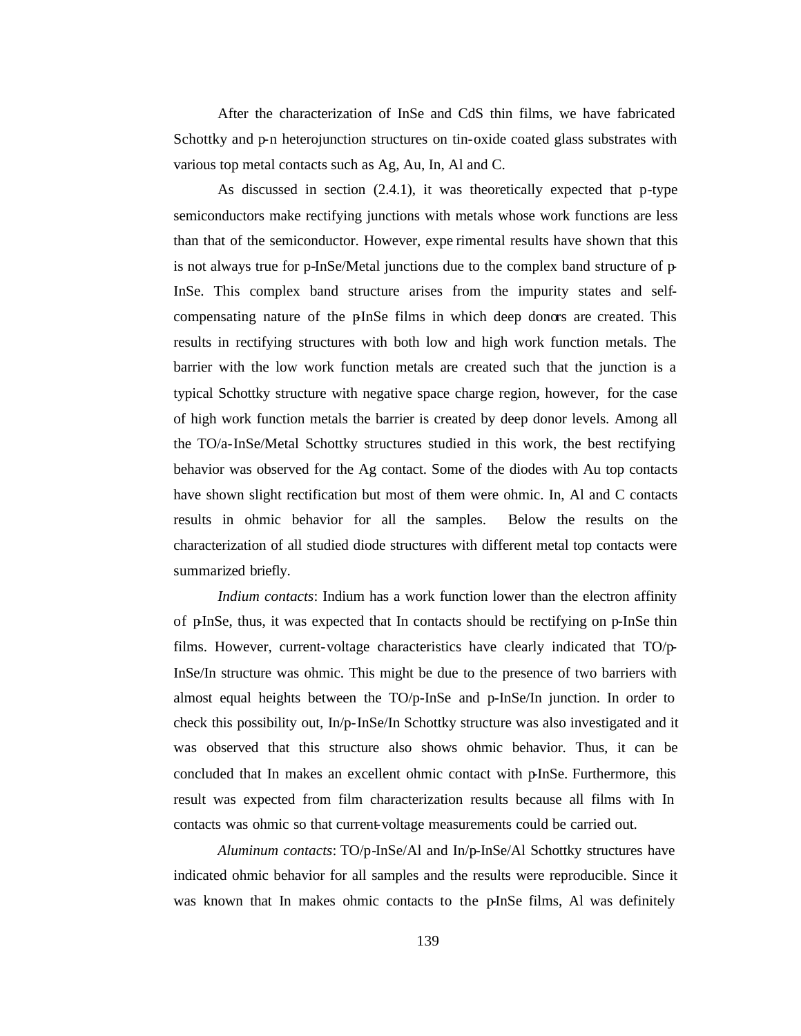After the characterization of InSe and CdS thin films, we have fabricated Schottky and p-n heterojunction structures on tin-oxide coated glass substrates with various top metal contacts such as Ag, Au, In, Al and C.

As discussed in section (2.4.1), it was theoretically expected that p-type semiconductors make rectifying junctions with metals whose work functions are less than that of the semiconductor. However, expe rimental results have shown that this is not always true for p-InSe/Metal junctions due to the complex band structure of p-InSe. This complex band structure arises from the impurity states and selfcompensating nature of the pInSe films in which deep donors are created. This results in rectifying structures with both low and high work function metals. The barrier with the low work function metals are created such that the junction is a typical Schottky structure with negative space charge region, however, for the case of high work function metals the barrier is created by deep donor levels. Among all the TO/a-InSe/Metal Schottky structures studied in this work, the best rectifying behavior was observed for the Ag contact. Some of the diodes with Au top contacts have shown slight rectification but most of them were ohmic. In, Al and C contacts results in ohmic behavior for all the samples. Below the results on the characterization of all studied diode structures with different metal top contacts were summarized briefly.

*Indium contacts*: Indium has a work function lower than the electron affinity of p-InSe, thus, it was expected that In contacts should be rectifying on p-InSe thin films. However, current-voltage characteristics have clearly indicated that TO/p-InSe/In structure was ohmic. This might be due to the presence of two barriers with almost equal heights between the TO/p-InSe and p-InSe/In junction. In order to check this possibility out, In/p-InSe/In Schottky structure was also investigated and it was observed that this structure also shows ohmic behavior. Thus, it can be concluded that In makes an excellent ohmic contact with p-InSe. Furthermore, this result was expected from film characterization results because all films with In contacts was ohmic so that current-voltage measurements could be carried out.

*Aluminum contacts*: TO/p-InSe/Al and In/p-InSe/Al Schottky structures have indicated ohmic behavior for all samples and the results were reproducible. Since it was known that In makes ohmic contacts to the pInSe films, Al was definitely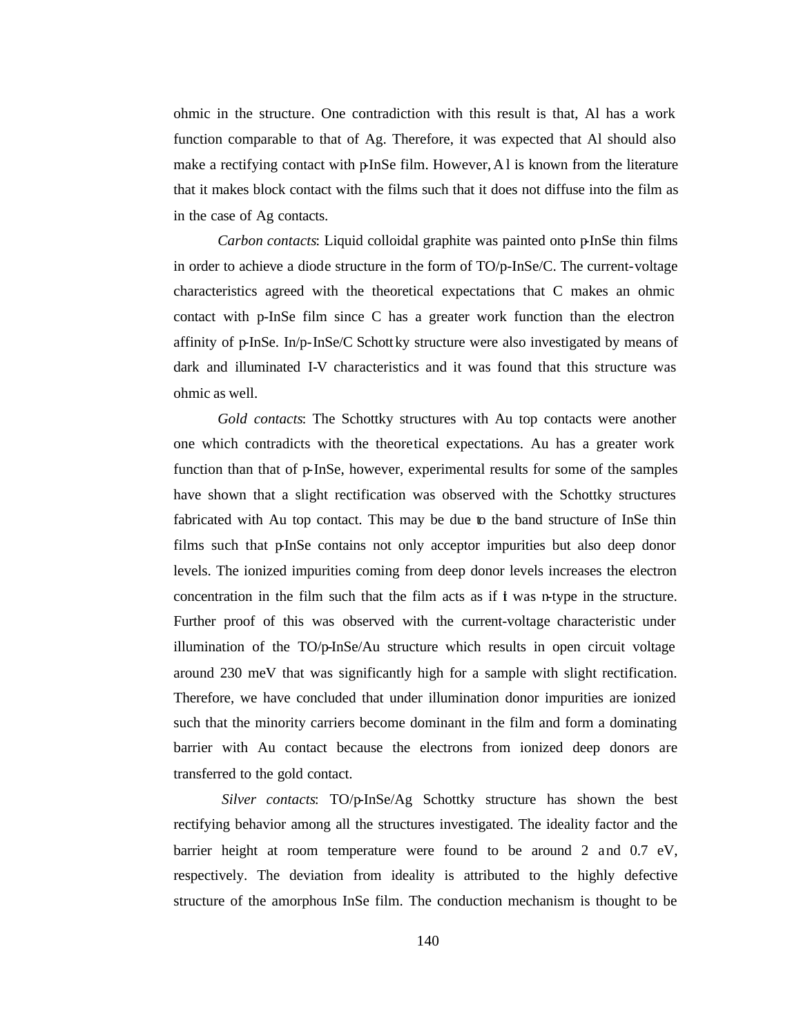ohmic in the structure. One contradiction with this result is that, Al has a work function comparable to that of Ag. Therefore, it was expected that Al should also make a rectifying contact with p-InSe film. However, A1 is known from the literature that it makes block contact with the films such that it does not diffuse into the film as in the case of Ag contacts.

*Carbon contacts*: Liquid colloidal graphite was painted onto pInSe thin films in order to achieve a diode structure in the form of TO/p-InSe/C. The current-voltage characteristics agreed with the theoretical expectations that C makes an ohmic contact with p-InSe film since C has a greater work function than the electron affinity of  $p$ -InSe. In/ $p$ -InSe/C Schottky structure were also investigated by means of dark and illuminated I-V characteristics and it was found that this structure was ohmic as well.

*Gold contacts*: The Schottky structures with Au top contacts were another one which contradicts with the theoretical expectations. Au has a greater work function than that of p-InSe, however, experimental results for some of the samples have shown that a slight rectification was observed with the Schottky structures fabricated with Au top contact. This may be due to the band structure of InSe thin films such that p-InSe contains not only acceptor impurities but also deep donor levels. The ionized impurities coming from deep donor levels increases the electron concentration in the film such that the film acts as if  $\dot{\mathbf{t}}$  was n-type in the structure. Further proof of this was observed with the current-voltage characteristic under illumination of the TO/p-InSe/Au structure which results in open circuit voltage around 230 meV that was significantly high for a sample with slight rectification. Therefore, we have concluded that under illumination donor impurities are ionized such that the minority carriers become dominant in the film and form a dominating barrier with Au contact because the electrons from ionized deep donors are transferred to the gold contact.

*Silver contacts*: TO/p-InSe/Ag Schottky structure has shown the best rectifying behavior among all the structures investigated. The ideality factor and the barrier height at room temperature were found to be around 2 and 0.7 eV, respectively. The deviation from ideality is attributed to the highly defective structure of the amorphous InSe film. The conduction mechanism is thought to be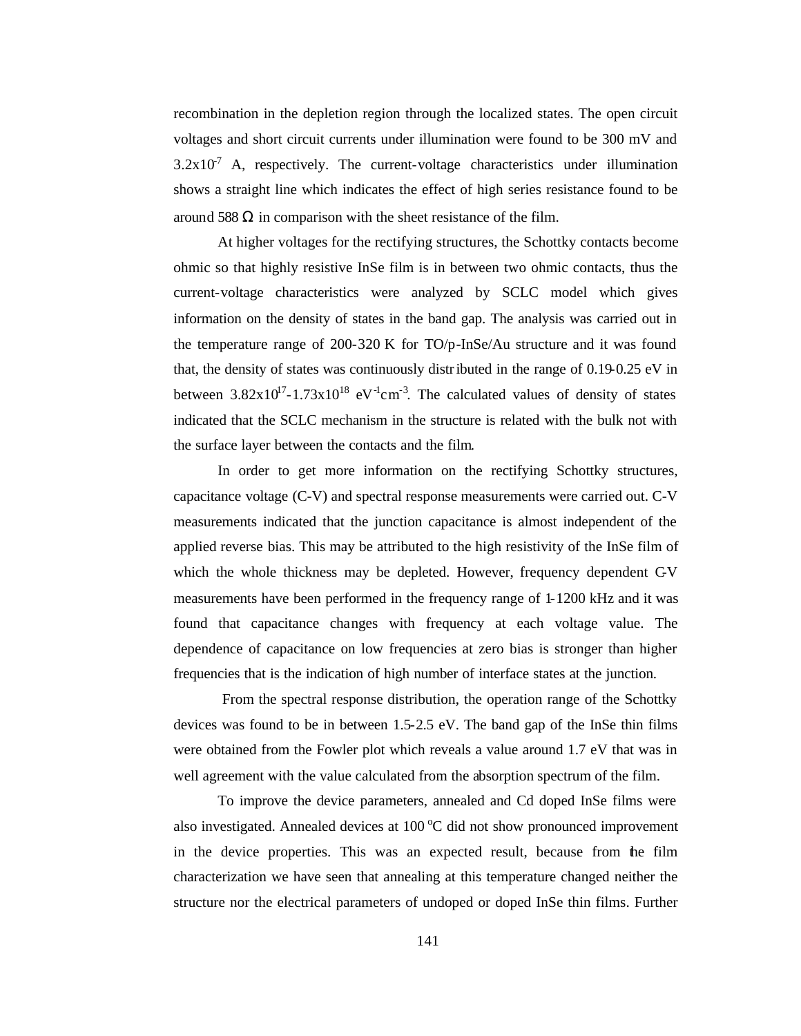recombination in the depletion region through the localized states. The open circuit voltages and short circuit currents under illumination were found to be 300 mV and  $3.2 \times 10^{7}$  A, respectively. The current-voltage characteristics under illumination shows a straight line which indicates the effect of high series resistance found to be around 588  $\Omega$  in comparison with the sheet resistance of the film.

At higher voltages for the rectifying structures, the Schottky contacts become ohmic so that highly resistive InSe film is in between two ohmic contacts, thus the current-voltage characteristics were analyzed by SCLC model which gives information on the density of states in the band gap. The analysis was carried out in the temperature range of 200-320 K for TO/p-InSe/Au structure and it was found that, the density of states was continuously distributed in the range of 0.19-0.25 eV in between  $3.82 \times 10^{17} - 1.73 \times 10^{18}$  eV $^{-1}$ cm<sup>-3</sup>. The calculated values of density of states indicated that the SCLC mechanism in the structure is related with the bulk not with the surface layer between the contacts and the film.

In order to get more information on the rectifying Schottky structures, capacitance voltage (C-V) and spectral response measurements were carried out. C-V measurements indicated that the junction capacitance is almost independent of the applied reverse bias. This may be attributed to the high resistivity of the InSe film of which the whole thickness may be depleted. However, frequency dependent C-V measurements have been performed in the frequency range of 1-1200 kHz and it was found that capacitance changes with frequency at each voltage value. The dependence of capacitance on low frequencies at zero bias is stronger than higher frequencies that is the indication of high number of interface states at the junction.

 From the spectral response distribution, the operation range of the Schottky devices was found to be in between 1.5-2.5 eV. The band gap of the InSe thin films were obtained from the Fowler plot which reveals a value around 1.7 eV that was in well agreement with the value calculated from the absorption spectrum of the film.

To improve the device parameters, annealed and Cd doped InSe films were also investigated. Annealed devices at  $100\degree C$  did not show pronounced improvement in the device properties. This was an expected result, because from the film characterization we have seen that annealing at this temperature changed neither the structure nor the electrical parameters of undoped or doped InSe thin films. Further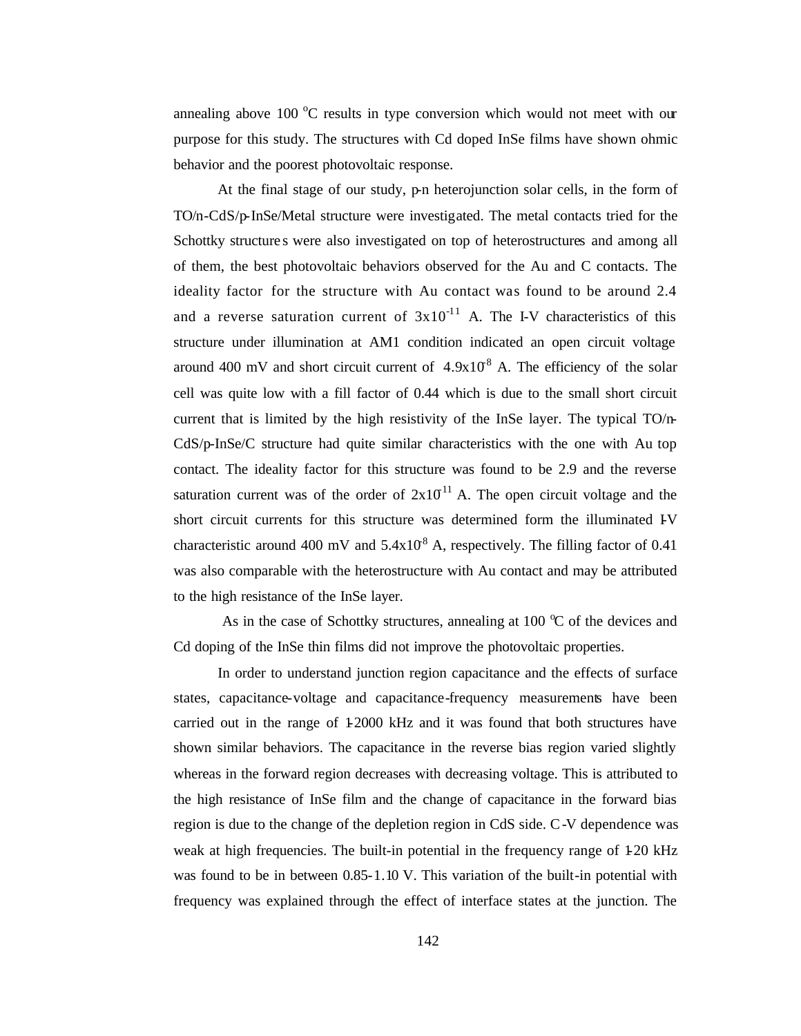annealing above 100  $\degree$ C results in type conversion which would not meet with our purpose for this study. The structures with Cd doped InSe films have shown ohmic behavior and the poorest photovoltaic response.

At the final stage of our study,  $p$ -n heterojunction solar cells, in the form of TO/n-CdS/p-InSe/Metal structure were investigated. The metal contacts tried for the Schottky structure s were also investigated on top of heterostructures and among all of them, the best photovoltaic behaviors observed for the Au and C contacts. The ideality factor for the structure with Au contact was found to be around 2.4 and a reverse saturation current of  $3x10^{-11}$  A. The I-V characteristics of this structure under illumination at AM1 condition indicated an open circuit voltage around 400 mV and short circuit current of  $4.9x10^8$  A. The efficiency of the solar cell was quite low with a fill factor of 0.44 which is due to the small short circuit current that is limited by the high resistivity of the InSe layer. The typical TO/n-CdS/p-InSe/C structure had quite similar characteristics with the one with Au top contact. The ideality factor for this structure was found to be 2.9 and the reverse saturation current was of the order of  $2x10^{11}$  A. The open circuit voltage and the short circuit currents for this structure was determined form the illuminated IV characteristic around 400 mV and  $5.4 \times 10^8$  A, respectively. The filling factor of 0.41 was also comparable with the heterostructure with Au contact and may be attributed to the high resistance of the InSe layer.

As in the case of Schottky structures, annealing at  $100 \degree C$  of the devices and Cd doping of the InSe thin films did not improve the photovoltaic properties.

In order to understand junction region capacitance and the effects of surface states, capacitance-voltage and capacitance-frequency measurements have been carried out in the range of 1-2000 kHz and it was found that both structures have shown similar behaviors. The capacitance in the reverse bias region varied slightly whereas in the forward region decreases with decreasing voltage. This is attributed to the high resistance of InSe film and the change of capacitance in the forward bias region is due to the change of the depletion region in CdS side. C-V dependence was weak at high frequencies. The built-in potential in the frequency range of  $\text{\textsterling}20 \text{ kHz}$ was found to be in between 0.85-1.10 V. This variation of the built-in potential with frequency was explained through the effect of interface states at the junction. The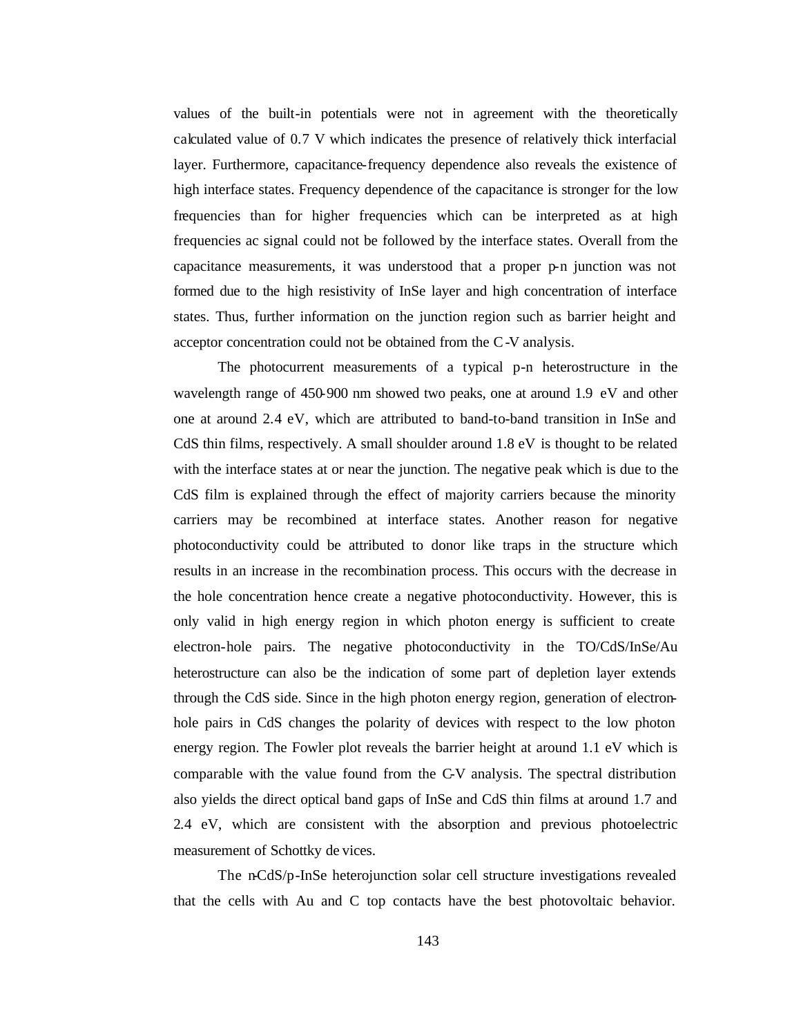values of the built-in potentials were not in agreement with the theoretically calculated value of 0.7 V which indicates the presence of relatively thick interfacial layer. Furthermore, capacitance-frequency dependence also reveals the existence of high interface states. Frequency dependence of the capacitance is stronger for the low frequencies than for higher frequencies which can be interpreted as at high frequencies ac signal could not be followed by the interface states. Overall from the capacitance measurements, it was understood that a proper p-n junction was not formed due to the high resistivity of InSe layer and high concentration of interface states. Thus, further information on the junction region such as barrier height and acceptor concentration could not be obtained from the C-V analysis.

The photocurrent measurements of a typical p-n heterostructure in the wavelength range of 450-900 nm showed two peaks, one at around 1.9 eV and other one at around 2.4 eV, which are attributed to band-to-band transition in InSe and CdS thin films, respectively. A small shoulder around 1.8 eV is thought to be related with the interface states at or near the junction. The negative peak which is due to the CdS film is explained through the effect of majority carriers because the minority carriers may be recombined at interface states. Another reason for negative photoconductivity could be attributed to donor like traps in the structure which results in an increase in the recombination process. This occurs with the decrease in the hole concentration hence create a negative photoconductivity. However, this is only valid in high energy region in which photon energy is sufficient to create electron-hole pairs. The negative photoconductivity in the TO/CdS/InSe/Au heterostructure can also be the indication of some part of depletion layer extends through the CdS side. Since in the high photon energy region, generation of electronhole pairs in CdS changes the polarity of devices with respect to the low photon energy region. The Fowler plot reveals the barrier height at around 1.1 eV which is comparable with the value found from the C-V analysis. The spectral distribution also yields the direct optical band gaps of InSe and CdS thin films at around 1.7 and 2.4 eV, which are consistent with the absorption and previous photoelectric measurement of Schottky de vices.

The n-CdS/p-InSe heterojunction solar cell structure investigations revealed that the cells with Au and C top contacts have the best photovoltaic behavior.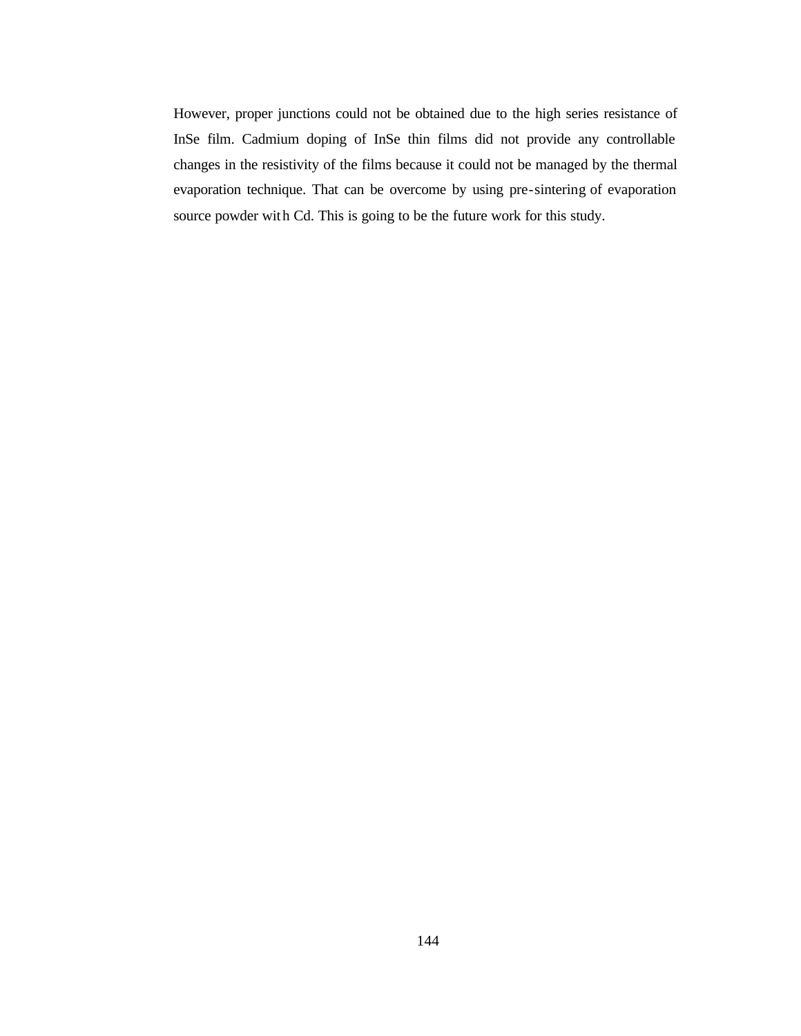However, proper junctions could not be obtained due to the high series resistance of InSe film. Cadmium doping of InSe thin films did not provide any controllable changes in the resistivity of the films because it could not be managed by the thermal evaporation technique. That can be overcome by using pre-sintering of evaporation source powder with Cd. This is going to be the future work for this study.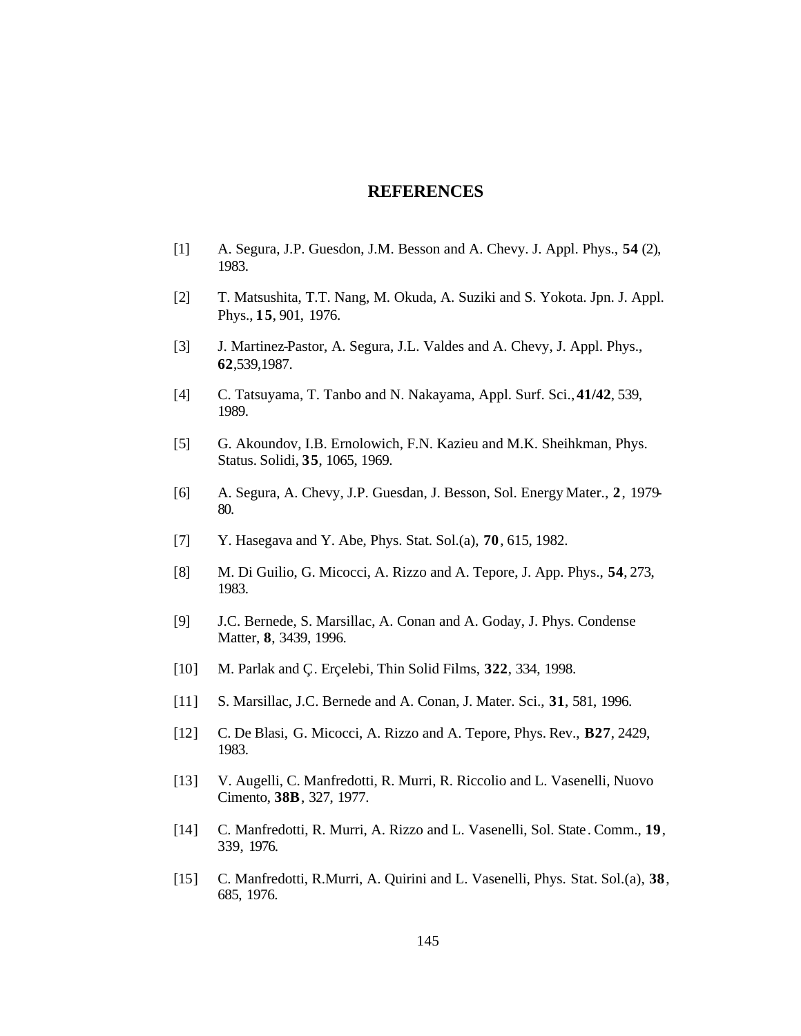#### **REFERENCES**

- [1] A. Segura, J.P. Guesdon, J.M. Besson and A. Chevy. J. Appl. Phys., **54** (2), 1983.
- [2] T. Matsushita, T.T. Nang, M. Okuda, A. Suziki and S. Yokota. Jpn. J. Appl. Phys., **15**, 901, 1976.
- [3] J. Martinez-Pastor, A. Segura, J.L. Valdes and A. Chevy, J. Appl. Phys., **62**,539,1987.
- [4] C. Tatsuyama, T. Tanbo and N. Nakayama, Appl. Surf. Sci., **41/42**, 539, 1989.
- [5] G. Akoundov, I.B. Ernolowich, F.N. Kazieu and M.K. Sheihkman, Phys. Status. Solidi, **35**, 1065, 1969.
- [6] A. Segura, A. Chevy, J.P. Guesdan, J. Besson, Sol. Energy Mater., **2**, 1979- 80.
- [7] Y. Hasegava and Y. Abe, Phys. Stat. Sol.(a), **70**, 615, 1982.
- [8] M. Di Guilio, G. Micocci, A. Rizzo and A. Tepore, J. App. Phys., **54**, 273, 1983.
- [9] J.C. Bernede, S. Marsillac, A. Conan and A. Goday, J. Phys. Condense Matter, **8**, 3439, 1996.
- [10] M. Parlak and Ç. Erçelebi, Thin Solid Films, **322**, 334, 1998.
- [11] S. Marsillac, J.C. Bernede and A. Conan, J. Mater. Sci., **31**, 581, 1996.
- [12] C. De Blasi, G. Micocci, A. Rizzo and A. Tepore, Phys. Rev., **B27**, 2429, 1983.
- [13] V. Augelli, C. Manfredotti, R. Murri, R. Riccolio and L. Vasenelli, Nuovo Cimento, **38B**, 327, 1977.
- [14] C. Manfredotti, R. Murri, A. Rizzo and L. Vasenelli, Sol. State. Comm., **19**, 339, 1976.
- [15] C. Manfredotti, R.Murri, A. Quirini and L. Vasenelli, Phys. Stat. Sol.(a), **38**, 685, 1976.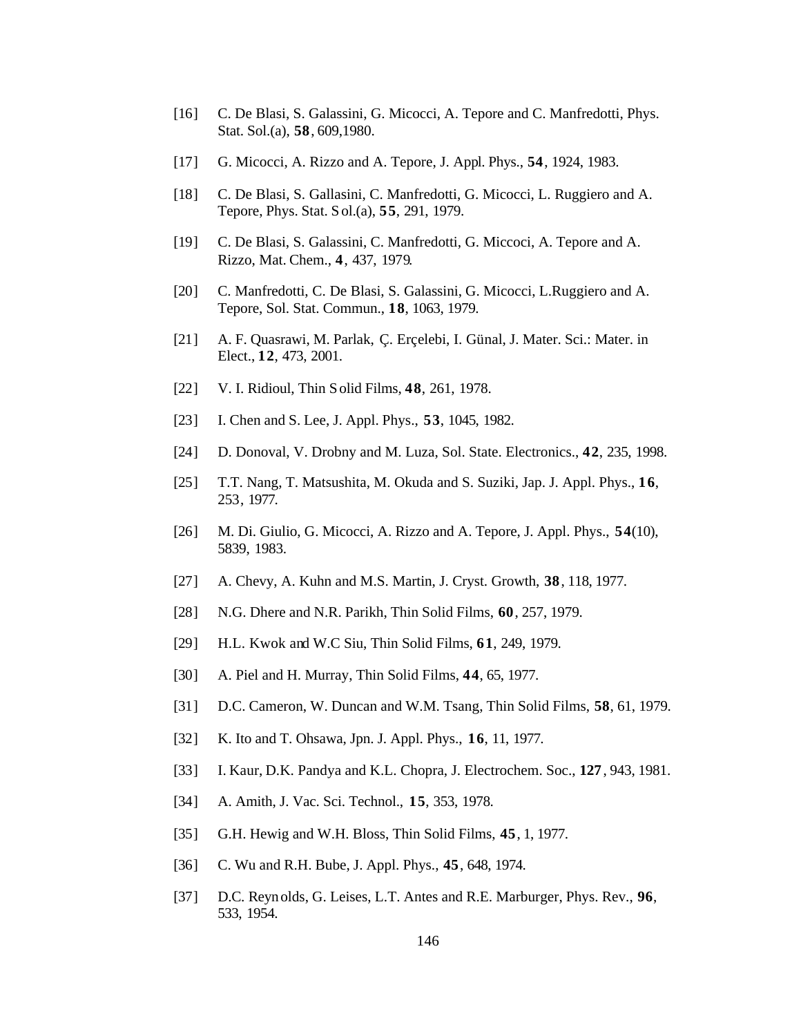- [16] C. De Blasi, S. Galassini, G. Micocci, A. Tepore and C. Manfredotti, Phys. Stat. Sol.(a), **58**, 609,1980.
- [17] G. Micocci, A. Rizzo and A. Tepore, J. Appl. Phys., **54**, 1924, 1983.
- [18] C. De Blasi, S. Gallasini, C. Manfredotti, G. Micocci, L. Ruggiero and A. Tepore, Phys. Stat. Sol.(a), **55**, 291, 1979.
- [19] C. De Blasi, S. Galassini, C. Manfredotti, G. Miccoci, A. Tepore and A. Rizzo, Mat. Chem., **4**, 437, 1979.
- [20] C. Manfredotti, C. De Blasi, S. Galassini, G. Micocci, L.Ruggiero and A. Tepore, Sol. Stat. Commun., **18**, 1063, 1979.
- [21] A. F. Quasrawi, M. Parlak, Ç. Erçelebi, I. Günal, J. Mater. Sci.: Mater. in Elect., **12**, 473, 2001.
- [22] V. I. Ridioul, Thin Solid Films, **48**, 261, 1978.
- [23] I. Chen and S. Lee, J. Appl. Phys., **53**, 1045, 1982.
- [24] D. Donoval, V. Drobny and M. Luza, Sol. State. Electronics., **42**, 235, 1998.
- [25] T.T. Nang, T. Matsushita, M. Okuda and S. Suziki, Jap. J. Appl. Phys., **16**, 253, 1977.
- [26] M. Di. Giulio, G. Micocci, A. Rizzo and A. Tepore, J. Appl. Phys., **54**(10), 5839, 1983.
- [27] A. Chevy, A. Kuhn and M.S. Martin, J. Cryst. Growth, **38**, 118, 1977.
- [28] N.G. Dhere and N.R. Parikh, Thin Solid Films, **60**, 257, 1979.
- [29] H.L. Kwok and W.C Siu, Thin Solid Films, **61**, 249, 1979.
- [30] A. Piel and H. Murray, Thin Solid Films, **44**, 65, 1977.
- [31] D.C. Cameron, W. Duncan and W.M. Tsang, Thin Solid Films, **58**, 61, 1979.
- [32] K. Ito and T. Ohsawa, Jpn. J. Appl. Phys., **16**, 11, 1977.
- [33] I. Kaur, D.K. Pandya and K.L. Chopra, J. Electrochem. Soc., **127**, 943, 1981.
- [34] A. Amith, J. Vac. Sci. Technol., **15**, 353, 1978.
- [35] G.H. Hewig and W.H. Bloss, Thin Solid Films, **45**, 1, 1977.
- [36] C. Wu and R.H. Bube, J. Appl. Phys., **45**, 648, 1974.
- [37] D.C. Reynolds, G. Leises, L.T. Antes and R.E. Marburger, Phys. Rev., **96**, 533, 1954.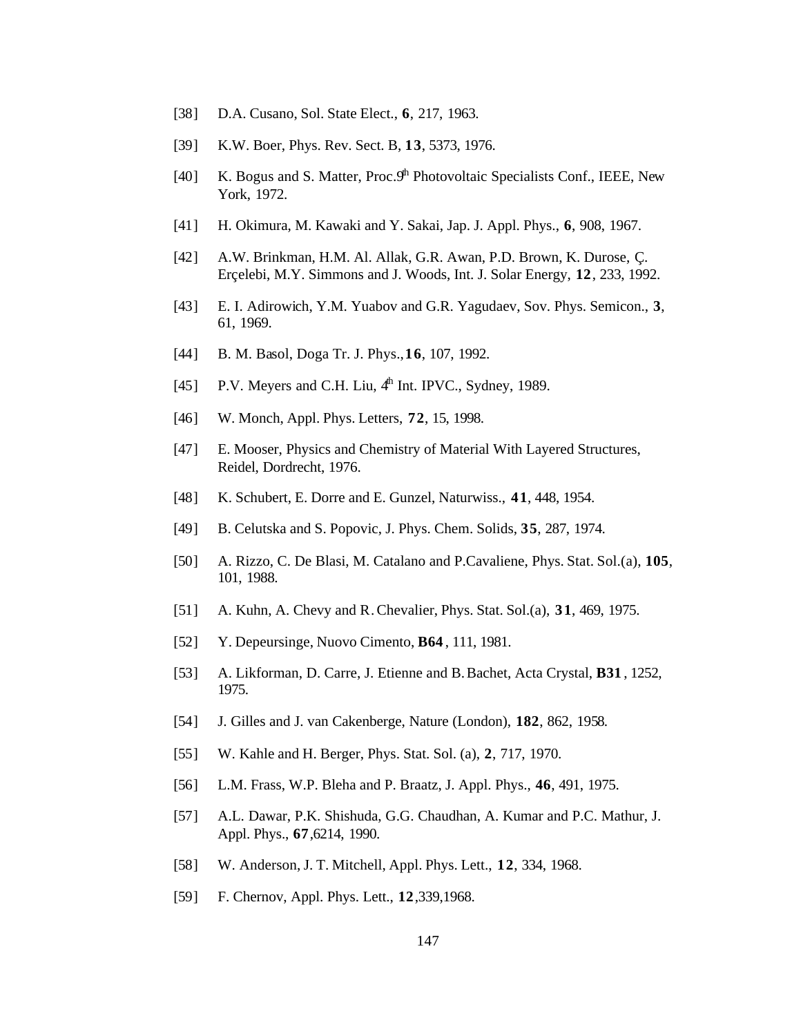- [38] D.A. Cusano, Sol. State Elect., **6**, 217, 1963.
- [39] K.W. Boer, Phys. Rev. Sect. B, **13**, 5373, 1976.
- [40] K. Bogus and S. Matter, Proc.  $9<sup>th</sup>$  Photovoltaic Specialists Conf., IEEE, New York, 1972.
- [41] H. Okimura, M. Kawaki and Y. Sakai, Jap. J. Appl. Phys., **6**, 908, 1967.
- [42] A.W. Brinkman, H.M. Al. Allak, G.R. Awan, P.D. Brown, K. Durose, Ç. Erçelebi, M.Y. Simmons and J. Woods, Int. J. Solar Energy, **12**, 233, 1992.
- [43] E. I. Adirowich, Y.M. Yuabov and G.R. Yagudaev, Sov. Phys. Semicon., **3**, 61, 1969.
- [44] B. M. Basol, Doga Tr. J. Phys.,**16**, 107, 1992.
- [45] P.V. Meyers and C.H. Liu,  $4<sup>h</sup>$  Int. IPVC., Sydney, 1989.
- [46] W. Monch, Appl. Phys. Letters, **72**, 15, 1998.
- [47] E. Mooser, Physics and Chemistry of Material With Layered Structures, Reidel, Dordrecht, 1976.
- [48] K. Schubert, E. Dorre and E. Gunzel, Naturwiss., **41**, 448, 1954.
- [49] B. Celutska and S. Popovic, J. Phys. Chem. Solids, **35**, 287, 1974.
- [50] A. Rizzo, C. De Blasi, M. Catalano and P.Cavaliene, Phys. Stat. Sol.(a), **105**, 101, 1988.
- [51] A. Kuhn, A. Chevy and R. Chevalier, Phys. Stat. Sol.(a), **31**, 469, 1975.
- [52] Y. Depeursinge, Nuovo Cimento, **B64** , 111, 1981.
- [53] A. Likforman, D. Carre, J. Etienne and B. Bachet, Acta Crystal, **B31** , 1252, 1975.
- [54] J. Gilles and J. van Cakenberge, Nature (London), **182**, 862, 1958.
- [55] W. Kahle and H. Berger, Phys. Stat. Sol. (a), **2**, 717, 1970.
- [56] L.M. Frass, W.P. Bleha and P. Braatz, J. Appl. Phys., **46**, 491, 1975.
- [57] A.L. Dawar, P.K. Shishuda, G.G. Chaudhan, A. Kumar and P.C. Mathur, J. Appl. Phys., **67**,6214, 1990.
- [58] W. Anderson, J. T. Mitchell, Appl. Phys. Lett., **12**, 334, 1968.
- [59] F. Chernov, Appl. Phys. Lett., **12**,339,1968.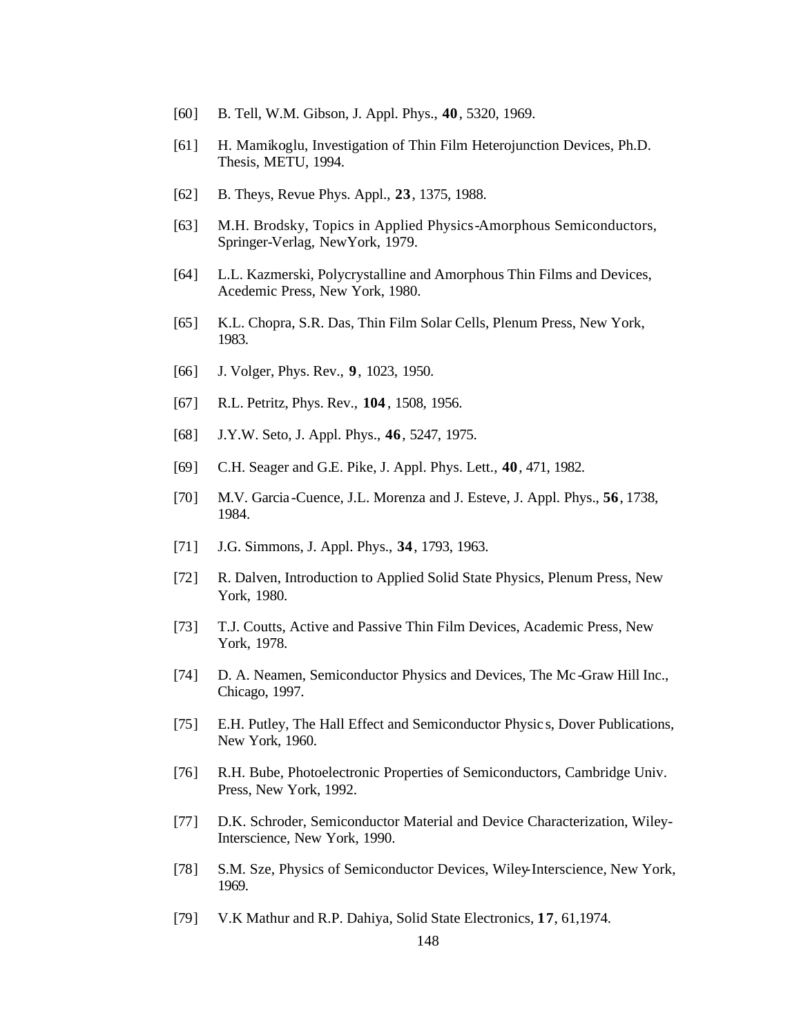- [60] B. Tell, W.M. Gibson, J. Appl. Phys., **40**, 5320, 1969.
- [61] H. Mamikoglu, Investigation of Thin Film Heterojunction Devices, Ph.D. Thesis, METU, 1994.
- [62] B. Theys, Revue Phys. Appl., **23**, 1375, 1988.
- [63] M.H. Brodsky, Topics in Applied Physics-Amorphous Semiconductors, Springer-Verlag, NewYork, 1979.
- [64] L.L. Kazmerski, Polycrystalline and Amorphous Thin Films and Devices, Acedemic Press, New York, 1980.
- [65] K.L. Chopra, S.R. Das, Thin Film Solar Cells, Plenum Press, New York, 1983.
- [66] J. Volger, Phys. Rev., **9**, 1023, 1950.
- [67] R.L. Petritz, Phys. Rev., **104** , 1508, 1956.
- [68] J.Y.W. Seto, J. Appl. Phys., **46**, 5247, 1975.
- [69] C.H. Seager and G.E. Pike, J. Appl. Phys. Lett., **40**, 471, 1982.
- [70] M.V. Garcia -Cuence, J.L. Morenza and J. Esteve, J. Appl. Phys., **56**, 1738, 1984.
- [71] J.G. Simmons, J. Appl. Phys., **34**, 1793, 1963.
- [72] R. Dalven, Introduction to Applied Solid State Physics, Plenum Press, New York, 1980.
- [73] T.J. Coutts, Active and Passive Thin Film Devices, Academic Press, New York, 1978.
- [74] D. A. Neamen, Semiconductor Physics and Devices, The Mc -Graw Hill Inc., Chicago, 1997.
- [75] E.H. Putley, The Hall Effect and Semiconductor Physic s, Dover Publications, New York, 1960.
- [76] R.H. Bube, Photoelectronic Properties of Semiconductors, Cambridge Univ. Press, New York, 1992.
- [77] D.K. Schroder, Semiconductor Material and Device Characterization, Wiley-Interscience, New York, 1990.
- [78] S.M. Sze, Physics of Semiconductor Devices, Wiley-Interscience, New York, 1969.
- [79] V.K Mathur and R.P. Dahiya, Solid State Electronics, **17**, 61,1974.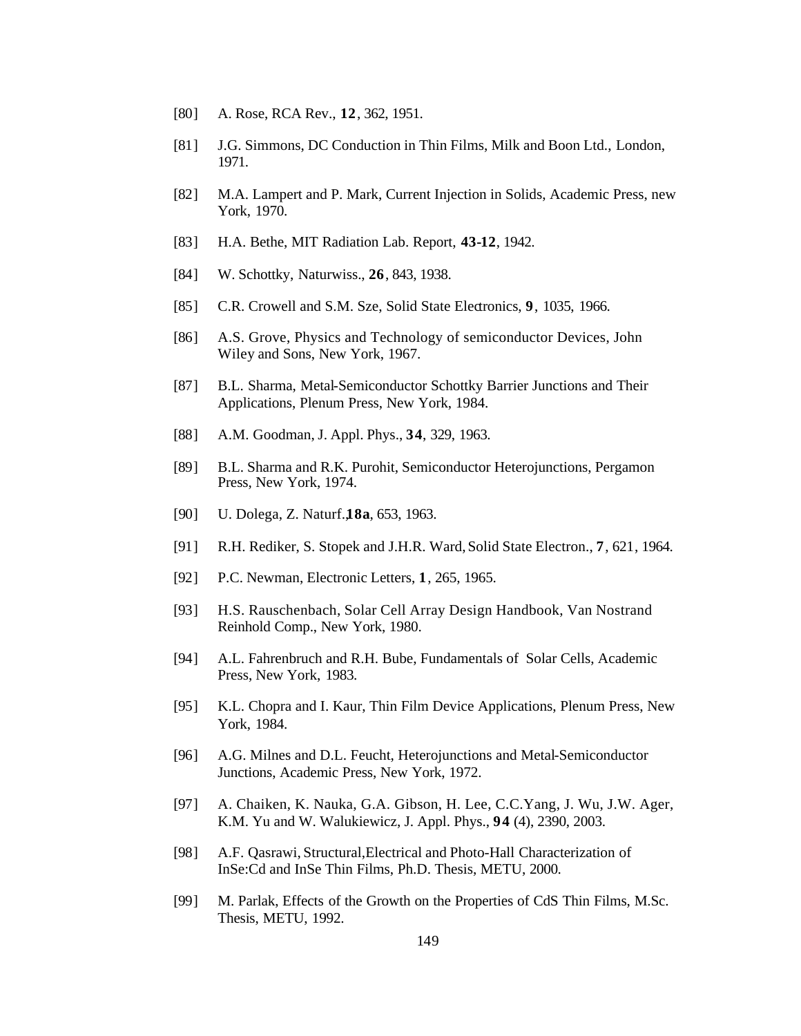- [80] A. Rose, RCA Rev., **12**, 362, 1951.
- [81] J.G. Simmons, DC Conduction in Thin Films, Milk and Boon Ltd., London, 1971.
- [82] M.A. Lampert and P. Mark, Current Injection in Solids, Academic Press, new York, 1970.
- [83] H.A. Bethe, MIT Radiation Lab. Report, **43-12**, 1942.
- [84] W. Schottky, Naturwiss., **26**, 843, 1938.
- [85] C.R. Crowell and S.M. Sze, Solid State Electronics, **9**, 1035, 1966.
- [86] A.S. Grove, Physics and Technology of semiconductor Devices, John Wiley and Sons, New York, 1967.
- [87] B.L. Sharma, Metal-Semiconductor Schottky Barrier Junctions and Their Applications, Plenum Press, New York, 1984.
- [88] A.M. Goodman, J. Appl. Phys., **34**, 329, 1963.
- [89] B.L. Sharma and R.K. Purohit, Semiconductor Heterojunctions, Pergamon Press, New York, 1974.
- [90] U. Dolega, Z. Naturf.,**18a**, 653, 1963.
- [91] R.H. Rediker, S. Stopek and J.H.R. Ward,Solid State Electron., **7**, 621, 1964.
- [92] P.C. Newman, Electronic Letters, **1**, 265, 1965.
- [93] H.S. Rauschenbach, Solar Cell Array Design Handbook, Van Nostrand Reinhold Comp., New York, 1980.
- [94] A.L. Fahrenbruch and R.H. Bube, Fundamentals of Solar Cells, Academic Press, New York, 1983.
- [95] K.L. Chopra and I. Kaur, Thin Film Device Applications, Plenum Press, New York, 1984.
- [96] A.G. Milnes and D.L. Feucht, Heterojunctions and Metal-Semiconductor Junctions, Academic Press, New York, 1972.
- [97] A. Chaiken, K. Nauka, G.A. Gibson, H. Lee, C.C.Yang, J. Wu, J.W. Ager, K.M. Yu and W. Walukiewicz, J. Appl. Phys., **94** (4), 2390, 2003.
- [98] A.F. Qasrawi, Structural,Electrical and Photo-Hall Characterization of InSe:Cd and InSe Thin Films, Ph.D. Thesis, METU, 2000.
- [99] M. Parlak, Effects of the Growth on the Properties of CdS Thin Films, M.Sc. Thesis, METU, 1992.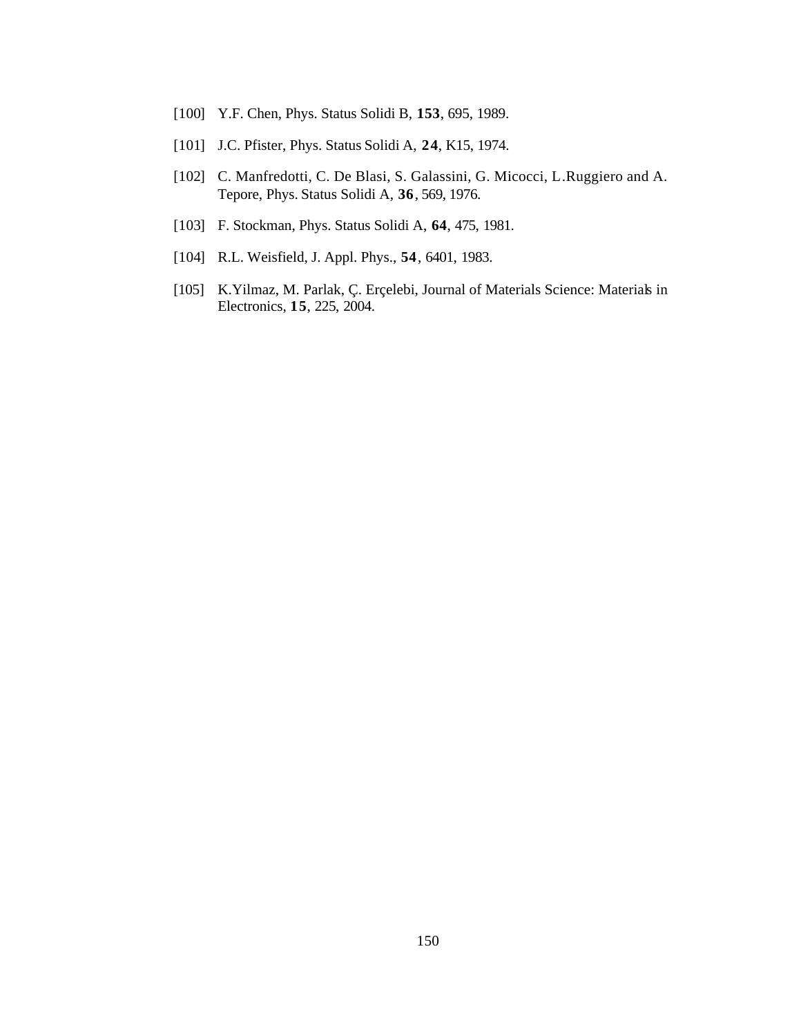- [100] Y.F. Chen, Phys. Status Solidi B, **153**, 695, 1989.
- [101] J.C. Pfister, Phys. Status Solidi A, **24**, K15, 1974.
- [102] C. Manfredotti, C. De Blasi, S. Galassini, G. Micocci, L.Ruggiero and A. Tepore, Phys. Status Solidi A, **36**, 569, 1976.
- [103] F. Stockman, Phys. Status Solidi A, **64**, 475, 1981.
- [104] R.L. Weisfield, J. Appl. Phys., **54**, 6401, 1983.
- [105] K.Yilmaz, M. Parlak, Ç. Erçelebi, Journal of Materials Science: Materials in Electronics, **15**, 225, 2004.